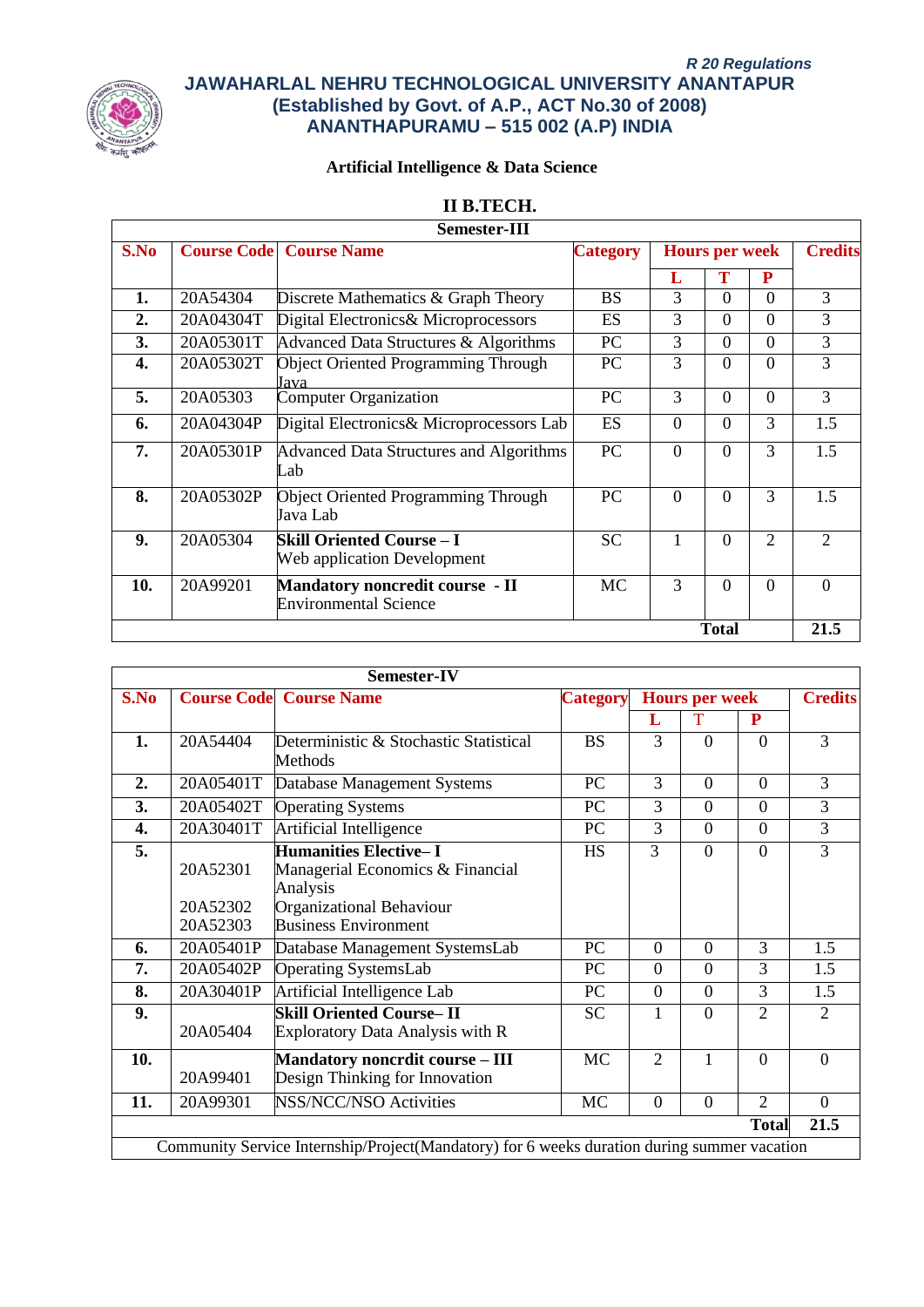

# **Artificial Intelligence & Data Science**

# **II B.TECH.**

|      |           | <b>Semester-III</b>                                             |                 |          |                       |                |                             |
|------|-----------|-----------------------------------------------------------------|-----------------|----------|-----------------------|----------------|-----------------------------|
| S.No |           | <b>Course Code</b> Course Name                                  | <b>Category</b> |          | <b>Hours per week</b> |                | <b>Credits</b>              |
|      |           |                                                                 |                 | L        | Т                     | P              |                             |
| 1.   | 20A54304  | Discrete Mathematics & Graph Theory                             | <b>BS</b>       | 3        | $\Omega$              | $\Omega$       | 3                           |
| 2.   | 20A04304T | Digital Electronics& Microprocessors                            | <b>ES</b>       | 3        | $\Omega$              | $\Omega$       | 3                           |
| 3.   | 20A05301T | Advanced Data Structures & Algorithms                           | <b>PC</b>       | 3        | $\Omega$              | $\Omega$       | 3                           |
| 4.   | 20A05302T | <b>Object Oriented Programming Through</b><br>Java              | PC              | 3        | $\Omega$              | $\Omega$       | 3                           |
| 5.   | 20A05303  | <b>Computer Organization</b>                                    | PC              | 3        | $\Omega$              | $\Omega$       | 3                           |
| 6.   | 20A04304P | Digital Electronics& Microprocessors Lab                        | ES              | $\Omega$ | $\theta$              | 3              | 1.5                         |
| 7.   | 20A05301P | <b>Advanced Data Structures and Algorithms</b><br>Lab           | PC              | $\Omega$ | $\theta$              | 3              | 1.5                         |
| 8.   | 20A05302P | <b>Object Oriented Programming Through</b><br>Java Lab          | <b>PC</b>       | $\Omega$ | $\theta$              | 3              | 1.5                         |
| 9.   | 20A05304  | <b>Skill Oriented Course – I</b><br>Web application Development | <b>SC</b>       | 1        | $\Omega$              | $\overline{2}$ | $\mathcal{D}_{\mathcal{L}}$ |
| 10.  | 20A99201  | Mandatory noncredit course - II<br><b>Environmental Science</b> | MC              | 3        | $\Omega$              | $\Omega$       | $\theta$                    |
|      |           |                                                                 |                 |          | <b>Total</b>          |                | 21.5                        |

|      |                                  | Semester-IV                                                                                                                             |                 |                |                       |                |                |
|------|----------------------------------|-----------------------------------------------------------------------------------------------------------------------------------------|-----------------|----------------|-----------------------|----------------|----------------|
| S.No |                                  | <b>Course Code</b> Course Name                                                                                                          | <b>Category</b> |                | <b>Hours per week</b> |                | <b>Credits</b> |
|      |                                  |                                                                                                                                         |                 | L              | T                     | P              |                |
| 1.   | 20A54404                         | Deterministic & Stochastic Statistical<br>Methods                                                                                       | <b>BS</b>       | 3              | $\Omega$              | $\Omega$       | 3              |
| 2.   | 20A05401T                        | Database Management Systems                                                                                                             | <b>PC</b>       | 3              | $\Omega$              | $\overline{0}$ | 3              |
| 3.   | 20A05402T                        | <b>Operating Systems</b>                                                                                                                | PC              | 3              | $\theta$              | $\Omega$       | $\overline{3}$ |
| 4.   | 20A30401T                        | <b>Artificial Intelligence</b>                                                                                                          | PC              | 3              | $\Omega$              | $\Omega$       | $\overline{3}$ |
| 5.   | 20A52301<br>20A52302<br>20A52303 | <b>Humanities Elective-I</b><br>Managerial Economics & Financial<br>Analysis<br>Organizational Behaviour<br><b>Business Environment</b> | <b>HS</b>       | 3              | $\Omega$              | $\Omega$       | 3              |
| 6.   | 20A05401P                        | Database Management SystemsLab                                                                                                          | <b>PC</b>       | $\overline{0}$ | $\theta$              | 3              | 1.5            |
| 7.   | 20A05402P                        | <b>Operating SystemsLab</b>                                                                                                             | PC              | $\Omega$       | $\overline{0}$        | 3              | 1.5            |
| 8.   | 20A30401P                        | Artificial Intelligence Lab                                                                                                             | PC              | $\Omega$       | $\Omega$              | 3              | 1.5            |
| 9.   | 20A05404                         | <b>Skill Oriented Course-II</b><br>Exploratory Data Analysis with R                                                                     | <b>SC</b>       | 1              | $\theta$              | $\overline{2}$ | 2              |
| 10.  | 20A99401                         | <b>Mandatory noncrdit course - III</b><br>Design Thinking for Innovation                                                                | <b>MC</b>       | $\overline{2}$ | 1                     | $\theta$       | $\theta$       |
| 11.  | 20A99301                         | <b>NSS/NCC/NSO Activities</b>                                                                                                           | <b>MC</b>       | $\Omega$       | $\Omega$              | $\overline{2}$ | $\Omega$       |
|      |                                  |                                                                                                                                         |                 |                |                       | <b>Total</b>   | 21.5           |
|      |                                  | Community Service Internship/Project(Mandatory) for 6 weeks duration during summer vacation                                             |                 |                |                       |                |                |
|      |                                  |                                                                                                                                         |                 |                |                       |                |                |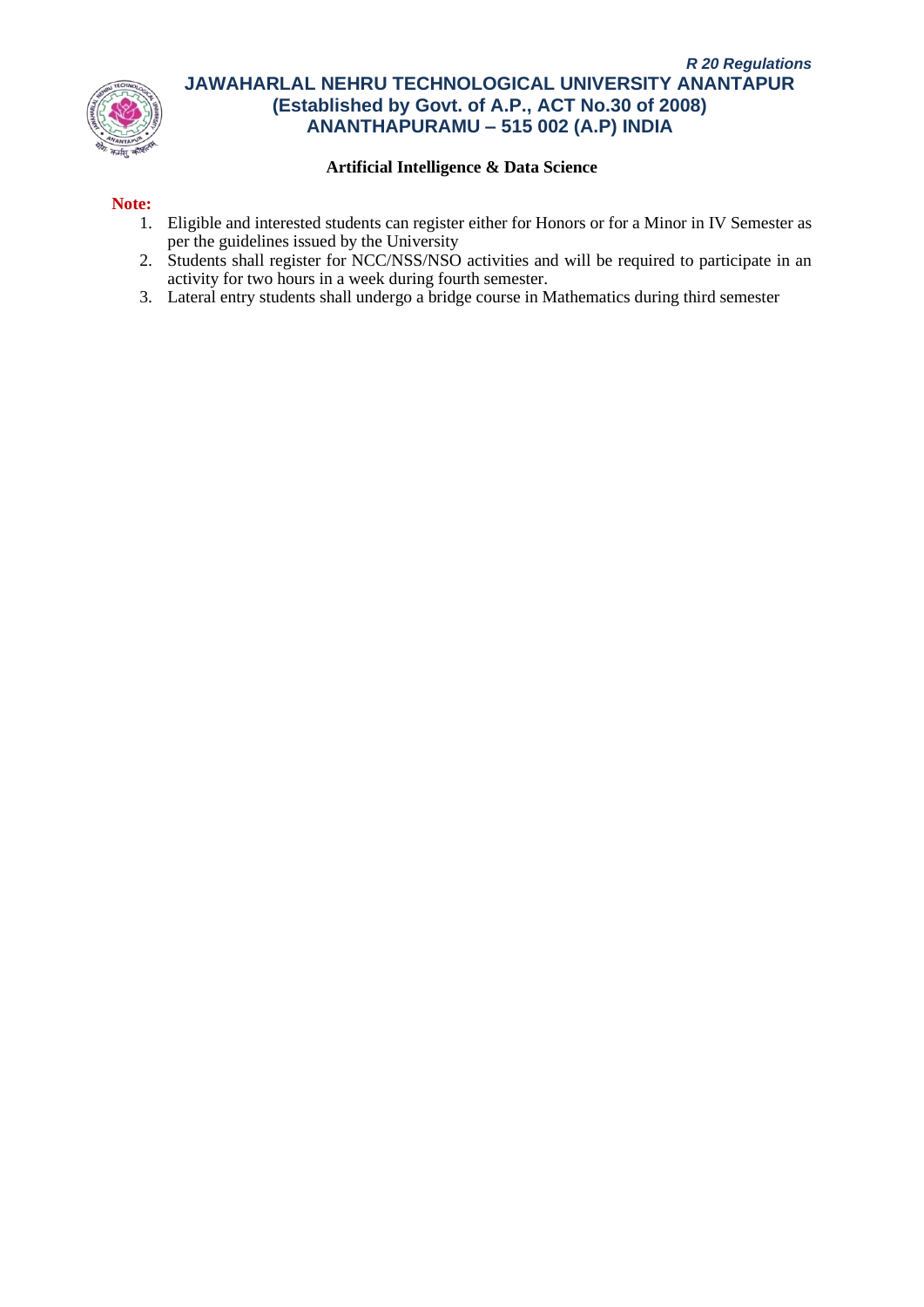

## **Artificial Intelligence & Data Science**

## **Note:**

- 1. Eligible and interested students can register either for Honors or for a Minor in IV Semester as per the guidelines issued by the University
- 2. Students shall register for NCC/NSS/NSO activities and will be required to participate in an activity for two hours in a week during fourth semester.
- 3. Lateral entry students shall undergo a bridge course in Mathematics during third semester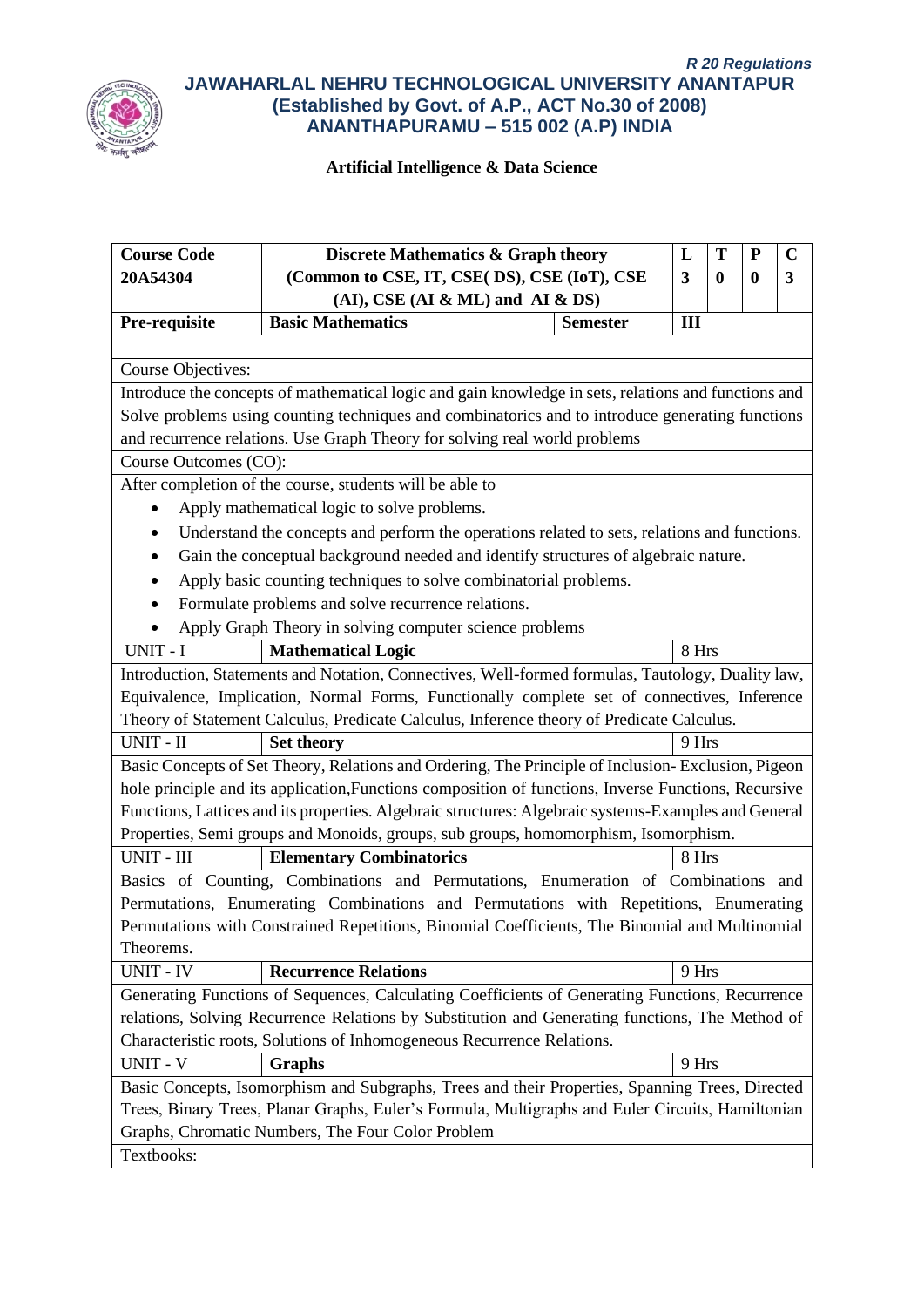

| <b>Course Code</b>                                                                               | Discrete Mathematics & Graph theory                                                                  |                 | L<br>T<br>$\mathbf C$<br>${\bf P}$ |          |                  |                         |  |
|--------------------------------------------------------------------------------------------------|------------------------------------------------------------------------------------------------------|-----------------|------------------------------------|----------|------------------|-------------------------|--|
| 20A54304                                                                                         | (Common to CSE, IT, CSE( DS), CSE (IoT), CSE                                                         |                 | 3                                  | $\bf{0}$ | $\boldsymbol{0}$ | $\overline{\mathbf{3}}$ |  |
|                                                                                                  | $(AI)$ , CSE $(AI & ML)$ and $AI & DS$                                                               |                 |                                    |          |                  |                         |  |
| Pre-requisite                                                                                    | <b>Basic Mathematics</b>                                                                             | <b>Semester</b> | III                                |          |                  |                         |  |
|                                                                                                  |                                                                                                      |                 |                                    |          |                  |                         |  |
| <b>Course Objectives:</b>                                                                        |                                                                                                      |                 |                                    |          |                  |                         |  |
|                                                                                                  | Introduce the concepts of mathematical logic and gain knowledge in sets, relations and functions and |                 |                                    |          |                  |                         |  |
|                                                                                                  | Solve problems using counting techniques and combinatorics and to introduce generating functions     |                 |                                    |          |                  |                         |  |
|                                                                                                  | and recurrence relations. Use Graph Theory for solving real world problems                           |                 |                                    |          |                  |                         |  |
| Course Outcomes (CO):                                                                            |                                                                                                      |                 |                                    |          |                  |                         |  |
|                                                                                                  | After completion of the course, students will be able to                                             |                 |                                    |          |                  |                         |  |
|                                                                                                  | Apply mathematical logic to solve problems.                                                          |                 |                                    |          |                  |                         |  |
|                                                                                                  | Understand the concepts and perform the operations related to sets, relations and functions.         |                 |                                    |          |                  |                         |  |
|                                                                                                  | Gain the conceptual background needed and identify structures of algebraic nature.                   |                 |                                    |          |                  |                         |  |
|                                                                                                  | Apply basic counting techniques to solve combinatorial problems.                                     |                 |                                    |          |                  |                         |  |
|                                                                                                  | Formulate problems and solve recurrence relations.                                                   |                 |                                    |          |                  |                         |  |
| Apply Graph Theory in solving computer science problems                                          |                                                                                                      |                 |                                    |          |                  |                         |  |
| UNIT - I                                                                                         | <b>Mathematical Logic</b>                                                                            |                 | 8 Hrs                              |          |                  |                         |  |
|                                                                                                  | Introduction, Statements and Notation, Connectives, Well-formed formulas, Tautology, Duality law,    |                 |                                    |          |                  |                         |  |
|                                                                                                  | Equivalence, Implication, Normal Forms, Functionally complete set of connectives, Inference          |                 |                                    |          |                  |                         |  |
|                                                                                                  | Theory of Statement Calculus, Predicate Calculus, Inference theory of Predicate Calculus.            |                 |                                    |          |                  |                         |  |
| UNIT - II                                                                                        | <b>Set theory</b>                                                                                    |                 | 9 Hrs                              |          |                  |                         |  |
|                                                                                                  | Basic Concepts of Set Theory, Relations and Ordering, The Principle of Inclusion-Exclusion, Pigeon   |                 |                                    |          |                  |                         |  |
|                                                                                                  | hole principle and its application, Functions composition of functions, Inverse Functions, Recursive |                 |                                    |          |                  |                         |  |
|                                                                                                  | Functions, Lattices and its properties. Algebraic structures: Algebraic systems-Examples and General |                 |                                    |          |                  |                         |  |
|                                                                                                  | Properties, Semi groups and Monoids, groups, sub groups, homomorphism, Isomorphism.                  |                 |                                    |          |                  |                         |  |
| UNIT - III                                                                                       | <b>Elementary Combinatorics</b>                                                                      |                 | 8 Hrs                              |          |                  |                         |  |
|                                                                                                  | Basics of Counting, Combinations and Permutations, Enumeration of Combinations and                   |                 |                                    |          |                  |                         |  |
|                                                                                                  | Permutations, Enumerating Combinations and Permutations with Repetitions, Enumerating                |                 |                                    |          |                  |                         |  |
|                                                                                                  | Permutations with Constrained Repetitions, Binomial Coefficients, The Binomial and Multinomial       |                 |                                    |          |                  |                         |  |
| Theorems.                                                                                        |                                                                                                      |                 |                                    |          |                  |                         |  |
| <b>UNIT - IV</b>                                                                                 | <b>Recurrence Relations</b>                                                                          |                 | 9 Hrs                              |          |                  |                         |  |
|                                                                                                  | Generating Functions of Sequences, Calculating Coefficients of Generating Functions, Recurrence      |                 |                                    |          |                  |                         |  |
|                                                                                                  | relations, Solving Recurrence Relations by Substitution and Generating functions, The Method of      |                 |                                    |          |                  |                         |  |
|                                                                                                  | Characteristic roots, Solutions of Inhomogeneous Recurrence Relations.                               |                 |                                    |          |                  |                         |  |
| <b>UNIT - V</b>                                                                                  | <b>Graphs</b>                                                                                        |                 | 9 Hrs                              |          |                  |                         |  |
|                                                                                                  | Basic Concepts, Isomorphism and Subgraphs, Trees and their Properties, Spanning Trees, Directed      |                 |                                    |          |                  |                         |  |
| Trees, Binary Trees, Planar Graphs, Euler's Formula, Multigraphs and Euler Circuits, Hamiltonian |                                                                                                      |                 |                                    |          |                  |                         |  |
|                                                                                                  | Graphs, Chromatic Numbers, The Four Color Problem                                                    |                 |                                    |          |                  |                         |  |
| Textbooks:                                                                                       |                                                                                                      |                 |                                    |          |                  |                         |  |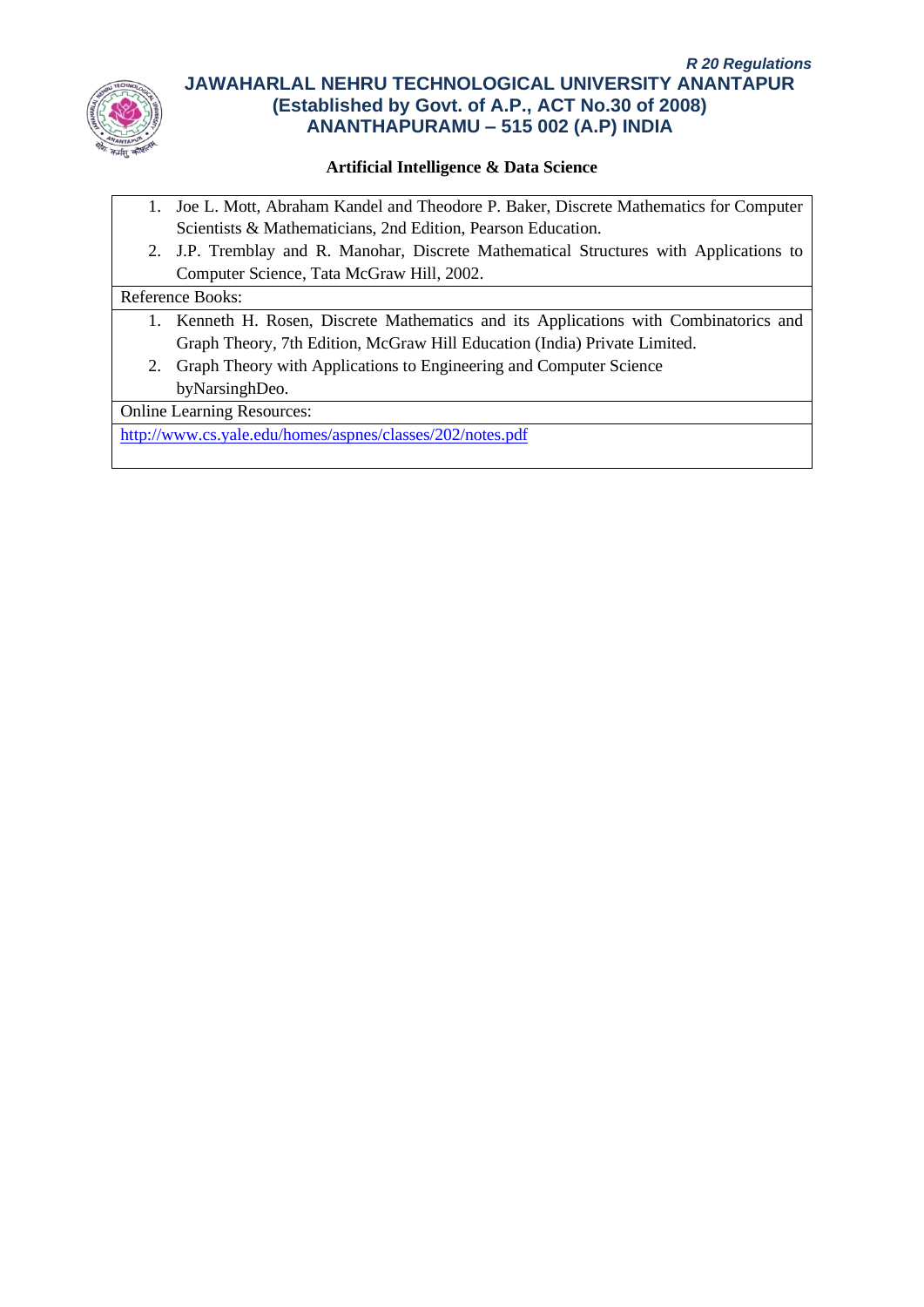

# **Artificial Intelligence & Data Science**

- 1. Joe L. Mott, Abraham Kandel and Theodore P. Baker, Discrete Mathematics for Computer Scientists & Mathematicians, 2nd Edition, Pearson Education.
- 2. J.P. Tremblay and R. Manohar, Discrete Mathematical Structures with Applications to Computer Science, Tata McGraw Hill, 2002.

#### Reference Books:

- 1. Kenneth H. Rosen, Discrete Mathematics and its Applications with Combinatorics and Graph Theory, 7th Edition, McGraw Hill Education (India) Private Limited.
- 2. Graph Theory with Applications to Engineering and Computer Science byNarsinghDeo.

Online Learning Resources:

<http://www.cs.yale.edu/homes/aspnes/classes/202/notes.pdf>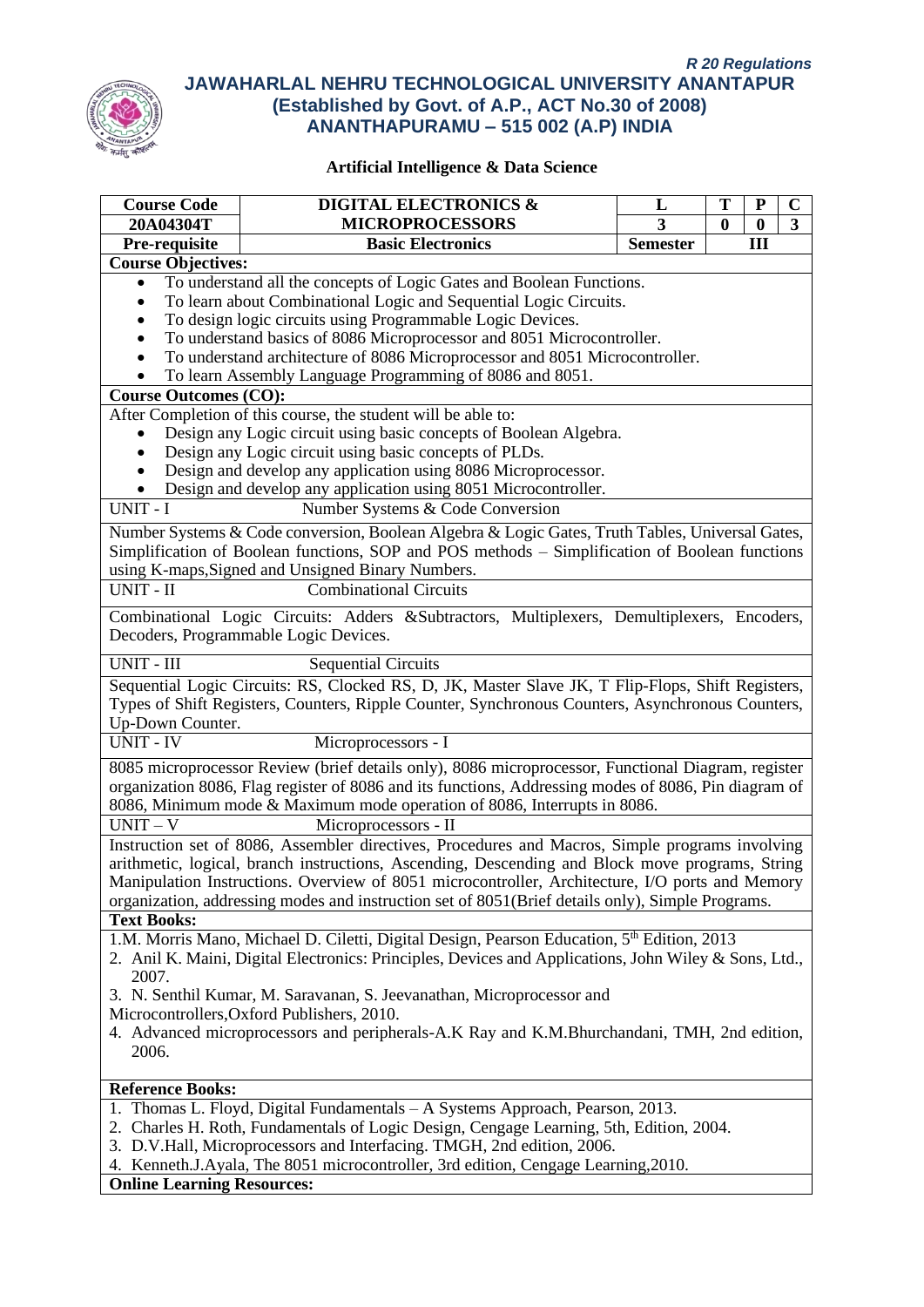

| <b>Course Code</b>                | <b>DIGITAL ELECTRONICS &amp;</b>                                                                      | L               | Т            | P        | $\mathbf C$ |
|-----------------------------------|-------------------------------------------------------------------------------------------------------|-----------------|--------------|----------|-------------|
| 20A04304T                         | <b>MICROPROCESSORS</b>                                                                                | 3               | $\mathbf{0}$ | $\bf{0}$ | 3           |
| Pre-requisite                     | <b>Basic Electronics</b>                                                                              | <b>Semester</b> |              | Ш        |             |
| <b>Course Objectives:</b>         |                                                                                                       |                 |              |          |             |
| $\bullet$                         | To understand all the concepts of Logic Gates and Boolean Functions.                                  |                 |              |          |             |
| $\bullet$                         | To learn about Combinational Logic and Sequential Logic Circuits.                                     |                 |              |          |             |
|                                   | To design logic circuits using Programmable Logic Devices.                                            |                 |              |          |             |
|                                   | To understand basics of 8086 Microprocessor and 8051 Microcontroller.                                 |                 |              |          |             |
|                                   | To understand architecture of 8086 Microprocessor and 8051 Microcontroller.                           |                 |              |          |             |
| $\bullet$                         | To learn Assembly Language Programming of 8086 and 8051.                                              |                 |              |          |             |
| <b>Course Outcomes (CO):</b>      |                                                                                                       |                 |              |          |             |
|                                   | After Completion of this course, the student will be able to:                                         |                 |              |          |             |
|                                   | Design any Logic circuit using basic concepts of Boolean Algebra.                                     |                 |              |          |             |
|                                   | Design any Logic circuit using basic concepts of PLDs.                                                |                 |              |          |             |
|                                   | Design and develop any application using 8086 Microprocessor.                                         |                 |              |          |             |
|                                   | Design and develop any application using 8051 Microcontroller.                                        |                 |              |          |             |
| UNIT - I                          | Number Systems & Code Conversion                                                                      |                 |              |          |             |
|                                   | Number Systems & Code conversion, Boolean Algebra & Logic Gates, Truth Tables, Universal Gates,       |                 |              |          |             |
|                                   | Simplification of Boolean functions, SOP and POS methods – Simplification of Boolean functions        |                 |              |          |             |
|                                   | using K-maps, Signed and Unsigned Binary Numbers.                                                     |                 |              |          |             |
| UNIT - II                         | <b>Combinational Circuits</b>                                                                         |                 |              |          |             |
|                                   |                                                                                                       |                 |              |          |             |
|                                   | Combinational Logic Circuits: Adders &Subtractors, Multiplexers, Demultiplexers, Encoders,            |                 |              |          |             |
|                                   | Decoders, Programmable Logic Devices.                                                                 |                 |              |          |             |
| UNIT - III                        | <b>Sequential Circuits</b>                                                                            |                 |              |          |             |
|                                   | Sequential Logic Circuits: RS, Clocked RS, D, JK, Master Slave JK, T Flip-Flops, Shift Registers,     |                 |              |          |             |
|                                   | Types of Shift Registers, Counters, Ripple Counter, Synchronous Counters, Asynchronous Counters,      |                 |              |          |             |
| Up-Down Counter.                  |                                                                                                       |                 |              |          |             |
| <b>UNIT - IV</b>                  | Microprocessors - I                                                                                   |                 |              |          |             |
|                                   | 8085 microprocessor Review (brief details only), 8086 microprocessor, Functional Diagram, register    |                 |              |          |             |
|                                   | organization 8086, Flag register of 8086 and its functions, Addressing modes of 8086, Pin diagram of  |                 |              |          |             |
|                                   | 8086, Minimum mode & Maximum mode operation of 8086, Interrupts in 8086.                              |                 |              |          |             |
| $UNIT-V$                          | Microprocessors - II                                                                                  |                 |              |          |             |
|                                   | Instruction set of 8086, Assembler directives, Procedures and Macros, Simple programs involving       |                 |              |          |             |
|                                   | arithmetic, logical, branch instructions, Ascending, Descending and Block move programs, String       |                 |              |          |             |
|                                   | Manipulation Instructions. Overview of 8051 microcontroller, Architecture, I/O ports and Memory       |                 |              |          |             |
|                                   | organization, addressing modes and instruction set of 8051(Brief details only), Simple Programs.      |                 |              |          |             |
| <b>Text Books:</b>                |                                                                                                       |                 |              |          |             |
|                                   | 1.M. Morris Mano, Michael D. Ciletti, Digital Design, Pearson Education, 5th Edition, 2013            |                 |              |          |             |
|                                   | 2. Anil K. Maini, Digital Electronics: Principles, Devices and Applications, John Wiley & Sons, Ltd., |                 |              |          |             |
| 2007.                             |                                                                                                       |                 |              |          |             |
|                                   | 3. N. Senthil Kumar, M. Saravanan, S. Jeevanathan, Microprocessor and                                 |                 |              |          |             |
|                                   | Microcontrollers, Oxford Publishers, 2010.                                                            |                 |              |          |             |
|                                   | 4. Advanced microprocessors and peripherals-A.K Ray and K.M.Bhurchandani, TMH, 2nd edition,           |                 |              |          |             |
| 2006.                             |                                                                                                       |                 |              |          |             |
| <b>Reference Books:</b>           |                                                                                                       |                 |              |          |             |
|                                   | 1. Thomas L. Floyd, Digital Fundamentals - A Systems Approach, Pearson, 2013.                         |                 |              |          |             |
|                                   | 2. Charles H. Roth, Fundamentals of Logic Design, Cengage Learning, 5th, Edition, 2004.               |                 |              |          |             |
|                                   | 3. D.V.Hall, Microprocessors and Interfacing. TMGH, 2nd edition, 2006.                                |                 |              |          |             |
|                                   | 4. Kenneth.J.Ayala, The 8051 microcontroller, 3rd edition, Cengage Learning, 2010.                    |                 |              |          |             |
| <b>Online Learning Resources:</b> |                                                                                                       |                 |              |          |             |
|                                   |                                                                                                       |                 |              |          |             |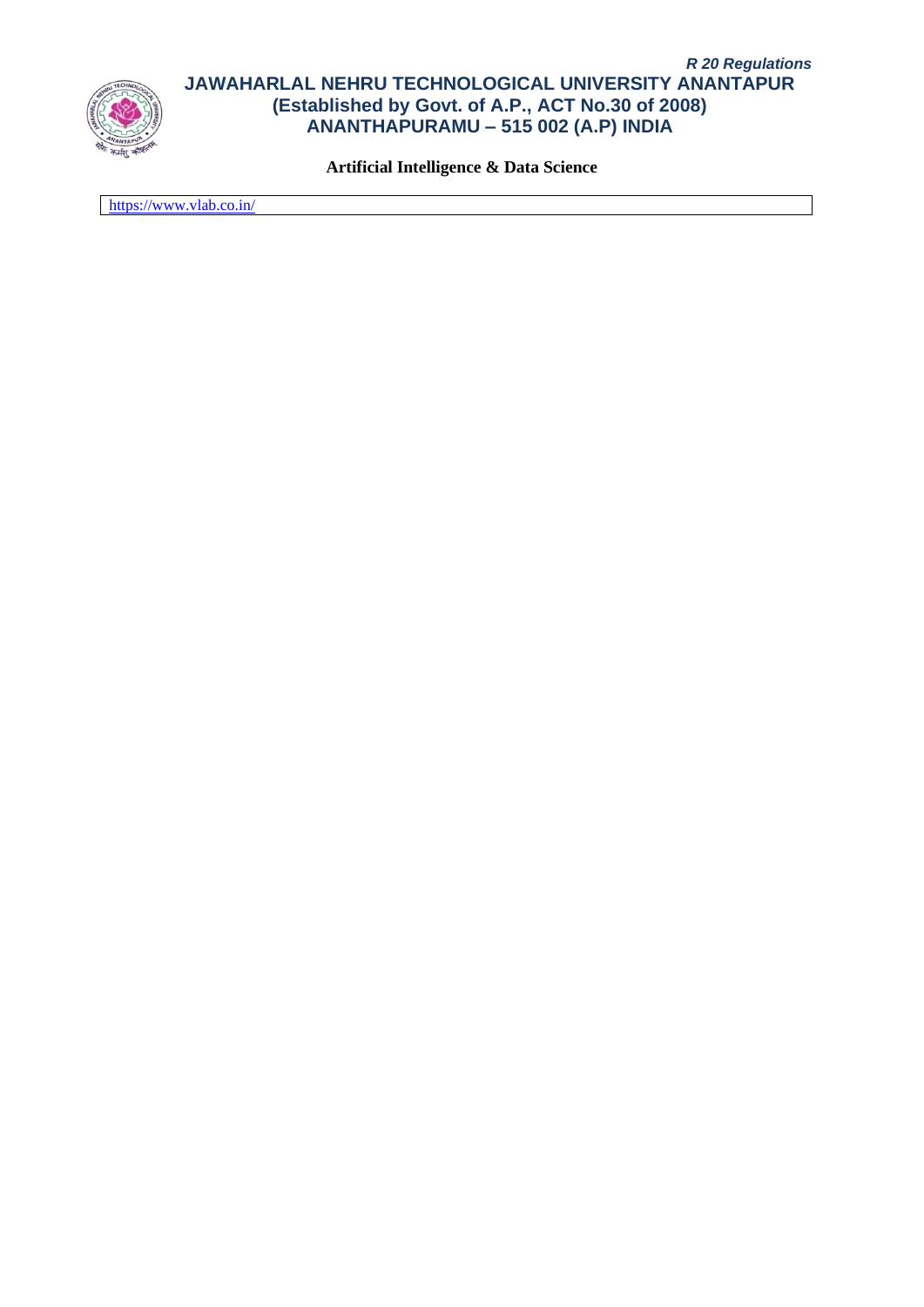

**Artificial Intelligence & Data Science**

<https://www.vlab.co.in/>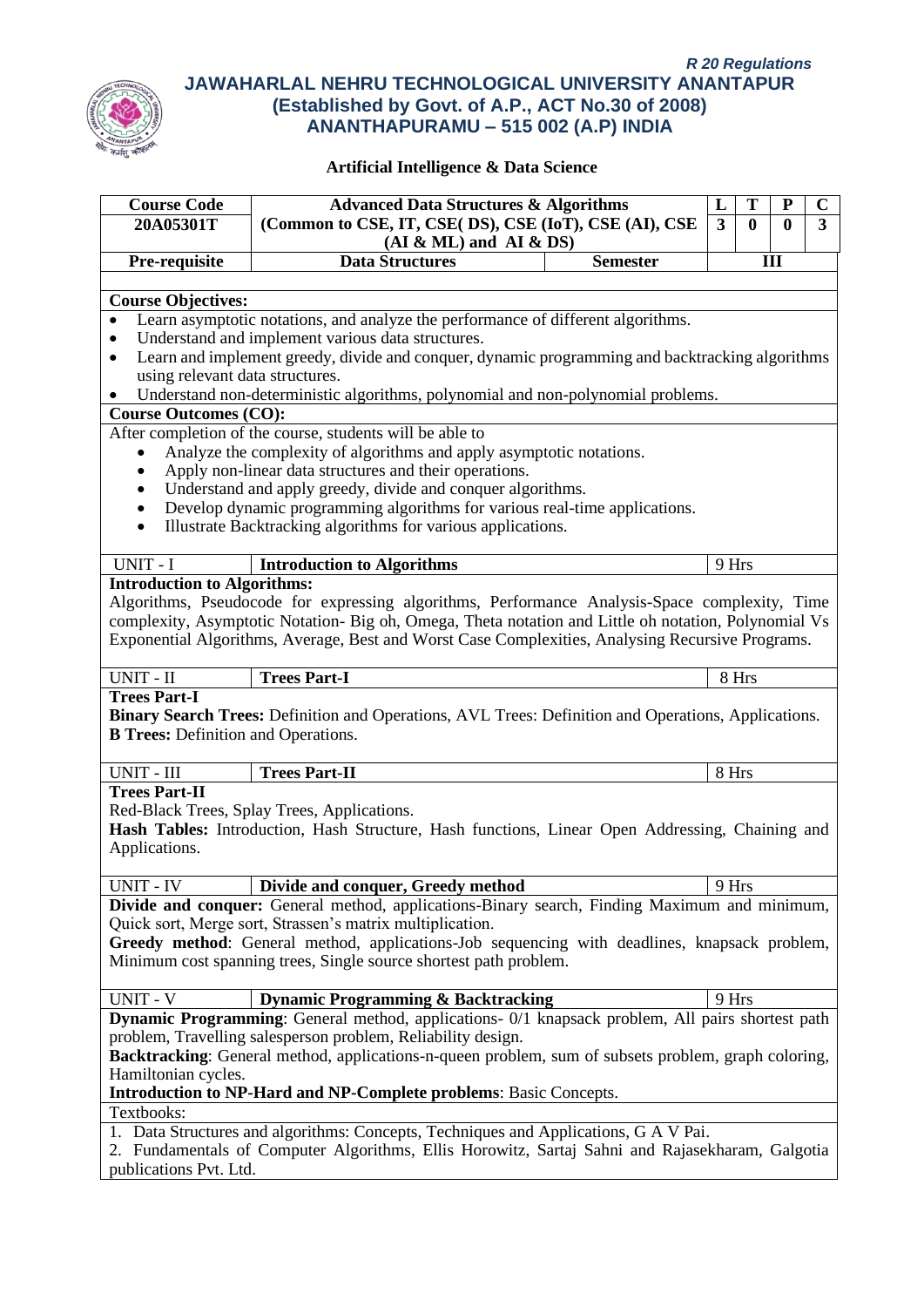

| <b>Course Code</b>                         | <b>Advanced Data Structures &amp; Algorithms</b>                                                                                                          |                 | L                       | T            | ${\bf P}$ | $\mathbf C$ |
|--------------------------------------------|-----------------------------------------------------------------------------------------------------------------------------------------------------------|-----------------|-------------------------|--------------|-----------|-------------|
| 20A05301T                                  | (Common to CSE, IT, CSE( DS), CSE (IoT), CSE (AI), CSE                                                                                                    |                 | $\overline{\mathbf{3}}$ | $\mathbf{0}$ | 0         | 3           |
|                                            | $(AI & ML)$ and $AI & DS)$                                                                                                                                |                 |                         |              |           |             |
| Pre-requisite                              | <b>Data Structures</b>                                                                                                                                    | <b>Semester</b> |                         |              | III       |             |
|                                            |                                                                                                                                                           |                 |                         |              |           |             |
| <b>Course Objectives:</b>                  | Learn asymptotic notations, and analyze the performance of different algorithms.                                                                          |                 |                         |              |           |             |
|                                            | Understand and implement various data structures.                                                                                                         |                 |                         |              |           |             |
| $\bullet$                                  | Learn and implement greedy, divide and conquer, dynamic programming and backtracking algorithms                                                           |                 |                         |              |           |             |
| using relevant data structures.            |                                                                                                                                                           |                 |                         |              |           |             |
|                                            | Understand non-deterministic algorithms, polynomial and non-polynomial problems.                                                                          |                 |                         |              |           |             |
| <b>Course Outcomes (CO):</b>               |                                                                                                                                                           |                 |                         |              |           |             |
|                                            | After completion of the course, students will be able to                                                                                                  |                 |                         |              |           |             |
| $\bullet$                                  | Analyze the complexity of algorithms and apply asymptotic notations.                                                                                      |                 |                         |              |           |             |
| $\bullet$                                  | Apply non-linear data structures and their operations.                                                                                                    |                 |                         |              |           |             |
| $\bullet$                                  | Understand and apply greedy, divide and conquer algorithms.                                                                                               |                 |                         |              |           |             |
| $\bullet$                                  | Develop dynamic programming algorithms for various real-time applications.                                                                                |                 |                         |              |           |             |
| $\bullet$                                  | Illustrate Backtracking algorithms for various applications.                                                                                              |                 |                         |              |           |             |
| UNIT - I                                   | <b>Introduction to Algorithms</b>                                                                                                                         |                 | 9 Hrs                   |              |           |             |
| <b>Introduction to Algorithms:</b>         |                                                                                                                                                           |                 |                         |              |           |             |
|                                            | Algorithms, Pseudocode for expressing algorithms, Performance Analysis-Space complexity, Time                                                             |                 |                         |              |           |             |
|                                            | complexity, Asymptotic Notation- Big oh, Omega, Theta notation and Little oh notation, Polynomial Vs                                                      |                 |                         |              |           |             |
|                                            | Exponential Algorithms, Average, Best and Worst Case Complexities, Analysing Recursive Programs.                                                          |                 |                         |              |           |             |
|                                            |                                                                                                                                                           |                 |                         |              |           |             |
| UNIT - II                                  | <b>Trees Part-I</b>                                                                                                                                       |                 | 8 Hrs                   |              |           |             |
| <b>Trees Part-I</b>                        |                                                                                                                                                           |                 |                         |              |           |             |
|                                            | Binary Search Trees: Definition and Operations, AVL Trees: Definition and Operations, Applications.                                                       |                 |                         |              |           |             |
| <b>B Trees:</b> Definition and Operations. |                                                                                                                                                           |                 |                         |              |           |             |
| UNIT - III                                 | <b>Trees Part-II</b>                                                                                                                                      |                 | 8 Hrs                   |              |           |             |
| <b>Trees Part-II</b>                       |                                                                                                                                                           |                 |                         |              |           |             |
|                                            | Red-Black Trees, Splay Trees, Applications.                                                                                                               |                 |                         |              |           |             |
|                                            | Hash Tables: Introduction, Hash Structure, Hash functions, Linear Open Addressing, Chaining and                                                           |                 |                         |              |           |             |
| Applications.                              |                                                                                                                                                           |                 |                         |              |           |             |
|                                            |                                                                                                                                                           |                 |                         |              |           |             |
| UNIT - IV                                  | Divide and conquer, Greedy method                                                                                                                         |                 | 9 Hrs                   |              |           |             |
|                                            | Divide and conquer: General method, applications-Binary search, Finding Maximum and minimum,                                                              |                 |                         |              |           |             |
|                                            | Quick sort, Merge sort, Strassen's matrix multiplication.<br>Greedy method: General method, applications-Job sequencing with deadlines, knapsack problem, |                 |                         |              |           |             |
|                                            | Minimum cost spanning trees, Single source shortest path problem.                                                                                         |                 |                         |              |           |             |
|                                            |                                                                                                                                                           |                 |                         |              |           |             |
| UNIT - V                                   | <b>Dynamic Programming &amp; Backtracking</b>                                                                                                             |                 | 9 Hrs                   |              |           |             |
|                                            | <b>Dynamic Programming</b> : General method, applications- 0/1 knapsack problem, All pairs shortest path                                                  |                 |                         |              |           |             |
|                                            | problem, Travelling salesperson problem, Reliability design.                                                                                              |                 |                         |              |           |             |
|                                            | Backtracking: General method, applications-n-queen problem, sum of subsets problem, graph coloring,                                                       |                 |                         |              |           |             |
| Hamiltonian cycles.                        |                                                                                                                                                           |                 |                         |              |           |             |
|                                            | Introduction to NP-Hard and NP-Complete problems: Basic Concepts.                                                                                         |                 |                         |              |           |             |
| Textbooks:                                 |                                                                                                                                                           |                 |                         |              |           |             |
|                                            | 1. Data Structures and algorithms: Concepts, Techniques and Applications, G A V Pai.                                                                      |                 |                         |              |           |             |
|                                            | 2. Fundamentals of Computer Algorithms, Ellis Horowitz, Sartaj Sahni and Rajasekharam, Galgotia                                                           |                 |                         |              |           |             |
| publications Pvt. Ltd.                     |                                                                                                                                                           |                 |                         |              |           |             |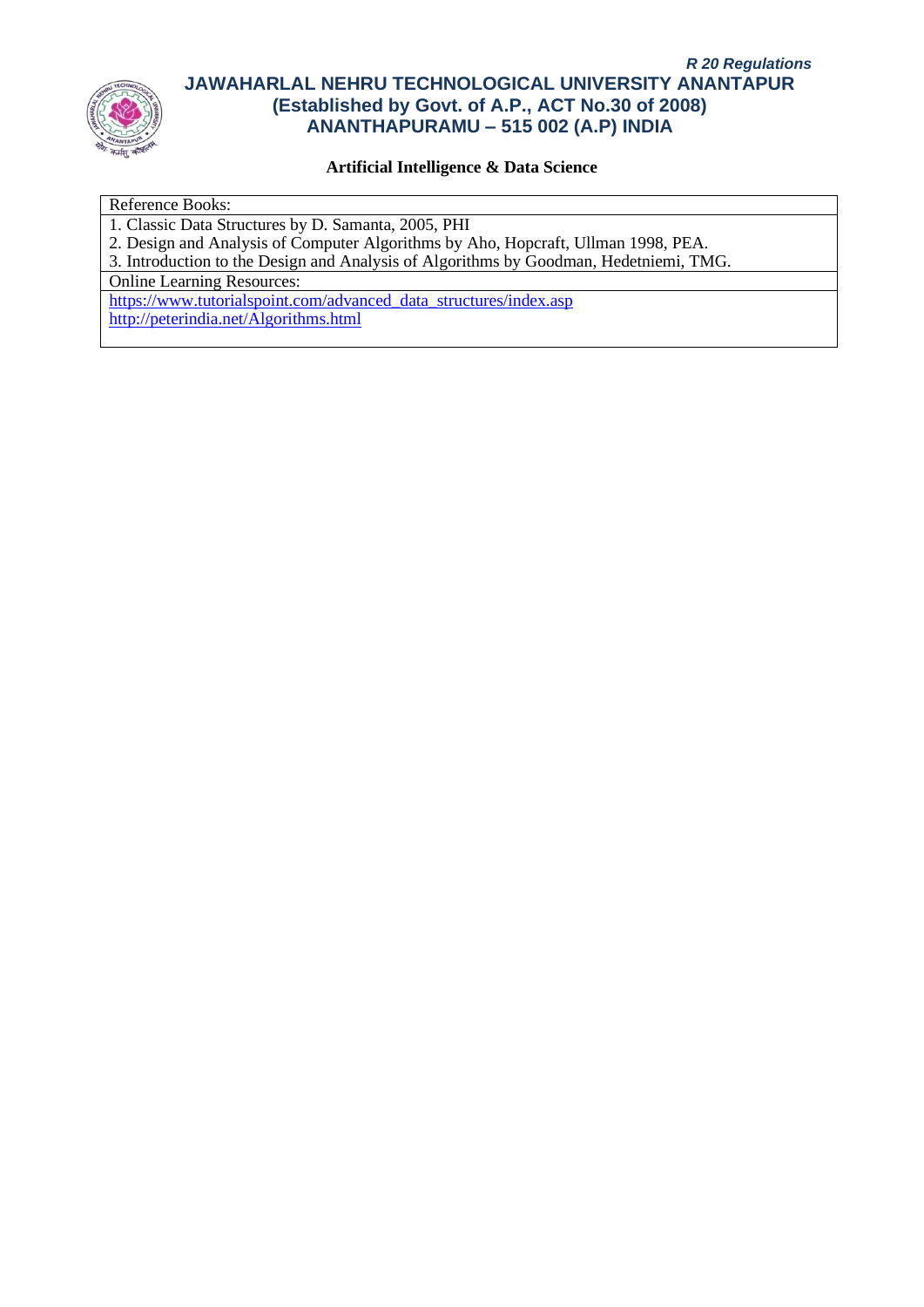

### **Artificial Intelligence & Data Science**

#### Reference Books:

1. Classic Data Structures by D. Samanta, 2005, PHI

2. Design and Analysis of Computer Algorithms by Aho, Hopcraft, Ullman 1998, PEA.

3. Introduction to the Design and Analysis of Algorithms by Goodman, Hedetniemi, TMG.

Online Learning Resources:

[https://www.tutorialspoint.com/advanced\\_data\\_structures/index.asp](https://www.tutorialspoint.com/advanced_data_structures/index.asp) <http://peterindia.net/Algorithms.html>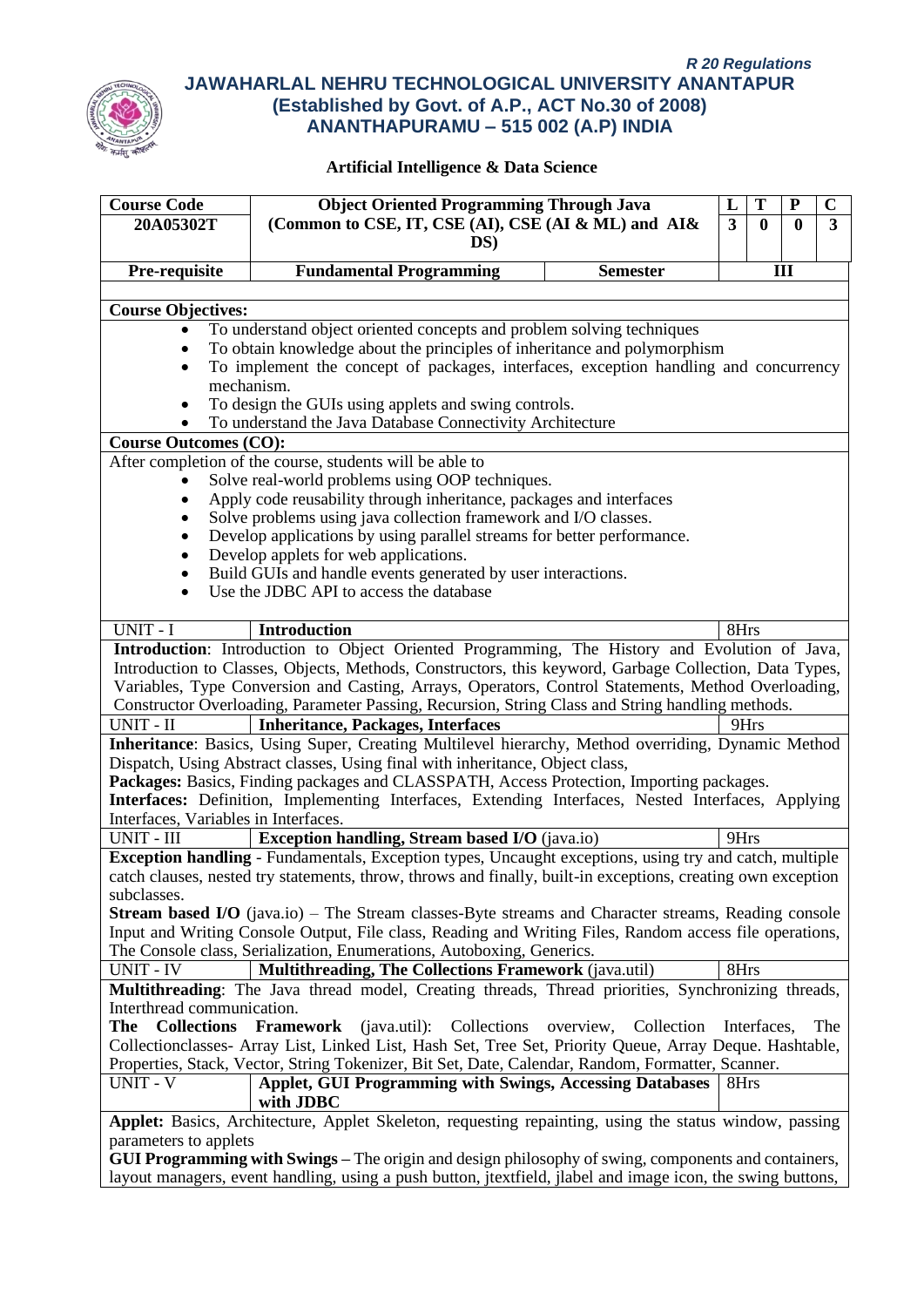

| <b>Course Code</b>                   | <b>Object Oriented Programming Through Java</b>                                                                                                                                                         |                 | L              |             |              | $\mathbf C$    |
|--------------------------------------|---------------------------------------------------------------------------------------------------------------------------------------------------------------------------------------------------------|-----------------|----------------|-------------|--------------|----------------|
| 20A05302T                            | (Common to CSE, IT, CSE (AI), CSE (AI & ML) and AI&                                                                                                                                                     |                 | $\overline{3}$ | 0           | $\mathbf{0}$ | $\overline{3}$ |
|                                      | DS)                                                                                                                                                                                                     |                 |                |             |              |                |
|                                      |                                                                                                                                                                                                         |                 |                |             |              |                |
| Pre-requisite                        | <b>Fundamental Programming</b>                                                                                                                                                                          | <b>Semester</b> |                |             | III          |                |
| <b>Course Objectives:</b>            |                                                                                                                                                                                                         |                 |                |             |              |                |
| $\bullet$                            | To understand object oriented concepts and problem solving techniques                                                                                                                                   |                 |                |             |              |                |
|                                      | To obtain knowledge about the principles of inheritance and polymorphism                                                                                                                                |                 |                |             |              |                |
|                                      | To implement the concept of packages, interfaces, exception handling and concurrency                                                                                                                    |                 |                |             |              |                |
|                                      | mechanism.                                                                                                                                                                                              |                 |                |             |              |                |
|                                      | To design the GUIs using applets and swing controls.                                                                                                                                                    |                 |                |             |              |                |
|                                      | To understand the Java Database Connectivity Architecture                                                                                                                                               |                 |                |             |              |                |
| <b>Course Outcomes (CO):</b>         |                                                                                                                                                                                                         |                 |                |             |              |                |
|                                      | After completion of the course, students will be able to                                                                                                                                                |                 |                |             |              |                |
|                                      | Solve real-world problems using OOP techniques.                                                                                                                                                         |                 |                |             |              |                |
|                                      | Apply code reusability through inheritance, packages and interfaces                                                                                                                                     |                 |                |             |              |                |
|                                      | Solve problems using java collection framework and I/O classes.                                                                                                                                         |                 |                |             |              |                |
|                                      | Develop applications by using parallel streams for better performance.                                                                                                                                  |                 |                |             |              |                |
|                                      | Develop applets for web applications.                                                                                                                                                                   |                 |                |             |              |                |
| $\bullet$                            | Build GUIs and handle events generated by user interactions.                                                                                                                                            |                 |                |             |              |                |
| $\bullet$                            | Use the JDBC API to access the database                                                                                                                                                                 |                 |                |             |              |                |
| UNIT - I                             | <b>Introduction</b>                                                                                                                                                                                     |                 | 8Hrs           |             |              |                |
|                                      |                                                                                                                                                                                                         |                 |                |             |              |                |
|                                      | Introduction: Introduction to Object Oriented Programming, The History and Evolution of Java,<br>Introduction to Classes, Objects, Methods, Constructors, this keyword, Garbage Collection, Data Types, |                 |                |             |              |                |
|                                      | Variables, Type Conversion and Casting, Arrays, Operators, Control Statements, Method Overloading,                                                                                                      |                 |                |             |              |                |
|                                      | Constructor Overloading, Parameter Passing, Recursion, String Class and String handling methods.                                                                                                        |                 |                |             |              |                |
| UNIT - II                            | <b>Inheritance, Packages, Interfaces</b>                                                                                                                                                                |                 | 9Hrs           |             |              |                |
|                                      | Inheritance: Basics, Using Super, Creating Multilevel hierarchy, Method overriding, Dynamic Method                                                                                                      |                 |                |             |              |                |
|                                      | Dispatch, Using Abstract classes, Using final with inheritance, Object class,                                                                                                                           |                 |                |             |              |                |
|                                      | Packages: Basics, Finding packages and CLASSPATH, Access Protection, Importing packages.                                                                                                                |                 |                |             |              |                |
|                                      | Interfaces: Definition, Implementing Interfaces, Extending Interfaces, Nested Interfaces, Applying                                                                                                      |                 |                |             |              |                |
| Interfaces, Variables in Interfaces. |                                                                                                                                                                                                         |                 |                |             |              |                |
| UNIT - III                           | <b>Exception handling, Stream based I/O</b> (java.io)                                                                                                                                                   |                 | 9Hrs           |             |              |                |
|                                      | Exception handling - Fundamentals, Exception types, Uncaught exceptions, using try and catch, multiple                                                                                                  |                 |                |             |              |                |
|                                      | catch clauses, nested try statements, throw, throws and finally, built-in exceptions, creating own exception                                                                                            |                 |                |             |              |                |
| subclasses.                          |                                                                                                                                                                                                         |                 |                |             |              |                |
|                                      | <b>Stream based I/O</b> (java.io) – The Stream classes-Byte streams and Character streams, Reading console                                                                                              |                 |                |             |              |                |
|                                      | Input and Writing Console Output, File class, Reading and Writing Files, Random access file operations,                                                                                                 |                 |                |             |              |                |
|                                      | The Console class, Serialization, Enumerations, Autoboxing, Generics.                                                                                                                                   |                 |                |             |              |                |
| UNIT - IV                            | Multithreading, The Collections Framework (java.util)                                                                                                                                                   |                 | 8Hrs           |             |              |                |
|                                      | Multithreading: The Java thread model, Creating threads, Thread priorities, Synchronizing threads,                                                                                                      |                 |                |             |              |                |
| Interthread communication.           |                                                                                                                                                                                                         |                 |                |             |              |                |
| <b>Collections</b><br>The            | Framework<br>(java.util): Collections overview, Collection<br>Collection classes- Array List, Linked List, Hash Set, Tree Set, Priority Queue, Array Deque. Hashtable,                                  |                 |                | Interfaces, |              | The            |
|                                      | Properties, Stack, Vector, String Tokenizer, Bit Set, Date, Calendar, Random, Formatter, Scanner.                                                                                                       |                 |                |             |              |                |
| UNIT - V                             | <b>Applet, GUI Programming with Swings, Accessing Databases</b>                                                                                                                                         |                 | 8Hrs           |             |              |                |
|                                      | with JDBC                                                                                                                                                                                               |                 |                |             |              |                |
|                                      | Applet: Basics, Architecture, Applet Skeleton, requesting repainting, using the status window, passing                                                                                                  |                 |                |             |              |                |
| parameters to applets                |                                                                                                                                                                                                         |                 |                |             |              |                |
|                                      | <b>GUI Programming with Swings</b> – The origin and design philosophy of swing, components and containers,                                                                                              |                 |                |             |              |                |
|                                      | layout managers, event handling, using a push button, jtextfield, jlabel and image icon, the swing buttons,                                                                                             |                 |                |             |              |                |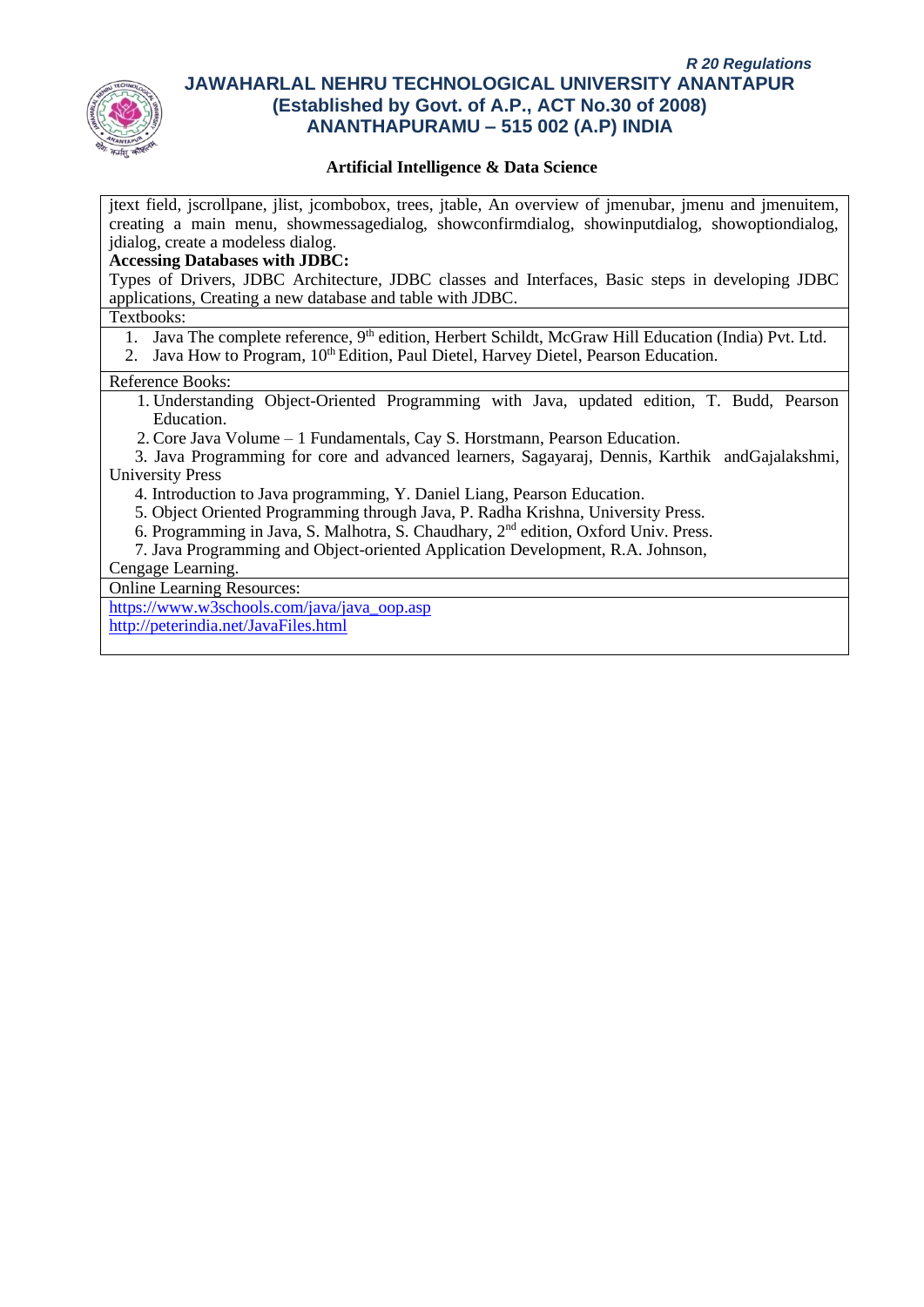

#### **Artificial Intelligence & Data Science**

jtext field, jscrollpane, jlist, jcombobox, trees, jtable, An overview of jmenubar, jmenu and jmenuitem, creating a main menu, showmessagedialog, showconfirmdialog, showinputdialog, showoptiondialog, jdialog, create a modeless dialog.

#### **Accessing Databases with JDBC:**

Types of Drivers, JDBC Architecture, JDBC classes and Interfaces, Basic steps in developing JDBC applications, Creating a new database and table with JDBC.

#### Textbooks:

- 1. Java The complete reference, 9<sup>th</sup> edition, Herbert Schildt, McGraw Hill Education (India) Pvt. Ltd.
- 2. Java How to Program,  $10<sup>th</sup>$  Edition, Paul Dietel, Harvey Dietel, Pearson Education.

#### Reference Books:

- 1. Understanding Object-Oriented Programming with Java, updated edition, T. Budd, Pearson Education.
- 2. Core Java Volume 1 Fundamentals, Cay S. Horstmann, Pearson Education.

 3. Java Programming for core and advanced learners, Sagayaraj, Dennis, Karthik andGajalakshmi, University Press

- 4. Introduction to Java programming, Y. Daniel Liang, Pearson Education.
- 5. Object Oriented Programming through Java, P. Radha Krishna, University Press.
- 6. Programming in Java, S. Malhotra, S. Chaudhary, 2nd edition, Oxford Univ. Press.
- 7. Java Programming and Object-oriented Application Development, R.A. Johnson,

## Cengage Learning.

Online Learning Resources:

[https://www.w3schools.com/java/java\\_oop.asp](https://www.w3schools.com/java/java_oop.asp)

<http://peterindia.net/JavaFiles.html>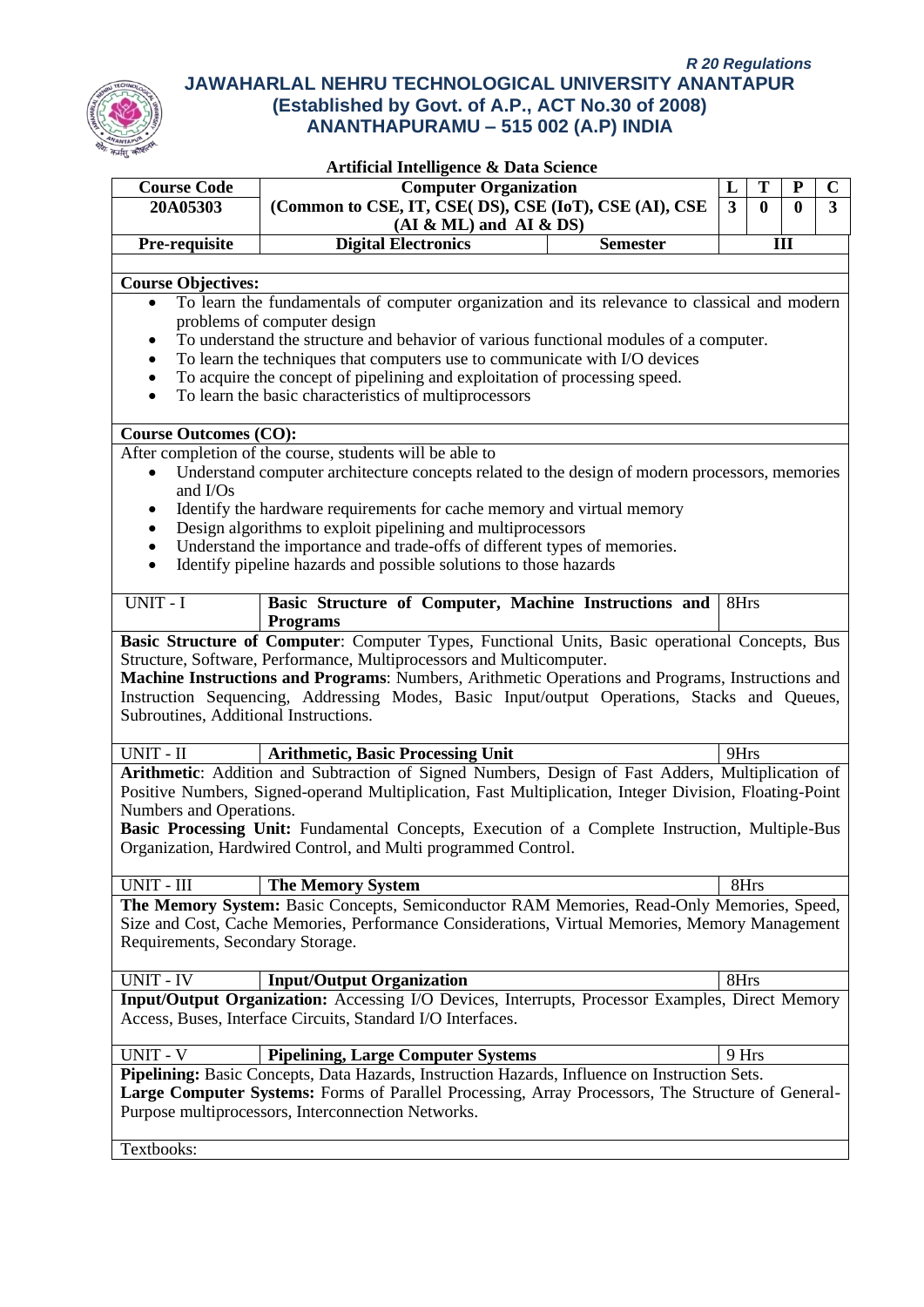| <b>Course Code</b>                    | <b>Computer Organization</b>                                                                                                                                                                                                                                                                                                                                                   | L               | T                       | ${\bf P}$    | $\mathbf C$ |   |
|---------------------------------------|--------------------------------------------------------------------------------------------------------------------------------------------------------------------------------------------------------------------------------------------------------------------------------------------------------------------------------------------------------------------------------|-----------------|-------------------------|--------------|-------------|---|
| 20A05303                              | (Common to CSE, IT, CSE( DS), CSE (IoT), CSE (AI), CSE<br>$(AI & ML)$ and $AI & DS)$                                                                                                                                                                                                                                                                                           |                 | $\overline{\mathbf{3}}$ | $\mathbf{0}$ | $\bf{0}$    | 3 |
| Pre-requisite                         | <b>Digital Electronics</b>                                                                                                                                                                                                                                                                                                                                                     | <b>Semester</b> |                         |              | III         |   |
| <b>Course Objectives:</b>             |                                                                                                                                                                                                                                                                                                                                                                                |                 |                         |              |             |   |
| $\bullet$                             | To learn the fundamentals of computer organization and its relevance to classical and modern                                                                                                                                                                                                                                                                                   |                 |                         |              |             |   |
|                                       | problems of computer design                                                                                                                                                                                                                                                                                                                                                    |                 |                         |              |             |   |
|                                       | To understand the structure and behavior of various functional modules of a computer.                                                                                                                                                                                                                                                                                          |                 |                         |              |             |   |
|                                       | To learn the techniques that computers use to communicate with I/O devices                                                                                                                                                                                                                                                                                                     |                 |                         |              |             |   |
| $\bullet$                             | To acquire the concept of pipelining and exploitation of processing speed.<br>To learn the basic characteristics of multiprocessors                                                                                                                                                                                                                                            |                 |                         |              |             |   |
|                                       |                                                                                                                                                                                                                                                                                                                                                                                |                 |                         |              |             |   |
| <b>Course Outcomes (CO):</b>          |                                                                                                                                                                                                                                                                                                                                                                                |                 |                         |              |             |   |
|                                       | After completion of the course, students will be able to                                                                                                                                                                                                                                                                                                                       |                 |                         |              |             |   |
| $\bullet$<br>and I/Os                 | Understand computer architecture concepts related to the design of modern processors, memories                                                                                                                                                                                                                                                                                 |                 |                         |              |             |   |
|                                       | Identify the hardware requirements for cache memory and virtual memory                                                                                                                                                                                                                                                                                                         |                 |                         |              |             |   |
|                                       | Design algorithms to exploit pipelining and multiprocessors                                                                                                                                                                                                                                                                                                                    |                 |                         |              |             |   |
| $\bullet$                             | Understand the importance and trade-offs of different types of memories.                                                                                                                                                                                                                                                                                                       |                 |                         |              |             |   |
| $\bullet$                             | Identify pipeline hazards and possible solutions to those hazards                                                                                                                                                                                                                                                                                                              |                 |                         |              |             |   |
| UNIT - I                              | Basic Structure of Computer, Machine Instructions and                                                                                                                                                                                                                                                                                                                          |                 | 8Hrs                    |              |             |   |
|                                       | <b>Programs</b><br>Basic Structure of Computer: Computer Types, Functional Units, Basic operational Concepts, Bus                                                                                                                                                                                                                                                              |                 |                         |              |             |   |
| Subroutines, Additional Instructions. | Structure, Software, Performance, Multiprocessors and Multicomputer.<br>Machine Instructions and Programs: Numbers, Arithmetic Operations and Programs, Instructions and<br>Instruction Sequencing, Addressing Modes, Basic Input/output Operations, Stacks and Queues,                                                                                                        |                 |                         |              |             |   |
| $UNIT - II$                           | <b>Arithmetic, Basic Processing Unit</b>                                                                                                                                                                                                                                                                                                                                       |                 | 9Hrs                    |              |             |   |
| Numbers and Operations.               | Arithmetic: Addition and Subtraction of Signed Numbers, Design of Fast Adders, Multiplication of<br>Positive Numbers, Signed-operand Multiplication, Fast Multiplication, Integer Division, Floating-Point<br>Basic Processing Unit: Fundamental Concepts, Execution of a Complete Instruction, Multiple-Bus<br>Organization, Hardwired Control, and Multi programmed Control. |                 |                         |              |             |   |
| UNIT - III                            | <b>The Memory System</b>                                                                                                                                                                                                                                                                                                                                                       |                 | 8Hrs                    |              |             |   |
|                                       | The Memory System: Basic Concepts, Semiconductor RAM Memories, Read-Only Memories, Speed,                                                                                                                                                                                                                                                                                      |                 |                         |              |             |   |
|                                       | Size and Cost, Cache Memories, Performance Considerations, Virtual Memories, Memory Management                                                                                                                                                                                                                                                                                 |                 |                         |              |             |   |
| Requirements, Secondary Storage.      |                                                                                                                                                                                                                                                                                                                                                                                |                 |                         |              |             |   |
| <b>UNIT - IV</b>                      | <b>Input/Output Organization</b>                                                                                                                                                                                                                                                                                                                                               |                 | 8Hrs                    |              |             |   |
|                                       | Input/Output Organization: Accessing I/O Devices, Interrupts, Processor Examples, Direct Memory<br>Access, Buses, Interface Circuits, Standard I/O Interfaces.                                                                                                                                                                                                                 |                 |                         |              |             |   |
| <b>UNIT - V</b>                       | <b>Pipelining, Large Computer Systems</b>                                                                                                                                                                                                                                                                                                                                      |                 | 9 Hrs                   |              |             |   |
| Textbooks:                            | Pipelining: Basic Concepts, Data Hazards, Instruction Hazards, Influence on Instruction Sets.<br>Large Computer Systems: Forms of Parallel Processing, Array Processors, The Structure of General-<br>Purpose multiprocessors, Interconnection Networks.                                                                                                                       |                 |                         |              |             |   |
|                                       |                                                                                                                                                                                                                                                                                                                                                                                |                 |                         |              |             |   |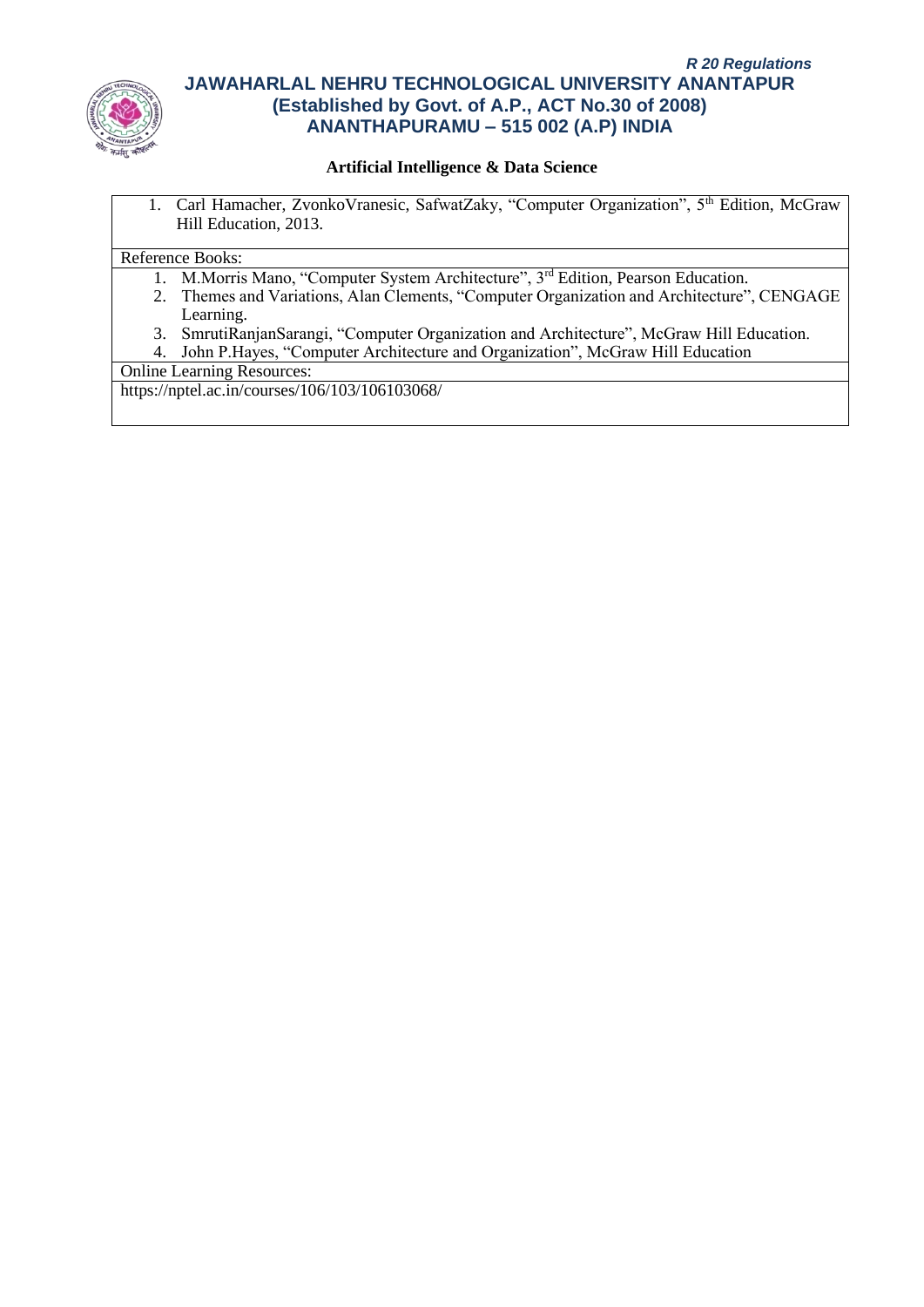

## **Artificial Intelligence & Data Science**

1. Carl Hamacher, ZvonkoVranesic, SafwatZaky, "Computer Organization", 5<sup>th</sup> Edition, McGraw Hill Education, 2013.

#### Reference Books:

- 1. M.Morris Mano, "Computer System Architecture", 3rd Edition, Pearson Education.
- 2. Themes and Variations, Alan Clements, "Computer Organization and Architecture", CENGAGE Learning.
- 3. SmrutiRanjanSarangi, "Computer Organization and Architecture", McGraw Hill Education.
- 4. John P.Hayes, "Computer Architecture and Organization", McGraw Hill Education

Online Learning Resources:

https://nptel.ac.in/courses/106/103/106103068/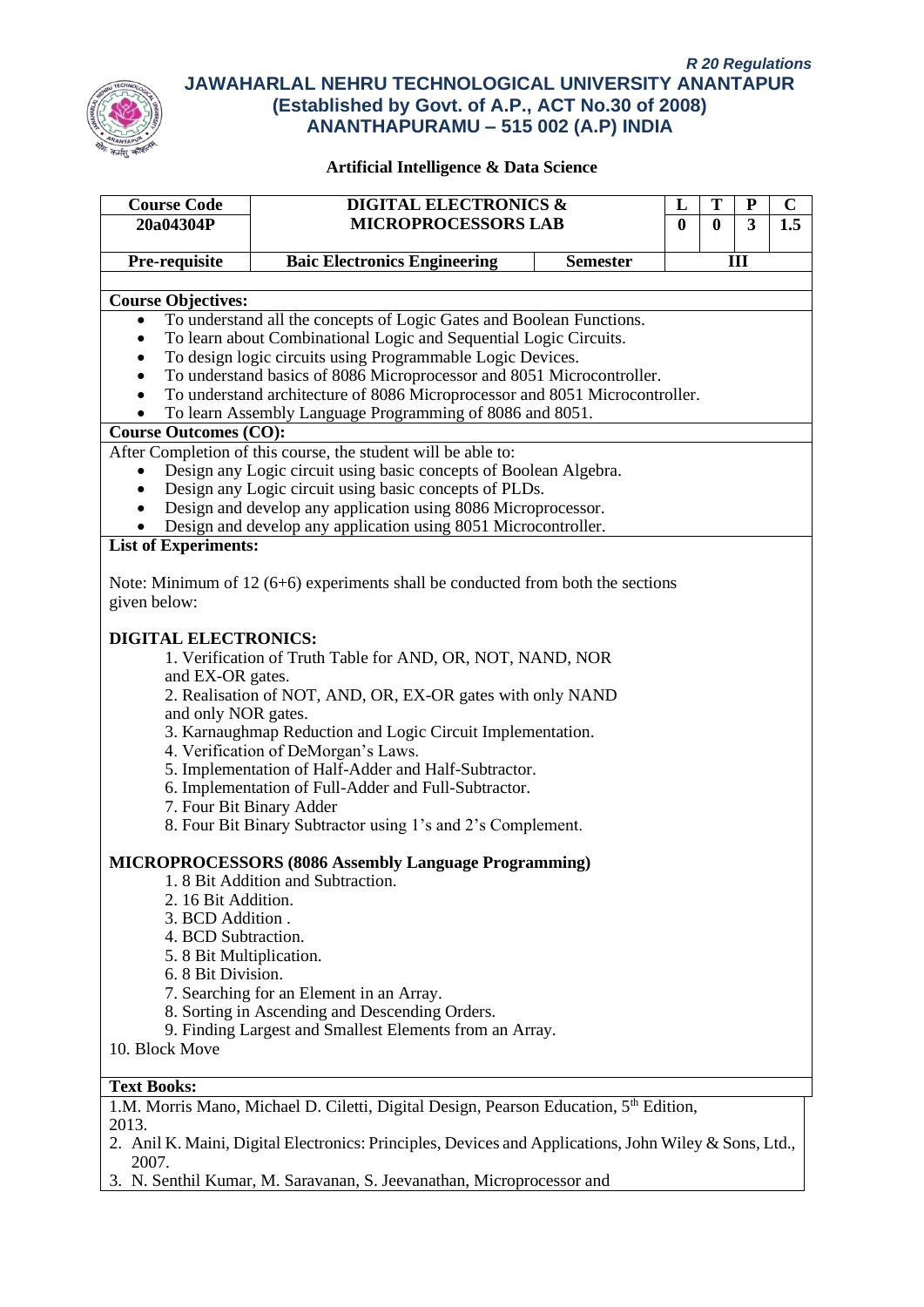

| <b>MICROPROCESSORS LAB</b><br>Pre-requisite<br><b>Baic Electronics Engineering</b><br><b>Semester</b><br>Ш<br><b>Course Objectives:</b><br>To understand all the concepts of Logic Gates and Boolean Functions.<br>$\bullet$<br>To learn about Combinational Logic and Sequential Logic Circuits.<br>$\bullet$<br>To design logic circuits using Programmable Logic Devices.<br>$\bullet$<br>To understand basics of 8086 Microprocessor and 8051 Microcontroller.<br>$\bullet$<br>To understand architecture of 8086 Microprocessor and 8051 Microcontroller.<br>$\bullet$<br>To learn Assembly Language Programming of 8086 and 8051.<br><b>Course Outcomes (CO):</b><br>After Completion of this course, the student will be able to:<br>Design any Logic circuit using basic concepts of Boolean Algebra.<br>$\bullet$<br>Design any Logic circuit using basic concepts of PLDs.<br>$\bullet$<br>Design and develop any application using 8086 Microprocessor.<br>Design and develop any application using 8051 Microcontroller.<br><b>List of Experiments:</b><br>Note: Minimum of 12 $(6+6)$ experiments shall be conducted from both the sections<br>given below:<br><b>DIGITAL ELECTRONICS:</b><br>1. Verification of Truth Table for AND, OR, NOT, NAND, NOR<br>and EX-OR gates.<br>2. Realisation of NOT, AND, OR, EX-OR gates with only NAND<br>and only NOR gates.<br>3. Karnaughmap Reduction and Logic Circuit Implementation.<br>4. Verification of DeMorgan's Laws.<br>5. Implementation of Half-Adder and Half-Subtractor.<br>6. Implementation of Full-Adder and Full-Subtractor.<br>7. Four Bit Binary Adder<br>8. Four Bit Binary Subtractor using 1's and 2's Complement.<br><b>MICROPROCESSORS (8086 Assembly Language Programming)</b><br>1.8 Bit Addition and Subtraction.<br>2. 16 Bit Addition.<br>3. BCD Addition.<br>4. BCD Subtraction.<br>5. 8 Bit Multiplication.<br>6. 8 Bit Division.<br>7. Searching for an Element in an Array.<br>8. Sorting in Ascending and Descending Orders.<br>9. Finding Largest and Smallest Elements from an Array.<br>10. Block Move<br><b>Text Books:</b><br>1.M. Morris Mano, Michael D. Ciletti, Digital Design, Pearson Education, 5th Edition,<br>2013.<br>2. Anil K. Maini, Digital Electronics: Principles, Devices and Applications, John Wiley & Sons, Ltd.,<br>2007.<br>3. N. Senthil Kumar, M. Saravanan, S. Jeevanathan, Microprocessor and | <b>Course Code</b> | <b>DIGITAL ELECTRONICS &amp;</b><br>$\mathbf C$<br>T<br>${\bf P}$<br>L |          |                         |   |     |  |  |  |  |
|----------------------------------------------------------------------------------------------------------------------------------------------------------------------------------------------------------------------------------------------------------------------------------------------------------------------------------------------------------------------------------------------------------------------------------------------------------------------------------------------------------------------------------------------------------------------------------------------------------------------------------------------------------------------------------------------------------------------------------------------------------------------------------------------------------------------------------------------------------------------------------------------------------------------------------------------------------------------------------------------------------------------------------------------------------------------------------------------------------------------------------------------------------------------------------------------------------------------------------------------------------------------------------------------------------------------------------------------------------------------------------------------------------------------------------------------------------------------------------------------------------------------------------------------------------------------------------------------------------------------------------------------------------------------------------------------------------------------------------------------------------------------------------------------------------------------------------------------------------------------------------------------------------------------------------------------------------------------------------------------------------------------------------------------------------------------------------------------------------------------------------------------------------------------------------------------------------------------------------------------------------------------------------------------------------------------------------------------------------------------------------------------------------------------|--------------------|------------------------------------------------------------------------|----------|-------------------------|---|-----|--|--|--|--|
|                                                                                                                                                                                                                                                                                                                                                                                                                                                                                                                                                                                                                                                                                                                                                                                                                                                                                                                                                                                                                                                                                                                                                                                                                                                                                                                                                                                                                                                                                                                                                                                                                                                                                                                                                                                                                                                                                                                                                                                                                                                                                                                                                                                                                                                                                                                                                                                                                      | 20a04304P          |                                                                        | $\bf{0}$ | $\overline{\mathbf{0}}$ | 3 | 1.5 |  |  |  |  |
|                                                                                                                                                                                                                                                                                                                                                                                                                                                                                                                                                                                                                                                                                                                                                                                                                                                                                                                                                                                                                                                                                                                                                                                                                                                                                                                                                                                                                                                                                                                                                                                                                                                                                                                                                                                                                                                                                                                                                                                                                                                                                                                                                                                                                                                                                                                                                                                                                      |                    |                                                                        |          |                         |   |     |  |  |  |  |
|                                                                                                                                                                                                                                                                                                                                                                                                                                                                                                                                                                                                                                                                                                                                                                                                                                                                                                                                                                                                                                                                                                                                                                                                                                                                                                                                                                                                                                                                                                                                                                                                                                                                                                                                                                                                                                                                                                                                                                                                                                                                                                                                                                                                                                                                                                                                                                                                                      |                    |                                                                        |          |                         |   |     |  |  |  |  |
|                                                                                                                                                                                                                                                                                                                                                                                                                                                                                                                                                                                                                                                                                                                                                                                                                                                                                                                                                                                                                                                                                                                                                                                                                                                                                                                                                                                                                                                                                                                                                                                                                                                                                                                                                                                                                                                                                                                                                                                                                                                                                                                                                                                                                                                                                                                                                                                                                      |                    |                                                                        |          |                         |   |     |  |  |  |  |
|                                                                                                                                                                                                                                                                                                                                                                                                                                                                                                                                                                                                                                                                                                                                                                                                                                                                                                                                                                                                                                                                                                                                                                                                                                                                                                                                                                                                                                                                                                                                                                                                                                                                                                                                                                                                                                                                                                                                                                                                                                                                                                                                                                                                                                                                                                                                                                                                                      |                    |                                                                        |          |                         |   |     |  |  |  |  |
|                                                                                                                                                                                                                                                                                                                                                                                                                                                                                                                                                                                                                                                                                                                                                                                                                                                                                                                                                                                                                                                                                                                                                                                                                                                                                                                                                                                                                                                                                                                                                                                                                                                                                                                                                                                                                                                                                                                                                                                                                                                                                                                                                                                                                                                                                                                                                                                                                      |                    |                                                                        |          |                         |   |     |  |  |  |  |
|                                                                                                                                                                                                                                                                                                                                                                                                                                                                                                                                                                                                                                                                                                                                                                                                                                                                                                                                                                                                                                                                                                                                                                                                                                                                                                                                                                                                                                                                                                                                                                                                                                                                                                                                                                                                                                                                                                                                                                                                                                                                                                                                                                                                                                                                                                                                                                                                                      |                    |                                                                        |          |                         |   |     |  |  |  |  |
|                                                                                                                                                                                                                                                                                                                                                                                                                                                                                                                                                                                                                                                                                                                                                                                                                                                                                                                                                                                                                                                                                                                                                                                                                                                                                                                                                                                                                                                                                                                                                                                                                                                                                                                                                                                                                                                                                                                                                                                                                                                                                                                                                                                                                                                                                                                                                                                                                      |                    |                                                                        |          |                         |   |     |  |  |  |  |
|                                                                                                                                                                                                                                                                                                                                                                                                                                                                                                                                                                                                                                                                                                                                                                                                                                                                                                                                                                                                                                                                                                                                                                                                                                                                                                                                                                                                                                                                                                                                                                                                                                                                                                                                                                                                                                                                                                                                                                                                                                                                                                                                                                                                                                                                                                                                                                                                                      |                    |                                                                        |          |                         |   |     |  |  |  |  |
|                                                                                                                                                                                                                                                                                                                                                                                                                                                                                                                                                                                                                                                                                                                                                                                                                                                                                                                                                                                                                                                                                                                                                                                                                                                                                                                                                                                                                                                                                                                                                                                                                                                                                                                                                                                                                                                                                                                                                                                                                                                                                                                                                                                                                                                                                                                                                                                                                      |                    |                                                                        |          |                         |   |     |  |  |  |  |
|                                                                                                                                                                                                                                                                                                                                                                                                                                                                                                                                                                                                                                                                                                                                                                                                                                                                                                                                                                                                                                                                                                                                                                                                                                                                                                                                                                                                                                                                                                                                                                                                                                                                                                                                                                                                                                                                                                                                                                                                                                                                                                                                                                                                                                                                                                                                                                                                                      |                    |                                                                        |          |                         |   |     |  |  |  |  |
|                                                                                                                                                                                                                                                                                                                                                                                                                                                                                                                                                                                                                                                                                                                                                                                                                                                                                                                                                                                                                                                                                                                                                                                                                                                                                                                                                                                                                                                                                                                                                                                                                                                                                                                                                                                                                                                                                                                                                                                                                                                                                                                                                                                                                                                                                                                                                                                                                      |                    |                                                                        |          |                         |   |     |  |  |  |  |
|                                                                                                                                                                                                                                                                                                                                                                                                                                                                                                                                                                                                                                                                                                                                                                                                                                                                                                                                                                                                                                                                                                                                                                                                                                                                                                                                                                                                                                                                                                                                                                                                                                                                                                                                                                                                                                                                                                                                                                                                                                                                                                                                                                                                                                                                                                                                                                                                                      |                    |                                                                        |          |                         |   |     |  |  |  |  |
|                                                                                                                                                                                                                                                                                                                                                                                                                                                                                                                                                                                                                                                                                                                                                                                                                                                                                                                                                                                                                                                                                                                                                                                                                                                                                                                                                                                                                                                                                                                                                                                                                                                                                                                                                                                                                                                                                                                                                                                                                                                                                                                                                                                                                                                                                                                                                                                                                      |                    |                                                                        |          |                         |   |     |  |  |  |  |
|                                                                                                                                                                                                                                                                                                                                                                                                                                                                                                                                                                                                                                                                                                                                                                                                                                                                                                                                                                                                                                                                                                                                                                                                                                                                                                                                                                                                                                                                                                                                                                                                                                                                                                                                                                                                                                                                                                                                                                                                                                                                                                                                                                                                                                                                                                                                                                                                                      |                    |                                                                        |          |                         |   |     |  |  |  |  |
|                                                                                                                                                                                                                                                                                                                                                                                                                                                                                                                                                                                                                                                                                                                                                                                                                                                                                                                                                                                                                                                                                                                                                                                                                                                                                                                                                                                                                                                                                                                                                                                                                                                                                                                                                                                                                                                                                                                                                                                                                                                                                                                                                                                                                                                                                                                                                                                                                      |                    |                                                                        |          |                         |   |     |  |  |  |  |
|                                                                                                                                                                                                                                                                                                                                                                                                                                                                                                                                                                                                                                                                                                                                                                                                                                                                                                                                                                                                                                                                                                                                                                                                                                                                                                                                                                                                                                                                                                                                                                                                                                                                                                                                                                                                                                                                                                                                                                                                                                                                                                                                                                                                                                                                                                                                                                                                                      |                    |                                                                        |          |                         |   |     |  |  |  |  |
|                                                                                                                                                                                                                                                                                                                                                                                                                                                                                                                                                                                                                                                                                                                                                                                                                                                                                                                                                                                                                                                                                                                                                                                                                                                                                                                                                                                                                                                                                                                                                                                                                                                                                                                                                                                                                                                                                                                                                                                                                                                                                                                                                                                                                                                                                                                                                                                                                      |                    |                                                                        |          |                         |   |     |  |  |  |  |
|                                                                                                                                                                                                                                                                                                                                                                                                                                                                                                                                                                                                                                                                                                                                                                                                                                                                                                                                                                                                                                                                                                                                                                                                                                                                                                                                                                                                                                                                                                                                                                                                                                                                                                                                                                                                                                                                                                                                                                                                                                                                                                                                                                                                                                                                                                                                                                                                                      |                    |                                                                        |          |                         |   |     |  |  |  |  |
|                                                                                                                                                                                                                                                                                                                                                                                                                                                                                                                                                                                                                                                                                                                                                                                                                                                                                                                                                                                                                                                                                                                                                                                                                                                                                                                                                                                                                                                                                                                                                                                                                                                                                                                                                                                                                                                                                                                                                                                                                                                                                                                                                                                                                                                                                                                                                                                                                      |                    |                                                                        |          |                         |   |     |  |  |  |  |
|                                                                                                                                                                                                                                                                                                                                                                                                                                                                                                                                                                                                                                                                                                                                                                                                                                                                                                                                                                                                                                                                                                                                                                                                                                                                                                                                                                                                                                                                                                                                                                                                                                                                                                                                                                                                                                                                                                                                                                                                                                                                                                                                                                                                                                                                                                                                                                                                                      |                    |                                                                        |          |                         |   |     |  |  |  |  |
|                                                                                                                                                                                                                                                                                                                                                                                                                                                                                                                                                                                                                                                                                                                                                                                                                                                                                                                                                                                                                                                                                                                                                                                                                                                                                                                                                                                                                                                                                                                                                                                                                                                                                                                                                                                                                                                                                                                                                                                                                                                                                                                                                                                                                                                                                                                                                                                                                      |                    |                                                                        |          |                         |   |     |  |  |  |  |
|                                                                                                                                                                                                                                                                                                                                                                                                                                                                                                                                                                                                                                                                                                                                                                                                                                                                                                                                                                                                                                                                                                                                                                                                                                                                                                                                                                                                                                                                                                                                                                                                                                                                                                                                                                                                                                                                                                                                                                                                                                                                                                                                                                                                                                                                                                                                                                                                                      |                    |                                                                        |          |                         |   |     |  |  |  |  |
|                                                                                                                                                                                                                                                                                                                                                                                                                                                                                                                                                                                                                                                                                                                                                                                                                                                                                                                                                                                                                                                                                                                                                                                                                                                                                                                                                                                                                                                                                                                                                                                                                                                                                                                                                                                                                                                                                                                                                                                                                                                                                                                                                                                                                                                                                                                                                                                                                      |                    |                                                                        |          |                         |   |     |  |  |  |  |
|                                                                                                                                                                                                                                                                                                                                                                                                                                                                                                                                                                                                                                                                                                                                                                                                                                                                                                                                                                                                                                                                                                                                                                                                                                                                                                                                                                                                                                                                                                                                                                                                                                                                                                                                                                                                                                                                                                                                                                                                                                                                                                                                                                                                                                                                                                                                                                                                                      |                    |                                                                        |          |                         |   |     |  |  |  |  |
|                                                                                                                                                                                                                                                                                                                                                                                                                                                                                                                                                                                                                                                                                                                                                                                                                                                                                                                                                                                                                                                                                                                                                                                                                                                                                                                                                                                                                                                                                                                                                                                                                                                                                                                                                                                                                                                                                                                                                                                                                                                                                                                                                                                                                                                                                                                                                                                                                      |                    |                                                                        |          |                         |   |     |  |  |  |  |
|                                                                                                                                                                                                                                                                                                                                                                                                                                                                                                                                                                                                                                                                                                                                                                                                                                                                                                                                                                                                                                                                                                                                                                                                                                                                                                                                                                                                                                                                                                                                                                                                                                                                                                                                                                                                                                                                                                                                                                                                                                                                                                                                                                                                                                                                                                                                                                                                                      |                    |                                                                        |          |                         |   |     |  |  |  |  |
|                                                                                                                                                                                                                                                                                                                                                                                                                                                                                                                                                                                                                                                                                                                                                                                                                                                                                                                                                                                                                                                                                                                                                                                                                                                                                                                                                                                                                                                                                                                                                                                                                                                                                                                                                                                                                                                                                                                                                                                                                                                                                                                                                                                                                                                                                                                                                                                                                      |                    |                                                                        |          |                         |   |     |  |  |  |  |
|                                                                                                                                                                                                                                                                                                                                                                                                                                                                                                                                                                                                                                                                                                                                                                                                                                                                                                                                                                                                                                                                                                                                                                                                                                                                                                                                                                                                                                                                                                                                                                                                                                                                                                                                                                                                                                                                                                                                                                                                                                                                                                                                                                                                                                                                                                                                                                                                                      |                    |                                                                        |          |                         |   |     |  |  |  |  |
|                                                                                                                                                                                                                                                                                                                                                                                                                                                                                                                                                                                                                                                                                                                                                                                                                                                                                                                                                                                                                                                                                                                                                                                                                                                                                                                                                                                                                                                                                                                                                                                                                                                                                                                                                                                                                                                                                                                                                                                                                                                                                                                                                                                                                                                                                                                                                                                                                      |                    |                                                                        |          |                         |   |     |  |  |  |  |
|                                                                                                                                                                                                                                                                                                                                                                                                                                                                                                                                                                                                                                                                                                                                                                                                                                                                                                                                                                                                                                                                                                                                                                                                                                                                                                                                                                                                                                                                                                                                                                                                                                                                                                                                                                                                                                                                                                                                                                                                                                                                                                                                                                                                                                                                                                                                                                                                                      |                    |                                                                        |          |                         |   |     |  |  |  |  |
|                                                                                                                                                                                                                                                                                                                                                                                                                                                                                                                                                                                                                                                                                                                                                                                                                                                                                                                                                                                                                                                                                                                                                                                                                                                                                                                                                                                                                                                                                                                                                                                                                                                                                                                                                                                                                                                                                                                                                                                                                                                                                                                                                                                                                                                                                                                                                                                                                      |                    |                                                                        |          |                         |   |     |  |  |  |  |
|                                                                                                                                                                                                                                                                                                                                                                                                                                                                                                                                                                                                                                                                                                                                                                                                                                                                                                                                                                                                                                                                                                                                                                                                                                                                                                                                                                                                                                                                                                                                                                                                                                                                                                                                                                                                                                                                                                                                                                                                                                                                                                                                                                                                                                                                                                                                                                                                                      |                    |                                                                        |          |                         |   |     |  |  |  |  |
|                                                                                                                                                                                                                                                                                                                                                                                                                                                                                                                                                                                                                                                                                                                                                                                                                                                                                                                                                                                                                                                                                                                                                                                                                                                                                                                                                                                                                                                                                                                                                                                                                                                                                                                                                                                                                                                                                                                                                                                                                                                                                                                                                                                                                                                                                                                                                                                                                      |                    |                                                                        |          |                         |   |     |  |  |  |  |
|                                                                                                                                                                                                                                                                                                                                                                                                                                                                                                                                                                                                                                                                                                                                                                                                                                                                                                                                                                                                                                                                                                                                                                                                                                                                                                                                                                                                                                                                                                                                                                                                                                                                                                                                                                                                                                                                                                                                                                                                                                                                                                                                                                                                                                                                                                                                                                                                                      |                    |                                                                        |          |                         |   |     |  |  |  |  |
|                                                                                                                                                                                                                                                                                                                                                                                                                                                                                                                                                                                                                                                                                                                                                                                                                                                                                                                                                                                                                                                                                                                                                                                                                                                                                                                                                                                                                                                                                                                                                                                                                                                                                                                                                                                                                                                                                                                                                                                                                                                                                                                                                                                                                                                                                                                                                                                                                      |                    |                                                                        |          |                         |   |     |  |  |  |  |
|                                                                                                                                                                                                                                                                                                                                                                                                                                                                                                                                                                                                                                                                                                                                                                                                                                                                                                                                                                                                                                                                                                                                                                                                                                                                                                                                                                                                                                                                                                                                                                                                                                                                                                                                                                                                                                                                                                                                                                                                                                                                                                                                                                                                                                                                                                                                                                                                                      |                    |                                                                        |          |                         |   |     |  |  |  |  |
|                                                                                                                                                                                                                                                                                                                                                                                                                                                                                                                                                                                                                                                                                                                                                                                                                                                                                                                                                                                                                                                                                                                                                                                                                                                                                                                                                                                                                                                                                                                                                                                                                                                                                                                                                                                                                                                                                                                                                                                                                                                                                                                                                                                                                                                                                                                                                                                                                      |                    |                                                                        |          |                         |   |     |  |  |  |  |
|                                                                                                                                                                                                                                                                                                                                                                                                                                                                                                                                                                                                                                                                                                                                                                                                                                                                                                                                                                                                                                                                                                                                                                                                                                                                                                                                                                                                                                                                                                                                                                                                                                                                                                                                                                                                                                                                                                                                                                                                                                                                                                                                                                                                                                                                                                                                                                                                                      |                    |                                                                        |          |                         |   |     |  |  |  |  |
|                                                                                                                                                                                                                                                                                                                                                                                                                                                                                                                                                                                                                                                                                                                                                                                                                                                                                                                                                                                                                                                                                                                                                                                                                                                                                                                                                                                                                                                                                                                                                                                                                                                                                                                                                                                                                                                                                                                                                                                                                                                                                                                                                                                                                                                                                                                                                                                                                      |                    |                                                                        |          |                         |   |     |  |  |  |  |
|                                                                                                                                                                                                                                                                                                                                                                                                                                                                                                                                                                                                                                                                                                                                                                                                                                                                                                                                                                                                                                                                                                                                                                                                                                                                                                                                                                                                                                                                                                                                                                                                                                                                                                                                                                                                                                                                                                                                                                                                                                                                                                                                                                                                                                                                                                                                                                                                                      |                    |                                                                        |          |                         |   |     |  |  |  |  |
|                                                                                                                                                                                                                                                                                                                                                                                                                                                                                                                                                                                                                                                                                                                                                                                                                                                                                                                                                                                                                                                                                                                                                                                                                                                                                                                                                                                                                                                                                                                                                                                                                                                                                                                                                                                                                                                                                                                                                                                                                                                                                                                                                                                                                                                                                                                                                                                                                      |                    |                                                                        |          |                         |   |     |  |  |  |  |
|                                                                                                                                                                                                                                                                                                                                                                                                                                                                                                                                                                                                                                                                                                                                                                                                                                                                                                                                                                                                                                                                                                                                                                                                                                                                                                                                                                                                                                                                                                                                                                                                                                                                                                                                                                                                                                                                                                                                                                                                                                                                                                                                                                                                                                                                                                                                                                                                                      |                    |                                                                        |          |                         |   |     |  |  |  |  |
|                                                                                                                                                                                                                                                                                                                                                                                                                                                                                                                                                                                                                                                                                                                                                                                                                                                                                                                                                                                                                                                                                                                                                                                                                                                                                                                                                                                                                                                                                                                                                                                                                                                                                                                                                                                                                                                                                                                                                                                                                                                                                                                                                                                                                                                                                                                                                                                                                      |                    |                                                                        |          |                         |   |     |  |  |  |  |
|                                                                                                                                                                                                                                                                                                                                                                                                                                                                                                                                                                                                                                                                                                                                                                                                                                                                                                                                                                                                                                                                                                                                                                                                                                                                                                                                                                                                                                                                                                                                                                                                                                                                                                                                                                                                                                                                                                                                                                                                                                                                                                                                                                                                                                                                                                                                                                                                                      |                    |                                                                        |          |                         |   |     |  |  |  |  |
|                                                                                                                                                                                                                                                                                                                                                                                                                                                                                                                                                                                                                                                                                                                                                                                                                                                                                                                                                                                                                                                                                                                                                                                                                                                                                                                                                                                                                                                                                                                                                                                                                                                                                                                                                                                                                                                                                                                                                                                                                                                                                                                                                                                                                                                                                                                                                                                                                      |                    |                                                                        |          |                         |   |     |  |  |  |  |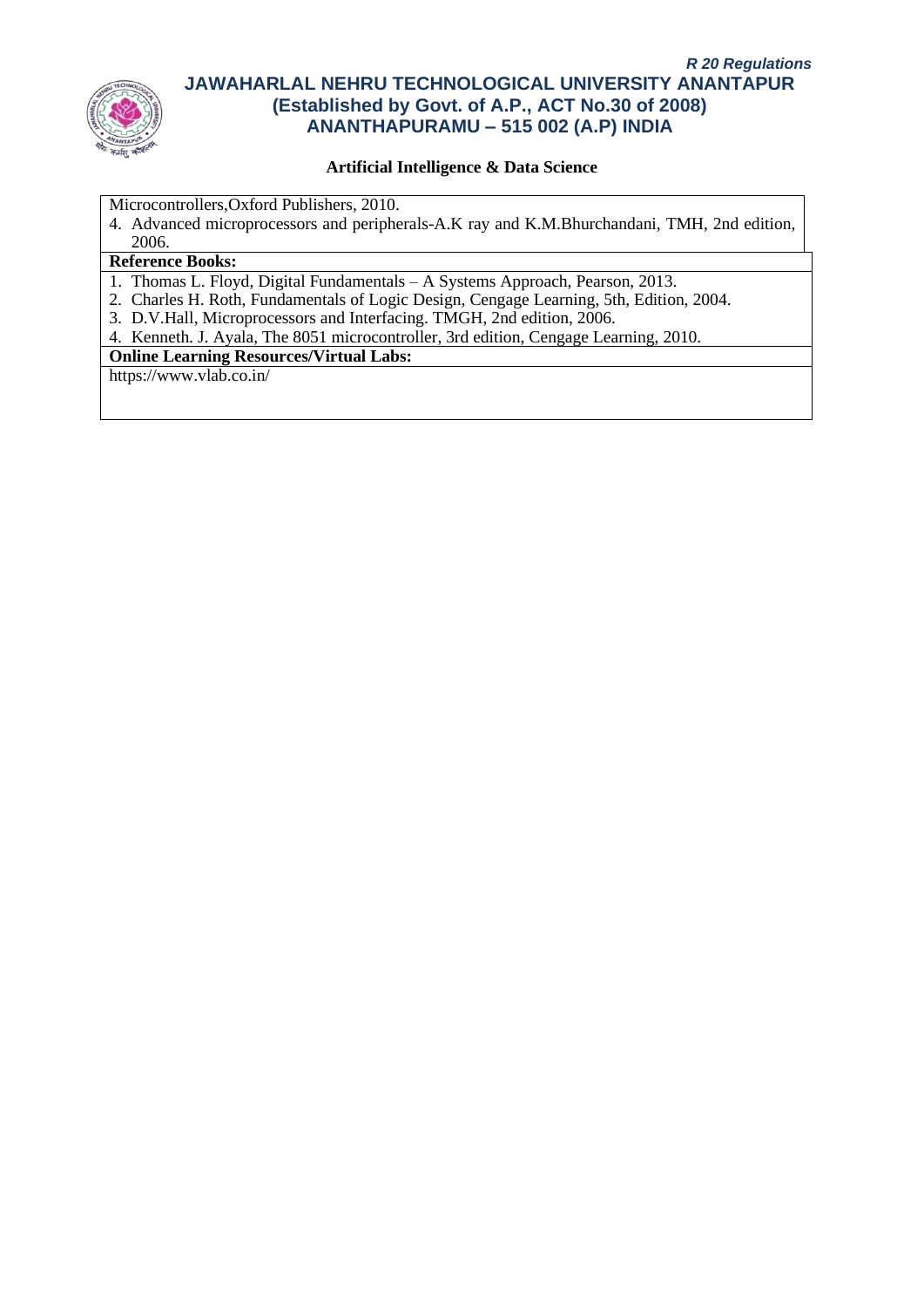

## **Artificial Intelligence & Data Science**

Microcontrollers,Oxford Publishers, 2010.

4. Advanced microprocessors and peripherals-A.K ray and K.M.Bhurchandani, TMH, 2nd edition, 2006.

#### **Reference Books:**

- 1. Thomas L. Floyd, Digital Fundamentals A Systems Approach, Pearson, 2013.
- 2. Charles H. Roth, Fundamentals of Logic Design, Cengage Learning, 5th, Edition, 2004.
- 3. D.V.Hall, Microprocessors and Interfacing. TMGH, 2nd edition, 2006.
- 4. Kenneth. J. Ayala, The 8051 microcontroller, 3rd edition, Cengage Learning, 2010.

# **Online Learning Resources/Virtual Labs:**

https://www.vlab.co.in/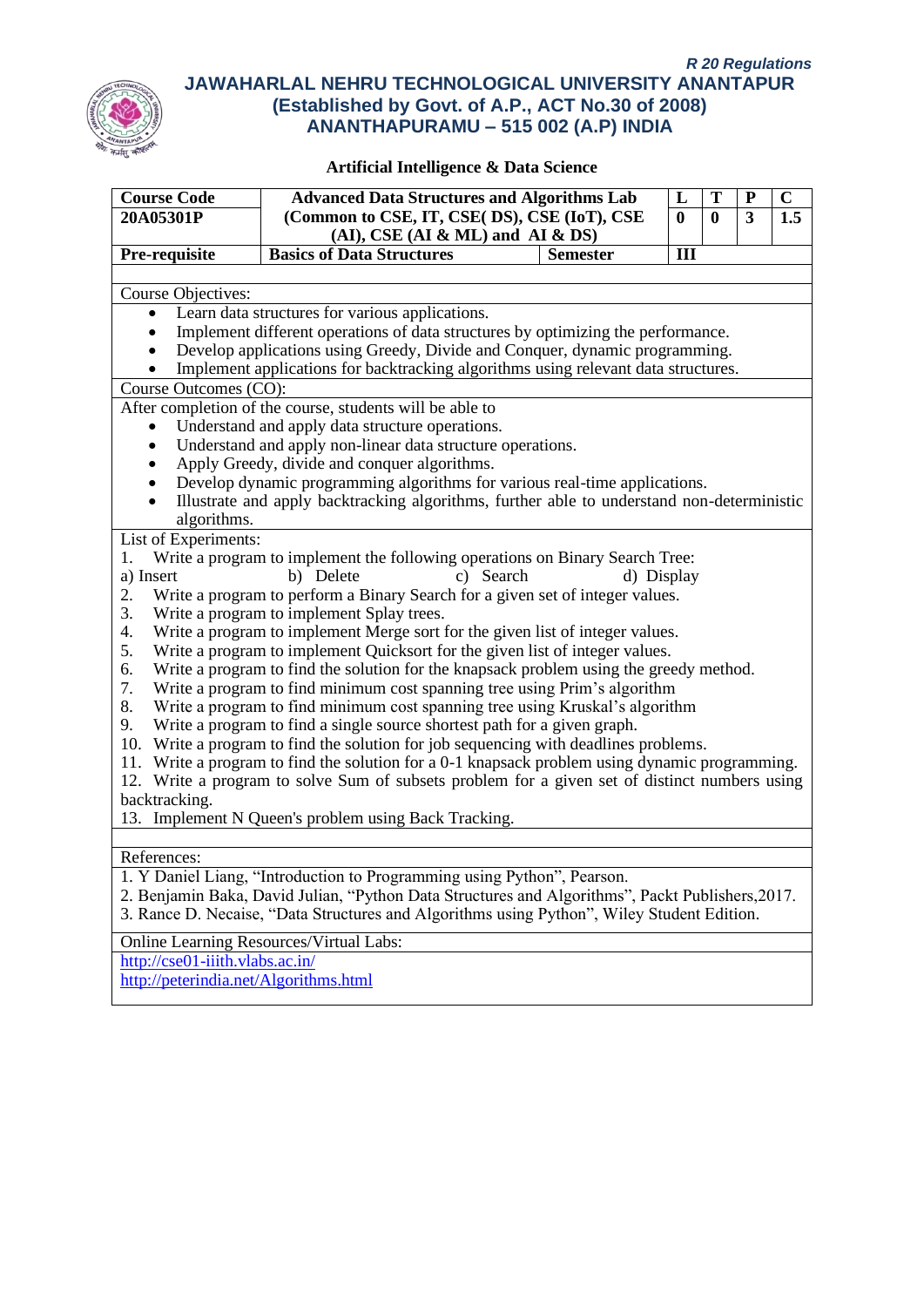

| <b>Course Code</b>                    | <b>Advanced Data Structures and Algorithms Lab</b>                                                                                                                                             |                 | L            | T                                              | P | $\mathbf C$ |  |  |
|---------------------------------------|------------------------------------------------------------------------------------------------------------------------------------------------------------------------------------------------|-----------------|--------------|------------------------------------------------|---|-------------|--|--|
| 20A05301P                             | (Common to CSE, IT, CSE(DS), CSE (IoT), CSE<br>$(AI)$ , CSE $(AI & ML)$ and $AI & DS$                                                                                                          |                 | $\mathbf{0}$ | $\overline{\mathbf{3}}$<br>1.5<br>$\mathbf{0}$ |   |             |  |  |
| Pre-requisite                         | <b>Basics of Data Structures</b>                                                                                                                                                               | <b>Semester</b> | III          |                                                |   |             |  |  |
|                                       |                                                                                                                                                                                                |                 |              |                                                |   |             |  |  |
| Course Objectives:                    |                                                                                                                                                                                                |                 |              |                                                |   |             |  |  |
| $\bullet$                             | Learn data structures for various applications.                                                                                                                                                |                 |              |                                                |   |             |  |  |
| $\bullet$                             | Implement different operations of data structures by optimizing the performance.                                                                                                               |                 |              |                                                |   |             |  |  |
|                                       | Develop applications using Greedy, Divide and Conquer, dynamic programming.                                                                                                                    |                 |              |                                                |   |             |  |  |
| $\bullet$<br>Course Outcomes (CO):    | Implement applications for backtracking algorithms using relevant data structures.                                                                                                             |                 |              |                                                |   |             |  |  |
|                                       | After completion of the course, students will be able to                                                                                                                                       |                 |              |                                                |   |             |  |  |
|                                       | Understand and apply data structure operations.                                                                                                                                                |                 |              |                                                |   |             |  |  |
| $\bullet$                             | Understand and apply non-linear data structure operations.                                                                                                                                     |                 |              |                                                |   |             |  |  |
| $\bullet$                             | Apply Greedy, divide and conquer algorithms.                                                                                                                                                   |                 |              |                                                |   |             |  |  |
|                                       | Develop dynamic programming algorithms for various real-time applications.                                                                                                                     |                 |              |                                                |   |             |  |  |
| $\bullet$                             | Illustrate and apply backtracking algorithms, further able to understand non-deterministic                                                                                                     |                 |              |                                                |   |             |  |  |
| algorithms.                           |                                                                                                                                                                                                |                 |              |                                                |   |             |  |  |
| List of Experiments:                  |                                                                                                                                                                                                |                 |              |                                                |   |             |  |  |
| 1.                                    | Write a program to implement the following operations on Binary Search Tree:                                                                                                                   |                 |              |                                                |   |             |  |  |
| a) Insert                             | b) Delete<br>c) Search                                                                                                                                                                         | d) Display      |              |                                                |   |             |  |  |
| 2.                                    | Write a program to perform a Binary Search for a given set of integer values.                                                                                                                  |                 |              |                                                |   |             |  |  |
| 3.                                    | Write a program to implement Splay trees.                                                                                                                                                      |                 |              |                                                |   |             |  |  |
| 4.                                    | Write a program to implement Merge sort for the given list of integer values.                                                                                                                  |                 |              |                                                |   |             |  |  |
| 5.                                    | Write a program to implement Quicksort for the given list of integer values.                                                                                                                   |                 |              |                                                |   |             |  |  |
| 6.                                    | Write a program to find the solution for the knapsack problem using the greedy method.                                                                                                         |                 |              |                                                |   |             |  |  |
| 7.<br>8.                              | Write a program to find minimum cost spanning tree using Prim's algorithm<br>Write a program to find minimum cost spanning tree using Kruskal's algorithm                                      |                 |              |                                                |   |             |  |  |
| 9.                                    | Write a program to find a single source shortest path for a given graph.                                                                                                                       |                 |              |                                                |   |             |  |  |
|                                       | 10. Write a program to find the solution for job sequencing with deadlines problems.                                                                                                           |                 |              |                                                |   |             |  |  |
|                                       | 11. Write a program to find the solution for a 0-1 knapsack problem using dynamic programming.                                                                                                 |                 |              |                                                |   |             |  |  |
|                                       | 12. Write a program to solve Sum of subsets problem for a given set of distinct numbers using                                                                                                  |                 |              |                                                |   |             |  |  |
| backtracking.                         |                                                                                                                                                                                                |                 |              |                                                |   |             |  |  |
|                                       | 13. Implement N Queen's problem using Back Tracking.                                                                                                                                           |                 |              |                                                |   |             |  |  |
|                                       |                                                                                                                                                                                                |                 |              |                                                |   |             |  |  |
| References:                           |                                                                                                                                                                                                |                 |              |                                                |   |             |  |  |
|                                       | 1. Y Daniel Liang, "Introduction to Programming using Python", Pearson.                                                                                                                        |                 |              |                                                |   |             |  |  |
|                                       | 2. Benjamin Baka, David Julian, "Python Data Structures and Algorithms", Packt Publishers, 2017.<br>3. Rance D. Necaise, "Data Structures and Algorithms using Python", Wiley Student Edition. |                 |              |                                                |   |             |  |  |
|                                       | <b>Online Learning Resources/Virtual Labs:</b>                                                                                                                                                 |                 |              |                                                |   |             |  |  |
| http://cse01-iiith.vlabs.ac.in/       |                                                                                                                                                                                                |                 |              |                                                |   |             |  |  |
| http://peterindia.net/Algorithms.html |                                                                                                                                                                                                |                 |              |                                                |   |             |  |  |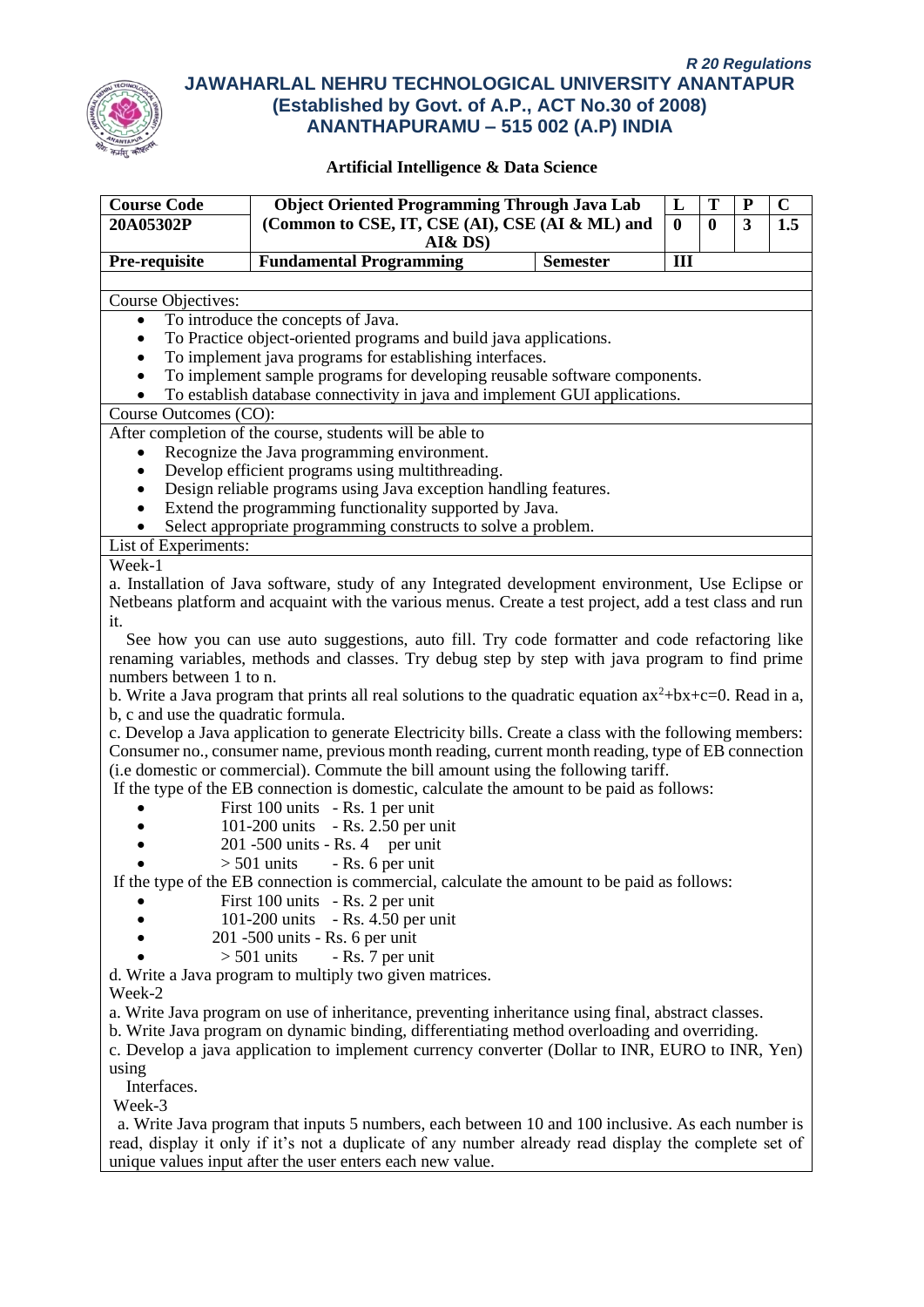

| <b>Course Code</b>                                      | <b>Object Oriented Programming Through Java Lab</b>                                                                                                                                                          | L            |          | P            | $\mathbf C$ |
|---------------------------------------------------------|--------------------------------------------------------------------------------------------------------------------------------------------------------------------------------------------------------------|--------------|----------|--------------|-------------|
| 20A05302P                                               | (Common to CSE, IT, CSE (AI), CSE (AI & ML) and                                                                                                                                                              | $\mathbf{0}$ | $\bf{0}$ | $\mathbf{3}$ | 1.5         |
|                                                         | AI&DS)                                                                                                                                                                                                       |              |          |              |             |
| Pre-requisite                                           | <b>Fundamental Programming</b><br><b>Semester</b>                                                                                                                                                            | III          |          |              |             |
|                                                         |                                                                                                                                                                                                              |              |          |              |             |
| Course Objectives:                                      |                                                                                                                                                                                                              |              |          |              |             |
| $\bullet$                                               | To introduce the concepts of Java.                                                                                                                                                                           |              |          |              |             |
|                                                         | To Practice object-oriented programs and build java applications.                                                                                                                                            |              |          |              |             |
|                                                         | To implement java programs for establishing interfaces.                                                                                                                                                      |              |          |              |             |
|                                                         | To implement sample programs for developing reusable software components.<br>To establish database connectivity in java and implement GUI applications.                                                      |              |          |              |             |
| Course Outcomes (CO):                                   |                                                                                                                                                                                                              |              |          |              |             |
|                                                         | After completion of the course, students will be able to                                                                                                                                                     |              |          |              |             |
|                                                         | Recognize the Java programming environment.                                                                                                                                                                  |              |          |              |             |
|                                                         | Develop efficient programs using multithreading.                                                                                                                                                             |              |          |              |             |
|                                                         | Design reliable programs using Java exception handling features.                                                                                                                                             |              |          |              |             |
|                                                         | Extend the programming functionality supported by Java.                                                                                                                                                      |              |          |              |             |
|                                                         | Select appropriate programming constructs to solve a problem.                                                                                                                                                |              |          |              |             |
| List of Experiments:                                    |                                                                                                                                                                                                              |              |          |              |             |
| Week-1                                                  |                                                                                                                                                                                                              |              |          |              |             |
|                                                         | a. Installation of Java software, study of any Integrated development environment, Use Eclipse or                                                                                                            |              |          |              |             |
|                                                         | Netbeans platform and acquaint with the various menus. Create a test project, add a test class and run                                                                                                       |              |          |              |             |
| it.                                                     |                                                                                                                                                                                                              |              |          |              |             |
|                                                         | See how you can use auto suggestions, auto fill. Try code formatter and code refactoring like                                                                                                                |              |          |              |             |
|                                                         | renaming variables, methods and classes. Try debug step by step with java program to find prime                                                                                                              |              |          |              |             |
| numbers between 1 to n.                                 |                                                                                                                                                                                                              |              |          |              |             |
|                                                         | b. Write a Java program that prints all real solutions to the quadratic equation $ax^2+bx+c=0$ . Read in a,                                                                                                  |              |          |              |             |
|                                                         |                                                                                                                                                                                                              |              |          |              |             |
| b, c and use the quadratic formula.                     |                                                                                                                                                                                                              |              |          |              |             |
|                                                         | c. Develop a Java application to generate Electricity bills. Create a class with the following members:<br>Consumer no., consumer name, previous month reading, current month reading, type of EB connection |              |          |              |             |
|                                                         | (i.e domestic or commercial). Commute the bill amount using the following tariff.                                                                                                                            |              |          |              |             |
|                                                         |                                                                                                                                                                                                              |              |          |              |             |
|                                                         | If the type of the EB connection is domestic, calculate the amount to be paid as follows:                                                                                                                    |              |          |              |             |
|                                                         | First 100 units - Rs. 1 per unit                                                                                                                                                                             |              |          |              |             |
|                                                         | 101-200 units - Rs. 2.50 per unit<br>$201 - 500$ units - Rs. 4 per unit                                                                                                                                      |              |          |              |             |
|                                                         | - Rs. 6 per unit<br>$> 501$ units                                                                                                                                                                            |              |          |              |             |
|                                                         | If the type of the EB connection is commercial, calculate the amount to be paid as follows:                                                                                                                  |              |          |              |             |
|                                                         | First 100 units - Rs. 2 per unit                                                                                                                                                                             |              |          |              |             |
|                                                         | 101-200 units - Rs. 4.50 per unit                                                                                                                                                                            |              |          |              |             |
|                                                         |                                                                                                                                                                                                              |              |          |              |             |
|                                                         | 201 -500 units - Rs. 6 per unit<br>- Rs. 7 per unit<br>$>$ 501 units                                                                                                                                         |              |          |              |             |
|                                                         |                                                                                                                                                                                                              |              |          |              |             |
|                                                         |                                                                                                                                                                                                              |              |          |              |             |
| d. Write a Java program to multiply two given matrices. |                                                                                                                                                                                                              |              |          |              |             |
| Week-2                                                  |                                                                                                                                                                                                              |              |          |              |             |
|                                                         | a. Write Java program on use of inheritance, preventing inheritance using final, abstract classes.                                                                                                           |              |          |              |             |
|                                                         | b. Write Java program on dynamic binding, differentiating method overloading and overriding.                                                                                                                 |              |          |              |             |
|                                                         | c. Develop a java application to implement currency converter (Dollar to INR, EURO to INR, Yen)                                                                                                              |              |          |              |             |
| using                                                   |                                                                                                                                                                                                              |              |          |              |             |
| Interfaces.                                             |                                                                                                                                                                                                              |              |          |              |             |
| Week-3                                                  |                                                                                                                                                                                                              |              |          |              |             |
|                                                         | a. Write Java program that inputs 5 numbers, each between 10 and 100 inclusive. As each number is                                                                                                            |              |          |              |             |
|                                                         | read, display it only if it's not a duplicate of any number already read display the complete set of<br>unique values input after the user enters each new value.                                            |              |          |              |             |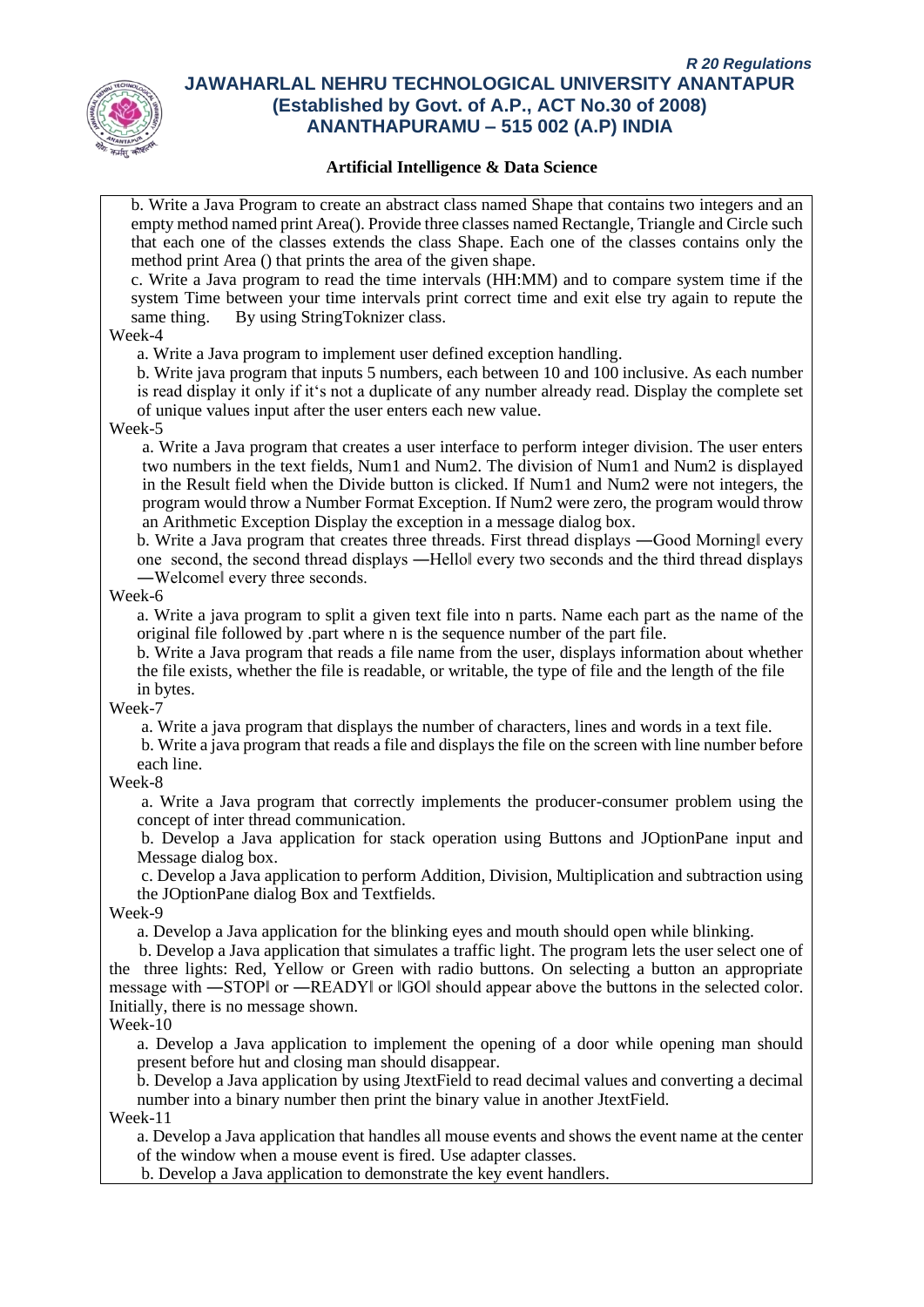

#### **Artificial Intelligence & Data Science**

b. Write a Java Program to create an abstract class named Shape that contains two integers and an empty method named print Area(). Provide three classes named Rectangle, Triangle and Circle such that each one of the classes extends the class Shape. Each one of the classes contains only the method print Area () that prints the area of the given shape.

c. Write a Java program to read the time intervals (HH:MM) and to compare system time if the system Time between your time intervals print correct time and exit else try again to repute the same thing. By using StringToknizer class.

#### Week-4

a. Write a Java program to implement user defined exception handling.

b. Write java program that inputs 5 numbers, each between 10 and 100 inclusive. As each number is read display it only if it's not a duplicate of any number already read. Display the complete set of unique values input after the user enters each new value.

#### Week-5

a. Write a Java program that creates a user interface to perform integer division. The user enters two numbers in the text fields, Num1 and Num2. The division of Num1 and Num2 is displayed in the Result field when the Divide button is clicked. If Num1 and Num2 were not integers, the program would throw a Number Format Exception. If Num2 were zero, the program would throw an Arithmetic Exception Display the exception in a message dialog box.

b. Write a Java program that creates three threads. First thread displays —Good Morningl every one second, the second thread displays ―Hello‖ every two seconds and the third thread displays ―Welcome‖ every three seconds.

#### Week-6

a. Write a java program to split a given text file into n parts. Name each part as the name of the original file followed by .part where n is the sequence number of the part file.

b. Write a Java program that reads a file name from the user, displays information about whether the file exists, whether the file is readable, or writable, the type of file and the length of the file in bytes.

#### Week-7

a. Write a java program that displays the number of characters, lines and words in a text file.

b. Write a java program that reads a file and displays the file on the screen with line number before each line.

#### Week-8

a. Write a Java program that correctly implements the producer-consumer problem using the concept of inter thread communication.

b. Develop a Java application for stack operation using Buttons and JOptionPane input and Message dialog box.

c. Develop a Java application to perform Addition, Division, Multiplication and subtraction using the JOptionPane dialog Box and Textfields.

#### Week-9

a. Develop a Java application for the blinking eyes and mouth should open while blinking.

 b. Develop a Java application that simulates a traffic light. The program lets the user select one of the three lights: Red, Yellow or Green with radio buttons. On selecting a button an appropriate message with ―STOP‖ or ―READY‖ or ‖GO‖ should appear above the buttons in the selected color. Initially, there is no message shown.

#### Week-10

a. Develop a Java application to implement the opening of a door while opening man should present before hut and closing man should disappear.

b. Develop a Java application by using JtextField to read decimal values and converting a decimal number into a binary number then print the binary value in another JtextField.

Week-11

a. Develop a Java application that handles all mouse events and shows the event name at the center of the window when a mouse event is fired. Use adapter classes.

b. Develop a Java application to demonstrate the key event handlers.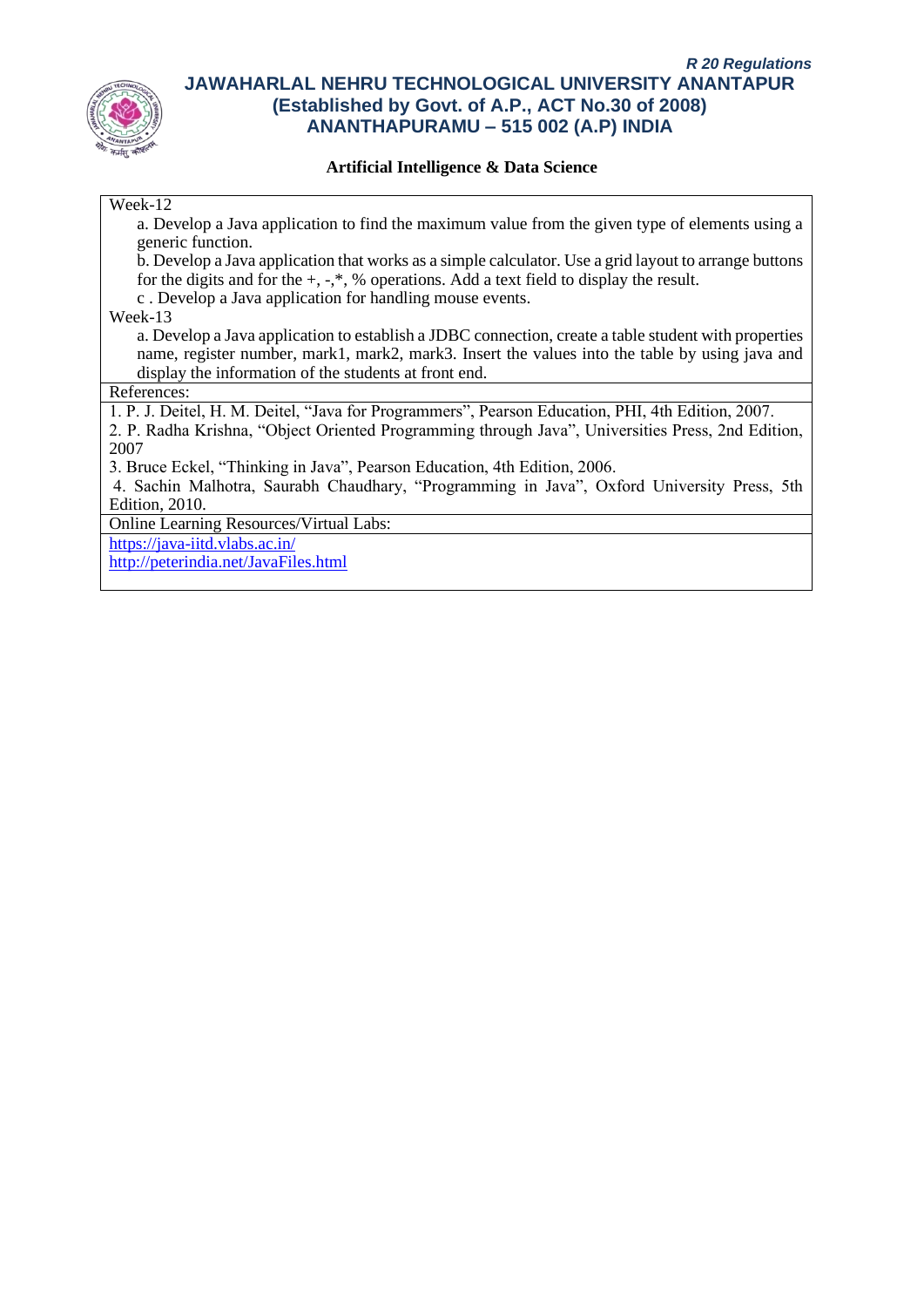

#### **Artificial Intelligence & Data Science**

#### Week-12

a. Develop a Java application to find the maximum value from the given type of elements using a generic function.

b. Develop a Java application that works as a simple calculator. Use a grid layout to arrange buttons for the digits and for the  $+, \cdot, *,$  % operations. Add a text field to display the result.

c . Develop a Java application for handling mouse events.

Week-13

a. Develop a Java application to establish a JDBC connection, create a table student with properties name, register number, mark1, mark2, mark3. Insert the values into the table by using java and display the information of the students at front end.

References:

1. P. J. Deitel, H. M. Deitel, "Java for Programmers", Pearson Education, PHI, 4th Edition, 2007.

2. P. Radha Krishna, "Object Oriented Programming through Java", Universities Press, 2nd Edition, 2007

3. Bruce Eckel, "Thinking in Java", Pearson Education, 4th Edition, 2006.

4. Sachin Malhotra, Saurabh Chaudhary, "Programming in Java", Oxford University Press, 5th Edition, 2010.

Online Learning Resources/Virtual Labs:

<https://java-iitd.vlabs.ac.in/>

<http://peterindia.net/JavaFiles.html>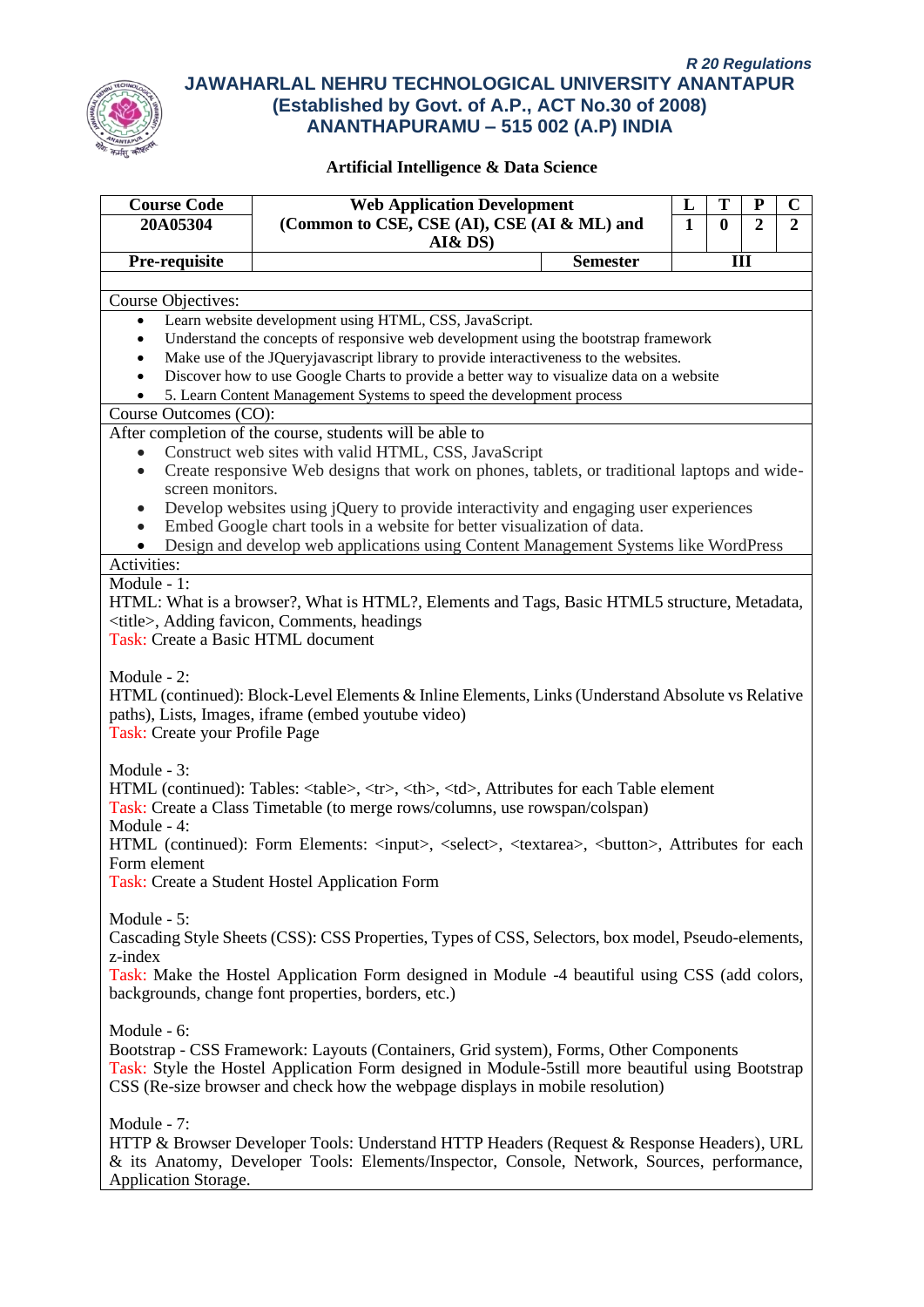

| <b>Course Code</b>                             | <b>Web Application Development</b>                                                                                                                                                                                                                                                                                                                                                                                                                                                                                                                                                                                                                                                                                                                                                                                                                                                                                                                                                                                                                                                                                                                                                                                                                                                                                                                                                                                                                                                                                                                                                                                                                                                                                                                                                                                                                                                                                                                                                                                                                                                                                                                                                                                                                                                                                                                                                                                                                                                                                                                                                                                                                                                                                                 |                                                | L                                   |          | P              | C              |  |                                                                             |  |                                                                             |  |  |  |             |  |             |  |  |  |  |  |                                                                                                                                  |  |                                                                                                                                  |  |  |  |              |  |              |  |  |  |  |  |                                                |  |                                                |  |  |  |  |  |  |  |  |  |  |             |  |             |  |  |  |  |  |                                                                                                    |  |                                                                                                    |  |  |  |         |  |         |  |  |  |  |  |                                                                                               |  |                                                                                               |  |  |  |  |                                                     |  |                                                     |  |  |  |             |  |             |  |  |  |  |  |                                                                                       |  |                                                                                       |  |  |  |  |                                                                                                  |  |                                                                                                  |  |  |  |  |                                                                               |  |                                                                               |  |  |  |  |  |  |  |  |  |  |             |  |             |  |  |  |  |  |                                                                                           |  |                                                                                           |  |  |  |  |                                                                                             |  |                                                                                             |  |  |  |                      |  |                      |  |  |  |  |  |  |
|------------------------------------------------|------------------------------------------------------------------------------------------------------------------------------------------------------------------------------------------------------------------------------------------------------------------------------------------------------------------------------------------------------------------------------------------------------------------------------------------------------------------------------------------------------------------------------------------------------------------------------------------------------------------------------------------------------------------------------------------------------------------------------------------------------------------------------------------------------------------------------------------------------------------------------------------------------------------------------------------------------------------------------------------------------------------------------------------------------------------------------------------------------------------------------------------------------------------------------------------------------------------------------------------------------------------------------------------------------------------------------------------------------------------------------------------------------------------------------------------------------------------------------------------------------------------------------------------------------------------------------------------------------------------------------------------------------------------------------------------------------------------------------------------------------------------------------------------------------------------------------------------------------------------------------------------------------------------------------------------------------------------------------------------------------------------------------------------------------------------------------------------------------------------------------------------------------------------------------------------------------------------------------------------------------------------------------------------------------------------------------------------------------------------------------------------------------------------------------------------------------------------------------------------------------------------------------------------------------------------------------------------------------------------------------------------------------------------------------------------------------------------------------------|------------------------------------------------|-------------------------------------|----------|----------------|----------------|--|-----------------------------------------------------------------------------|--|-----------------------------------------------------------------------------|--|--|--|-------------|--|-------------|--|--|--|--|--|----------------------------------------------------------------------------------------------------------------------------------|--|----------------------------------------------------------------------------------------------------------------------------------|--|--|--|--------------|--|--------------|--|--|--|--|--|------------------------------------------------|--|------------------------------------------------|--|--|--|--|--|--|--|--|--|--|-------------|--|-------------|--|--|--|--|--|----------------------------------------------------------------------------------------------------|--|----------------------------------------------------------------------------------------------------|--|--|--|---------|--|---------|--|--|--|--|--|-----------------------------------------------------------------------------------------------|--|-----------------------------------------------------------------------------------------------|--|--|--|--|-----------------------------------------------------|--|-----------------------------------------------------|--|--|--|-------------|--|-------------|--|--|--|--|--|---------------------------------------------------------------------------------------|--|---------------------------------------------------------------------------------------|--|--|--|--|--------------------------------------------------------------------------------------------------|--|--------------------------------------------------------------------------------------------------|--|--|--|--|-------------------------------------------------------------------------------|--|-------------------------------------------------------------------------------|--|--|--|--|--|--|--|--|--|--|-------------|--|-------------|--|--|--|--|--|-------------------------------------------------------------------------------------------|--|-------------------------------------------------------------------------------------------|--|--|--|--|---------------------------------------------------------------------------------------------|--|---------------------------------------------------------------------------------------------|--|--|--|----------------------|--|----------------------|--|--|--|--|--|--|
| 20A05304                                       | (Common to CSE, CSE (AI), CSE (AI & ML) and                                                                                                                                                                                                                                                                                                                                                                                                                                                                                                                                                                                                                                                                                                                                                                                                                                                                                                                                                                                                                                                                                                                                                                                                                                                                                                                                                                                                                                                                                                                                                                                                                                                                                                                                                                                                                                                                                                                                                                                                                                                                                                                                                                                                                                                                                                                                                                                                                                                                                                                                                                                                                                                                                        |                                                | $\mathbf{1}$                        | $\bf{0}$ | $\overline{2}$ | $\overline{2}$ |  |                                                                             |  |                                                                             |  |  |  |             |  |             |  |  |  |  |  |                                                                                                                                  |  |                                                                                                                                  |  |  |  |              |  |              |  |  |  |  |  |                                                |  |                                                |  |  |  |  |  |  |  |  |  |  |             |  |             |  |  |  |  |  |                                                                                                    |  |                                                                                                    |  |  |  |         |  |         |  |  |  |  |  |                                                                                               |  |                                                                                               |  |  |  |  |                                                     |  |                                                     |  |  |  |             |  |             |  |  |  |  |  |                                                                                       |  |                                                                                       |  |  |  |  |                                                                                                  |  |                                                                                                  |  |  |  |  |                                                                               |  |                                                                               |  |  |  |  |  |  |  |  |  |  |             |  |             |  |  |  |  |  |                                                                                           |  |                                                                                           |  |  |  |  |                                                                                             |  |                                                                                             |  |  |  |                      |  |                      |  |  |  |  |  |  |
|                                                | AI&DS)                                                                                                                                                                                                                                                                                                                                                                                                                                                                                                                                                                                                                                                                                                                                                                                                                                                                                                                                                                                                                                                                                                                                                                                                                                                                                                                                                                                                                                                                                                                                                                                                                                                                                                                                                                                                                                                                                                                                                                                                                                                                                                                                                                                                                                                                                                                                                                                                                                                                                                                                                                                                                                                                                                                             |                                                |                                     |          |                |                |  |                                                                             |  |                                                                             |  |  |  |             |  |             |  |  |  |  |  |                                                                                                                                  |  |                                                                                                                                  |  |  |  |              |  |              |  |  |  |  |  |                                                |  |                                                |  |  |  |  |  |  |  |  |  |  |             |  |             |  |  |  |  |  |                                                                                                    |  |                                                                                                    |  |  |  |         |  |         |  |  |  |  |  |                                                                                               |  |                                                                                               |  |  |  |  |                                                     |  |                                                     |  |  |  |             |  |             |  |  |  |  |  |                                                                                       |  |                                                                                       |  |  |  |  |                                                                                                  |  |                                                                                                  |  |  |  |  |                                                                               |  |                                                                               |  |  |  |  |  |  |  |  |  |  |             |  |             |  |  |  |  |  |                                                                                           |  |                                                                                           |  |  |  |  |                                                                                             |  |                                                                                             |  |  |  |                      |  |                      |  |  |  |  |  |  |
| Pre-requisite                                  |                                                                                                                                                                                                                                                                                                                                                                                                                                                                                                                                                                                                                                                                                                                                                                                                                                                                                                                                                                                                                                                                                                                                                                                                                                                                                                                                                                                                                                                                                                                                                                                                                                                                                                                                                                                                                                                                                                                                                                                                                                                                                                                                                                                                                                                                                                                                                                                                                                                                                                                                                                                                                                                                                                                                    | <b>Semester</b>                                |                                     |          | III            |                |  |                                                                             |  |                                                                             |  |  |  |             |  |             |  |  |  |  |  |                                                                                                                                  |  |                                                                                                                                  |  |  |  |              |  |              |  |  |  |  |  |                                                |  |                                                |  |  |  |  |  |  |  |  |  |  |             |  |             |  |  |  |  |  |                                                                                                    |  |                                                                                                    |  |  |  |         |  |         |  |  |  |  |  |                                                                                               |  |                                                                                               |  |  |  |  |                                                     |  |                                                     |  |  |  |             |  |             |  |  |  |  |  |                                                                                       |  |                                                                                       |  |  |  |  |                                                                                                  |  |                                                                                                  |  |  |  |  |                                                                               |  |                                                                               |  |  |  |  |  |  |  |  |  |  |             |  |             |  |  |  |  |  |                                                                                           |  |                                                                                           |  |  |  |  |                                                                                             |  |                                                                                             |  |  |  |                      |  |                      |  |  |  |  |  |  |
| <b>Course Objectives:</b>                      |                                                                                                                                                                                                                                                                                                                                                                                                                                                                                                                                                                                                                                                                                                                                                                                                                                                                                                                                                                                                                                                                                                                                                                                                                                                                                                                                                                                                                                                                                                                                                                                                                                                                                                                                                                                                                                                                                                                                                                                                                                                                                                                                                                                                                                                                                                                                                                                                                                                                                                                                                                                                                                                                                                                                    |                                                |                                     |          |                |                |  |                                                                             |  |                                                                             |  |  |  |             |  |             |  |  |  |  |  |                                                                                                                                  |  |                                                                                                                                  |  |  |  |              |  |              |  |  |  |  |  |                                                |  |                                                |  |  |  |  |  |  |  |  |  |  |             |  |             |  |  |  |  |  |                                                                                                    |  |                                                                                                    |  |  |  |         |  |         |  |  |  |  |  |                                                                                               |  |                                                                                               |  |  |  |  |                                                     |  |                                                     |  |  |  |             |  |             |  |  |  |  |  |                                                                                       |  |                                                                                       |  |  |  |  |                                                                                                  |  |                                                                                                  |  |  |  |  |                                                                               |  |                                                                               |  |  |  |  |  |  |  |  |  |  |             |  |             |  |  |  |  |  |                                                                                           |  |                                                                                           |  |  |  |  |                                                                                             |  |                                                                                             |  |  |  |                      |  |                      |  |  |  |  |  |  |
| $\bullet$                                      | Learn website development using HTML, CSS, JavaScript.                                                                                                                                                                                                                                                                                                                                                                                                                                                                                                                                                                                                                                                                                                                                                                                                                                                                                                                                                                                                                                                                                                                                                                                                                                                                                                                                                                                                                                                                                                                                                                                                                                                                                                                                                                                                                                                                                                                                                                                                                                                                                                                                                                                                                                                                                                                                                                                                                                                                                                                                                                                                                                                                             |                                                |                                     |          |                |                |  |                                                                             |  |                                                                             |  |  |  |             |  |             |  |  |  |  |  |                                                                                                                                  |  |                                                                                                                                  |  |  |  |              |  |              |  |  |  |  |  |                                                |  |                                                |  |  |  |  |  |  |  |  |  |  |             |  |             |  |  |  |  |  |                                                                                                    |  |                                                                                                    |  |  |  |         |  |         |  |  |  |  |  |                                                                                               |  |                                                                                               |  |  |  |  |                                                     |  |                                                     |  |  |  |             |  |             |  |  |  |  |  |                                                                                       |  |                                                                                       |  |  |  |  |                                                                                                  |  |                                                                                                  |  |  |  |  |                                                                               |  |                                                                               |  |  |  |  |  |  |  |  |  |  |             |  |             |  |  |  |  |  |                                                                                           |  |                                                                                           |  |  |  |  |                                                                                             |  |                                                                                             |  |  |  |                      |  |                      |  |  |  |  |  |  |
| $\bullet$                                      | Understand the concepts of responsive web development using the bootstrap framework                                                                                                                                                                                                                                                                                                                                                                                                                                                                                                                                                                                                                                                                                                                                                                                                                                                                                                                                                                                                                                                                                                                                                                                                                                                                                                                                                                                                                                                                                                                                                                                                                                                                                                                                                                                                                                                                                                                                                                                                                                                                                                                                                                                                                                                                                                                                                                                                                                                                                                                                                                                                                                                |                                                |                                     |          |                |                |  |                                                                             |  |                                                                             |  |  |  |             |  |             |  |  |  |  |  |                                                                                                                                  |  |                                                                                                                                  |  |  |  |              |  |              |  |  |  |  |  |                                                |  |                                                |  |  |  |  |  |  |  |  |  |  |             |  |             |  |  |  |  |  |                                                                                                    |  |                                                                                                    |  |  |  |         |  |         |  |  |  |  |  |                                                                                               |  |                                                                                               |  |  |  |  |                                                     |  |                                                     |  |  |  |             |  |             |  |  |  |  |  |                                                                                       |  |                                                                                       |  |  |  |  |                                                                                                  |  |                                                                                                  |  |  |  |  |                                                                               |  |                                                                               |  |  |  |  |  |  |  |  |  |  |             |  |             |  |  |  |  |  |                                                                                           |  |                                                                                           |  |  |  |  |                                                                                             |  |                                                                                             |  |  |  |                      |  |                      |  |  |  |  |  |  |
| $\bullet$                                      | Make use of the JQueryjavascript library to provide interactiveness to the websites.                                                                                                                                                                                                                                                                                                                                                                                                                                                                                                                                                                                                                                                                                                                                                                                                                                                                                                                                                                                                                                                                                                                                                                                                                                                                                                                                                                                                                                                                                                                                                                                                                                                                                                                                                                                                                                                                                                                                                                                                                                                                                                                                                                                                                                                                                                                                                                                                                                                                                                                                                                                                                                               |                                                |                                     |          |                |                |  |                                                                             |  |                                                                             |  |  |  |             |  |             |  |  |  |  |  |                                                                                                                                  |  |                                                                                                                                  |  |  |  |              |  |              |  |  |  |  |  |                                                |  |                                                |  |  |  |  |  |  |  |  |  |  |             |  |             |  |  |  |  |  |                                                                                                    |  |                                                                                                    |  |  |  |         |  |         |  |  |  |  |  |                                                                                               |  |                                                                                               |  |  |  |  |                                                     |  |                                                     |  |  |  |             |  |             |  |  |  |  |  |                                                                                       |  |                                                                                       |  |  |  |  |                                                                                                  |  |                                                                                                  |  |  |  |  |                                                                               |  |                                                                               |  |  |  |  |  |  |  |  |  |  |             |  |             |  |  |  |  |  |                                                                                           |  |                                                                                           |  |  |  |  |                                                                                             |  |                                                                                             |  |  |  |                      |  |                      |  |  |  |  |  |  |
| $\bullet$                                      | Discover how to use Google Charts to provide a better way to visualize data on a website                                                                                                                                                                                                                                                                                                                                                                                                                                                                                                                                                                                                                                                                                                                                                                                                                                                                                                                                                                                                                                                                                                                                                                                                                                                                                                                                                                                                                                                                                                                                                                                                                                                                                                                                                                                                                                                                                                                                                                                                                                                                                                                                                                                                                                                                                                                                                                                                                                                                                                                                                                                                                                           |                                                |                                     |          |                |                |  |                                                                             |  |                                                                             |  |  |  |             |  |             |  |  |  |  |  |                                                                                                                                  |  |                                                                                                                                  |  |  |  |              |  |              |  |  |  |  |  |                                                |  |                                                |  |  |  |  |  |  |  |  |  |  |             |  |             |  |  |  |  |  |                                                                                                    |  |                                                                                                    |  |  |  |         |  |         |  |  |  |  |  |                                                                                               |  |                                                                                               |  |  |  |  |                                                     |  |                                                     |  |  |  |             |  |             |  |  |  |  |  |                                                                                       |  |                                                                                       |  |  |  |  |                                                                                                  |  |                                                                                                  |  |  |  |  |                                                                               |  |                                                                               |  |  |  |  |  |  |  |  |  |  |             |  |             |  |  |  |  |  |                                                                                           |  |                                                                                           |  |  |  |  |                                                                                             |  |                                                                                             |  |  |  |                      |  |                      |  |  |  |  |  |  |
|                                                | 5. Learn Content Management Systems to speed the development process                                                                                                                                                                                                                                                                                                                                                                                                                                                                                                                                                                                                                                                                                                                                                                                                                                                                                                                                                                                                                                                                                                                                                                                                                                                                                                                                                                                                                                                                                                                                                                                                                                                                                                                                                                                                                                                                                                                                                                                                                                                                                                                                                                                                                                                                                                                                                                                                                                                                                                                                                                                                                                                               |                                                |                                     |          |                |                |  |                                                                             |  |                                                                             |  |  |  |             |  |             |  |  |  |  |  |                                                                                                                                  |  |                                                                                                                                  |  |  |  |              |  |              |  |  |  |  |  |                                                |  |                                                |  |  |  |  |  |  |  |  |  |  |             |  |             |  |  |  |  |  |                                                                                                    |  |                                                                                                    |  |  |  |         |  |         |  |  |  |  |  |                                                                                               |  |                                                                                               |  |  |  |  |                                                     |  |                                                     |  |  |  |             |  |             |  |  |  |  |  |                                                                                       |  |                                                                                       |  |  |  |  |                                                                                                  |  |                                                                                                  |  |  |  |  |                                                                               |  |                                                                               |  |  |  |  |  |  |  |  |  |  |             |  |             |  |  |  |  |  |                                                                                           |  |                                                                                           |  |  |  |  |                                                                                             |  |                                                                                             |  |  |  |                      |  |                      |  |  |  |  |  |  |
| Course Outcomes (CO):                          |                                                                                                                                                                                                                                                                                                                                                                                                                                                                                                                                                                                                                                                                                                                                                                                                                                                                                                                                                                                                                                                                                                                                                                                                                                                                                                                                                                                                                                                                                                                                                                                                                                                                                                                                                                                                                                                                                                                                                                                                                                                                                                                                                                                                                                                                                                                                                                                                                                                                                                                                                                                                                                                                                                                                    |                                                |                                     |          |                |                |  |                                                                             |  |                                                                             |  |  |  |             |  |             |  |  |  |  |  |                                                                                                                                  |  |                                                                                                                                  |  |  |  |              |  |              |  |  |  |  |  |                                                |  |                                                |  |  |  |  |  |  |  |  |  |  |             |  |             |  |  |  |  |  |                                                                                                    |  |                                                                                                    |  |  |  |         |  |         |  |  |  |  |  |                                                                                               |  |                                                                                               |  |  |  |  |                                                     |  |                                                     |  |  |  |             |  |             |  |  |  |  |  |                                                                                       |  |                                                                                       |  |  |  |  |                                                                                                  |  |                                                                                                  |  |  |  |  |                                                                               |  |                                                                               |  |  |  |  |  |  |  |  |  |  |             |  |             |  |  |  |  |  |                                                                                           |  |                                                                                           |  |  |  |  |                                                                                             |  |                                                                                             |  |  |  |                      |  |                      |  |  |  |  |  |  |
|                                                | After completion of the course, students will be able to                                                                                                                                                                                                                                                                                                                                                                                                                                                                                                                                                                                                                                                                                                                                                                                                                                                                                                                                                                                                                                                                                                                                                                                                                                                                                                                                                                                                                                                                                                                                                                                                                                                                                                                                                                                                                                                                                                                                                                                                                                                                                                                                                                                                                                                                                                                                                                                                                                                                                                                                                                                                                                                                           |                                                |                                     |          |                |                |  |                                                                             |  |                                                                             |  |  |  |             |  |             |  |  |  |  |  |                                                                                                                                  |  |                                                                                                                                  |  |  |  |              |  |              |  |  |  |  |  |                                                |  |                                                |  |  |  |  |  |  |  |  |  |  |             |  |             |  |  |  |  |  |                                                                                                    |  |                                                                                                    |  |  |  |         |  |         |  |  |  |  |  |                                                                                               |  |                                                                                               |  |  |  |  |                                                     |  |                                                     |  |  |  |             |  |             |  |  |  |  |  |                                                                                       |  |                                                                                       |  |  |  |  |                                                                                                  |  |                                                                                                  |  |  |  |  |                                                                               |  |                                                                               |  |  |  |  |  |  |  |  |  |  |             |  |             |  |  |  |  |  |                                                                                           |  |                                                                                           |  |  |  |  |                                                                                             |  |                                                                                             |  |  |  |                      |  |                      |  |  |  |  |  |  |
|                                                | Construct web sites with valid HTML, CSS, JavaScript                                                                                                                                                                                                                                                                                                                                                                                                                                                                                                                                                                                                                                                                                                                                                                                                                                                                                                                                                                                                                                                                                                                                                                                                                                                                                                                                                                                                                                                                                                                                                                                                                                                                                                                                                                                                                                                                                                                                                                                                                                                                                                                                                                                                                                                                                                                                                                                                                                                                                                                                                                                                                                                                               |                                                |                                     |          |                |                |  |                                                                             |  |                                                                             |  |  |  |             |  |             |  |  |  |  |  |                                                                                                                                  |  |                                                                                                                                  |  |  |  |              |  |              |  |  |  |  |  |                                                |  |                                                |  |  |  |  |  |  |  |  |  |  |             |  |             |  |  |  |  |  |                                                                                                    |  |                                                                                                    |  |  |  |         |  |         |  |  |  |  |  |                                                                                               |  |                                                                                               |  |  |  |  |                                                     |  |                                                     |  |  |  |             |  |             |  |  |  |  |  |                                                                                       |  |                                                                                       |  |  |  |  |                                                                                                  |  |                                                                                                  |  |  |  |  |                                                                               |  |                                                                               |  |  |  |  |  |  |  |  |  |  |             |  |             |  |  |  |  |  |                                                                                           |  |                                                                                           |  |  |  |  |                                                                                             |  |                                                                                             |  |  |  |                      |  |                      |  |  |  |  |  |  |
| $\bullet$                                      | Create responsive Web designs that work on phones, tablets, or traditional laptops and wide-                                                                                                                                                                                                                                                                                                                                                                                                                                                                                                                                                                                                                                                                                                                                                                                                                                                                                                                                                                                                                                                                                                                                                                                                                                                                                                                                                                                                                                                                                                                                                                                                                                                                                                                                                                                                                                                                                                                                                                                                                                                                                                                                                                                                                                                                                                                                                                                                                                                                                                                                                                                                                                       |                                                |                                     |          |                |                |  |                                                                             |  |                                                                             |  |  |  |             |  |             |  |  |  |  |  |                                                                                                                                  |  |                                                                                                                                  |  |  |  |              |  |              |  |  |  |  |  |                                                |  |                                                |  |  |  |  |  |  |  |  |  |  |             |  |             |  |  |  |  |  |                                                                                                    |  |                                                                                                    |  |  |  |         |  |         |  |  |  |  |  |                                                                                               |  |                                                                                               |  |  |  |  |                                                     |  |                                                     |  |  |  |             |  |             |  |  |  |  |  |                                                                                       |  |                                                                                       |  |  |  |  |                                                                                                  |  |                                                                                                  |  |  |  |  |                                                                               |  |                                                                               |  |  |  |  |  |  |  |  |  |  |             |  |             |  |  |  |  |  |                                                                                           |  |                                                                                           |  |  |  |  |                                                                                             |  |                                                                                             |  |  |  |                      |  |                      |  |  |  |  |  |  |
| screen monitors.                               |                                                                                                                                                                                                                                                                                                                                                                                                                                                                                                                                                                                                                                                                                                                                                                                                                                                                                                                                                                                                                                                                                                                                                                                                                                                                                                                                                                                                                                                                                                                                                                                                                                                                                                                                                                                                                                                                                                                                                                                                                                                                                                                                                                                                                                                                                                                                                                                                                                                                                                                                                                                                                                                                                                                                    |                                                |                                     |          |                |                |  |                                                                             |  |                                                                             |  |  |  |             |  |             |  |  |  |  |  |                                                                                                                                  |  |                                                                                                                                  |  |  |  |              |  |              |  |  |  |  |  |                                                |  |                                                |  |  |  |  |  |  |  |  |  |  |             |  |             |  |  |  |  |  |                                                                                                    |  |                                                                                                    |  |  |  |         |  |         |  |  |  |  |  |                                                                                               |  |                                                                                               |  |  |  |  |                                                     |  |                                                     |  |  |  |             |  |             |  |  |  |  |  |                                                                                       |  |                                                                                       |  |  |  |  |                                                                                                  |  |                                                                                                  |  |  |  |  |                                                                               |  |                                                                               |  |  |  |  |  |  |  |  |  |  |             |  |             |  |  |  |  |  |                                                                                           |  |                                                                                           |  |  |  |  |                                                                                             |  |                                                                                             |  |  |  |                      |  |                      |  |  |  |  |  |  |
|                                                | Develop websites using jQuery to provide interactivity and engaging user experiences                                                                                                                                                                                                                                                                                                                                                                                                                                                                                                                                                                                                                                                                                                                                                                                                                                                                                                                                                                                                                                                                                                                                                                                                                                                                                                                                                                                                                                                                                                                                                                                                                                                                                                                                                                                                                                                                                                                                                                                                                                                                                                                                                                                                                                                                                                                                                                                                                                                                                                                                                                                                                                               |                                                |                                     |          |                |                |  |                                                                             |  |                                                                             |  |  |  |             |  |             |  |  |  |  |  |                                                                                                                                  |  |                                                                                                                                  |  |  |  |              |  |              |  |  |  |  |  |                                                |  |                                                |  |  |  |  |  |  |  |  |  |  |             |  |             |  |  |  |  |  |                                                                                                    |  |                                                                                                    |  |  |  |         |  |         |  |  |  |  |  |                                                                                               |  |                                                                                               |  |  |  |  |                                                     |  |                                                     |  |  |  |             |  |             |  |  |  |  |  |                                                                                       |  |                                                                                       |  |  |  |  |                                                                                                  |  |                                                                                                  |  |  |  |  |                                                                               |  |                                                                               |  |  |  |  |  |  |  |  |  |  |             |  |             |  |  |  |  |  |                                                                                           |  |                                                                                           |  |  |  |  |                                                                                             |  |                                                                                             |  |  |  |                      |  |                      |  |  |  |  |  |  |
| $\bullet$                                      | Embed Google chart tools in a website for better visualization of data.                                                                                                                                                                                                                                                                                                                                                                                                                                                                                                                                                                                                                                                                                                                                                                                                                                                                                                                                                                                                                                                                                                                                                                                                                                                                                                                                                                                                                                                                                                                                                                                                                                                                                                                                                                                                                                                                                                                                                                                                                                                                                                                                                                                                                                                                                                                                                                                                                                                                                                                                                                                                                                                            |                                                |                                     |          |                |                |  |                                                                             |  |                                                                             |  |  |  |             |  |             |  |  |  |  |  |                                                                                                                                  |  |                                                                                                                                  |  |  |  |              |  |              |  |  |  |  |  |                                                |  |                                                |  |  |  |  |  |  |  |  |  |  |             |  |             |  |  |  |  |  |                                                                                                    |  |                                                                                                    |  |  |  |         |  |         |  |  |  |  |  |                                                                                               |  |                                                                                               |  |  |  |  |                                                     |  |                                                     |  |  |  |             |  |             |  |  |  |  |  |                                                                                       |  |                                                                                       |  |  |  |  |                                                                                                  |  |                                                                                                  |  |  |  |  |                                                                               |  |                                                                               |  |  |  |  |  |  |  |  |  |  |             |  |             |  |  |  |  |  |                                                                                           |  |                                                                                           |  |  |  |  |                                                                                             |  |                                                                                             |  |  |  |                      |  |                      |  |  |  |  |  |  |
|                                                | Design and develop web applications using Content Management Systems like WordPress                                                                                                                                                                                                                                                                                                                                                                                                                                                                                                                                                                                                                                                                                                                                                                                                                                                                                                                                                                                                                                                                                                                                                                                                                                                                                                                                                                                                                                                                                                                                                                                                                                                                                                                                                                                                                                                                                                                                                                                                                                                                                                                                                                                                                                                                                                                                                                                                                                                                                                                                                                                                                                                |                                                |                                     |          |                |                |  |                                                                             |  |                                                                             |  |  |  |             |  |             |  |  |  |  |  |                                                                                                                                  |  |                                                                                                                                  |  |  |  |              |  |              |  |  |  |  |  |                                                |  |                                                |  |  |  |  |  |  |  |  |  |  |             |  |             |  |  |  |  |  |                                                                                                    |  |                                                                                                    |  |  |  |         |  |         |  |  |  |  |  |                                                                                               |  |                                                                                               |  |  |  |  |                                                     |  |                                                     |  |  |  |             |  |             |  |  |  |  |  |                                                                                       |  |                                                                                       |  |  |  |  |                                                                                                  |  |                                                                                                  |  |  |  |  |                                                                               |  |                                                                               |  |  |  |  |  |  |  |  |  |  |             |  |             |  |  |  |  |  |                                                                                           |  |                                                                                           |  |  |  |  |                                                                                             |  |                                                                                             |  |  |  |                      |  |                      |  |  |  |  |  |  |
| Activities:                                    |                                                                                                                                                                                                                                                                                                                                                                                                                                                                                                                                                                                                                                                                                                                                                                                                                                                                                                                                                                                                                                                                                                                                                                                                                                                                                                                                                                                                                                                                                                                                                                                                                                                                                                                                                                                                                                                                                                                                                                                                                                                                                                                                                                                                                                                                                                                                                                                                                                                                                                                                                                                                                                                                                                                                    |                                                |                                     |          |                |                |  |                                                                             |  |                                                                             |  |  |  |             |  |             |  |  |  |  |  |                                                                                                                                  |  |                                                                                                                                  |  |  |  |              |  |              |  |  |  |  |  |                                                |  |                                                |  |  |  |  |  |  |  |  |  |  |             |  |             |  |  |  |  |  |                                                                                                    |  |                                                                                                    |  |  |  |         |  |         |  |  |  |  |  |                                                                                               |  |                                                                                               |  |  |  |  |                                                     |  |                                                     |  |  |  |             |  |             |  |  |  |  |  |                                                                                       |  |                                                                                       |  |  |  |  |                                                                                                  |  |                                                                                                  |  |  |  |  |                                                                               |  |                                                                               |  |  |  |  |  |  |  |  |  |  |             |  |             |  |  |  |  |  |                                                                                           |  |                                                                                           |  |  |  |  |                                                                                             |  |                                                                                             |  |  |  |                      |  |                      |  |  |  |  |  |  |
| Module - 1:                                    |                                                                                                                                                                                                                                                                                                                                                                                                                                                                                                                                                                                                                                                                                                                                                                                                                                                                                                                                                                                                                                                                                                                                                                                                                                                                                                                                                                                                                                                                                                                                                                                                                                                                                                                                                                                                                                                                                                                                                                                                                                                                                                                                                                                                                                                                                                                                                                                                                                                                                                                                                                                                                                                                                                                                    |                                                |                                     |          |                |                |  |                                                                             |  |                                                                             |  |  |  |             |  |             |  |  |  |  |  |                                                                                                                                  |  |                                                                                                                                  |  |  |  |              |  |              |  |  |  |  |  |                                                |  |                                                |  |  |  |  |  |  |  |  |  |  |             |  |             |  |  |  |  |  |                                                                                                    |  |                                                                                                    |  |  |  |         |  |         |  |  |  |  |  |                                                                                               |  |                                                                                               |  |  |  |  |                                                     |  |                                                     |  |  |  |             |  |             |  |  |  |  |  |                                                                                       |  |                                                                                       |  |  |  |  |                                                                                                  |  |                                                                                                  |  |  |  |  |                                                                               |  |                                                                               |  |  |  |  |  |  |  |  |  |  |             |  |             |  |  |  |  |  |                                                                                           |  |                                                                                           |  |  |  |  |                                                                                             |  |                                                                                             |  |  |  |                      |  |                      |  |  |  |  |  |  |
|                                                | HTML: What is a browser?, What is HTML?, Elements and Tags, Basic HTML5 structure, Metadata,                                                                                                                                                                                                                                                                                                                                                                                                                                                                                                                                                                                                                                                                                                                                                                                                                                                                                                                                                                                                                                                                                                                                                                                                                                                                                                                                                                                                                                                                                                                                                                                                                                                                                                                                                                                                                                                                                                                                                                                                                                                                                                                                                                                                                                                                                                                                                                                                                                                                                                                                                                                                                                       |                                                |                                     |          |                |                |  |                                                                             |  |                                                                             |  |  |  |             |  |             |  |  |  |  |  |                                                                                                                                  |  |                                                                                                                                  |  |  |  |              |  |              |  |  |  |  |  |                                                |  |                                                |  |  |  |  |  |  |  |  |  |  |             |  |             |  |  |  |  |  |                                                                                                    |  |                                                                                                    |  |  |  |         |  |         |  |  |  |  |  |                                                                                               |  |                                                                                               |  |  |  |  |                                                     |  |                                                     |  |  |  |             |  |             |  |  |  |  |  |                                                                                       |  |                                                                                       |  |  |  |  |                                                                                                  |  |                                                                                                  |  |  |  |  |                                                                               |  |                                                                               |  |  |  |  |  |  |  |  |  |  |             |  |             |  |  |  |  |  |                                                                                           |  |                                                                                           |  |  |  |  |                                                                                             |  |                                                                                             |  |  |  |                      |  |                      |  |  |  |  |  |  |
| Task: Create a Basic HTML document             | <title>, Adding favicon, Comments, headings</title>                                                                                                                                                                                                                                                                                                                                                                                                                                                                                                                                                                                                                                                                                                                                                                                                                                                                                                                                                                                                                                                                                                                                                                                                                                                                                                                                                                                                                                                                                                                                                                                                                                                                                                                                                                                                                                                                                                                                                                                                                                                                                                                                                                                                                                                                                                                                                                                                                                                                                                                                                                                                                                                                                |                                                |                                     |          |                |                |  |                                                                             |  |                                                                             |  |  |  |             |  |             |  |  |  |  |  |                                                                                                                                  |  |                                                                                                                                  |  |  |  |              |  |              |  |  |  |  |  |                                                |  |                                                |  |  |  |  |  |  |  |  |  |  |             |  |             |  |  |  |  |  |                                                                                                    |  |                                                                                                    |  |  |  |         |  |         |  |  |  |  |  |                                                                                               |  |                                                                                               |  |  |  |  |                                                     |  |                                                     |  |  |  |             |  |             |  |  |  |  |  |                                                                                       |  |                                                                                       |  |  |  |  |                                                                                                  |  |                                                                                                  |  |  |  |  |                                                                               |  |                                                                               |  |  |  |  |  |  |  |  |  |  |             |  |             |  |  |  |  |  |                                                                                           |  |                                                                                           |  |  |  |  |                                                                                             |  |                                                                                             |  |  |  |                      |  |                      |  |  |  |  |  |  |
|                                                |                                                                                                                                                                                                                                                                                                                                                                                                                                                                                                                                                                                                                                                                                                                                                                                                                                                                                                                                                                                                                                                                                                                                                                                                                                                                                                                                                                                                                                                                                                                                                                                                                                                                                                                                                                                                                                                                                                                                                                                                                                                                                                                                                                                                                                                                                                                                                                                                                                                                                                                                                                                                                                                                                                                                    |                                                |                                     |          |                |                |  |                                                                             |  |                                                                             |  |  |  |             |  |             |  |  |  |  |  |                                                                                                                                  |  |                                                                                                                                  |  |  |  |              |  |              |  |  |  |  |  |                                                |  |                                                |  |  |  |  |  |  |  |  |  |  |             |  |             |  |  |  |  |  |                                                                                                    |  |                                                                                                    |  |  |  |         |  |         |  |  |  |  |  |                                                                                               |  |                                                                                               |  |  |  |  |                                                     |  |                                                     |  |  |  |             |  |             |  |  |  |  |  |                                                                                       |  |                                                                                       |  |  |  |  |                                                                                                  |  |                                                                                                  |  |  |  |  |                                                                               |  |                                                                               |  |  |  |  |  |  |  |  |  |  |             |  |             |  |  |  |  |  |                                                                                           |  |                                                                                           |  |  |  |  |                                                                                             |  |                                                                                             |  |  |  |                      |  |                      |  |  |  |  |  |  |
| Module - 2:                                    |                                                                                                                                                                                                                                                                                                                                                                                                                                                                                                                                                                                                                                                                                                                                                                                                                                                                                                                                                                                                                                                                                                                                                                                                                                                                                                                                                                                                                                                                                                                                                                                                                                                                                                                                                                                                                                                                                                                                                                                                                                                                                                                                                                                                                                                                                                                                                                                                                                                                                                                                                                                                                                                                                                                                    |                                                |                                     |          |                |                |  |                                                                             |  |                                                                             |  |  |  |             |  |             |  |  |  |  |  |                                                                                                                                  |  |                                                                                                                                  |  |  |  |              |  |              |  |  |  |  |  |                                                |  |                                                |  |  |  |  |  |  |  |  |  |  |             |  |             |  |  |  |  |  |                                                                                                    |  |                                                                                                    |  |  |  |         |  |         |  |  |  |  |  |                                                                                               |  |                                                                                               |  |  |  |  |                                                     |  |                                                     |  |  |  |             |  |             |  |  |  |  |  |                                                                                       |  |                                                                                       |  |  |  |  |                                                                                                  |  |                                                                                                  |  |  |  |  |                                                                               |  |                                                                               |  |  |  |  |  |  |  |  |  |  |             |  |             |  |  |  |  |  |                                                                                           |  |                                                                                           |  |  |  |  |                                                                                             |  |                                                                                             |  |  |  |                      |  |                      |  |  |  |  |  |  |
|                                                | HTML (continued): Block-Level Elements & Inline Elements, Links (Understand Absolute vs Relative                                                                                                                                                                                                                                                                                                                                                                                                                                                                                                                                                                                                                                                                                                                                                                                                                                                                                                                                                                                                                                                                                                                                                                                                                                                                                                                                                                                                                                                                                                                                                                                                                                                                                                                                                                                                                                                                                                                                                                                                                                                                                                                                                                                                                                                                                                                                                                                                                                                                                                                                                                                                                                   |                                                |                                     |          |                |                |  |                                                                             |  |                                                                             |  |  |  |             |  |             |  |  |  |  |  |                                                                                                                                  |  |                                                                                                                                  |  |  |  |              |  |              |  |  |  |  |  |                                                |  |                                                |  |  |  |  |  |  |  |  |  |  |             |  |             |  |  |  |  |  |                                                                                                    |  |                                                                                                    |  |  |  |         |  |         |  |  |  |  |  |                                                                                               |  |                                                                                               |  |  |  |  |                                                     |  |                                                     |  |  |  |             |  |             |  |  |  |  |  |                                                                                       |  |                                                                                       |  |  |  |  |                                                                                                  |  |                                                                                                  |  |  |  |  |                                                                               |  |                                                                               |  |  |  |  |  |  |  |  |  |  |             |  |             |  |  |  |  |  |                                                                                           |  |                                                                                           |  |  |  |  |                                                                                             |  |                                                                                             |  |  |  |                      |  |                      |  |  |  |  |  |  |
|                                                | paths), Lists, Images, iframe (embed youtube video)                                                                                                                                                                                                                                                                                                                                                                                                                                                                                                                                                                                                                                                                                                                                                                                                                                                                                                                                                                                                                                                                                                                                                                                                                                                                                                                                                                                                                                                                                                                                                                                                                                                                                                                                                                                                                                                                                                                                                                                                                                                                                                                                                                                                                                                                                                                                                                                                                                                                                                                                                                                                                                                                                |                                                |                                     |          |                |                |  |                                                                             |  |                                                                             |  |  |  |             |  |             |  |  |  |  |  |                                                                                                                                  |  |                                                                                                                                  |  |  |  |              |  |              |  |  |  |  |  |                                                |  |                                                |  |  |  |  |  |  |  |  |  |  |             |  |             |  |  |  |  |  |                                                                                                    |  |                                                                                                    |  |  |  |         |  |         |  |  |  |  |  |                                                                                               |  |                                                                                               |  |  |  |  |                                                     |  |                                                     |  |  |  |             |  |             |  |  |  |  |  |                                                                                       |  |                                                                                       |  |  |  |  |                                                                                                  |  |                                                                                                  |  |  |  |  |                                                                               |  |                                                                               |  |  |  |  |  |  |  |  |  |  |             |  |             |  |  |  |  |  |                                                                                           |  |                                                                                           |  |  |  |  |                                                                                             |  |                                                                                             |  |  |  |                      |  |                      |  |  |  |  |  |  |
| Task: Create your Profile Page                 |                                                                                                                                                                                                                                                                                                                                                                                                                                                                                                                                                                                                                                                                                                                                                                                                                                                                                                                                                                                                                                                                                                                                                                                                                                                                                                                                                                                                                                                                                                                                                                                                                                                                                                                                                                                                                                                                                                                                                                                                                                                                                                                                                                                                                                                                                                                                                                                                                                                                                                                                                                                                                                                                                                                                    |                                                |                                     |          |                |                |  |                                                                             |  |                                                                             |  |  |  |             |  |             |  |  |  |  |  |                                                                                                                                  |  |                                                                                                                                  |  |  |  |              |  |              |  |  |  |  |  |                                                |  |                                                |  |  |  |  |  |  |  |  |  |  |             |  |             |  |  |  |  |  |                                                                                                    |  |                                                                                                    |  |  |  |         |  |         |  |  |  |  |  |                                                                                               |  |                                                                                               |  |  |  |  |                                                     |  |                                                     |  |  |  |             |  |             |  |  |  |  |  |                                                                                       |  |                                                                                       |  |  |  |  |                                                                                                  |  |                                                                                                  |  |  |  |  |                                                                               |  |                                                                               |  |  |  |  |  |  |  |  |  |  |             |  |             |  |  |  |  |  |                                                                                           |  |                                                                                           |  |  |  |  |                                                                                             |  |                                                                                             |  |  |  |                      |  |                      |  |  |  |  |  |  |
|                                                |                                                                                                                                                                                                                                                                                                                                                                                                                                                                                                                                                                                                                                                                                                                                                                                                                                                                                                                                                                                                                                                                                                                                                                                                                                                                                                                                                                                                                                                                                                                                                                                                                                                                                                                                                                                                                                                                                                                                                                                                                                                                                                                                                                                                                                                                                                                                                                                                                                                                                                                                                                                                                                                                                                                                    |                                                |                                     |          |                |                |  |                                                                             |  |                                                                             |  |  |  |             |  |             |  |  |  |  |  |                                                                                                                                  |  |                                                                                                                                  |  |  |  |              |  |              |  |  |  |  |  |                                                |  |                                                |  |  |  |  |  |  |  |  |  |  |             |  |             |  |  |  |  |  |                                                                                                    |  |                                                                                                    |  |  |  |         |  |         |  |  |  |  |  |                                                                                               |  |                                                                                               |  |  |  |  |                                                     |  |                                                     |  |  |  |             |  |             |  |  |  |  |  |                                                                                       |  |                                                                                       |  |  |  |  |                                                                                                  |  |                                                                                                  |  |  |  |  |                                                                               |  |                                                                               |  |  |  |  |  |  |  |  |  |  |             |  |             |  |  |  |  |  |                                                                                           |  |                                                                                           |  |  |  |  |                                                                                             |  |                                                                                             |  |  |  |                      |  |                      |  |  |  |  |  |  |
| Module - 3:                                    |                                                                                                                                                                                                                                                                                                                                                                                                                                                                                                                                                                                                                                                                                                                                                                                                                                                                                                                                                                                                                                                                                                                                                                                                                                                                                                                                                                                                                                                                                                                                                                                                                                                                                                                                                                                                                                                                                                                                                                                                                                                                                                                                                                                                                                                                                                                                                                                                                                                                                                                                                                                                                                                                                                                                    |                                                |                                     |          |                |                |  |                                                                             |  |                                                                             |  |  |  |             |  |             |  |  |  |  |  |                                                                                                                                  |  |                                                                                                                                  |  |  |  |              |  |              |  |  |  |  |  |                                                |  |                                                |  |  |  |  |  |  |  |  |  |  |             |  |             |  |  |  |  |  |                                                                                                    |  |                                                                                                    |  |  |  |         |  |         |  |  |  |  |  |                                                                                               |  |                                                                                               |  |  |  |  |                                                     |  |                                                     |  |  |  |             |  |             |  |  |  |  |  |                                                                                       |  |                                                                                       |  |  |  |  |                                                                                                  |  |                                                                                                  |  |  |  |  |                                                                               |  |                                                                               |  |  |  |  |  |  |  |  |  |  |             |  |             |  |  |  |  |  |                                                                                           |  |                                                                                           |  |  |  |  |                                                                                             |  |                                                                                             |  |  |  |                      |  |                      |  |  |  |  |  |  |
|                                                | HTML (continued): Tables: <table>, <tr><tr>, <th>, <td>, Attributes for each Table element</td></th><th></th><td></td><th></th><th></th><td></td></tr><tr><td></td><th>Task: Create a Class Timetable (to merge rows/columns, use rowspan/colspan)</th><th></th><td></td><th></th><th></th><td></td></tr><tr><td>Module - 4:</td><th></th><th></th><td></td><th></th><th></th><td></td></tr><tr><td></td><th>HTML (continued): Form Elements: <input/>, <select>, <textarea>, <br/> <br/> <br/> <br/>Attributes for each</textarea></select></th><th></th><td></td><th></th><th></th><td></td></tr><tr><td>Form element</td><th></th><th></th><td></td><th></th><th></th><td></td></tr><tr><td></td><th>Task: Create a Student Hostel Application Form</th><th></th><td></td><th></th><th></th><td></td></tr><tr><td></td><th></th><th></th><td></td><th></th><th></th><td></td></tr><tr><td>Module - 5:</td><th></th><th></th><td></td><th></th><th></th><td></td></tr><tr><td></td><th>Cascading Style Sheets (CSS): CSS Properties, Types of CSS, Selectors, box model, Pseudo-elements,</th><th></th><td></td><th></th><th></th><td></td></tr><tr><td>z-index</td><th></th><th></th><td></td><th></th><th></th><td></td></tr><tr><td></td><th>Task: Make the Hostel Application Form designed in Module -4 beautiful using CSS (add colors,</th><th></th><td></td><th></th><th></th><td></td></tr><tr><td></td><th>backgrounds, change font properties, borders, etc.)</th><th></th><td></td><th></th><th></th><td></td></tr><tr><td>Module - 6:</td><th></th><th></th><td></td><th></th><th></th><td></td></tr><tr><td></td><th>Bootstrap - CSS Framework: Layouts (Containers, Grid system), Forms, Other Components</th><th></th><td></td><th></th><th></th><td></td></tr><tr><td></td><th>Task: Style the Hostel Application Form designed in Module-5still more beautiful using Bootstrap</th><th></th><td></td><th></th><th></th><td></td></tr><tr><td></td><th>CSS (Re-size browser and check how the webpage displays in mobile resolution)</th><th></th><td></td><th></th><th></th><td></td></tr><tr><td></td><th></th><th></th><td></td><th></th><th></th><td></td></tr><tr><td>Module - 7:</td><th></th><th></th><td></td><th></th><th></th><td></td></tr><tr><td></td><th>HTTP &amp; Browser Developer Tools: Understand HTTP Headers (Request &amp; Response Headers), URL</th><th></th><td></td><th></th><th></th><td></td></tr><tr><td></td><th>&amp; its Anatomy, Developer Tools: Elements/Inspector, Console, Network, Sources, performance,</th><th></th><td></td><th></th><th></th><td></td></tr><tr><td>Application Storage.</td><th></th><th></th><td></td><th></th><th></th><td></td></tr></tr></table> | , <td>, Attributes for each Table element</td> | , Attributes for each Table element |          |                |                |  |                                                                             |  | Task: Create a Class Timetable (to merge rows/columns, use rowspan/colspan) |  |  |  |             |  | Module - 4: |  |  |  |  |  |                                                                                                                                  |  | HTML (continued): Form Elements: <input/> , <select>, <textarea>, <br/> <br/> <br/> <br/>Attributes for each</textarea></select> |  |  |  |              |  | Form element |  |  |  |  |  |                                                |  | Task: Create a Student Hostel Application Form |  |  |  |  |  |  |  |  |  |  |             |  | Module - 5: |  |  |  |  |  |                                                                                                    |  | Cascading Style Sheets (CSS): CSS Properties, Types of CSS, Selectors, box model, Pseudo-elements, |  |  |  |         |  | z-index |  |  |  |  |  |                                                                                               |  | Task: Make the Hostel Application Form designed in Module -4 beautiful using CSS (add colors, |  |  |  |  |                                                     |  | backgrounds, change font properties, borders, etc.) |  |  |  |             |  | Module - 6: |  |  |  |  |  |                                                                                       |  | Bootstrap - CSS Framework: Layouts (Containers, Grid system), Forms, Other Components |  |  |  |  |                                                                                                  |  | Task: Style the Hostel Application Form designed in Module-5still more beautiful using Bootstrap |  |  |  |  |                                                                               |  | CSS (Re-size browser and check how the webpage displays in mobile resolution) |  |  |  |  |  |  |  |  |  |  |             |  | Module - 7: |  |  |  |  |  |                                                                                           |  | HTTP & Browser Developer Tools: Understand HTTP Headers (Request & Response Headers), URL |  |  |  |  |                                                                                             |  | & its Anatomy, Developer Tools: Elements/Inspector, Console, Network, Sources, performance, |  |  |  |                      |  | Application Storage. |  |  |  |  |  |  |
| , <td>, Attributes for each Table element</td> | , Attributes for each Table element                                                                                                                                                                                                                                                                                                                                                                                                                                                                                                                                                                                                                                                                                                                                                                                                                                                                                                                                                                                                                                                                                                                                                                                                                                                                                                                                                                                                                                                                                                                                                                                                                                                                                                                                                                                                                                                                                                                                                                                                                                                                                                                                                                                                                                                                                                                                                                                                                                                                                                                                                                                                                                                                                                |                                                |                                     |          |                |                |  | Task: Create a Class Timetable (to merge rows/columns, use rowspan/colspan) |  |                                                                             |  |  |  | Module - 4: |  |             |  |  |  |  |  | HTML (continued): Form Elements: <input/> , <select>, <textarea>, <br/> <br/> <br/> <br/>Attributes for each</textarea></select> |  |                                                                                                                                  |  |  |  | Form element |  |              |  |  |  |  |  | Task: Create a Student Hostel Application Form |  |                                                |  |  |  |  |  |  |  |  |  |  | Module - 5: |  |             |  |  |  |  |  | Cascading Style Sheets (CSS): CSS Properties, Types of CSS, Selectors, box model, Pseudo-elements, |  |                                                                                                    |  |  |  | z-index |  |         |  |  |  |  |  | Task: Make the Hostel Application Form designed in Module -4 beautiful using CSS (add colors, |  |                                                                                               |  |  |  |  | backgrounds, change font properties, borders, etc.) |  |                                                     |  |  |  | Module - 6: |  |             |  |  |  |  |  | Bootstrap - CSS Framework: Layouts (Containers, Grid system), Forms, Other Components |  |                                                                                       |  |  |  |  | Task: Style the Hostel Application Form designed in Module-5still more beautiful using Bootstrap |  |                                                                                                  |  |  |  |  | CSS (Re-size browser and check how the webpage displays in mobile resolution) |  |                                                                               |  |  |  |  |  |  |  |  |  |  | Module - 7: |  |             |  |  |  |  |  | HTTP & Browser Developer Tools: Understand HTTP Headers (Request & Response Headers), URL |  |                                                                                           |  |  |  |  | & its Anatomy, Developer Tools: Elements/Inspector, Console, Network, Sources, performance, |  |                                                                                             |  |  |  | Application Storage. |  |                      |  |  |  |  |  |  |
| , <td>, Attributes for each Table element</td> | , Attributes for each Table element                                                                                                                                                                                                                                                                                                                                                                                                                                                                                                                                                                                                                                                                                                                                                                                                                                                                                                                                                                                                                                                                                                                                                                                                                                                                                                                                                                                                                                                                                                                                                                                                                                                                                                                                                                                                                                                                                                                                                                                                                                                                                                                                                                                                                                                                                                                                                                                                                                                                                                                                                                                                                                                                                                |                                                |                                     |          |                |                |  |                                                                             |  |                                                                             |  |  |  |             |  |             |  |  |  |  |  |                                                                                                                                  |  |                                                                                                                                  |  |  |  |              |  |              |  |  |  |  |  |                                                |  |                                                |  |  |  |  |  |  |  |  |  |  |             |  |             |  |  |  |  |  |                                                                                                    |  |                                                                                                    |  |  |  |         |  |         |  |  |  |  |  |                                                                                               |  |                                                                                               |  |  |  |  |                                                     |  |                                                     |  |  |  |             |  |             |  |  |  |  |  |                                                                                       |  |                                                                                       |  |  |  |  |                                                                                                  |  |                                                                                                  |  |  |  |  |                                                                               |  |                                                                               |  |  |  |  |  |  |  |  |  |  |             |  |             |  |  |  |  |  |                                                                                           |  |                                                                                           |  |  |  |  |                                                                                             |  |                                                                                             |  |  |  |                      |  |                      |  |  |  |  |  |  |
|                                                | Task: Create a Class Timetable (to merge rows/columns, use rowspan/colspan)                                                                                                                                                                                                                                                                                                                                                                                                                                                                                                                                                                                                                                                                                                                                                                                                                                                                                                                                                                                                                                                                                                                                                                                                                                                                                                                                                                                                                                                                                                                                                                                                                                                                                                                                                                                                                                                                                                                                                                                                                                                                                                                                                                                                                                                                                                                                                                                                                                                                                                                                                                                                                                                        |                                                |                                     |          |                |                |  |                                                                             |  |                                                                             |  |  |  |             |  |             |  |  |  |  |  |                                                                                                                                  |  |                                                                                                                                  |  |  |  |              |  |              |  |  |  |  |  |                                                |  |                                                |  |  |  |  |  |  |  |  |  |  |             |  |             |  |  |  |  |  |                                                                                                    |  |                                                                                                    |  |  |  |         |  |         |  |  |  |  |  |                                                                                               |  |                                                                                               |  |  |  |  |                                                     |  |                                                     |  |  |  |             |  |             |  |  |  |  |  |                                                                                       |  |                                                                                       |  |  |  |  |                                                                                                  |  |                                                                                                  |  |  |  |  |                                                                               |  |                                                                               |  |  |  |  |  |  |  |  |  |  |             |  |             |  |  |  |  |  |                                                                                           |  |                                                                                           |  |  |  |  |                                                                                             |  |                                                                                             |  |  |  |                      |  |                      |  |  |  |  |  |  |
| Module - 4:                                    |                                                                                                                                                                                                                                                                                                                                                                                                                                                                                                                                                                                                                                                                                                                                                                                                                                                                                                                                                                                                                                                                                                                                                                                                                                                                                                                                                                                                                                                                                                                                                                                                                                                                                                                                                                                                                                                                                                                                                                                                                                                                                                                                                                                                                                                                                                                                                                                                                                                                                                                                                                                                                                                                                                                                    |                                                |                                     |          |                |                |  |                                                                             |  |                                                                             |  |  |  |             |  |             |  |  |  |  |  |                                                                                                                                  |  |                                                                                                                                  |  |  |  |              |  |              |  |  |  |  |  |                                                |  |                                                |  |  |  |  |  |  |  |  |  |  |             |  |             |  |  |  |  |  |                                                                                                    |  |                                                                                                    |  |  |  |         |  |         |  |  |  |  |  |                                                                                               |  |                                                                                               |  |  |  |  |                                                     |  |                                                     |  |  |  |             |  |             |  |  |  |  |  |                                                                                       |  |                                                                                       |  |  |  |  |                                                                                                  |  |                                                                                                  |  |  |  |  |                                                                               |  |                                                                               |  |  |  |  |  |  |  |  |  |  |             |  |             |  |  |  |  |  |                                                                                           |  |                                                                                           |  |  |  |  |                                                                                             |  |                                                                                             |  |  |  |                      |  |                      |  |  |  |  |  |  |
|                                                | HTML (continued): Form Elements: <input/> , <select>, <textarea>, <br/> <br/> <br/> <br/>Attributes for each</textarea></select>                                                                                                                                                                                                                                                                                                                                                                                                                                                                                                                                                                                                                                                                                                                                                                                                                                                                                                                                                                                                                                                                                                                                                                                                                                                                                                                                                                                                                                                                                                                                                                                                                                                                                                                                                                                                                                                                                                                                                                                                                                                                                                                                                                                                                                                                                                                                                                                                                                                                                                                                                                                                   |                                                |                                     |          |                |                |  |                                                                             |  |                                                                             |  |  |  |             |  |             |  |  |  |  |  |                                                                                                                                  |  |                                                                                                                                  |  |  |  |              |  |              |  |  |  |  |  |                                                |  |                                                |  |  |  |  |  |  |  |  |  |  |             |  |             |  |  |  |  |  |                                                                                                    |  |                                                                                                    |  |  |  |         |  |         |  |  |  |  |  |                                                                                               |  |                                                                                               |  |  |  |  |                                                     |  |                                                     |  |  |  |             |  |             |  |  |  |  |  |                                                                                       |  |                                                                                       |  |  |  |  |                                                                                                  |  |                                                                                                  |  |  |  |  |                                                                               |  |                                                                               |  |  |  |  |  |  |  |  |  |  |             |  |             |  |  |  |  |  |                                                                                           |  |                                                                                           |  |  |  |  |                                                                                             |  |                                                                                             |  |  |  |                      |  |                      |  |  |  |  |  |  |
| Form element                                   |                                                                                                                                                                                                                                                                                                                                                                                                                                                                                                                                                                                                                                                                                                                                                                                                                                                                                                                                                                                                                                                                                                                                                                                                                                                                                                                                                                                                                                                                                                                                                                                                                                                                                                                                                                                                                                                                                                                                                                                                                                                                                                                                                                                                                                                                                                                                                                                                                                                                                                                                                                                                                                                                                                                                    |                                                |                                     |          |                |                |  |                                                                             |  |                                                                             |  |  |  |             |  |             |  |  |  |  |  |                                                                                                                                  |  |                                                                                                                                  |  |  |  |              |  |              |  |  |  |  |  |                                                |  |                                                |  |  |  |  |  |  |  |  |  |  |             |  |             |  |  |  |  |  |                                                                                                    |  |                                                                                                    |  |  |  |         |  |         |  |  |  |  |  |                                                                                               |  |                                                                                               |  |  |  |  |                                                     |  |                                                     |  |  |  |             |  |             |  |  |  |  |  |                                                                                       |  |                                                                                       |  |  |  |  |                                                                                                  |  |                                                                                                  |  |  |  |  |                                                                               |  |                                                                               |  |  |  |  |  |  |  |  |  |  |             |  |             |  |  |  |  |  |                                                                                           |  |                                                                                           |  |  |  |  |                                                                                             |  |                                                                                             |  |  |  |                      |  |                      |  |  |  |  |  |  |
|                                                | Task: Create a Student Hostel Application Form                                                                                                                                                                                                                                                                                                                                                                                                                                                                                                                                                                                                                                                                                                                                                                                                                                                                                                                                                                                                                                                                                                                                                                                                                                                                                                                                                                                                                                                                                                                                                                                                                                                                                                                                                                                                                                                                                                                                                                                                                                                                                                                                                                                                                                                                                                                                                                                                                                                                                                                                                                                                                                                                                     |                                                |                                     |          |                |                |  |                                                                             |  |                                                                             |  |  |  |             |  |             |  |  |  |  |  |                                                                                                                                  |  |                                                                                                                                  |  |  |  |              |  |              |  |  |  |  |  |                                                |  |                                                |  |  |  |  |  |  |  |  |  |  |             |  |             |  |  |  |  |  |                                                                                                    |  |                                                                                                    |  |  |  |         |  |         |  |  |  |  |  |                                                                                               |  |                                                                                               |  |  |  |  |                                                     |  |                                                     |  |  |  |             |  |             |  |  |  |  |  |                                                                                       |  |                                                                                       |  |  |  |  |                                                                                                  |  |                                                                                                  |  |  |  |  |                                                                               |  |                                                                               |  |  |  |  |  |  |  |  |  |  |             |  |             |  |  |  |  |  |                                                                                           |  |                                                                                           |  |  |  |  |                                                                                             |  |                                                                                             |  |  |  |                      |  |                      |  |  |  |  |  |  |
|                                                |                                                                                                                                                                                                                                                                                                                                                                                                                                                                                                                                                                                                                                                                                                                                                                                                                                                                                                                                                                                                                                                                                                                                                                                                                                                                                                                                                                                                                                                                                                                                                                                                                                                                                                                                                                                                                                                                                                                                                                                                                                                                                                                                                                                                                                                                                                                                                                                                                                                                                                                                                                                                                                                                                                                                    |                                                |                                     |          |                |                |  |                                                                             |  |                                                                             |  |  |  |             |  |             |  |  |  |  |  |                                                                                                                                  |  |                                                                                                                                  |  |  |  |              |  |              |  |  |  |  |  |                                                |  |                                                |  |  |  |  |  |  |  |  |  |  |             |  |             |  |  |  |  |  |                                                                                                    |  |                                                                                                    |  |  |  |         |  |         |  |  |  |  |  |                                                                                               |  |                                                                                               |  |  |  |  |                                                     |  |                                                     |  |  |  |             |  |             |  |  |  |  |  |                                                                                       |  |                                                                                       |  |  |  |  |                                                                                                  |  |                                                                                                  |  |  |  |  |                                                                               |  |                                                                               |  |  |  |  |  |  |  |  |  |  |             |  |             |  |  |  |  |  |                                                                                           |  |                                                                                           |  |  |  |  |                                                                                             |  |                                                                                             |  |  |  |                      |  |                      |  |  |  |  |  |  |
| Module - 5:                                    |                                                                                                                                                                                                                                                                                                                                                                                                                                                                                                                                                                                                                                                                                                                                                                                                                                                                                                                                                                                                                                                                                                                                                                                                                                                                                                                                                                                                                                                                                                                                                                                                                                                                                                                                                                                                                                                                                                                                                                                                                                                                                                                                                                                                                                                                                                                                                                                                                                                                                                                                                                                                                                                                                                                                    |                                                |                                     |          |                |                |  |                                                                             |  |                                                                             |  |  |  |             |  |             |  |  |  |  |  |                                                                                                                                  |  |                                                                                                                                  |  |  |  |              |  |              |  |  |  |  |  |                                                |  |                                                |  |  |  |  |  |  |  |  |  |  |             |  |             |  |  |  |  |  |                                                                                                    |  |                                                                                                    |  |  |  |         |  |         |  |  |  |  |  |                                                                                               |  |                                                                                               |  |  |  |  |                                                     |  |                                                     |  |  |  |             |  |             |  |  |  |  |  |                                                                                       |  |                                                                                       |  |  |  |  |                                                                                                  |  |                                                                                                  |  |  |  |  |                                                                               |  |                                                                               |  |  |  |  |  |  |  |  |  |  |             |  |             |  |  |  |  |  |                                                                                           |  |                                                                                           |  |  |  |  |                                                                                             |  |                                                                                             |  |  |  |                      |  |                      |  |  |  |  |  |  |
|                                                | Cascading Style Sheets (CSS): CSS Properties, Types of CSS, Selectors, box model, Pseudo-elements,                                                                                                                                                                                                                                                                                                                                                                                                                                                                                                                                                                                                                                                                                                                                                                                                                                                                                                                                                                                                                                                                                                                                                                                                                                                                                                                                                                                                                                                                                                                                                                                                                                                                                                                                                                                                                                                                                                                                                                                                                                                                                                                                                                                                                                                                                                                                                                                                                                                                                                                                                                                                                                 |                                                |                                     |          |                |                |  |                                                                             |  |                                                                             |  |  |  |             |  |             |  |  |  |  |  |                                                                                                                                  |  |                                                                                                                                  |  |  |  |              |  |              |  |  |  |  |  |                                                |  |                                                |  |  |  |  |  |  |  |  |  |  |             |  |             |  |  |  |  |  |                                                                                                    |  |                                                                                                    |  |  |  |         |  |         |  |  |  |  |  |                                                                                               |  |                                                                                               |  |  |  |  |                                                     |  |                                                     |  |  |  |             |  |             |  |  |  |  |  |                                                                                       |  |                                                                                       |  |  |  |  |                                                                                                  |  |                                                                                                  |  |  |  |  |                                                                               |  |                                                                               |  |  |  |  |  |  |  |  |  |  |             |  |             |  |  |  |  |  |                                                                                           |  |                                                                                           |  |  |  |  |                                                                                             |  |                                                                                             |  |  |  |                      |  |                      |  |  |  |  |  |  |
| z-index                                        |                                                                                                                                                                                                                                                                                                                                                                                                                                                                                                                                                                                                                                                                                                                                                                                                                                                                                                                                                                                                                                                                                                                                                                                                                                                                                                                                                                                                                                                                                                                                                                                                                                                                                                                                                                                                                                                                                                                                                                                                                                                                                                                                                                                                                                                                                                                                                                                                                                                                                                                                                                                                                                                                                                                                    |                                                |                                     |          |                |                |  |                                                                             |  |                                                                             |  |  |  |             |  |             |  |  |  |  |  |                                                                                                                                  |  |                                                                                                                                  |  |  |  |              |  |              |  |  |  |  |  |                                                |  |                                                |  |  |  |  |  |  |  |  |  |  |             |  |             |  |  |  |  |  |                                                                                                    |  |                                                                                                    |  |  |  |         |  |         |  |  |  |  |  |                                                                                               |  |                                                                                               |  |  |  |  |                                                     |  |                                                     |  |  |  |             |  |             |  |  |  |  |  |                                                                                       |  |                                                                                       |  |  |  |  |                                                                                                  |  |                                                                                                  |  |  |  |  |                                                                               |  |                                                                               |  |  |  |  |  |  |  |  |  |  |             |  |             |  |  |  |  |  |                                                                                           |  |                                                                                           |  |  |  |  |                                                                                             |  |                                                                                             |  |  |  |                      |  |                      |  |  |  |  |  |  |
|                                                | Task: Make the Hostel Application Form designed in Module -4 beautiful using CSS (add colors,                                                                                                                                                                                                                                                                                                                                                                                                                                                                                                                                                                                                                                                                                                                                                                                                                                                                                                                                                                                                                                                                                                                                                                                                                                                                                                                                                                                                                                                                                                                                                                                                                                                                                                                                                                                                                                                                                                                                                                                                                                                                                                                                                                                                                                                                                                                                                                                                                                                                                                                                                                                                                                      |                                                |                                     |          |                |                |  |                                                                             |  |                                                                             |  |  |  |             |  |             |  |  |  |  |  |                                                                                                                                  |  |                                                                                                                                  |  |  |  |              |  |              |  |  |  |  |  |                                                |  |                                                |  |  |  |  |  |  |  |  |  |  |             |  |             |  |  |  |  |  |                                                                                                    |  |                                                                                                    |  |  |  |         |  |         |  |  |  |  |  |                                                                                               |  |                                                                                               |  |  |  |  |                                                     |  |                                                     |  |  |  |             |  |             |  |  |  |  |  |                                                                                       |  |                                                                                       |  |  |  |  |                                                                                                  |  |                                                                                                  |  |  |  |  |                                                                               |  |                                                                               |  |  |  |  |  |  |  |  |  |  |             |  |             |  |  |  |  |  |                                                                                           |  |                                                                                           |  |  |  |  |                                                                                             |  |                                                                                             |  |  |  |                      |  |                      |  |  |  |  |  |  |
|                                                | backgrounds, change font properties, borders, etc.)                                                                                                                                                                                                                                                                                                                                                                                                                                                                                                                                                                                                                                                                                                                                                                                                                                                                                                                                                                                                                                                                                                                                                                                                                                                                                                                                                                                                                                                                                                                                                                                                                                                                                                                                                                                                                                                                                                                                                                                                                                                                                                                                                                                                                                                                                                                                                                                                                                                                                                                                                                                                                                                                                |                                                |                                     |          |                |                |  |                                                                             |  |                                                                             |  |  |  |             |  |             |  |  |  |  |  |                                                                                                                                  |  |                                                                                                                                  |  |  |  |              |  |              |  |  |  |  |  |                                                |  |                                                |  |  |  |  |  |  |  |  |  |  |             |  |             |  |  |  |  |  |                                                                                                    |  |                                                                                                    |  |  |  |         |  |         |  |  |  |  |  |                                                                                               |  |                                                                                               |  |  |  |  |                                                     |  |                                                     |  |  |  |             |  |             |  |  |  |  |  |                                                                                       |  |                                                                                       |  |  |  |  |                                                                                                  |  |                                                                                                  |  |  |  |  |                                                                               |  |                                                                               |  |  |  |  |  |  |  |  |  |  |             |  |             |  |  |  |  |  |                                                                                           |  |                                                                                           |  |  |  |  |                                                                                             |  |                                                                                             |  |  |  |                      |  |                      |  |  |  |  |  |  |
| Module - 6:                                    |                                                                                                                                                                                                                                                                                                                                                                                                                                                                                                                                                                                                                                                                                                                                                                                                                                                                                                                                                                                                                                                                                                                                                                                                                                                                                                                                                                                                                                                                                                                                                                                                                                                                                                                                                                                                                                                                                                                                                                                                                                                                                                                                                                                                                                                                                                                                                                                                                                                                                                                                                                                                                                                                                                                                    |                                                |                                     |          |                |                |  |                                                                             |  |                                                                             |  |  |  |             |  |             |  |  |  |  |  |                                                                                                                                  |  |                                                                                                                                  |  |  |  |              |  |              |  |  |  |  |  |                                                |  |                                                |  |  |  |  |  |  |  |  |  |  |             |  |             |  |  |  |  |  |                                                                                                    |  |                                                                                                    |  |  |  |         |  |         |  |  |  |  |  |                                                                                               |  |                                                                                               |  |  |  |  |                                                     |  |                                                     |  |  |  |             |  |             |  |  |  |  |  |                                                                                       |  |                                                                                       |  |  |  |  |                                                                                                  |  |                                                                                                  |  |  |  |  |                                                                               |  |                                                                               |  |  |  |  |  |  |  |  |  |  |             |  |             |  |  |  |  |  |                                                                                           |  |                                                                                           |  |  |  |  |                                                                                             |  |                                                                                             |  |  |  |                      |  |                      |  |  |  |  |  |  |
|                                                | Bootstrap - CSS Framework: Layouts (Containers, Grid system), Forms, Other Components                                                                                                                                                                                                                                                                                                                                                                                                                                                                                                                                                                                                                                                                                                                                                                                                                                                                                                                                                                                                                                                                                                                                                                                                                                                                                                                                                                                                                                                                                                                                                                                                                                                                                                                                                                                                                                                                                                                                                                                                                                                                                                                                                                                                                                                                                                                                                                                                                                                                                                                                                                                                                                              |                                                |                                     |          |                |                |  |                                                                             |  |                                                                             |  |  |  |             |  |             |  |  |  |  |  |                                                                                                                                  |  |                                                                                                                                  |  |  |  |              |  |              |  |  |  |  |  |                                                |  |                                                |  |  |  |  |  |  |  |  |  |  |             |  |             |  |  |  |  |  |                                                                                                    |  |                                                                                                    |  |  |  |         |  |         |  |  |  |  |  |                                                                                               |  |                                                                                               |  |  |  |  |                                                     |  |                                                     |  |  |  |             |  |             |  |  |  |  |  |                                                                                       |  |                                                                                       |  |  |  |  |                                                                                                  |  |                                                                                                  |  |  |  |  |                                                                               |  |                                                                               |  |  |  |  |  |  |  |  |  |  |             |  |             |  |  |  |  |  |                                                                                           |  |                                                                                           |  |  |  |  |                                                                                             |  |                                                                                             |  |  |  |                      |  |                      |  |  |  |  |  |  |
|                                                | Task: Style the Hostel Application Form designed in Module-5still more beautiful using Bootstrap                                                                                                                                                                                                                                                                                                                                                                                                                                                                                                                                                                                                                                                                                                                                                                                                                                                                                                                                                                                                                                                                                                                                                                                                                                                                                                                                                                                                                                                                                                                                                                                                                                                                                                                                                                                                                                                                                                                                                                                                                                                                                                                                                                                                                                                                                                                                                                                                                                                                                                                                                                                                                                   |                                                |                                     |          |                |                |  |                                                                             |  |                                                                             |  |  |  |             |  |             |  |  |  |  |  |                                                                                                                                  |  |                                                                                                                                  |  |  |  |              |  |              |  |  |  |  |  |                                                |  |                                                |  |  |  |  |  |  |  |  |  |  |             |  |             |  |  |  |  |  |                                                                                                    |  |                                                                                                    |  |  |  |         |  |         |  |  |  |  |  |                                                                                               |  |                                                                                               |  |  |  |  |                                                     |  |                                                     |  |  |  |             |  |             |  |  |  |  |  |                                                                                       |  |                                                                                       |  |  |  |  |                                                                                                  |  |                                                                                                  |  |  |  |  |                                                                               |  |                                                                               |  |  |  |  |  |  |  |  |  |  |             |  |             |  |  |  |  |  |                                                                                           |  |                                                                                           |  |  |  |  |                                                                                             |  |                                                                                             |  |  |  |                      |  |                      |  |  |  |  |  |  |
|                                                | CSS (Re-size browser and check how the webpage displays in mobile resolution)                                                                                                                                                                                                                                                                                                                                                                                                                                                                                                                                                                                                                                                                                                                                                                                                                                                                                                                                                                                                                                                                                                                                                                                                                                                                                                                                                                                                                                                                                                                                                                                                                                                                                                                                                                                                                                                                                                                                                                                                                                                                                                                                                                                                                                                                                                                                                                                                                                                                                                                                                                                                                                                      |                                                |                                     |          |                |                |  |                                                                             |  |                                                                             |  |  |  |             |  |             |  |  |  |  |  |                                                                                                                                  |  |                                                                                                                                  |  |  |  |              |  |              |  |  |  |  |  |                                                |  |                                                |  |  |  |  |  |  |  |  |  |  |             |  |             |  |  |  |  |  |                                                                                                    |  |                                                                                                    |  |  |  |         |  |         |  |  |  |  |  |                                                                                               |  |                                                                                               |  |  |  |  |                                                     |  |                                                     |  |  |  |             |  |             |  |  |  |  |  |                                                                                       |  |                                                                                       |  |  |  |  |                                                                                                  |  |                                                                                                  |  |  |  |  |                                                                               |  |                                                                               |  |  |  |  |  |  |  |  |  |  |             |  |             |  |  |  |  |  |                                                                                           |  |                                                                                           |  |  |  |  |                                                                                             |  |                                                                                             |  |  |  |                      |  |                      |  |  |  |  |  |  |
|                                                |                                                                                                                                                                                                                                                                                                                                                                                                                                                                                                                                                                                                                                                                                                                                                                                                                                                                                                                                                                                                                                                                                                                                                                                                                                                                                                                                                                                                                                                                                                                                                                                                                                                                                                                                                                                                                                                                                                                                                                                                                                                                                                                                                                                                                                                                                                                                                                                                                                                                                                                                                                                                                                                                                                                                    |                                                |                                     |          |                |                |  |                                                                             |  |                                                                             |  |  |  |             |  |             |  |  |  |  |  |                                                                                                                                  |  |                                                                                                                                  |  |  |  |              |  |              |  |  |  |  |  |                                                |  |                                                |  |  |  |  |  |  |  |  |  |  |             |  |             |  |  |  |  |  |                                                                                                    |  |                                                                                                    |  |  |  |         |  |         |  |  |  |  |  |                                                                                               |  |                                                                                               |  |  |  |  |                                                     |  |                                                     |  |  |  |             |  |             |  |  |  |  |  |                                                                                       |  |                                                                                       |  |  |  |  |                                                                                                  |  |                                                                                                  |  |  |  |  |                                                                               |  |                                                                               |  |  |  |  |  |  |  |  |  |  |             |  |             |  |  |  |  |  |                                                                                           |  |                                                                                           |  |  |  |  |                                                                                             |  |                                                                                             |  |  |  |                      |  |                      |  |  |  |  |  |  |
| Module - 7:                                    |                                                                                                                                                                                                                                                                                                                                                                                                                                                                                                                                                                                                                                                                                                                                                                                                                                                                                                                                                                                                                                                                                                                                                                                                                                                                                                                                                                                                                                                                                                                                                                                                                                                                                                                                                                                                                                                                                                                                                                                                                                                                                                                                                                                                                                                                                                                                                                                                                                                                                                                                                                                                                                                                                                                                    |                                                |                                     |          |                |                |  |                                                                             |  |                                                                             |  |  |  |             |  |             |  |  |  |  |  |                                                                                                                                  |  |                                                                                                                                  |  |  |  |              |  |              |  |  |  |  |  |                                                |  |                                                |  |  |  |  |  |  |  |  |  |  |             |  |             |  |  |  |  |  |                                                                                                    |  |                                                                                                    |  |  |  |         |  |         |  |  |  |  |  |                                                                                               |  |                                                                                               |  |  |  |  |                                                     |  |                                                     |  |  |  |             |  |             |  |  |  |  |  |                                                                                       |  |                                                                                       |  |  |  |  |                                                                                                  |  |                                                                                                  |  |  |  |  |                                                                               |  |                                                                               |  |  |  |  |  |  |  |  |  |  |             |  |             |  |  |  |  |  |                                                                                           |  |                                                                                           |  |  |  |  |                                                                                             |  |                                                                                             |  |  |  |                      |  |                      |  |  |  |  |  |  |
|                                                | HTTP & Browser Developer Tools: Understand HTTP Headers (Request & Response Headers), URL                                                                                                                                                                                                                                                                                                                                                                                                                                                                                                                                                                                                                                                                                                                                                                                                                                                                                                                                                                                                                                                                                                                                                                                                                                                                                                                                                                                                                                                                                                                                                                                                                                                                                                                                                                                                                                                                                                                                                                                                                                                                                                                                                                                                                                                                                                                                                                                                                                                                                                                                                                                                                                          |                                                |                                     |          |                |                |  |                                                                             |  |                                                                             |  |  |  |             |  |             |  |  |  |  |  |                                                                                                                                  |  |                                                                                                                                  |  |  |  |              |  |              |  |  |  |  |  |                                                |  |                                                |  |  |  |  |  |  |  |  |  |  |             |  |             |  |  |  |  |  |                                                                                                    |  |                                                                                                    |  |  |  |         |  |         |  |  |  |  |  |                                                                                               |  |                                                                                               |  |  |  |  |                                                     |  |                                                     |  |  |  |             |  |             |  |  |  |  |  |                                                                                       |  |                                                                                       |  |  |  |  |                                                                                                  |  |                                                                                                  |  |  |  |  |                                                                               |  |                                                                               |  |  |  |  |  |  |  |  |  |  |             |  |             |  |  |  |  |  |                                                                                           |  |                                                                                           |  |  |  |  |                                                                                             |  |                                                                                             |  |  |  |                      |  |                      |  |  |  |  |  |  |
|                                                | & its Anatomy, Developer Tools: Elements/Inspector, Console, Network, Sources, performance,                                                                                                                                                                                                                                                                                                                                                                                                                                                                                                                                                                                                                                                                                                                                                                                                                                                                                                                                                                                                                                                                                                                                                                                                                                                                                                                                                                                                                                                                                                                                                                                                                                                                                                                                                                                                                                                                                                                                                                                                                                                                                                                                                                                                                                                                                                                                                                                                                                                                                                                                                                                                                                        |                                                |                                     |          |                |                |  |                                                                             |  |                                                                             |  |  |  |             |  |             |  |  |  |  |  |                                                                                                                                  |  |                                                                                                                                  |  |  |  |              |  |              |  |  |  |  |  |                                                |  |                                                |  |  |  |  |  |  |  |  |  |  |             |  |             |  |  |  |  |  |                                                                                                    |  |                                                                                                    |  |  |  |         |  |         |  |  |  |  |  |                                                                                               |  |                                                                                               |  |  |  |  |                                                     |  |                                                     |  |  |  |             |  |             |  |  |  |  |  |                                                                                       |  |                                                                                       |  |  |  |  |                                                                                                  |  |                                                                                                  |  |  |  |  |                                                                               |  |                                                                               |  |  |  |  |  |  |  |  |  |  |             |  |             |  |  |  |  |  |                                                                                           |  |                                                                                           |  |  |  |  |                                                                                             |  |                                                                                             |  |  |  |                      |  |                      |  |  |  |  |  |  |
| Application Storage.                           |                                                                                                                                                                                                                                                                                                                                                                                                                                                                                                                                                                                                                                                                                                                                                                                                                                                                                                                                                                                                                                                                                                                                                                                                                                                                                                                                                                                                                                                                                                                                                                                                                                                                                                                                                                                                                                                                                                                                                                                                                                                                                                                                                                                                                                                                                                                                                                                                                                                                                                                                                                                                                                                                                                                                    |                                                |                                     |          |                |                |  |                                                                             |  |                                                                             |  |  |  |             |  |             |  |  |  |  |  |                                                                                                                                  |  |                                                                                                                                  |  |  |  |              |  |              |  |  |  |  |  |                                                |  |                                                |  |  |  |  |  |  |  |  |  |  |             |  |             |  |  |  |  |  |                                                                                                    |  |                                                                                                    |  |  |  |         |  |         |  |  |  |  |  |                                                                                               |  |                                                                                               |  |  |  |  |                                                     |  |                                                     |  |  |  |             |  |             |  |  |  |  |  |                                                                                       |  |                                                                                       |  |  |  |  |                                                                                                  |  |                                                                                                  |  |  |  |  |                                                                               |  |                                                                               |  |  |  |  |  |  |  |  |  |  |             |  |             |  |  |  |  |  |                                                                                           |  |                                                                                           |  |  |  |  |                                                                                             |  |                                                                                             |  |  |  |                      |  |                      |  |  |  |  |  |  |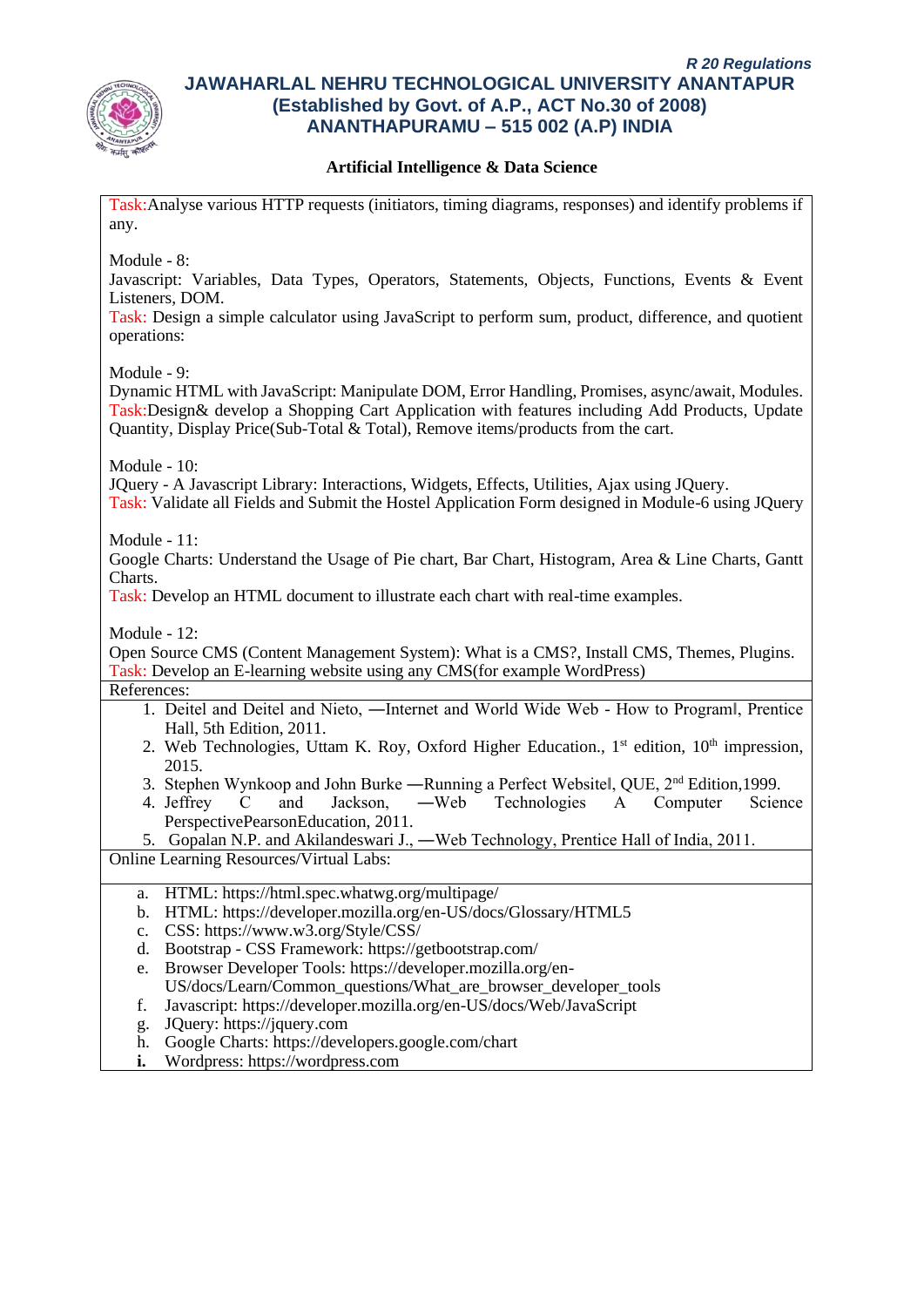

## **Artificial Intelligence & Data Science**

Task:Analyse various HTTP requests (initiators, timing diagrams, responses) and identify problems if any.

Module - 8:

Javascript: Variables, Data Types, Operators, Statements, Objects, Functions, Events & Event Listeners, DOM.

Task: Design a simple calculator using JavaScript to perform sum, product, difference, and quotient operations:

Module - 9:

Dynamic HTML with JavaScript: Manipulate DOM, Error Handling, Promises, async/await, Modules. Task:Design& develop a Shopping Cart Application with features including Add Products, Update Quantity, Display Price(Sub-Total & Total), Remove items/products from the cart.

Module - 10:

JQuery - A Javascript Library: Interactions, Widgets, Effects, Utilities, Ajax using JQuery.

Task: Validate all Fields and Submit the Hostel Application Form designed in Module-6 using JQuery

Module - 11:

Google Charts: Understand the Usage of Pie chart, Bar Chart, Histogram, Area & Line Charts, Gantt Charts.

Task: Develop an HTML document to illustrate each chart with real-time examples.

Module - 12:

Open Source CMS (Content Management System): What is a CMS?, Install CMS, Themes, Plugins. Task: Develop an E-learning website using any CMS(for example WordPress)

References:

- 1. Deitel and Deitel and Nieto, ―Internet and World Wide Web How to Program‖, Prentice Hall, 5th Edition, 2011.
- 2. Web Technologies, Uttam K. Roy, Oxford Higher Education.,  $1<sup>st</sup>$  edition,  $10<sup>th</sup>$  impression, 2015.
- 3. Stephen Wynkoop and John Burke —Running a Perfect Websitel, QUE, 2<sup>nd</sup> Edition, 1999.
- 4. Jeffrey C and Jackson, ―Web Technologies A Computer Science PerspectivePearsonEducation, 2011.

5. Gopalan N.P. and Akilandeswari J., ―Web Technology, Prentice Hall of India, 2011. Online Learning Resources/Virtual Labs:

- a. HTML: https://html.spec.whatwg.org/multipage/
- b. HTML: https://developer.mozilla.org/en-US/docs/Glossary/HTML5
- c. CSS: https://www.w3.org/Style/CSS/
- d. Bootstrap CSS Framework: https://getbootstrap.com/
- e. Browser Developer Tools: https://developer.mozilla.org/en-US/docs/Learn/Common\_questions/What\_are\_browser\_developer\_tools
- f. Javascript: https://developer.mozilla.org/en-US/docs/Web/JavaScript
- g. JQuery: https://jquery.com
- h. Google Charts: https://developers.google.com/chart
- **i.** Wordpress: https://wordpress.com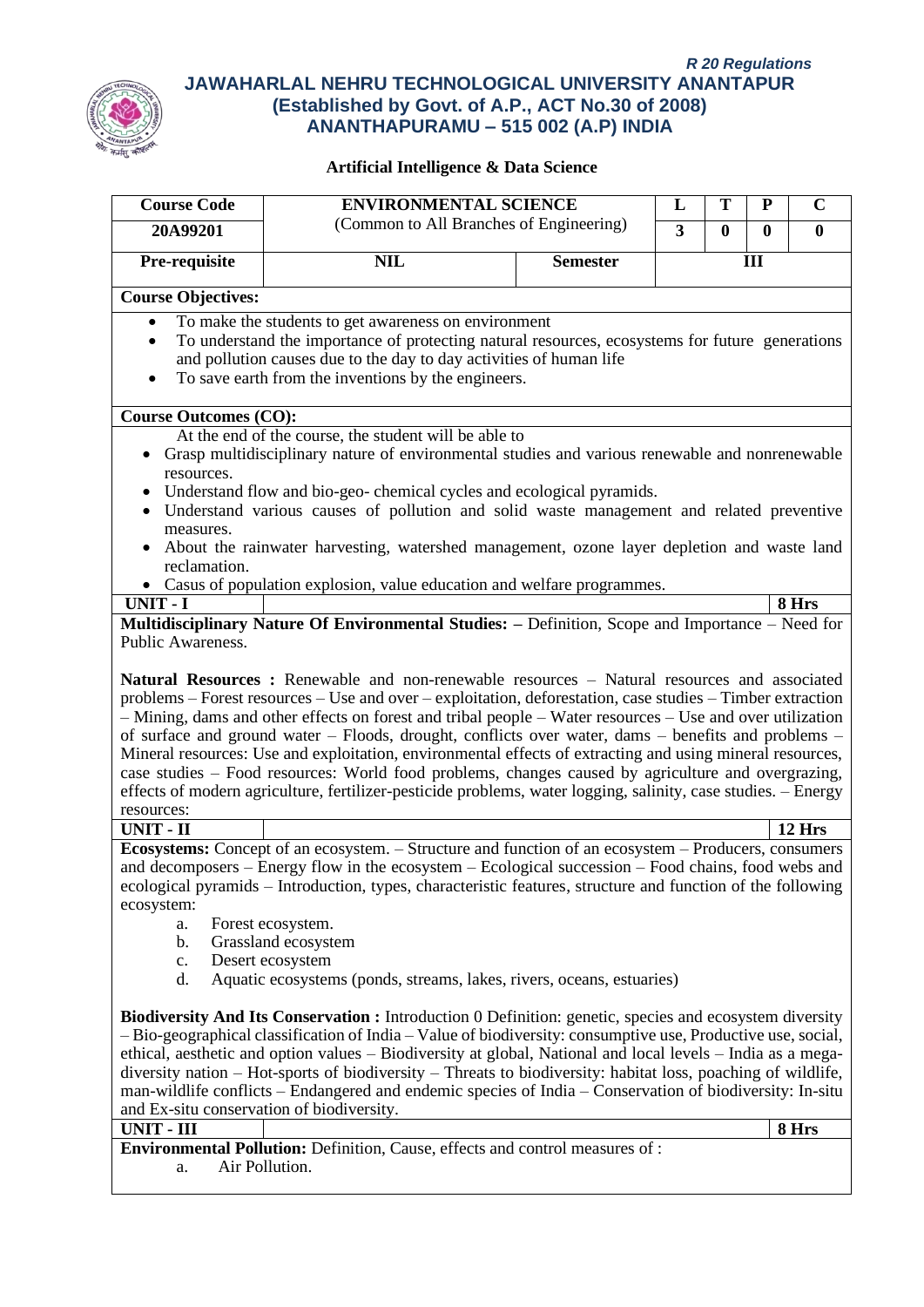

| <b>Course Code</b>                                                                                                  | <b>ENVIRONMENTAL SCIENCE</b>                                                                                                                                                                                                                                                                                                                                                                                                                                                                                                                                                                                                                                                                                                                                                                                                                                                                                                         |                 | L              | Т            | P        | $\mathbf C$ |
|---------------------------------------------------------------------------------------------------------------------|--------------------------------------------------------------------------------------------------------------------------------------------------------------------------------------------------------------------------------------------------------------------------------------------------------------------------------------------------------------------------------------------------------------------------------------------------------------------------------------------------------------------------------------------------------------------------------------------------------------------------------------------------------------------------------------------------------------------------------------------------------------------------------------------------------------------------------------------------------------------------------------------------------------------------------------|-----------------|----------------|--------------|----------|-------------|
| 20A99201                                                                                                            | (Common to All Branches of Engineering)                                                                                                                                                                                                                                                                                                                                                                                                                                                                                                                                                                                                                                                                                                                                                                                                                                                                                              |                 | $\overline{3}$ | $\mathbf{0}$ | $\bf{0}$ | $\bf{0}$    |
| Pre-requisite                                                                                                       | <b>NIL</b>                                                                                                                                                                                                                                                                                                                                                                                                                                                                                                                                                                                                                                                                                                                                                                                                                                                                                                                           | <b>Semester</b> |                |              | III      |             |
| <b>Course Objectives:</b>                                                                                           |                                                                                                                                                                                                                                                                                                                                                                                                                                                                                                                                                                                                                                                                                                                                                                                                                                                                                                                                      |                 |                |              |          |             |
|                                                                                                                     |                                                                                                                                                                                                                                                                                                                                                                                                                                                                                                                                                                                                                                                                                                                                                                                                                                                                                                                                      |                 |                |              |          |             |
| $\bullet$                                                                                                           | To make the students to get awareness on environment<br>To understand the importance of protecting natural resources, ecosystems for future generations<br>and pollution causes due to the day to day activities of human life<br>To save earth from the inventions by the engineers.                                                                                                                                                                                                                                                                                                                                                                                                                                                                                                                                                                                                                                                |                 |                |              |          |             |
| <b>Course Outcomes (CO):</b>                                                                                        |                                                                                                                                                                                                                                                                                                                                                                                                                                                                                                                                                                                                                                                                                                                                                                                                                                                                                                                                      |                 |                |              |          |             |
| $\bullet$<br>resources.<br>٠<br>٠<br>measures.<br>$\bullet$<br>reclamation.<br><b>UNIT - I</b><br>Public Awareness. | At the end of the course, the student will be able to<br>Grasp multidisciplinary nature of environmental studies and various renewable and nonrenewable<br>Understand flow and bio-geo-chemical cycles and ecological pyramids.<br>Understand various causes of pollution and solid waste management and related preventive<br>About the rainwater harvesting, watershed management, ozone layer depletion and waste land<br>• Casus of population explosion, value education and welfare programmes.<br>Multidisciplinary Nature Of Environmental Studies: - Definition, Scope and Importance - Need for<br>Natural Resources : Renewable and non-renewable resources - Natural resources and associated<br>problems – Forest resources – Use and over – exploitation, deforestation, case studies – Timber extraction<br>- Mining, dams and other effects on forest and tribal people - Water resources - Use and over utilization |                 |                |              |          | 8 Hrs       |
| resources:                                                                                                          | of surface and ground water – Floods, drought, conflicts over water, dams – benefits and problems –<br>Mineral resources: Use and exploitation, environmental effects of extracting and using mineral resources,<br>case studies - Food resources: World food problems, changes caused by agriculture and overgrazing,<br>effects of modern agriculture, fertilizer-pesticide problems, water logging, salinity, case studies. - Energy                                                                                                                                                                                                                                                                                                                                                                                                                                                                                              |                 |                |              |          |             |
| <b>UNIT - II</b>                                                                                                    |                                                                                                                                                                                                                                                                                                                                                                                                                                                                                                                                                                                                                                                                                                                                                                                                                                                                                                                                      |                 |                |              |          | 12 Hrs      |
| ecosystem:<br>a.<br>b.<br>c.<br>d.                                                                                  | Ecosystems: Concept of an ecosystem. – Structure and function of an ecosystem – Producers, consumers<br>and decomposers – Energy flow in the ecosystem – Ecological succession – Food chains, food webs and<br>ecological pyramids – Introduction, types, characteristic features, structure and function of the following<br>Forest ecosystem.<br>Grassland ecosystem<br>Desert ecosystem<br>Aquatic ecosystems (ponds, streams, lakes, rivers, oceans, estuaries)                                                                                                                                                                                                                                                                                                                                                                                                                                                                  |                 |                |              |          |             |
| and Ex-situ conservation of biodiversity.<br><b>UNIT - III</b><br>a.                                                | <b>Biodiversity And Its Conservation :</b> Introduction 0 Definition: genetic, species and ecosystem diversity<br>- Bio-geographical classification of India - Value of biodiversity: consumptive use, Productive use, social,<br>ethical, aesthetic and option values – Biodiversity at global, National and local levels – India as a mega-<br>diversity nation - Hot-sports of biodiversity - Threats to biodiversity: habitat loss, poaching of wildlife,<br>man-wildlife conflicts - Endangered and endemic species of India - Conservation of biodiversity: In-situ<br><b>Environmental Pollution:</b> Definition, Cause, effects and control measures of :<br>Air Pollution.                                                                                                                                                                                                                                                  |                 |                |              |          | 8 Hrs       |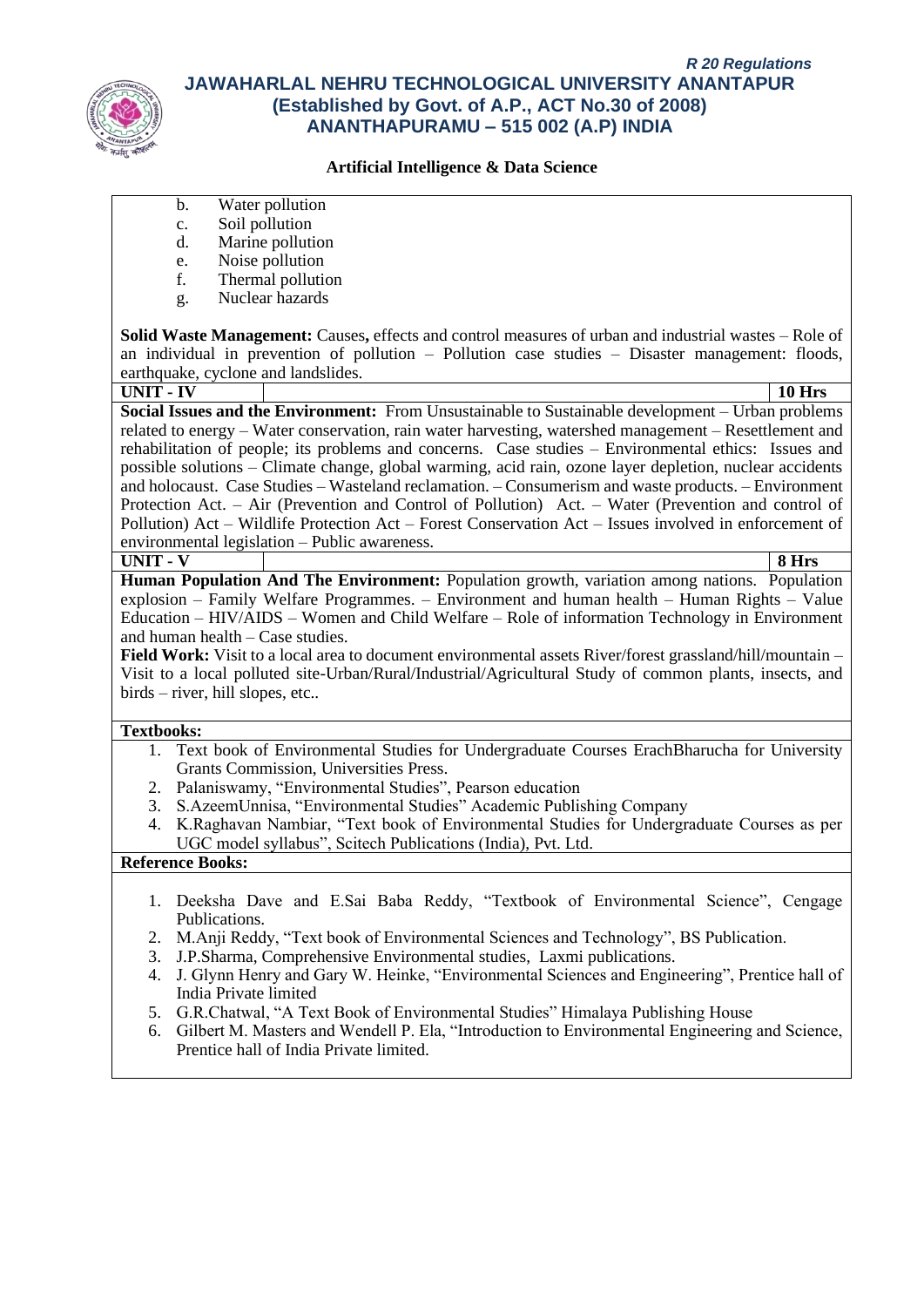

#### **Artificial Intelligence & Data Science**

- b. Water pollution
- c. Soil pollution
- d. Marine pollution
- e. Noise pollution
- f. Thermal pollution
- g. Nuclear hazards

**Solid Waste Management:** Causes**,** effects and control measures of urban and industrial wastes – Role of an individual in prevention of pollution – Pollution case studies – Disaster management: floods, earthquake, cyclone and landslides.

**UNIT - IV 10 Hrs Social Issues and the Environment:** From Unsustainable to Sustainable development – Urban problems related to energy – Water conservation, rain water harvesting, watershed management – Resettlement and rehabilitation of people; its problems and concerns. Case studies – Environmental ethics: Issues and possible solutions – Climate change, global warming, acid rain, ozone layer depletion, nuclear accidents and holocaust. Case Studies – Wasteland reclamation. – Consumerism and waste products. – Environment Protection Act. – Air (Prevention and Control of Pollution) Act. – Water (Prevention and control of Pollution) Act – Wildlife Protection Act – Forest Conservation Act – Issues involved in enforcement of environmental legislation – Public awareness. **UNIT - V 8 Hrs**

**Human Population And The Environment:** Population growth, variation among nations. Population explosion – Family Welfare Programmes. – Environment and human health – Human Rights – Value Education – HIV/AIDS – Women and Child Welfare – Role of information Technology in Environment and human health – Case studies.

**Field Work:** Visit to a local area to document environmental assets River/forest grassland/hill/mountain – Visit to a local polluted site-Urban/Rural/Industrial/Agricultural Study of common plants, insects, and birds – river, hill slopes, etc..

#### **Textbooks:**

- 1. Text book of Environmental Studies for Undergraduate Courses ErachBharucha for University Grants Commission, Universities Press.
- 2. Palaniswamy, "Environmental Studies", Pearson education
- 3. S.AzeemUnnisa, "Environmental Studies" Academic Publishing Company
- 4. K.Raghavan Nambiar, "Text book of Environmental Studies for Undergraduate Courses as per UGC model syllabus", Scitech Publications (India), Pvt. Ltd.

#### **Reference Books:**

- 1. Deeksha Dave and E.Sai Baba Reddy, "Textbook of Environmental Science", Cengage Publications.
- 2. M.Anji Reddy, "Text book of Environmental Sciences and Technology", BS Publication.
- 3. J.P.Sharma, Comprehensive Environmental studies, Laxmi publications.
- 4. J. Glynn Henry and Gary W. Heinke, "Environmental Sciences and Engineering", Prentice hall of India Private limited
- 5. G.R.Chatwal, "A Text Book of Environmental Studies" Himalaya Publishing House
- 6. Gilbert M. Masters and Wendell P. Ela, "Introduction to Environmental Engineering and Science, Prentice hall of India Private limited.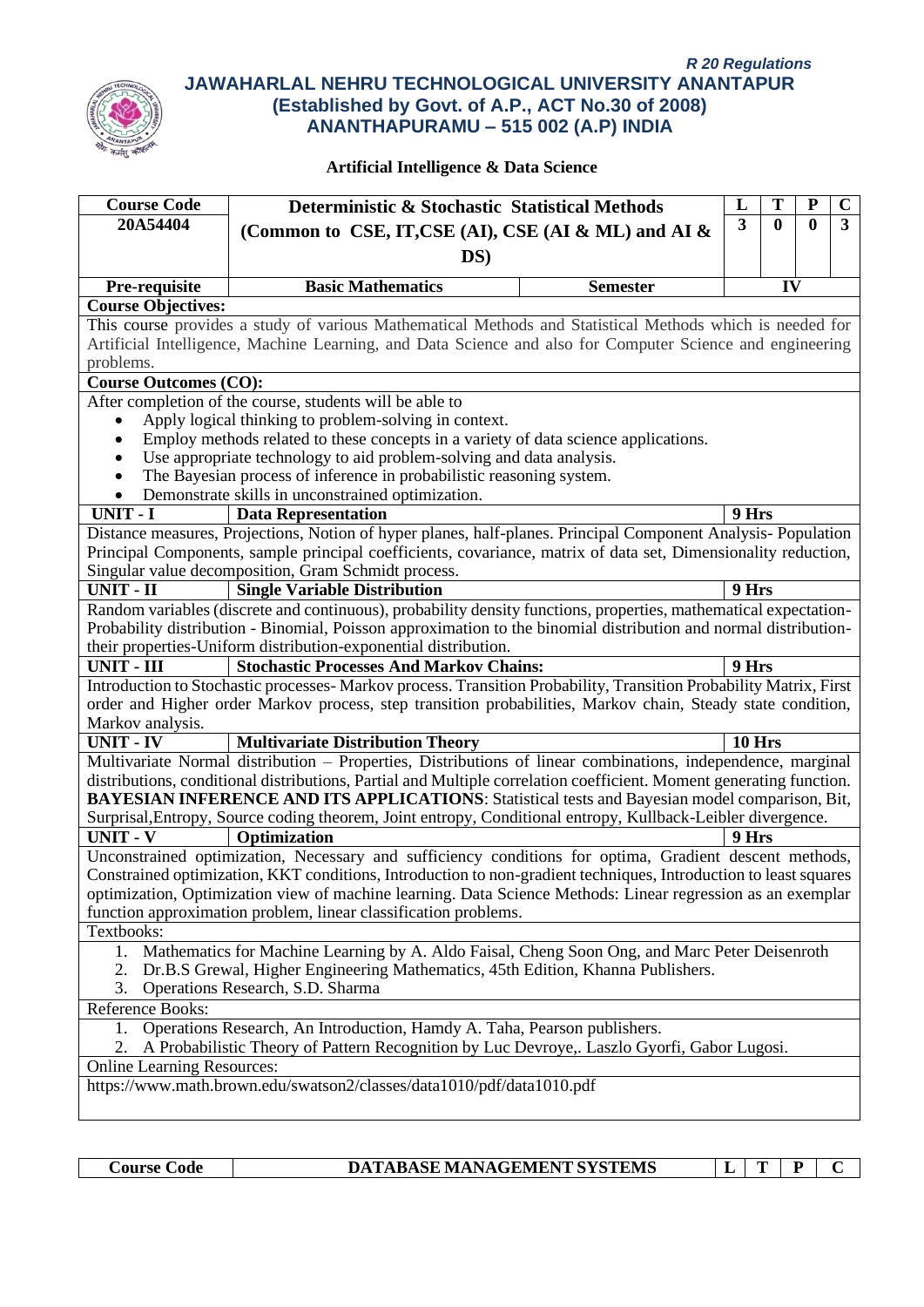

#### **Artificial Intelligence & Data Science**

| <b>Course Code</b>                                                                                        | T<br>${\bf P}$<br>L<br>Deterministic & Stochastic Statistical Methods                                                                                                                                                 |                 |        |                  |   | $\mathbf C$ |
|-----------------------------------------------------------------------------------------------------------|-----------------------------------------------------------------------------------------------------------------------------------------------------------------------------------------------------------------------|-----------------|--------|------------------|---|-------------|
| 20A54404                                                                                                  |                                                                                                                                                                                                                       |                 | 3      | $\boldsymbol{0}$ | 0 | 3           |
|                                                                                                           | (Common to CSE, IT, CSE (AI), CSE (AI & ML) and AI &                                                                                                                                                                  |                 |        |                  |   |             |
|                                                                                                           | DS)                                                                                                                                                                                                                   |                 |        |                  |   |             |
| Pre-requisite                                                                                             | <b>Basic Mathematics</b>                                                                                                                                                                                              | <b>Semester</b> |        | IV               |   |             |
| <b>Course Objectives:</b>                                                                                 |                                                                                                                                                                                                                       |                 |        |                  |   |             |
|                                                                                                           | This course provides a study of various Mathematical Methods and Statistical Methods which is needed for                                                                                                              |                 |        |                  |   |             |
| Artificial Intelligence, Machine Learning, and Data Science and also for Computer Science and engineering |                                                                                                                                                                                                                       |                 |        |                  |   |             |
| problems.                                                                                                 |                                                                                                                                                                                                                       |                 |        |                  |   |             |
| <b>Course Outcomes (CO):</b>                                                                              |                                                                                                                                                                                                                       |                 |        |                  |   |             |
|                                                                                                           | After completion of the course, students will be able to                                                                                                                                                              |                 |        |                  |   |             |
|                                                                                                           | Apply logical thinking to problem-solving in context.                                                                                                                                                                 |                 |        |                  |   |             |
|                                                                                                           | Employ methods related to these concepts in a variety of data science applications.                                                                                                                                   |                 |        |                  |   |             |
|                                                                                                           | Use appropriate technology to aid problem-solving and data analysis.                                                                                                                                                  |                 |        |                  |   |             |
|                                                                                                           | The Bayesian process of inference in probabilistic reasoning system.                                                                                                                                                  |                 |        |                  |   |             |
|                                                                                                           | Demonstrate skills in unconstrained optimization.                                                                                                                                                                     |                 |        |                  |   |             |
| UNIT - I                                                                                                  | <b>Data Representation</b>                                                                                                                                                                                            |                 | 9 Hrs  |                  |   |             |
|                                                                                                           | Distance measures, Projections, Notion of hyper planes, half-planes. Principal Component Analysis- Population                                                                                                         |                 |        |                  |   |             |
|                                                                                                           | Principal Components, sample principal coefficients, covariance, matrix of data set, Dimensionality reduction,                                                                                                        |                 |        |                  |   |             |
|                                                                                                           | Singular value decomposition, Gram Schmidt process.                                                                                                                                                                   |                 |        |                  |   |             |
| UNIT - II                                                                                                 | <b>Single Variable Distribution</b>                                                                                                                                                                                   |                 | 9 Hrs  |                  |   |             |
|                                                                                                           | Random variables (discrete and continuous), probability density functions, properties, mathematical expectation-                                                                                                      |                 |        |                  |   |             |
|                                                                                                           | Probability distribution - Binomial, Poisson approximation to the binomial distribution and normal distribution-                                                                                                      |                 |        |                  |   |             |
|                                                                                                           | their properties-Uniform distribution-exponential distribution.                                                                                                                                                       |                 |        |                  |   |             |
| <b>UNIT - III</b>                                                                                         | <b>Stochastic Processes And Markov Chains:</b>                                                                                                                                                                        |                 | 9 Hrs  |                  |   |             |
|                                                                                                           | Introduction to Stochastic processes- Markov process. Transition Probability, Transition Probability Matrix, First                                                                                                    |                 |        |                  |   |             |
|                                                                                                           | order and Higher order Markov process, step transition probabilities, Markov chain, Steady state condition,                                                                                                           |                 |        |                  |   |             |
| Markov analysis.                                                                                          |                                                                                                                                                                                                                       |                 |        |                  |   |             |
| <b>UNIT - IV</b>                                                                                          | <b>Multivariate Distribution Theory</b>                                                                                                                                                                               |                 | 10 Hrs |                  |   |             |
|                                                                                                           | Multivariate Normal distribution - Properties, Distributions of linear combinations, independence, marginal                                                                                                           |                 |        |                  |   |             |
|                                                                                                           | distributions, conditional distributions, Partial and Multiple correlation coefficient. Moment generating function.<br>BAYESIAN INFERENCE AND ITS APPLICATIONS: Statistical tests and Bayesian model comparison, Bit, |                 |        |                  |   |             |
|                                                                                                           | Surprisal, Entropy, Source coding theorem, Joint entropy, Conditional entropy, Kullback-Leibler divergence.                                                                                                           |                 |        |                  |   |             |
| <b>UNIT - V</b>                                                                                           | Optimization                                                                                                                                                                                                          |                 | 9 Hrs  |                  |   |             |
|                                                                                                           | Unconstrained optimization, Necessary and sufficiency conditions for optima, Gradient descent methods,                                                                                                                |                 |        |                  |   |             |
|                                                                                                           | Constrained optimization, KKT conditions, Introduction to non-gradient techniques, Introduction to least squares                                                                                                      |                 |        |                  |   |             |
|                                                                                                           | optimization, Optimization view of machine learning. Data Science Methods: Linear regression as an exemplar                                                                                                           |                 |        |                  |   |             |
|                                                                                                           | function approximation problem, linear classification problems.                                                                                                                                                       |                 |        |                  |   |             |
| Textbooks:                                                                                                |                                                                                                                                                                                                                       |                 |        |                  |   |             |
| 1.                                                                                                        | Mathematics for Machine Learning by A. Aldo Faisal, Cheng Soon Ong, and Marc Peter Deisenroth                                                                                                                         |                 |        |                  |   |             |
|                                                                                                           |                                                                                                                                                                                                                       |                 |        |                  |   |             |
| 3.                                                                                                        | Dr.B.S Grewal, Higher Engineering Mathematics, 45th Edition, Khanna Publishers.<br>Operations Research, S.D. Sharma                                                                                                   |                 |        |                  |   |             |
| Reference Books:                                                                                          |                                                                                                                                                                                                                       |                 |        |                  |   |             |
| Operations Research, An Introduction, Hamdy A. Taha, Pearson publishers.<br>1.                            |                                                                                                                                                                                                                       |                 |        |                  |   |             |
| A Probabilistic Theory of Pattern Recognition by Luc Devroye,. Laszlo Gyorfi, Gabor Lugosi.<br>2.         |                                                                                                                                                                                                                       |                 |        |                  |   |             |
| <b>Online Learning Resources:</b>                                                                         |                                                                                                                                                                                                                       |                 |        |                  |   |             |
|                                                                                                           | https://www.math.brown.edu/swatson2/classes/data1010/pdf/data1010.pdf                                                                                                                                                 |                 |        |                  |   |             |
|                                                                                                           |                                                                                                                                                                                                                       |                 |        |                  |   |             |
|                                                                                                           |                                                                                                                                                                                                                       |                 |        |                  |   |             |

**Course Code DATABASE MANAGEMENT SYSTEMS L T P C**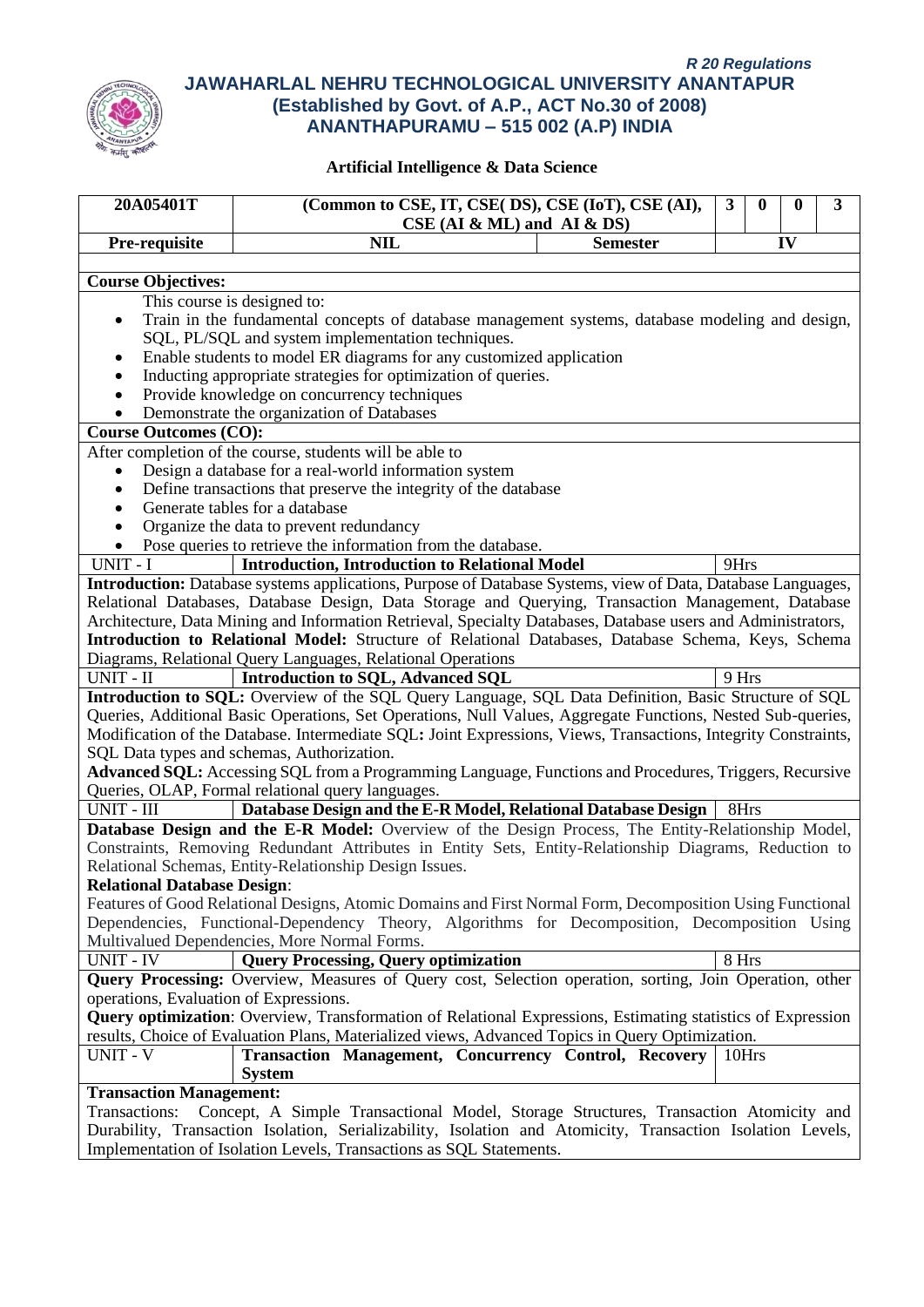

| 20A05401T                                                                                         | (Common to CSE, IT, CSE(DS), CSE (IoT), CSE (AI),                                                                                                                                                                     | 3     | 0 | 0  | 3 |  |
|---------------------------------------------------------------------------------------------------|-----------------------------------------------------------------------------------------------------------------------------------------------------------------------------------------------------------------------|-------|---|----|---|--|
|                                                                                                   | $CSE$ (AI & ML) and AI & DS)                                                                                                                                                                                          |       |   |    |   |  |
| Pre-requisite                                                                                     | <b>NIL</b><br><b>Semester</b>                                                                                                                                                                                         |       |   | IV |   |  |
|                                                                                                   |                                                                                                                                                                                                                       |       |   |    |   |  |
| <b>Course Objectives:</b>                                                                         | This course is designed to:                                                                                                                                                                                           |       |   |    |   |  |
| $\bullet$                                                                                         | Train in the fundamental concepts of database management systems, database modeling and design,                                                                                                                       |       |   |    |   |  |
|                                                                                                   | SQL, PL/SQL and system implementation techniques.                                                                                                                                                                     |       |   |    |   |  |
| $\bullet$                                                                                         | Enable students to model ER diagrams for any customized application                                                                                                                                                   |       |   |    |   |  |
| $\bullet$                                                                                         | Inducting appropriate strategies for optimization of queries.                                                                                                                                                         |       |   |    |   |  |
| $\bullet$                                                                                         | Provide knowledge on concurrency techniques                                                                                                                                                                           |       |   |    |   |  |
| $\bullet$                                                                                         | Demonstrate the organization of Databases                                                                                                                                                                             |       |   |    |   |  |
| <b>Course Outcomes (CO):</b>                                                                      |                                                                                                                                                                                                                       |       |   |    |   |  |
|                                                                                                   | After completion of the course, students will be able to                                                                                                                                                              |       |   |    |   |  |
|                                                                                                   | Design a database for a real-world information system                                                                                                                                                                 |       |   |    |   |  |
| $\bullet$                                                                                         | Define transactions that preserve the integrity of the database                                                                                                                                                       |       |   |    |   |  |
| ٠                                                                                                 | Generate tables for a database                                                                                                                                                                                        |       |   |    |   |  |
|                                                                                                   | Organize the data to prevent redundancy                                                                                                                                                                               |       |   |    |   |  |
| $\bullet$                                                                                         | Pose queries to retrieve the information from the database.                                                                                                                                                           |       |   |    |   |  |
| UNIT - I                                                                                          | <b>Introduction, Introduction to Relational Model</b>                                                                                                                                                                 | 9Hrs  |   |    |   |  |
|                                                                                                   | <b>Introduction:</b> Database systems applications, Purpose of Database Systems, view of Data, Database Languages,                                                                                                    |       |   |    |   |  |
|                                                                                                   | Relational Databases, Database Design, Data Storage and Querying, Transaction Management, Database                                                                                                                    |       |   |    |   |  |
|                                                                                                   | Architecture, Data Mining and Information Retrieval, Specialty Databases, Database users and Administrators,                                                                                                          |       |   |    |   |  |
|                                                                                                   | Introduction to Relational Model: Structure of Relational Databases, Database Schema, Keys, Schema                                                                                                                    |       |   |    |   |  |
|                                                                                                   | Diagrams, Relational Query Languages, Relational Operations                                                                                                                                                           |       |   |    |   |  |
| UNIT - II                                                                                         | <b>Introduction to SQL, Advanced SQL</b>                                                                                                                                                                              | 9 Hrs |   |    |   |  |
|                                                                                                   | Introduction to SQL: Overview of the SQL Query Language, SQL Data Definition, Basic Structure of SQL                                                                                                                  |       |   |    |   |  |
|                                                                                                   | Queries, Additional Basic Operations, Set Operations, Null Values, Aggregate Functions, Nested Sub-queries,                                                                                                           |       |   |    |   |  |
|                                                                                                   | Modification of the Database. Intermediate SQL: Joint Expressions, Views, Transactions, Integrity Constraints,                                                                                                        |       |   |    |   |  |
|                                                                                                   | SQL Data types and schemas, Authorization.                                                                                                                                                                            |       |   |    |   |  |
|                                                                                                   | Advanced SQL: Accessing SQL from a Programming Language, Functions and Procedures, Triggers, Recursive                                                                                                                |       |   |    |   |  |
|                                                                                                   | Queries, OLAP, Formal relational query languages.                                                                                                                                                                     |       |   |    |   |  |
| Database Design and the E-R Model, Relational Database Design<br>UNIT - III<br>8Hrs               |                                                                                                                                                                                                                       |       |   |    |   |  |
| Database Design and the E-R Model: Overview of the Design Process, The Entity-Relationship Model, |                                                                                                                                                                                                                       |       |   |    |   |  |
|                                                                                                   | Constraints, Removing Redundant Attributes in Entity Sets, Entity-Relationship Diagrams, Reduction to                                                                                                                 |       |   |    |   |  |
|                                                                                                   | Relational Schemas, Entity-Relationship Design Issues.                                                                                                                                                                |       |   |    |   |  |
| <b>Relational Database Design:</b>                                                                |                                                                                                                                                                                                                       |       |   |    |   |  |
|                                                                                                   | Features of Good Relational Designs, Atomic Domains and First Normal Form, Decomposition Using Functional                                                                                                             |       |   |    |   |  |
|                                                                                                   | Dependencies, Functional-Dependency Theory, Algorithms for Decomposition, Decomposition Using                                                                                                                         |       |   |    |   |  |
|                                                                                                   | Multivalued Dependencies, More Normal Forms.                                                                                                                                                                          |       |   |    |   |  |
| <b>UNIT - IV</b>                                                                                  | <b>Query Processing, Query optimization</b>                                                                                                                                                                           | 8 Hrs |   |    |   |  |
|                                                                                                   | Query Processing: Overview, Measures of Query cost, Selection operation, sorting, Join Operation, other                                                                                                               |       |   |    |   |  |
| operations, Evaluation of Expressions.                                                            |                                                                                                                                                                                                                       |       |   |    |   |  |
|                                                                                                   | <b>Query optimization:</b> Overview, Transformation of Relational Expressions, Estimating statistics of Expression<br>results, Choice of Evaluation Plans, Materialized views, Advanced Topics in Query Optimization. |       |   |    |   |  |
| <b>UNIT - V</b>                                                                                   |                                                                                                                                                                                                                       |       |   |    |   |  |
|                                                                                                   | Transaction Management, Concurrency Control, Recovery<br><b>System</b>                                                                                                                                                | 10Hrs |   |    |   |  |
| <b>Transaction Management:</b>                                                                    |                                                                                                                                                                                                                       |       |   |    |   |  |
| Transactions:                                                                                     | Concept, A Simple Transactional Model, Storage Structures, Transaction Atomicity and                                                                                                                                  |       |   |    |   |  |
|                                                                                                   | Durability, Transaction Isolation, Serializability, Isolation and Atomicity, Transaction Isolation Levels,                                                                                                            |       |   |    |   |  |
| Implementation of Isolation Levels, Transactions as SQL Statements.                               |                                                                                                                                                                                                                       |       |   |    |   |  |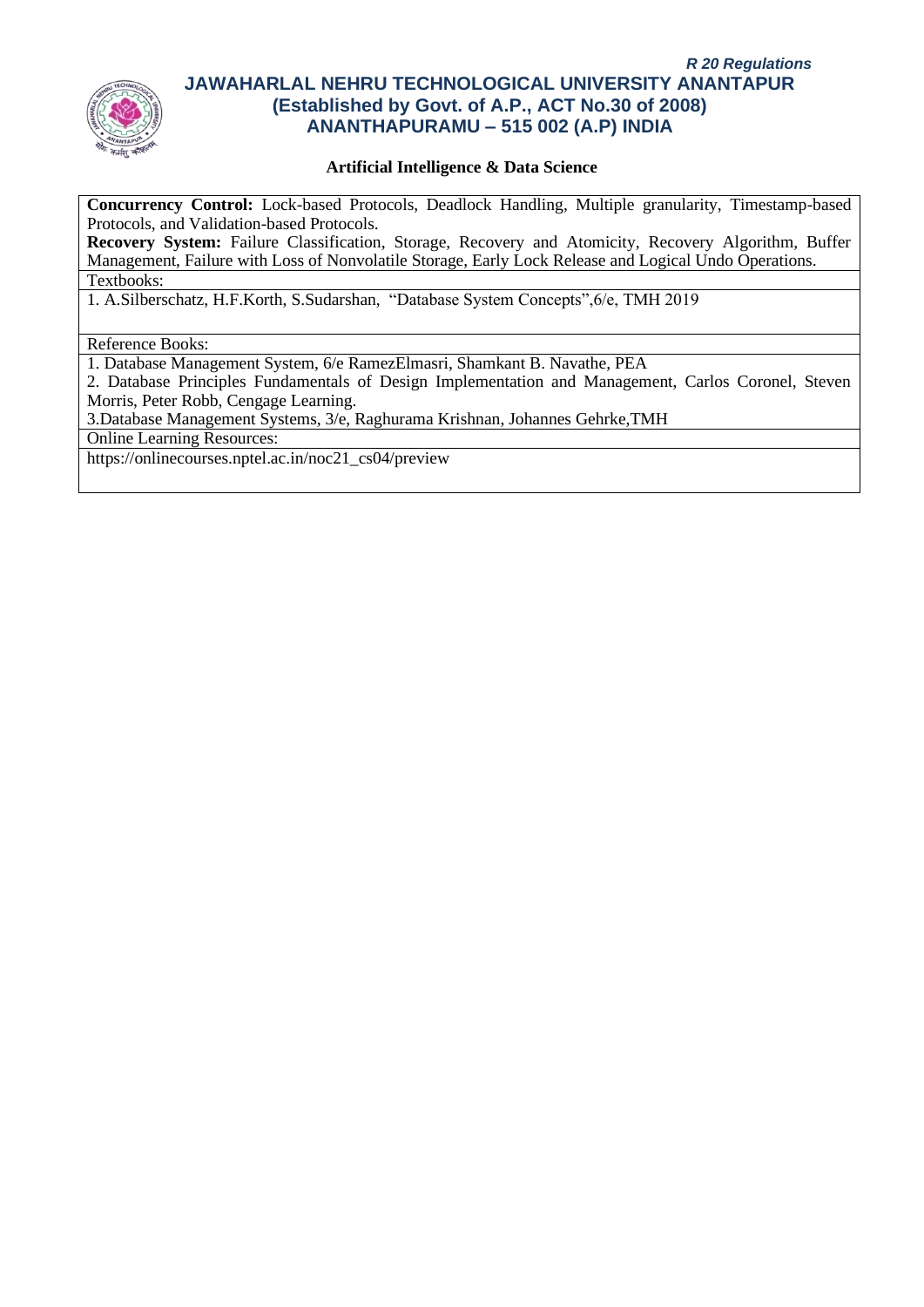

### **Artificial Intelligence & Data Science**

**Concurrency Control:** Lock-based Protocols, Deadlock Handling, Multiple granularity, Timestamp-based Protocols, and Validation-based Protocols.

**Recovery System:** Failure Classification, Storage, Recovery and Atomicity, Recovery Algorithm, Buffer Management, Failure with Loss of Nonvolatile Storage, Early Lock Release and Logical Undo Operations. Textbooks:

1. A.Silberschatz, H.F.Korth, S.Sudarshan, "Database System Concepts",6/e, TMH 2019

Reference Books:

1. Database Management System, 6/e RamezElmasri, Shamkant B. Navathe, PEA

2. Database Principles Fundamentals of Design Implementation and Management, Carlos Coronel, Steven Morris, Peter Robb, Cengage Learning.

3.Database Management Systems, 3/e, Raghurama Krishnan, Johannes Gehrke,TMH

Online Learning Resources:

https://onlinecourses.nptel.ac.in/noc21\_cs04/preview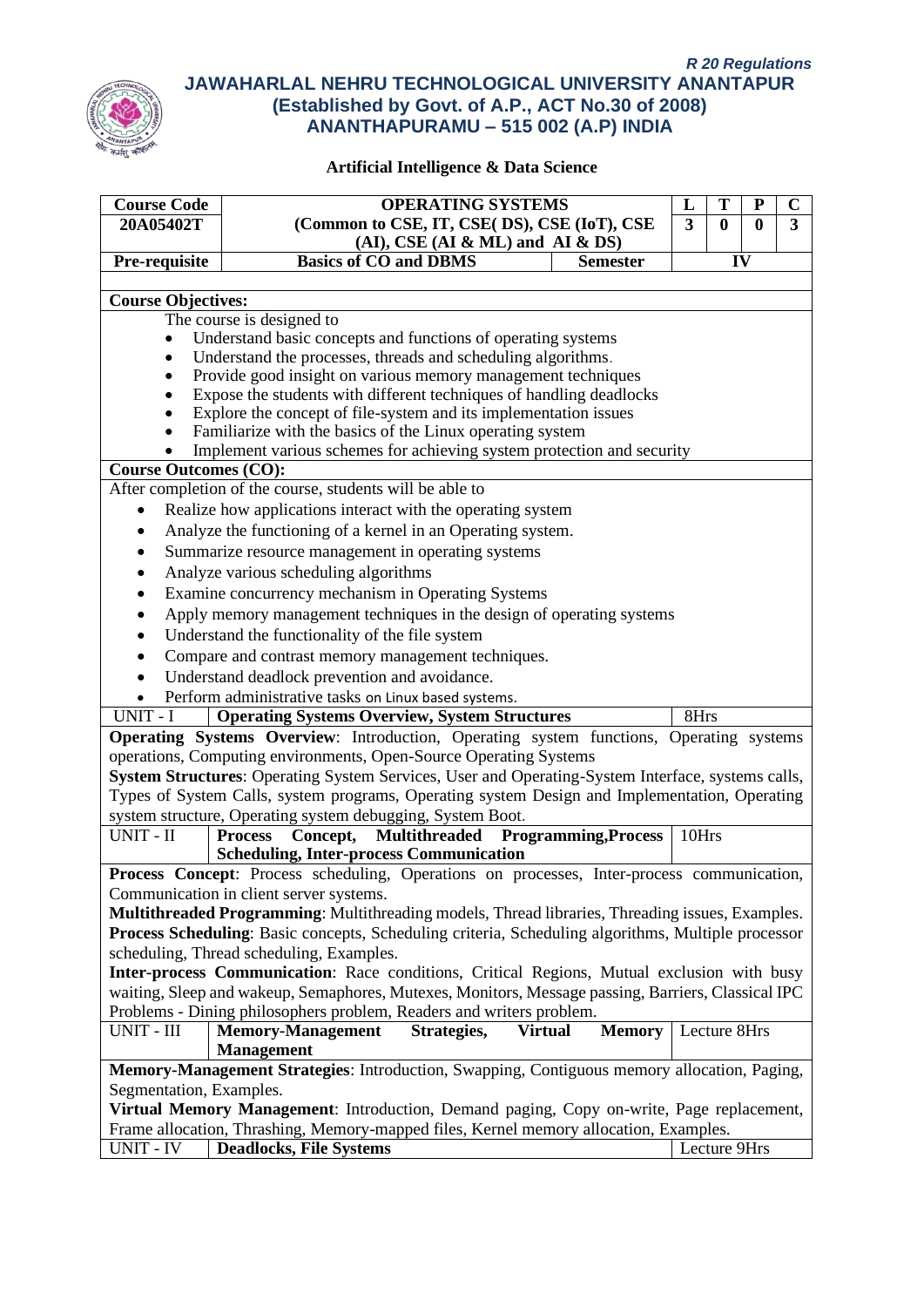

| <b>Course Code</b><br><b>OPERATING SYSTEMS</b><br>T<br>$\mathbf C$<br>L<br>${\bf P}$ |                                                                                                                                     |                |              |          |   |  |  |
|--------------------------------------------------------------------------------------|-------------------------------------------------------------------------------------------------------------------------------------|----------------|--------------|----------|---|--|--|
| 20A05402T                                                                            | (Common to CSE, IT, CSE( DS), CSE (IoT), CSE                                                                                        | $\overline{3}$ | $\bf{0}$     | $\bf{0}$ | 3 |  |  |
|                                                                                      | $(AI)$ , CSE $(AI & ML)$ and $AI & DS$                                                                                              |                |              |          |   |  |  |
| Pre-requisite                                                                        | <b>Basics of CO and DBMS</b><br><b>Semester</b>                                                                                     |                |              | IV       |   |  |  |
|                                                                                      |                                                                                                                                     |                |              |          |   |  |  |
| <b>Course Objectives:</b>                                                            |                                                                                                                                     |                |              |          |   |  |  |
| The course is designed to                                                            |                                                                                                                                     |                |              |          |   |  |  |
| Understand basic concepts and functions of operating systems<br>$\bullet$            |                                                                                                                                     |                |              |          |   |  |  |
| Understand the processes, threads and scheduling algorithms.<br>٠                    |                                                                                                                                     |                |              |          |   |  |  |
| ٠                                                                                    | Provide good insight on various memory management techniques                                                                        |                |              |          |   |  |  |
|                                                                                      | Expose the students with different techniques of handling deadlocks                                                                 |                |              |          |   |  |  |
|                                                                                      | Explore the concept of file-system and its implementation issues                                                                    |                |              |          |   |  |  |
|                                                                                      | Familiarize with the basics of the Linux operating system<br>Implement various schemes for achieving system protection and security |                |              |          |   |  |  |
| <b>Course Outcomes (CO):</b>                                                         |                                                                                                                                     |                |              |          |   |  |  |
|                                                                                      | After completion of the course, students will be able to                                                                            |                |              |          |   |  |  |
| $\bullet$                                                                            | Realize how applications interact with the operating system                                                                         |                |              |          |   |  |  |
| ٠                                                                                    | Analyze the functioning of a kernel in an Operating system.                                                                         |                |              |          |   |  |  |
|                                                                                      | Summarize resource management in operating systems                                                                                  |                |              |          |   |  |  |
| ٠                                                                                    |                                                                                                                                     |                |              |          |   |  |  |
| ٠                                                                                    | Analyze various scheduling algorithms                                                                                               |                |              |          |   |  |  |
| $\bullet$                                                                            | Examine concurrency mechanism in Operating Systems                                                                                  |                |              |          |   |  |  |
| ٠                                                                                    | Apply memory management techniques in the design of operating systems                                                               |                |              |          |   |  |  |
| ٠                                                                                    | Understand the functionality of the file system                                                                                     |                |              |          |   |  |  |
|                                                                                      | Compare and contrast memory management techniques.                                                                                  |                |              |          |   |  |  |
| $\bullet$                                                                            | Understand deadlock prevention and avoidance.                                                                                       |                |              |          |   |  |  |
| $\bullet$                                                                            | Perform administrative tasks on Linux based systems.                                                                                |                |              |          |   |  |  |
| UNIT - I                                                                             | <b>Operating Systems Overview, System Structures</b>                                                                                | 8Hrs           |              |          |   |  |  |
|                                                                                      | Operating Systems Overview: Introduction, Operating system functions, Operating systems                                             |                |              |          |   |  |  |
|                                                                                      | operations, Computing environments, Open-Source Operating Systems                                                                   |                |              |          |   |  |  |
|                                                                                      | System Structures: Operating System Services, User and Operating-System Interface, systems calls,                                   |                |              |          |   |  |  |
|                                                                                      | Types of System Calls, system programs, Operating system Design and Implementation, Operating                                       |                |              |          |   |  |  |
|                                                                                      | system structure, Operating system debugging, System Boot.                                                                          | 10Hrs          |              |          |   |  |  |
| $UNIT$ - $\rm II$                                                                    | Concept, Multithreaded Programming, Process<br><b>Process</b><br><b>Scheduling, Inter-process Communication</b>                     |                |              |          |   |  |  |
|                                                                                      | Process Concept: Process scheduling, Operations on processes, Inter-process communication,                                          |                |              |          |   |  |  |
|                                                                                      | Communication in client server systems.                                                                                             |                |              |          |   |  |  |
|                                                                                      | Multithreaded Programming: Multithreading models, Thread libraries, Threading issues, Examples.                                     |                |              |          |   |  |  |
|                                                                                      | Process Scheduling: Basic concepts, Scheduling criteria, Scheduling algorithms, Multiple processor                                  |                |              |          |   |  |  |
|                                                                                      | scheduling, Thread scheduling, Examples.                                                                                            |                |              |          |   |  |  |
|                                                                                      | Inter-process Communication: Race conditions, Critical Regions, Mutual exclusion with busy                                          |                |              |          |   |  |  |
|                                                                                      | waiting, Sleep and wakeup, Semaphores, Mutexes, Monitors, Message passing, Barriers, Classical IPC                                  |                |              |          |   |  |  |
|                                                                                      | Problems - Dining philosophers problem, Readers and writers problem.                                                                |                |              |          |   |  |  |
| UNIT - III                                                                           | <b>Memory-Management</b><br>Strategies,<br><b>Virtual</b><br><b>Memory</b>                                                          |                |              |          |   |  |  |
| Lecture 8Hrs<br><b>Management</b>                                                    |                                                                                                                                     |                |              |          |   |  |  |
|                                                                                      | Memory-Management Strategies: Introduction, Swapping, Contiguous memory allocation, Paging,                                         |                |              |          |   |  |  |
| Segmentation, Examples.                                                              |                                                                                                                                     |                |              |          |   |  |  |
|                                                                                      | Virtual Memory Management: Introduction, Demand paging, Copy on-write, Page replacement,                                            |                |              |          |   |  |  |
|                                                                                      | Frame allocation, Thrashing, Memory-mapped files, Kernel memory allocation, Examples.                                               |                |              |          |   |  |  |
| <b>UNIT - IV</b>                                                                     | <b>Deadlocks, File Systems</b>                                                                                                      |                | Lecture 9Hrs |          |   |  |  |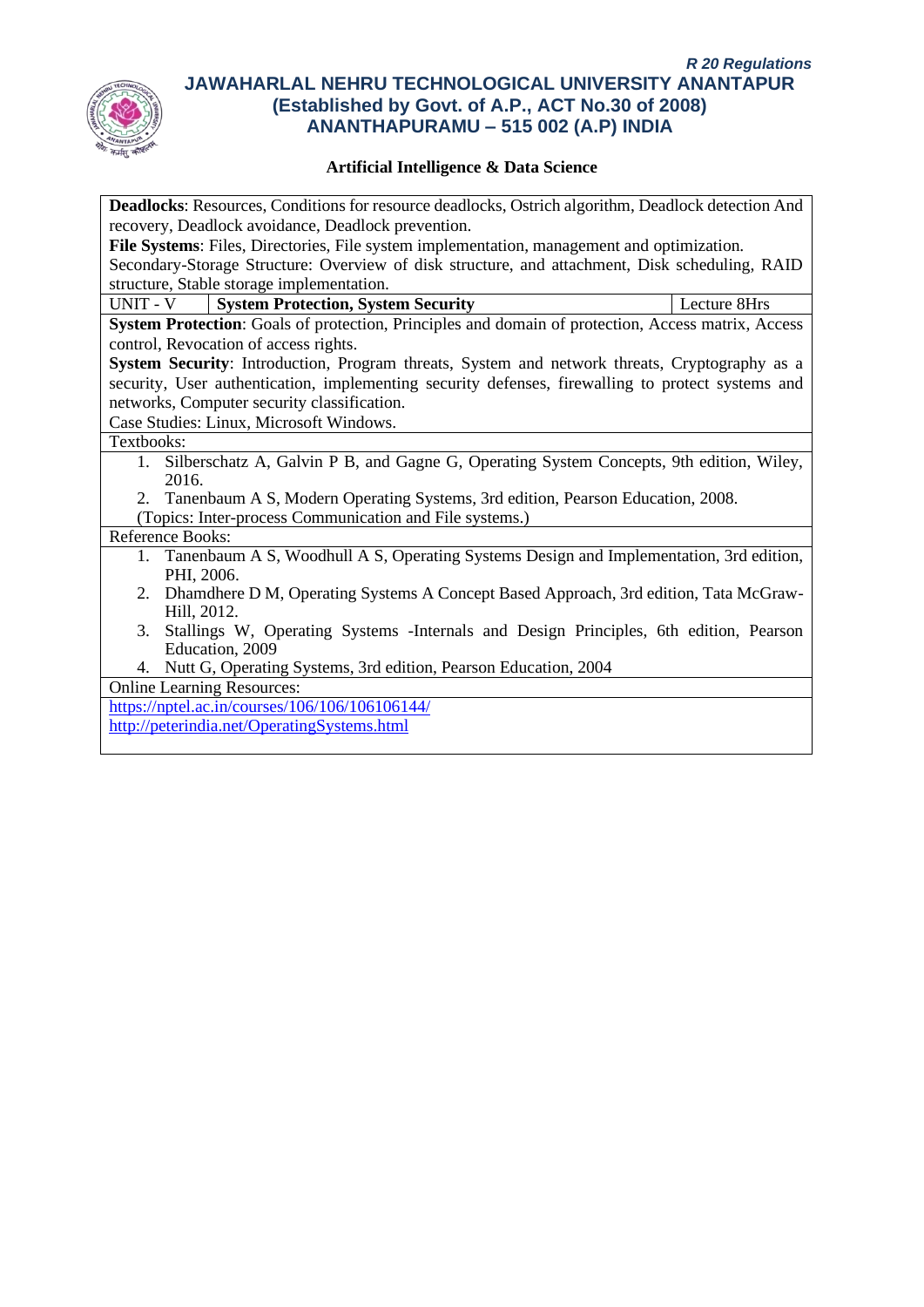

| <b>Deadlocks:</b> Resources, Conditions for resource deadlocks, Ostrich algorithm, Deadlock detection And |  |  |  |  |  |
|-----------------------------------------------------------------------------------------------------------|--|--|--|--|--|
| recovery, Deadlock avoidance, Deadlock prevention.                                                        |  |  |  |  |  |
| File Systems: Files, Directories, File system implementation, management and optimization.                |  |  |  |  |  |
| Secondary-Storage Structure: Overview of disk structure, and attachment, Disk scheduling, RAID            |  |  |  |  |  |
| structure, Stable storage implementation.                                                                 |  |  |  |  |  |
| UNIT - V<br><b>System Protection, System Security</b><br>Lecture 8Hrs                                     |  |  |  |  |  |
| System Protection: Goals of protection, Principles and domain of protection, Access matrix, Access        |  |  |  |  |  |
| control, Revocation of access rights.                                                                     |  |  |  |  |  |
| System Security: Introduction, Program threats, System and network threats, Cryptography as a             |  |  |  |  |  |
| security, User authentication, implementing security defenses, firewalling to protect systems and         |  |  |  |  |  |
| networks, Computer security classification.                                                               |  |  |  |  |  |
| Case Studies: Linux, Microsoft Windows.                                                                   |  |  |  |  |  |
| Textbooks:                                                                                                |  |  |  |  |  |
| 1. Silberschatz A, Galvin P B, and Gagne G, Operating System Concepts, 9th edition, Wiley,                |  |  |  |  |  |
| 2016.                                                                                                     |  |  |  |  |  |
| 2. Tanenbaum A S, Modern Operating Systems, 3rd edition, Pearson Education, 2008.                         |  |  |  |  |  |
| (Topics: Inter-process Communication and File systems.)                                                   |  |  |  |  |  |
| Reference Books:                                                                                          |  |  |  |  |  |
| 1. Tanenbaum A S, Woodhull A S, Operating Systems Design and Implementation, 3rd edition,                 |  |  |  |  |  |
| PHI, 2006.                                                                                                |  |  |  |  |  |
| 2. Dhamdhere D M, Operating Systems A Concept Based Approach, 3rd edition, Tata McGraw-                   |  |  |  |  |  |
| Hill, 2012.                                                                                               |  |  |  |  |  |
| Stallings W, Operating Systems - Internals and Design Principles, 6th edition, Pearson<br>3.              |  |  |  |  |  |
| Education, 2009                                                                                           |  |  |  |  |  |
| 4. Nutt G, Operating Systems, 3rd edition, Pearson Education, 2004                                        |  |  |  |  |  |
| <b>Online Learning Resources:</b>                                                                         |  |  |  |  |  |
| https://nptel.ac.in/courses/106/106/106106144/                                                            |  |  |  |  |  |
| http://peterindia.net/OperatingSystems.html                                                               |  |  |  |  |  |
|                                                                                                           |  |  |  |  |  |
|                                                                                                           |  |  |  |  |  |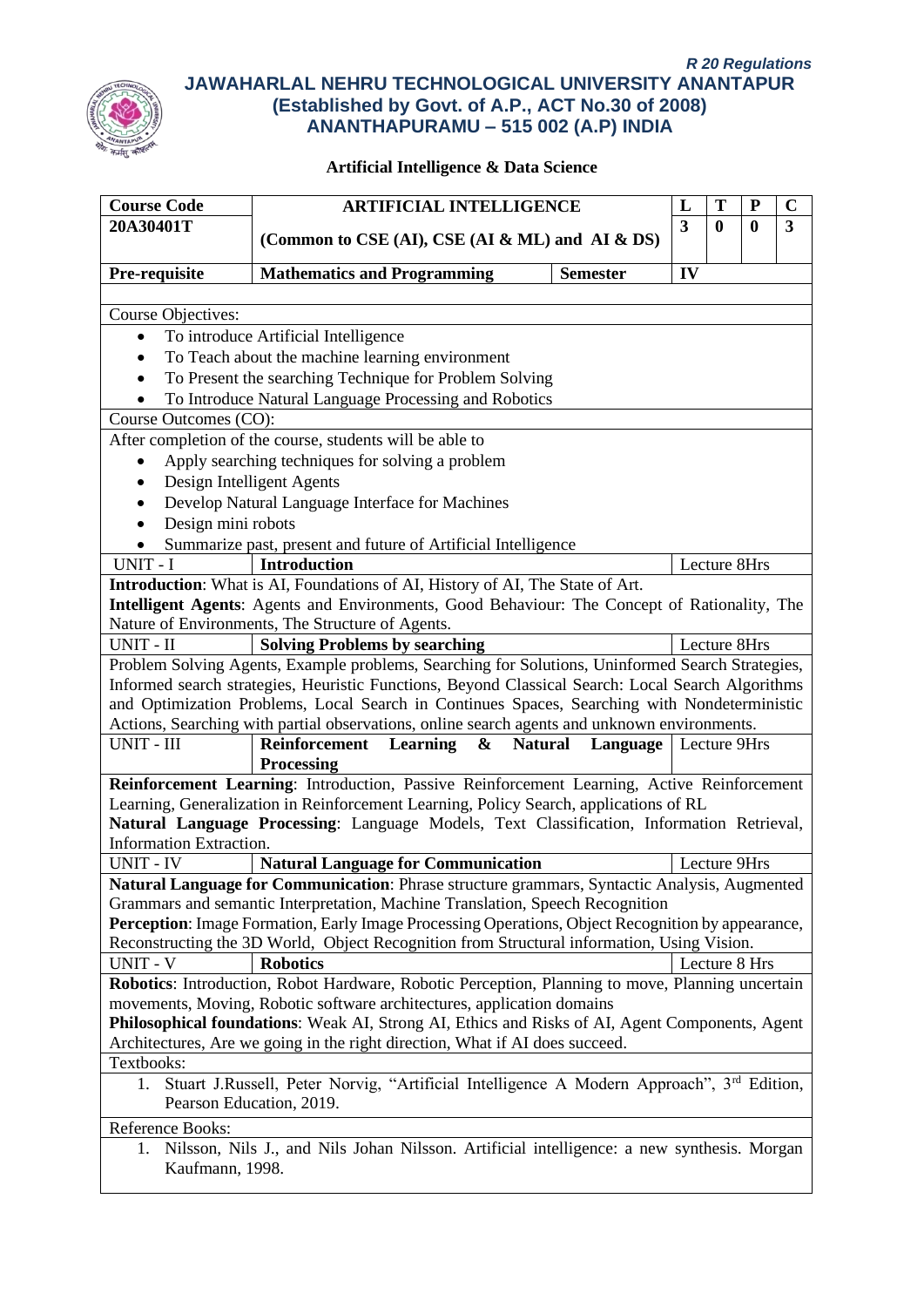

| <b>Course Code</b>                                                                                          | <b>ARTIFICIAL INTELLIGENCE</b>                                                                                                                                             |                 | L                       | T            | ${\bf P}$        | $\mathbf C$ |
|-------------------------------------------------------------------------------------------------------------|----------------------------------------------------------------------------------------------------------------------------------------------------------------------------|-----------------|-------------------------|--------------|------------------|-------------|
| 20A30401T                                                                                                   |                                                                                                                                                                            |                 | $\overline{\mathbf{3}}$ | $\mathbf{0}$ | $\boldsymbol{0}$ | 3           |
|                                                                                                             | (Common to CSE (AI), CSE (AI & ML) and AI & DS)                                                                                                                            |                 |                         |              |                  |             |
| Pre-requisite                                                                                               | <b>Mathematics and Programming</b>                                                                                                                                         | <b>Semester</b> | IV                      |              |                  |             |
|                                                                                                             |                                                                                                                                                                            |                 |                         |              |                  |             |
| <b>Course Objectives:</b>                                                                                   |                                                                                                                                                                            |                 |                         |              |                  |             |
| To introduce Artificial Intelligence<br>$\bullet$                                                           |                                                                                                                                                                            |                 |                         |              |                  |             |
|                                                                                                             | To Teach about the machine learning environment                                                                                                                            |                 |                         |              |                  |             |
|                                                                                                             | To Present the searching Technique for Problem Solving                                                                                                                     |                 |                         |              |                  |             |
|                                                                                                             | To Introduce Natural Language Processing and Robotics                                                                                                                      |                 |                         |              |                  |             |
| Course Outcomes (CO):                                                                                       |                                                                                                                                                                            |                 |                         |              |                  |             |
|                                                                                                             | After completion of the course, students will be able to                                                                                                                   |                 |                         |              |                  |             |
|                                                                                                             | Apply searching techniques for solving a problem                                                                                                                           |                 |                         |              |                  |             |
|                                                                                                             | Design Intelligent Agents                                                                                                                                                  |                 |                         |              |                  |             |
|                                                                                                             | Develop Natural Language Interface for Machines                                                                                                                            |                 |                         |              |                  |             |
| Design mini robots                                                                                          |                                                                                                                                                                            |                 |                         |              |                  |             |
|                                                                                                             | Summarize past, present and future of Artificial Intelligence                                                                                                              |                 |                         |              |                  |             |
| UNIT - I                                                                                                    | <b>Introduction</b>                                                                                                                                                        |                 |                         |              | Lecture 8Hrs     |             |
|                                                                                                             | Introduction: What is AI, Foundations of AI, History of AI, The State of Art.                                                                                              |                 |                         |              |                  |             |
|                                                                                                             | Intelligent Agents: Agents and Environments, Good Behaviour: The Concept of Rationality, The                                                                               |                 |                         |              |                  |             |
|                                                                                                             | Nature of Environments, The Structure of Agents.                                                                                                                           |                 |                         |              |                  |             |
| UNIT - II                                                                                                   | <b>Solving Problems by searching</b>                                                                                                                                       |                 |                         |              | Lecture 8Hrs     |             |
|                                                                                                             | Problem Solving Agents, Example problems, Searching for Solutions, Uninformed Search Strategies,                                                                           |                 |                         |              |                  |             |
|                                                                                                             | Informed search strategies, Heuristic Functions, Beyond Classical Search: Local Search Algorithms                                                                          |                 |                         |              |                  |             |
|                                                                                                             | and Optimization Problems, Local Search in Continues Spaces, Searching with Nondeterministic                                                                               |                 |                         |              |                  |             |
|                                                                                                             | Actions, Searching with partial observations, online search agents and unknown environments.                                                                               |                 |                         |              |                  |             |
| <b>UNIT - III</b>                                                                                           | <b>Natural</b><br>Reinforcement Learning<br>$\boldsymbol{\&}$                                                                                                              | Language        |                         |              | Lecture 9Hrs     |             |
|                                                                                                             | <b>Processing</b>                                                                                                                                                          |                 |                         |              |                  |             |
|                                                                                                             | Reinforcement Learning: Introduction, Passive Reinforcement Learning, Active Reinforcement                                                                                 |                 |                         |              |                  |             |
|                                                                                                             | Learning, Generalization in Reinforcement Learning, Policy Search, applications of RL                                                                                      |                 |                         |              |                  |             |
| Information Extraction.                                                                                     | Natural Language Processing: Language Models, Text Classification, Information Retrieval,                                                                                  |                 |                         |              |                  |             |
| <b>UNIT - IV</b>                                                                                            | <b>Natural Language for Communication</b>                                                                                                                                  |                 |                         |              | Lecture 9Hrs     |             |
|                                                                                                             | Natural Language for Communication: Phrase structure grammars, Syntactic Analysis, Augmented                                                                               |                 |                         |              |                  |             |
|                                                                                                             | Grammars and semantic Interpretation, Machine Translation, Speech Recognition                                                                                              |                 |                         |              |                  |             |
|                                                                                                             | Perception: Image Formation, Early Image Processing Operations, Object Recognition by appearance,                                                                          |                 |                         |              |                  |             |
|                                                                                                             | Reconstructing the 3D World, Object Recognition from Structural information, Using Vision.                                                                                 |                 |                         |              |                  |             |
| <b>UNIT - V</b>                                                                                             | <b>Robotics</b>                                                                                                                                                            |                 |                         |              | Lecture 8 Hrs    |             |
|                                                                                                             |                                                                                                                                                                            |                 |                         |              |                  |             |
|                                                                                                             | Robotics: Introduction, Robot Hardware, Robotic Perception, Planning to move, Planning uncertain<br>movements, Moving, Robotic software architectures, application domains |                 |                         |              |                  |             |
| Philosophical foundations: Weak AI, Strong AI, Ethics and Risks of AI, Agent Components, Agent              |                                                                                                                                                                            |                 |                         |              |                  |             |
|                                                                                                             | Architectures, Are we going in the right direction, What if AI does succeed.                                                                                               |                 |                         |              |                  |             |
| Textbooks:                                                                                                  |                                                                                                                                                                            |                 |                         |              |                  |             |
| Stuart J.Russell, Peter Norvig, "Artificial Intelligence A Modern Approach", 3 <sup>rd</sup> Edition,<br>1. |                                                                                                                                                                            |                 |                         |              |                  |             |
|                                                                                                             | Pearson Education, 2019.                                                                                                                                                   |                 |                         |              |                  |             |
| Reference Books:                                                                                            |                                                                                                                                                                            |                 |                         |              |                  |             |
| I.                                                                                                          | Nilsson, Nils J., and Nils Johan Nilsson. Artificial intelligence: a new synthesis. Morgan                                                                                 |                 |                         |              |                  |             |
|                                                                                                             | Kaufmann, 1998.                                                                                                                                                            |                 |                         |              |                  |             |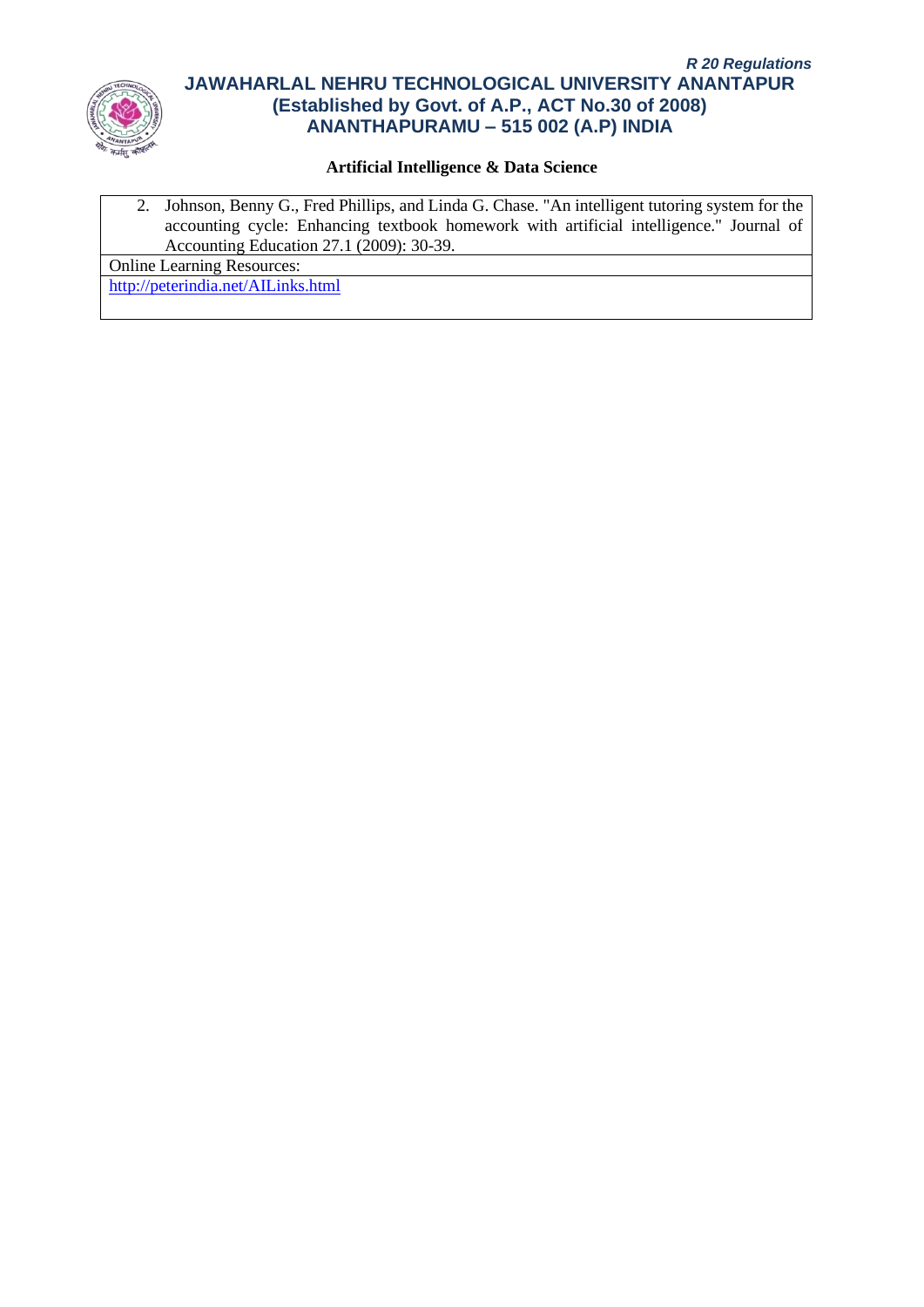

## **Artificial Intelligence & Data Science**

2. Johnson, Benny G., Fred Phillips, and Linda G. Chase. "An intelligent tutoring system for the accounting cycle: Enhancing textbook homework with artificial intelligence." Journal of Accounting Education 27.1 (2009): 30-39.

Online Learning Resources:

<http://peterindia.net/AILinks.html>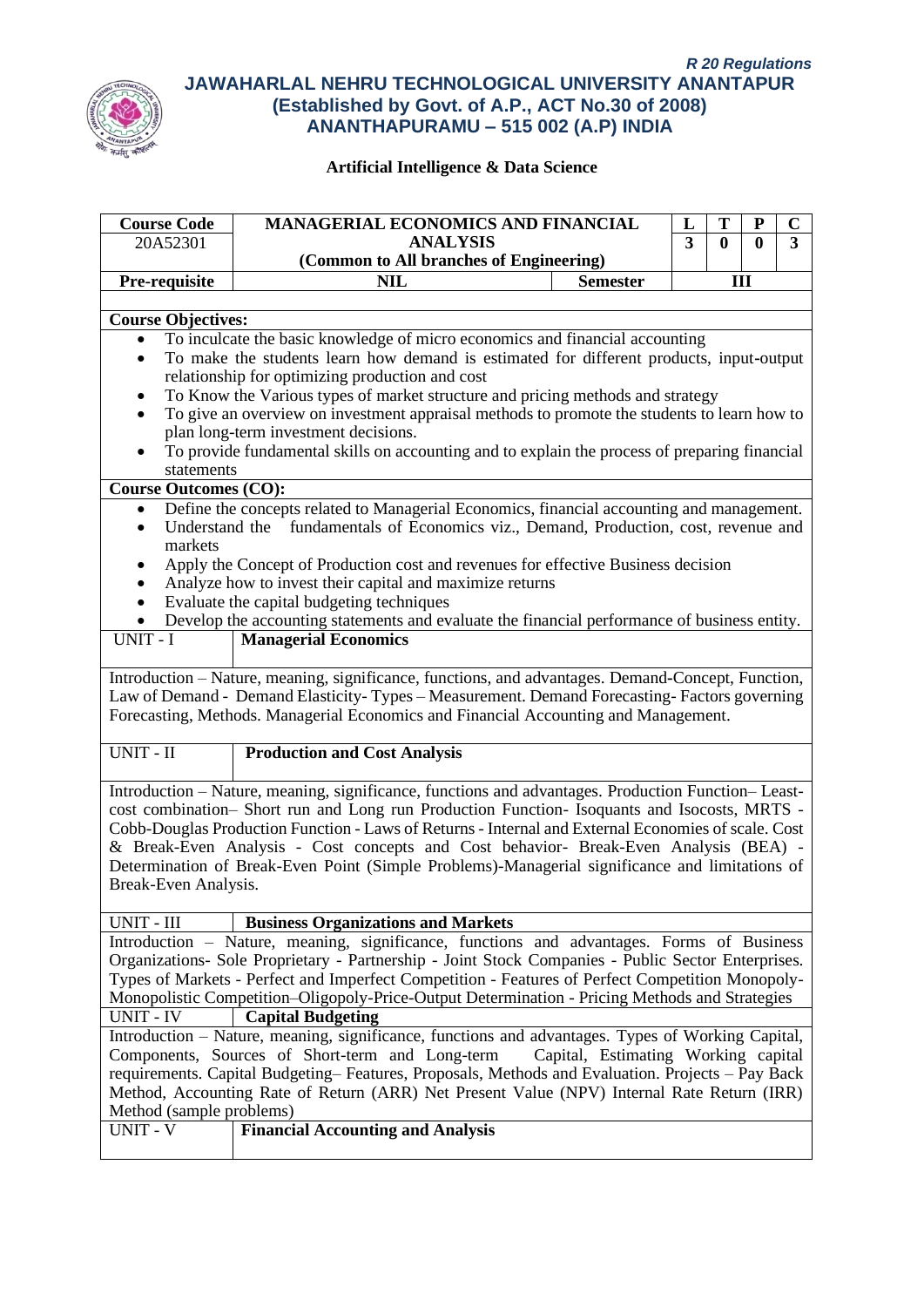

| <b>Course Code</b><br><b>MANAGERIAL ECONOMICS AND FINANCIAL</b><br>T<br>${\bf P}$<br>L           |                                                                                                                                                                                                    |                                     | $\mathbf C$ |              |          |                |
|--------------------------------------------------------------------------------------------------|----------------------------------------------------------------------------------------------------------------------------------------------------------------------------------------------------|-------------------------------------|-------------|--------------|----------|----------------|
| 20A52301                                                                                         | <b>ANALYSIS</b>                                                                                                                                                                                    |                                     | 3           | $\mathbf{0}$ | $\bf{0}$ | $\overline{3}$ |
|                                                                                                  | (Common to All branches of Engineering)                                                                                                                                                            |                                     |             |              |          |                |
| Pre-requisite                                                                                    | <b>NIL</b>                                                                                                                                                                                         | <b>Semester</b>                     |             | III          |          |                |
|                                                                                                  |                                                                                                                                                                                                    |                                     |             |              |          |                |
| <b>Course Objectives:</b>                                                                        |                                                                                                                                                                                                    |                                     |             |              |          |                |
| To inculcate the basic knowledge of micro economics and financial accounting<br>$\bullet$        |                                                                                                                                                                                                    |                                     |             |              |          |                |
|                                                                                                  | To make the students learn how demand is estimated for different products, input-output<br>$\bullet$<br>relationship for optimizing production and cost                                            |                                     |             |              |          |                |
|                                                                                                  | To Know the Various types of market structure and pricing methods and strategy                                                                                                                     |                                     |             |              |          |                |
| $\bullet$                                                                                        | To give an overview on investment appraisal methods to promote the students to learn how to                                                                                                        |                                     |             |              |          |                |
|                                                                                                  | plan long-term investment decisions.                                                                                                                                                               |                                     |             |              |          |                |
|                                                                                                  | To provide fundamental skills on accounting and to explain the process of preparing financial                                                                                                      |                                     |             |              |          |                |
| statements                                                                                       |                                                                                                                                                                                                    |                                     |             |              |          |                |
| <b>Course Outcomes (CO):</b>                                                                     |                                                                                                                                                                                                    |                                     |             |              |          |                |
| $\bullet$                                                                                        | Define the concepts related to Managerial Economics, financial accounting and management.                                                                                                          |                                     |             |              |          |                |
| Understand the<br>$\bullet$                                                                      | fundamentals of Economics viz., Demand, Production, cost, revenue and                                                                                                                              |                                     |             |              |          |                |
| markets                                                                                          |                                                                                                                                                                                                    |                                     |             |              |          |                |
| ٠                                                                                                | Apply the Concept of Production cost and revenues for effective Business decision                                                                                                                  |                                     |             |              |          |                |
| $\bullet$                                                                                        | Analyze how to invest their capital and maximize returns                                                                                                                                           |                                     |             |              |          |                |
| $\bullet$                                                                                        | Evaluate the capital budgeting techniques                                                                                                                                                          |                                     |             |              |          |                |
|                                                                                                  | Develop the accounting statements and evaluate the financial performance of business entity.                                                                                                       |                                     |             |              |          |                |
| UNIT - I                                                                                         | <b>Managerial Economics</b>                                                                                                                                                                        |                                     |             |              |          |                |
|                                                                                                  |                                                                                                                                                                                                    |                                     |             |              |          |                |
|                                                                                                  | Introduction - Nature, meaning, significance, functions, and advantages. Demand-Concept, Function,                                                                                                 |                                     |             |              |          |                |
|                                                                                                  | Law of Demand - Demand Elasticity-Types - Measurement. Demand Forecasting-Factors governing<br>Forecasting, Methods. Managerial Economics and Financial Accounting and Management.                 |                                     |             |              |          |                |
|                                                                                                  |                                                                                                                                                                                                    |                                     |             |              |          |                |
| UNIT - II                                                                                        | <b>Production and Cost Analysis</b>                                                                                                                                                                |                                     |             |              |          |                |
|                                                                                                  |                                                                                                                                                                                                    |                                     |             |              |          |                |
|                                                                                                  | Introduction - Nature, meaning, significance, functions and advantages. Production Function-Least-                                                                                                 |                                     |             |              |          |                |
|                                                                                                  | cost combination- Short run and Long run Production Function- Isoquants and Isocosts, MRTS -                                                                                                       |                                     |             |              |          |                |
|                                                                                                  | Cobb-Douglas Production Function - Laws of Returns - Internal and External Economies of scale. Cost                                                                                                |                                     |             |              |          |                |
|                                                                                                  | & Break-Even Analysis - Cost concepts and Cost behavior- Break-Even Analysis (BEA) -                                                                                                               |                                     |             |              |          |                |
|                                                                                                  | Determination of Break-Even Point (Simple Problems)-Managerial significance and limitations of                                                                                                     |                                     |             |              |          |                |
| Break-Even Analysis.                                                                             |                                                                                                                                                                                                    |                                     |             |              |          |                |
|                                                                                                  |                                                                                                                                                                                                    |                                     |             |              |          |                |
| UNIT - III                                                                                       | <b>Business Organizations and Markets</b><br>Introduction - Nature, meaning, significance, functions and advantages. Forms of Business                                                             |                                     |             |              |          |                |
|                                                                                                  | Organizations- Sole Proprietary - Partnership - Joint Stock Companies - Public Sector Enterprises.                                                                                                 |                                     |             |              |          |                |
|                                                                                                  |                                                                                                                                                                                                    |                                     |             |              |          |                |
|                                                                                                  | Types of Markets - Perfect and Imperfect Competition - Features of Perfect Competition Monopoly-<br>Monopolistic Competition-Oligopoly-Price-Output Determination - Pricing Methods and Strategies |                                     |             |              |          |                |
| <b>UNIT - IV</b><br><b>Capital Budgeting</b>                                                     |                                                                                                                                                                                                    |                                     |             |              |          |                |
|                                                                                                  | Introduction - Nature, meaning, significance, functions and advantages. Types of Working Capital,                                                                                                  |                                     |             |              |          |                |
|                                                                                                  | Components, Sources of Short-term and Long-term                                                                                                                                                    | Capital, Estimating Working capital |             |              |          |                |
| requirements. Capital Budgeting–Features, Proposals, Methods and Evaluation. Projects – Pay Back |                                                                                                                                                                                                    |                                     |             |              |          |                |
|                                                                                                  | Method, Accounting Rate of Return (ARR) Net Present Value (NPV) Internal Rate Return (IRR)                                                                                                         |                                     |             |              |          |                |
| Method (sample problems)                                                                         |                                                                                                                                                                                                    |                                     |             |              |          |                |
| UNIT - $\overline{V}$                                                                            | <b>Financial Accounting and Analysis</b>                                                                                                                                                           |                                     |             |              |          |                |
|                                                                                                  |                                                                                                                                                                                                    |                                     |             |              |          |                |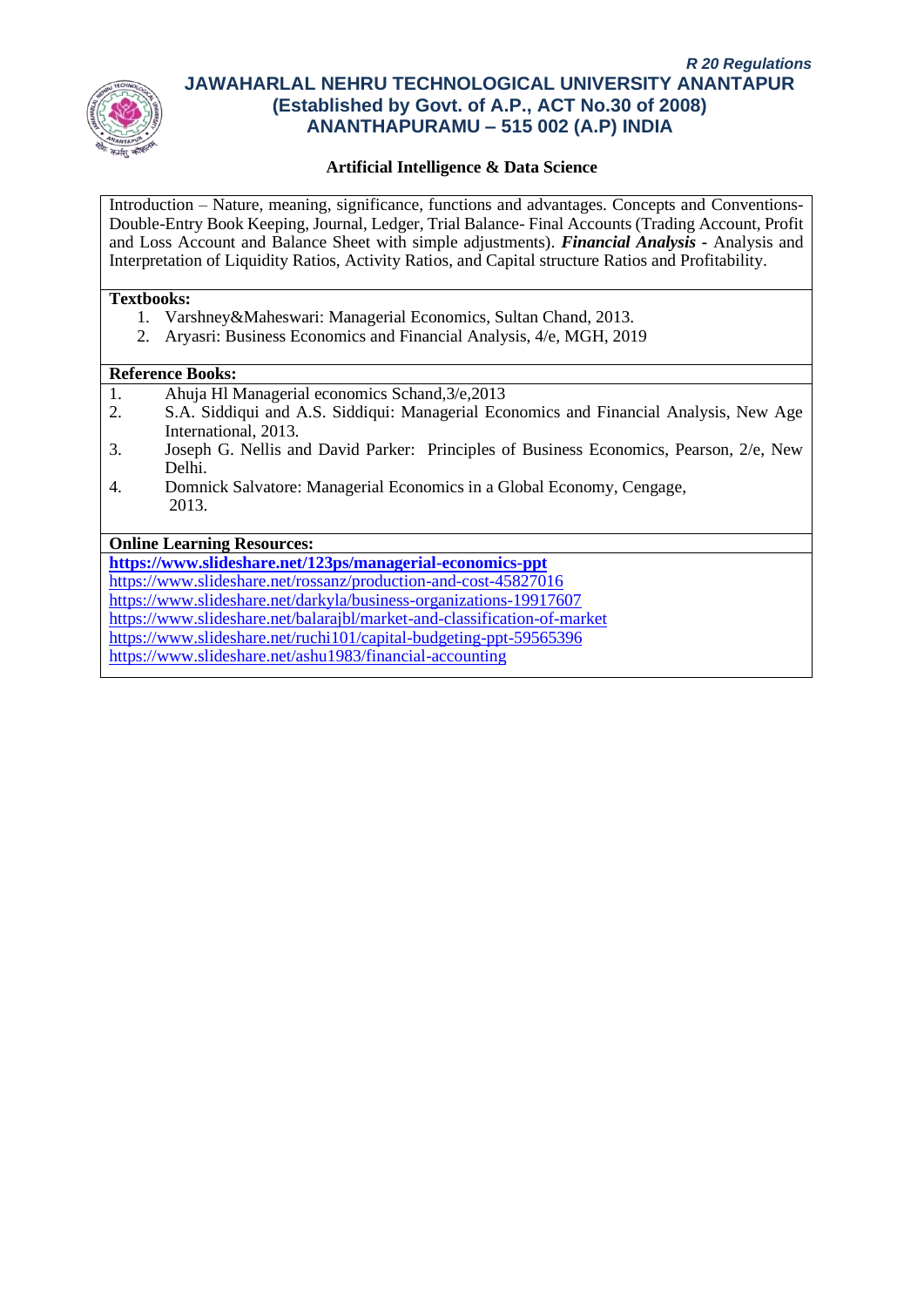

## **Artificial Intelligence & Data Science**

Introduction – Nature, meaning, significance, functions and advantages. Concepts and Conventions-Double-Entry Book Keeping, Journal, Ledger, Trial Balance- Final Accounts (Trading Account, Profit and Loss Account and Balance Sheet with simple adjustments). *Financial Analysis -* Analysis and Interpretation of Liquidity Ratios, Activity Ratios, and Capital structure Ratios and Profitability.

#### **Textbooks:**

- 1. Varshney&Maheswari: Managerial Economics, Sultan Chand, 2013.
- 2. Aryasri: Business Economics and Financial Analysis, 4/e, MGH, 2019

#### **Reference Books:**

- 1. Ahuja Hl Managerial economics Schand,3/e,2013
- 2. S.A. Siddiqui and A.S. Siddiqui: Managerial Economics and Financial Analysis, New Age International, 2013.
- 3. Joseph G. Nellis and David Parker: Principles of Business Economics, Pearson, 2/e, New Delhi.
- 4. Domnick Salvatore: Managerial Economics in a Global Economy, Cengage, 2013.

#### **Online Learning Resources:**

**<https://www.slideshare.net/123ps/managerial-economics-ppt>** <https://www.slideshare.net/rossanz/production-and-cost-45827016> <https://www.slideshare.net/darkyla/business-organizations-19917607> <https://www.slideshare.net/balarajbl/market-and-classification-of-market> <https://www.slideshare.net/ruchi101/capital-budgeting-ppt-59565396>

<https://www.slideshare.net/ashu1983/financial-accounting>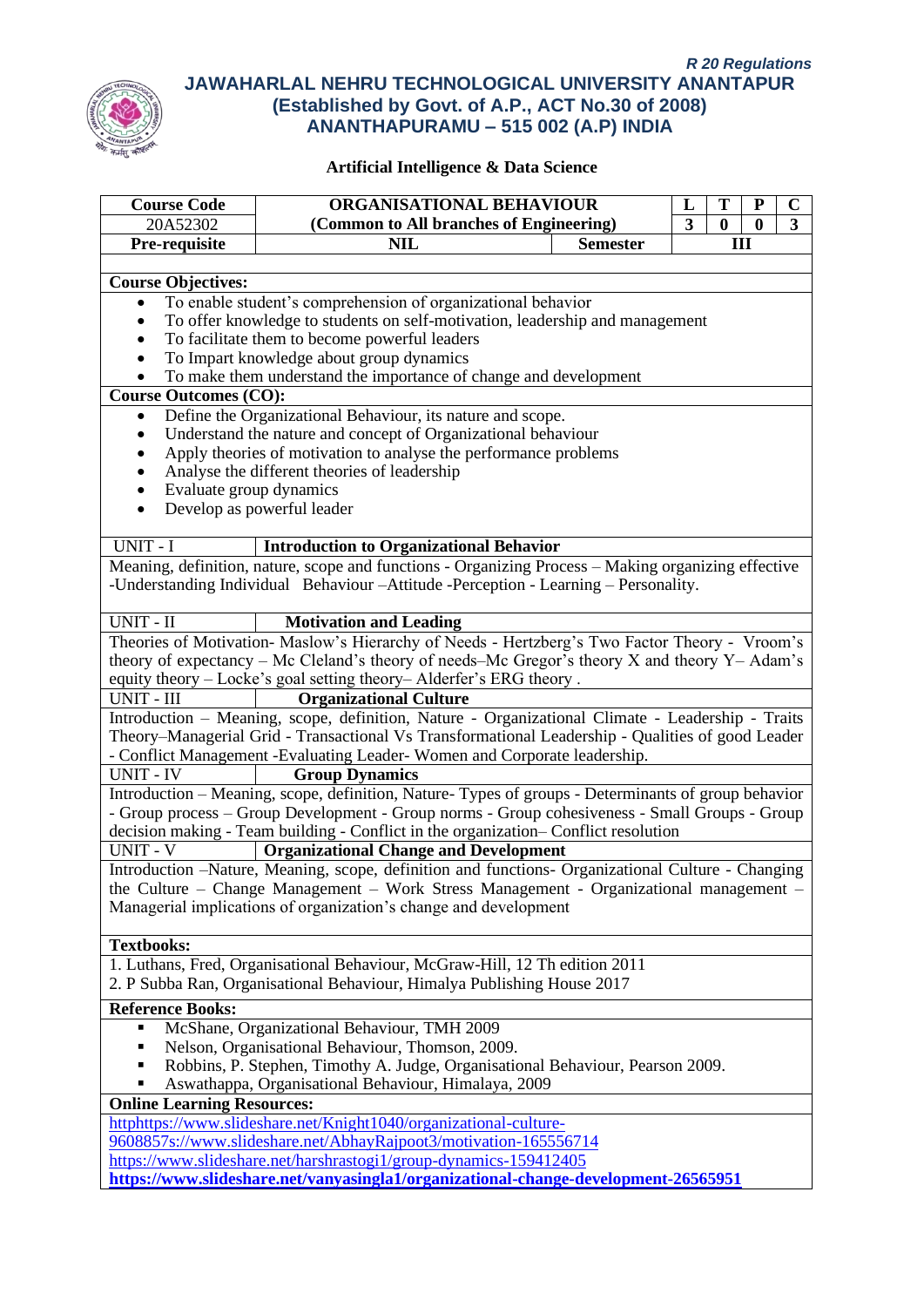

| ORGANISATIONAL BEHAVIOUR<br><b>Course Code</b><br>T<br>$\mathbf C$<br>$\mathbf P$<br>L                                                     |                                                                                                     |                 |   |          |                  |   |
|--------------------------------------------------------------------------------------------------------------------------------------------|-----------------------------------------------------------------------------------------------------|-----------------|---|----------|------------------|---|
| 20A52302                                                                                                                                   | (Common to All branches of Engineering)                                                             |                 | 3 | $\bf{0}$ | $\boldsymbol{0}$ | 3 |
| Pre-requisite                                                                                                                              | <b>NIL</b>                                                                                          | <b>Semester</b> |   | III      |                  |   |
|                                                                                                                                            |                                                                                                     |                 |   |          |                  |   |
|                                                                                                                                            | <b>Course Objectives:</b>                                                                           |                 |   |          |                  |   |
| To enable student's comprehension of organizational behavior<br>٠                                                                          |                                                                                                     |                 |   |          |                  |   |
| $\bullet$                                                                                                                                  |                                                                                                     |                 |   |          |                  |   |
| To offer knowledge to students on self-motivation, leadership and management<br>To facilitate them to become powerful leaders<br>$\bullet$ |                                                                                                     |                 |   |          |                  |   |
| To Impart knowledge about group dynamics                                                                                                   |                                                                                                     |                 |   |          |                  |   |
| To make them understand the importance of change and development                                                                           |                                                                                                     |                 |   |          |                  |   |
| <b>Course Outcomes (CO):</b>                                                                                                               |                                                                                                     |                 |   |          |                  |   |
| $\bullet$                                                                                                                                  | Define the Organizational Behaviour, its nature and scope.                                          |                 |   |          |                  |   |
| $\bullet$                                                                                                                                  | Understand the nature and concept of Organizational behaviour                                       |                 |   |          |                  |   |
|                                                                                                                                            | Apply theories of motivation to analyse the performance problems                                    |                 |   |          |                  |   |
|                                                                                                                                            | Analyse the different theories of leadership                                                        |                 |   |          |                  |   |
| Evaluate group dynamics<br>$\bullet$                                                                                                       |                                                                                                     |                 |   |          |                  |   |
| $\bullet$                                                                                                                                  | Develop as powerful leader                                                                          |                 |   |          |                  |   |
|                                                                                                                                            |                                                                                                     |                 |   |          |                  |   |
| UNIT - I                                                                                                                                   | <b>Introduction to Organizational Behavior</b>                                                      |                 |   |          |                  |   |
|                                                                                                                                            | Meaning, definition, nature, scope and functions - Organizing Process - Making organizing effective |                 |   |          |                  |   |
|                                                                                                                                            | -Understanding Individual Behaviour-Attitude -Perception - Learning - Personality.                  |                 |   |          |                  |   |
|                                                                                                                                            |                                                                                                     |                 |   |          |                  |   |
| UNIT - II                                                                                                                                  | <b>Motivation and Leading</b>                                                                       |                 |   |          |                  |   |
|                                                                                                                                            | Theories of Motivation- Maslow's Hierarchy of Needs - Hertzberg's Two Factor Theory - Vroom's       |                 |   |          |                  |   |
|                                                                                                                                            | theory of expectancy - Mc Cleland's theory of needs-Mc Gregor's theory X and theory Y- Adam's       |                 |   |          |                  |   |
|                                                                                                                                            | equity theory - Locke's goal setting theory-Alderfer's ERG theory.                                  |                 |   |          |                  |   |
| UNIT - III                                                                                                                                 | <b>Organizational Culture</b>                                                                       |                 |   |          |                  |   |
|                                                                                                                                            | Introduction - Meaning, scope, definition, Nature - Organizational Climate - Leadership - Traits    |                 |   |          |                  |   |
|                                                                                                                                            | Theory–Managerial Grid - Transactional Vs Transformational Leadership - Qualities of good Leader    |                 |   |          |                  |   |
|                                                                                                                                            | - Conflict Management -Evaluating Leader-Women and Corporate leadership.                            |                 |   |          |                  |   |
| <b>UNIT - IV</b>                                                                                                                           | <b>Group Dynamics</b>                                                                               |                 |   |          |                  |   |
|                                                                                                                                            | Introduction - Meaning, scope, definition, Nature-Types of groups - Determinants of group behavior  |                 |   |          |                  |   |
|                                                                                                                                            | - Group process – Group Development - Group norms - Group cohesiveness - Small Groups - Group       |                 |   |          |                  |   |
|                                                                                                                                            | decision making - Team building - Conflict in the organization- Conflict resolution                 |                 |   |          |                  |   |
| <b>UNIT - V</b>                                                                                                                            | <b>Organizational Change and Development</b>                                                        |                 |   |          |                  |   |
|                                                                                                                                            | Introduction -Nature, Meaning, scope, definition and functions- Organizational Culture - Changing   |                 |   |          |                  |   |
|                                                                                                                                            | the Culture – Change Management – Work Stress Management - Organizational management –              |                 |   |          |                  |   |
|                                                                                                                                            | Managerial implications of organization's change and development                                    |                 |   |          |                  |   |
|                                                                                                                                            |                                                                                                     |                 |   |          |                  |   |
| <b>Textbooks:</b>                                                                                                                          |                                                                                                     |                 |   |          |                  |   |
|                                                                                                                                            | 1. Luthans, Fred, Organisational Behaviour, McGraw-Hill, 12 Th edition 2011                         |                 |   |          |                  |   |
|                                                                                                                                            | 2. P Subba Ran, Organisational Behaviour, Himalya Publishing House 2017                             |                 |   |          |                  |   |
| <b>Reference Books:</b>                                                                                                                    |                                                                                                     |                 |   |          |                  |   |
|                                                                                                                                            | McShane, Organizational Behaviour, TMH 2009                                                         |                 |   |          |                  |   |
|                                                                                                                                            | Nelson, Organisational Behaviour, Thomson, 2009.                                                    |                 |   |          |                  |   |
| Robbins, P. Stephen, Timothy A. Judge, Organisational Behaviour, Pearson 2009.                                                             |                                                                                                     |                 |   |          |                  |   |
| Aswathappa, Organisational Behaviour, Himalaya, 2009                                                                                       |                                                                                                     |                 |   |          |                  |   |
| <b>Online Learning Resources:</b>                                                                                                          |                                                                                                     |                 |   |          |                  |   |
|                                                                                                                                            | httphttps://www.slideshare.net/Knight1040/organizational-culture-                                   |                 |   |          |                  |   |
|                                                                                                                                            | 9608857s://www.slideshare.net/AbhayRajpoot3/motivation-165556714                                    |                 |   |          |                  |   |
|                                                                                                                                            | https://www.slideshare.net/harshrastogi1/group-dynamics-159412405                                   |                 |   |          |                  |   |
| https://www.slideshare.net/vanyasingla1/organizational-change-development-26565951                                                         |                                                                                                     |                 |   |          |                  |   |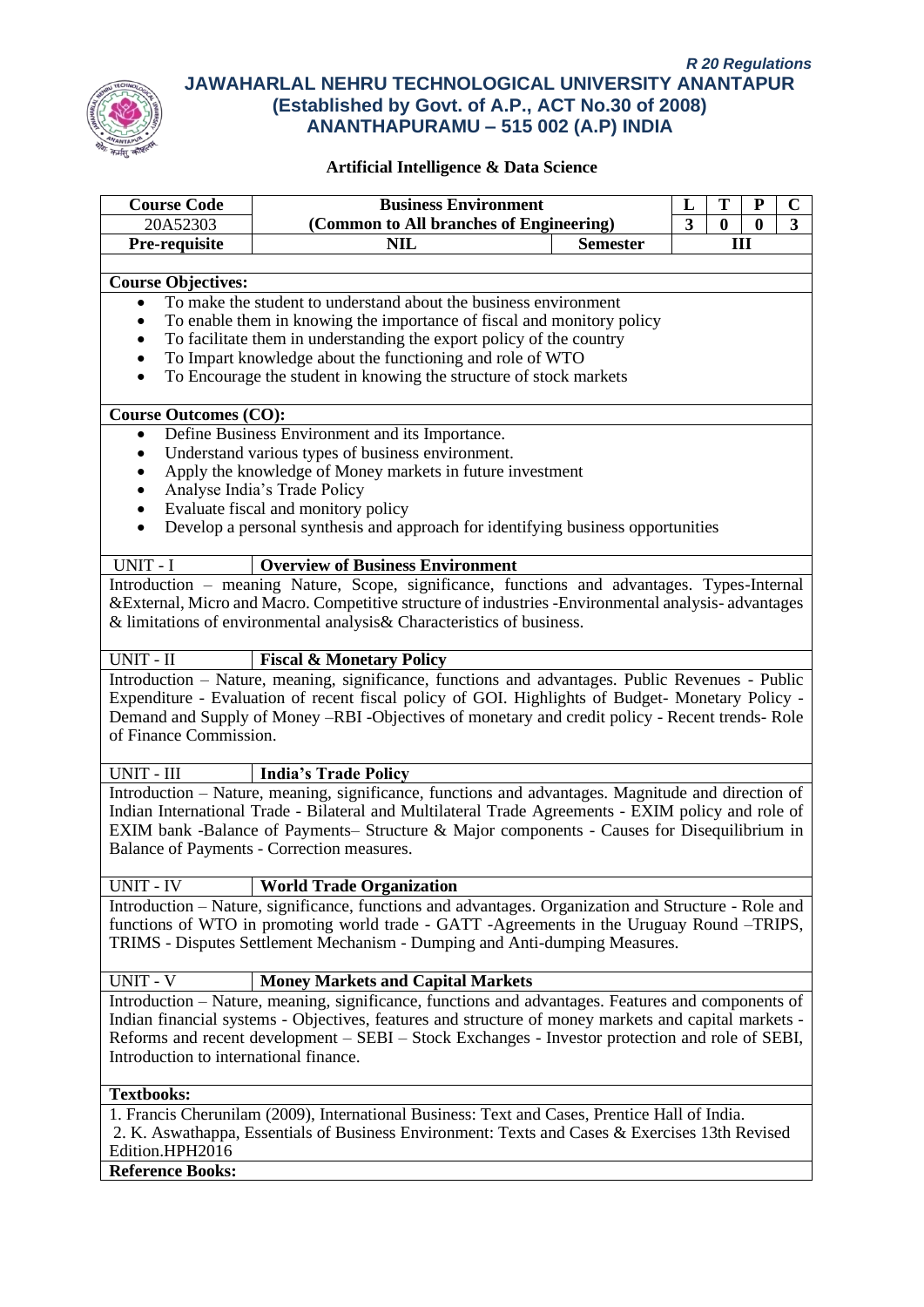

| <b>Business Environment</b>                                                   |                                                                                                                                                                                                     |                 |                              |               |                       |        |
|-------------------------------------------------------------------------------|-----------------------------------------------------------------------------------------------------------------------------------------------------------------------------------------------------|-----------------|------------------------------|---------------|-----------------------|--------|
| <b>Course Code</b><br>20A52303                                                | (Common to All branches of Engineering)                                                                                                                                                             |                 | L<br>$\overline{\mathbf{3}}$ | T<br>$\bf{0}$ | P<br>$\boldsymbol{0}$ | C<br>3 |
| Pre-requisite                                                                 | <b>NIL</b>                                                                                                                                                                                          | <b>Semester</b> |                              |               | III                   |        |
|                                                                               |                                                                                                                                                                                                     |                 |                              |               |                       |        |
| <b>Course Objectives:</b>                                                     |                                                                                                                                                                                                     |                 |                              |               |                       |        |
| To make the student to understand about the business environment<br>$\bullet$ |                                                                                                                                                                                                     |                 |                              |               |                       |        |
|                                                                               | To enable them in knowing the importance of fiscal and monitory policy                                                                                                                              |                 |                              |               |                       |        |
| To facilitate them in understanding the export policy of the country          |                                                                                                                                                                                                     |                 |                              |               |                       |        |
|                                                                               | To Impart knowledge about the functioning and role of WTO                                                                                                                                           |                 |                              |               |                       |        |
| $\bullet$                                                                     | To Encourage the student in knowing the structure of stock markets                                                                                                                                  |                 |                              |               |                       |        |
| <b>Course Outcomes (CO):</b>                                                  |                                                                                                                                                                                                     |                 |                              |               |                       |        |
| $\bullet$                                                                     | Define Business Environment and its Importance.                                                                                                                                                     |                 |                              |               |                       |        |
| ٠                                                                             | Understand various types of business environment.                                                                                                                                                   |                 |                              |               |                       |        |
| $\bullet$                                                                     | Apply the knowledge of Money markets in future investment                                                                                                                                           |                 |                              |               |                       |        |
|                                                                               | Analyse India's Trade Policy                                                                                                                                                                        |                 |                              |               |                       |        |
|                                                                               | Evaluate fiscal and monitory policy                                                                                                                                                                 |                 |                              |               |                       |        |
| $\bullet$                                                                     | Develop a personal synthesis and approach for identifying business opportunities                                                                                                                    |                 |                              |               |                       |        |
| UNIT - I                                                                      | <b>Overview of Business Environment</b>                                                                                                                                                             |                 |                              |               |                       |        |
|                                                                               | Introduction - meaning Nature, Scope, significance, functions and advantages. Types-Internal                                                                                                        |                 |                              |               |                       |        |
|                                                                               | & External, Micro and Macro. Competitive structure of industries - Environmental analysis- advantages                                                                                               |                 |                              |               |                       |        |
|                                                                               | & limitations of environmental analysis& Characteristics of business.                                                                                                                               |                 |                              |               |                       |        |
|                                                                               |                                                                                                                                                                                                     |                 |                              |               |                       |        |
| UNIT - II                                                                     | <b>Fiscal &amp; Monetary Policy</b>                                                                                                                                                                 |                 |                              |               |                       |        |
|                                                                               | Introduction - Nature, meaning, significance, functions and advantages. Public Revenues - Public                                                                                                    |                 |                              |               |                       |        |
|                                                                               | Expenditure - Evaluation of recent fiscal policy of GOI. Highlights of Budget- Monetary Policy -<br>Demand and Supply of Money -RBI -Objectives of monetary and credit policy - Recent trends- Role |                 |                              |               |                       |        |
| of Finance Commission.                                                        |                                                                                                                                                                                                     |                 |                              |               |                       |        |
|                                                                               |                                                                                                                                                                                                     |                 |                              |               |                       |        |
| <b>UNIT - III</b>                                                             | <b>India's Trade Policy</b>                                                                                                                                                                         |                 |                              |               |                       |        |
|                                                                               | Introduction - Nature, meaning, significance, functions and advantages. Magnitude and direction of                                                                                                  |                 |                              |               |                       |        |
|                                                                               | Indian International Trade - Bilateral and Multilateral Trade Agreements - EXIM policy and role of                                                                                                  |                 |                              |               |                       |        |
|                                                                               | EXIM bank -Balance of Payments- Structure & Major components - Causes for Disequilibrium in                                                                                                         |                 |                              |               |                       |        |
|                                                                               | Balance of Payments - Correction measures.                                                                                                                                                          |                 |                              |               |                       |        |
| UNIT - IV                                                                     | <b>World Trade Organization</b>                                                                                                                                                                     |                 |                              |               |                       |        |
|                                                                               | Introduction - Nature, significance, functions and advantages. Organization and Structure - Role and                                                                                                |                 |                              |               |                       |        |
|                                                                               | functions of WTO in promoting world trade - GATT -Agreements in the Uruguay Round -TRIPS,                                                                                                           |                 |                              |               |                       |        |
|                                                                               | TRIMS - Disputes Settlement Mechanism - Dumping and Anti-dumping Measures.                                                                                                                          |                 |                              |               |                       |        |
| $UNIT - V$                                                                    |                                                                                                                                                                                                     |                 |                              |               |                       |        |
|                                                                               | <b>Money Markets and Capital Markets</b><br>Introduction – Nature, meaning, significance, functions and advantages. Features and components of                                                      |                 |                              |               |                       |        |
|                                                                               | Indian financial systems - Objectives, features and structure of money markets and capital markets -                                                                                                |                 |                              |               |                       |        |
|                                                                               | Reforms and recent development – SEBI – Stock Exchanges - Investor protection and role of SEBI,                                                                                                     |                 |                              |               |                       |        |
| Introduction to international finance.                                        |                                                                                                                                                                                                     |                 |                              |               |                       |        |
|                                                                               |                                                                                                                                                                                                     |                 |                              |               |                       |        |
| <b>Textbooks:</b>                                                             |                                                                                                                                                                                                     |                 |                              |               |                       |        |
|                                                                               | 1. Francis Cherunilam (2009), International Business: Text and Cases, Prentice Hall of India.                                                                                                       |                 |                              |               |                       |        |
|                                                                               | 2. K. Aswathappa, Essentials of Business Environment: Texts and Cases & Exercises 13th Revised                                                                                                      |                 |                              |               |                       |        |
| Edition.HPH2016                                                               |                                                                                                                                                                                                     |                 |                              |               |                       |        |
|                                                                               | <b>Reference Books:</b>                                                                                                                                                                             |                 |                              |               |                       |        |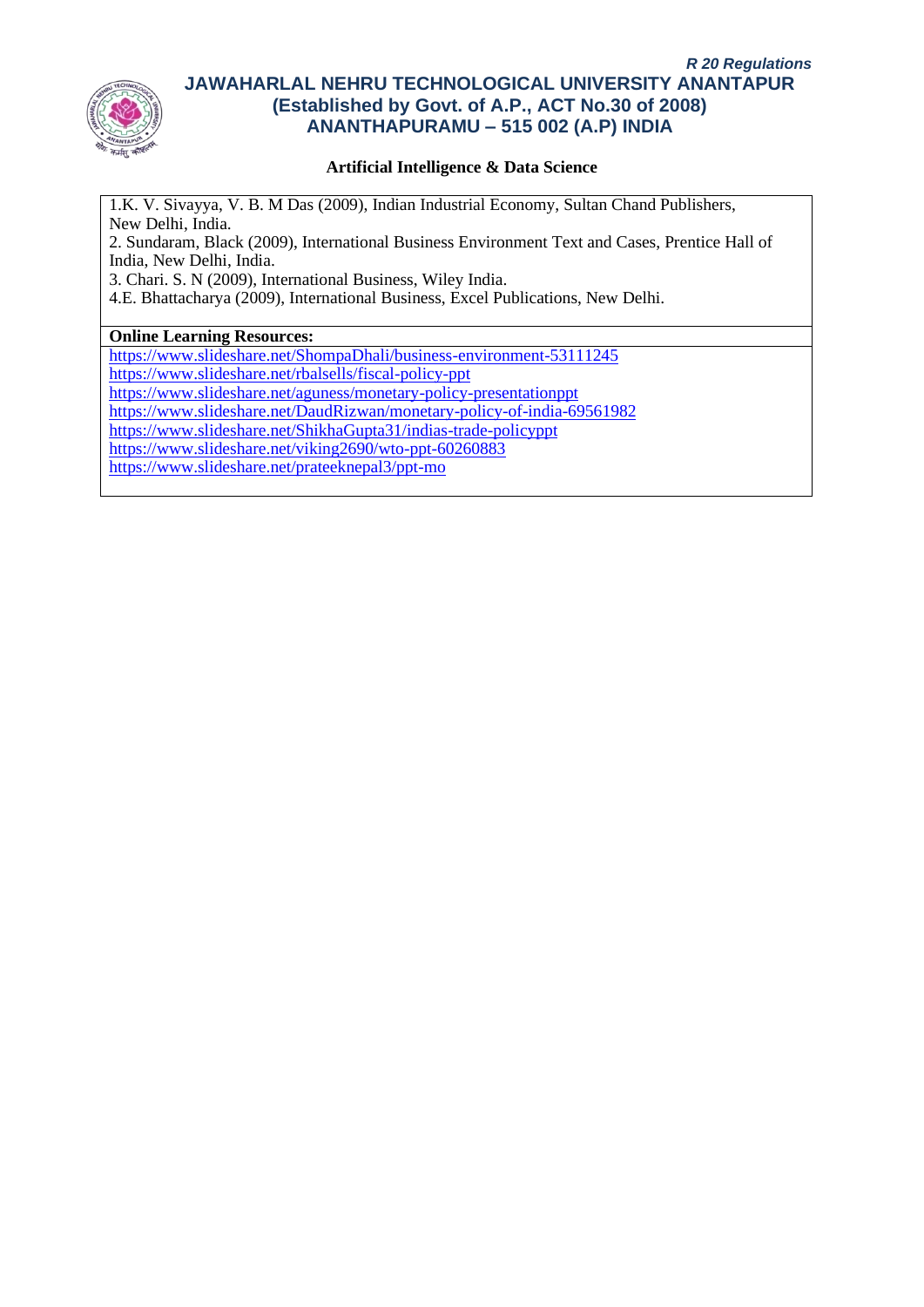

## **Artificial Intelligence & Data Science**

1.K. V. Sivayya, V. B. M Das (2009), Indian Industrial Economy, Sultan Chand Publishers, New Delhi, India. 2. Sundaram, Black (2009), International Business Environment Text and Cases, Prentice Hall of India, New Delhi, India.

3. Chari. S. N (2009), International Business, Wiley India.

4.E. Bhattacharya (2009), International Business, Excel Publications, New Delhi.

#### **Online Learning Resources:**

<https://www.slideshare.net/ShompaDhali/business-environment-53111245> <https://www.slideshare.net/rbalsells/fiscal-policy-ppt> <https://www.slideshare.net/aguness/monetary-policy-presentationppt> <https://www.slideshare.net/DaudRizwan/monetary-policy-of-india-69561982> <https://www.slideshare.net/ShikhaGupta31/indias-trade-policyppt> <https://www.slideshare.net/viking2690/wto-ppt-60260883> <https://www.slideshare.net/prateeknepal3/ppt-mo>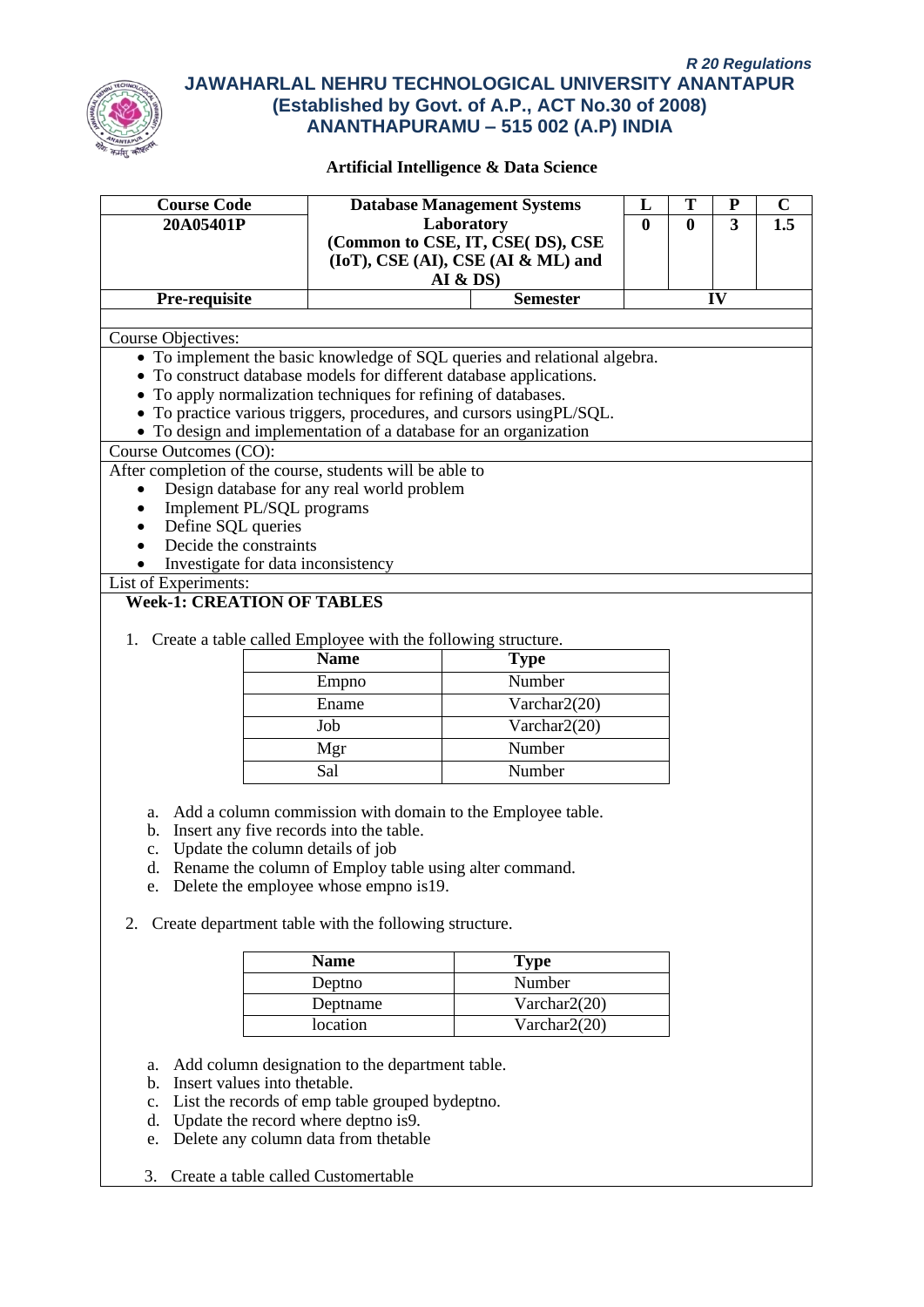

| <b>Course Code</b>                              | <b>Database Management Systems</b>                                  |                                                                           | L            | T            | ${\bf P}$ | $\mathbf C$ |  |  |  |  |  |
|-------------------------------------------------|---------------------------------------------------------------------|---------------------------------------------------------------------------|--------------|--------------|-----------|-------------|--|--|--|--|--|
| 20A05401P                                       |                                                                     | Laboratory                                                                | $\mathbf{0}$ | $\mathbf{0}$ | 3         | 1.5         |  |  |  |  |  |
|                                                 |                                                                     | (Common to CSE, IT, CSE(DS), CSE<br>(IoT), CSE (AI), CSE (AI & ML) and    |              |              |           |             |  |  |  |  |  |
|                                                 |                                                                     | AI & DS                                                                   |              |              |           |             |  |  |  |  |  |
| Pre-requisite                                   |                                                                     | <b>Semester</b><br>IV                                                     |              |              |           |             |  |  |  |  |  |
|                                                 |                                                                     |                                                                           |              |              |           |             |  |  |  |  |  |
| Course Objectives:                              |                                                                     |                                                                           |              |              |           |             |  |  |  |  |  |
|                                                 |                                                                     | • To implement the basic knowledge of SQL queries and relational algebra. |              |              |           |             |  |  |  |  |  |
|                                                 | • To construct database models for different database applications. |                                                                           |              |              |           |             |  |  |  |  |  |
|                                                 | • To apply normalization techniques for refining of databases.      |                                                                           |              |              |           |             |  |  |  |  |  |
|                                                 |                                                                     | • To practice various triggers, procedures, and cursors using PL/SQL.     |              |              |           |             |  |  |  |  |  |
|                                                 | • To design and implementation of a database for an organization    |                                                                           |              |              |           |             |  |  |  |  |  |
| Course Outcomes (CO):                           | After completion of the course, students will be able to            |                                                                           |              |              |           |             |  |  |  |  |  |
|                                                 | Design database for any real world problem                          |                                                                           |              |              |           |             |  |  |  |  |  |
|                                                 | Implement PL/SQL programs                                           |                                                                           |              |              |           |             |  |  |  |  |  |
| Define SQL queries                              |                                                                     |                                                                           |              |              |           |             |  |  |  |  |  |
| Decide the constraints                          |                                                                     |                                                                           |              |              |           |             |  |  |  |  |  |
| Investigate for data inconsistency<br>$\bullet$ |                                                                     |                                                                           |              |              |           |             |  |  |  |  |  |
|                                                 |                                                                     |                                                                           |              |              |           |             |  |  |  |  |  |
|                                                 |                                                                     |                                                                           |              |              |           |             |  |  |  |  |  |
| <b>Week-1: CREATION OF TABLES</b>               |                                                                     |                                                                           |              |              |           |             |  |  |  |  |  |
|                                                 |                                                                     |                                                                           |              |              |           |             |  |  |  |  |  |
|                                                 | 1. Create a table called Employee with the following structure.     |                                                                           |              |              |           |             |  |  |  |  |  |
|                                                 | <b>Name</b>                                                         | <b>Type</b>                                                               |              |              |           |             |  |  |  |  |  |
|                                                 | Empno                                                               | Number                                                                    |              |              |           |             |  |  |  |  |  |
|                                                 | Ename                                                               | Varchar2(20)                                                              |              |              |           |             |  |  |  |  |  |
|                                                 | Job                                                                 | Varchar2(20)                                                              |              |              |           |             |  |  |  |  |  |
|                                                 | Mgr                                                                 | Number                                                                    |              |              |           |             |  |  |  |  |  |
|                                                 | Sal                                                                 | Number                                                                    |              |              |           |             |  |  |  |  |  |
|                                                 |                                                                     |                                                                           |              |              |           |             |  |  |  |  |  |
|                                                 |                                                                     | a. Add a column commission with domain to the Employee table.             |              |              |           |             |  |  |  |  |  |
|                                                 | b. Insert any five records into the table.                          |                                                                           |              |              |           |             |  |  |  |  |  |
|                                                 | c. Update the column details of job                                 |                                                                           |              |              |           |             |  |  |  |  |  |
|                                                 | d. Rename the column of Employ table using alter command.           |                                                                           |              |              |           |             |  |  |  |  |  |
|                                                 | e. Delete the employee whose empno is 19.                           |                                                                           |              |              |           |             |  |  |  |  |  |
| 2.                                              | Create department table with the following structure.               |                                                                           |              |              |           |             |  |  |  |  |  |
|                                                 |                                                                     |                                                                           |              |              |           |             |  |  |  |  |  |
|                                                 | <b>Name</b>                                                         | <b>Type</b>                                                               |              |              |           |             |  |  |  |  |  |
|                                                 | Deptno                                                              | Number                                                                    |              |              |           |             |  |  |  |  |  |
| List of Experiments:                            | Deptname                                                            | Varchar2(20)                                                              |              |              |           |             |  |  |  |  |  |

- c. List the records of emp table grouped bydeptno.
- d. Update the record where deptno is9.
- e. Delete any column data from thetable
- 3. Create a table called Customertable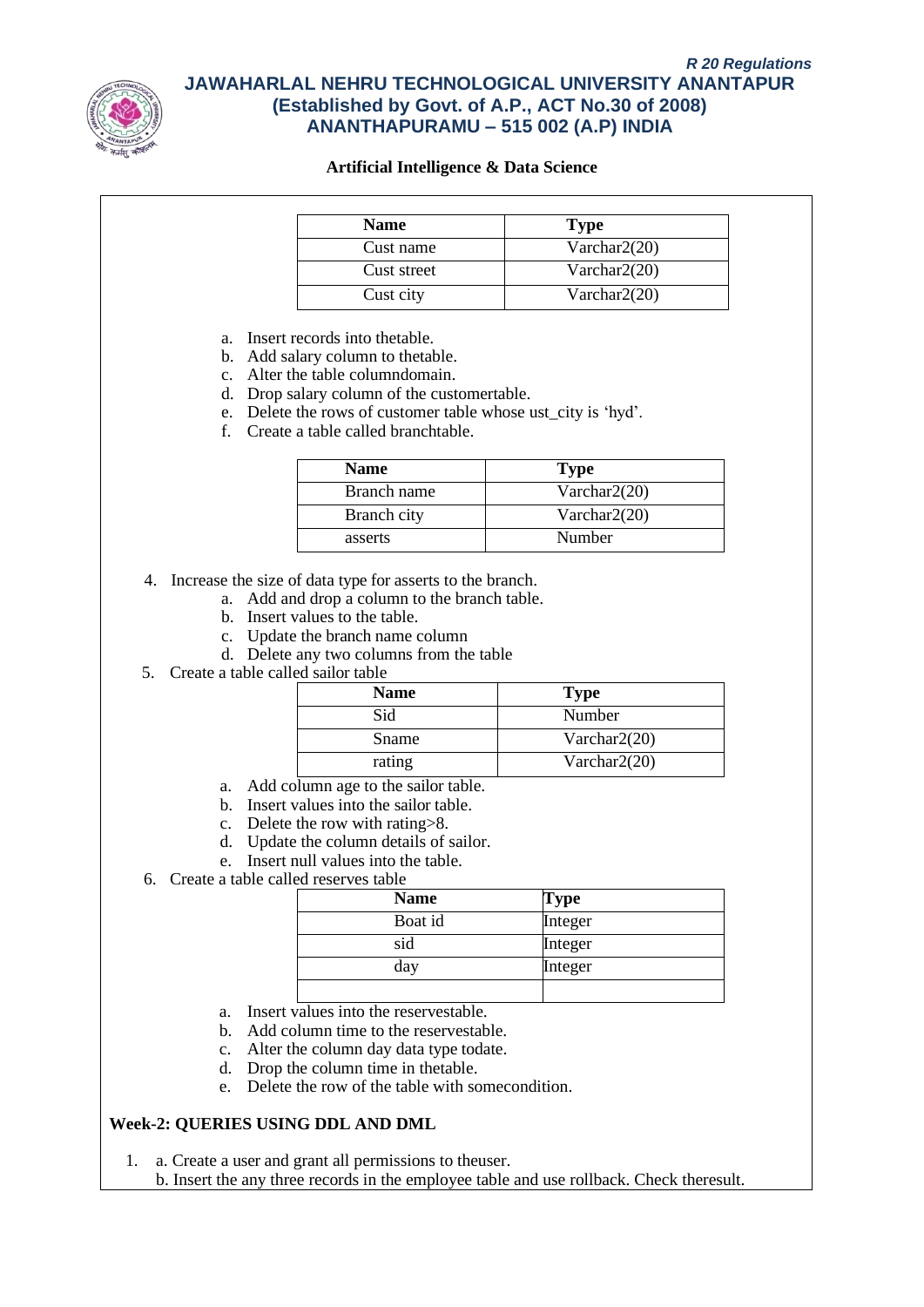

#### **Artificial Intelligence & Data Science**

| <b>Name</b> | <b>Type</b>     |
|-------------|-----------------|
| Cust name   | Varchar $2(20)$ |
| Cust street | Varchar $2(20)$ |
| Cust city   | Varchar $2(20)$ |

a. Insert records into thetable.

- b. Add salary column to thetable.
- c. Alter the table columndomain.
- d. Drop salary column of the customertable.
- e. Delete the rows of customer table whose ust\_city is 'hyd'.
- f. Create a table called branchtable.

| <b>Name</b> | <b>Type</b>     |
|-------------|-----------------|
| Branch name | Varchar $2(20)$ |
| Branch city | Varchar $2(20)$ |
| asserts     | Number          |

4. Increase the size of data type for asserts to the branch.

- a. Add and drop a column to the branch table.
- b. Insert values to the table.
- c. Update the branch name column
- d. Delete any two columns from the table
- 5. Create a table called sailor table

| <b>Name</b> | <b>Type</b>     |
|-------------|-----------------|
| Sid         | Number          |
| Sname       | Varchar $2(20)$ |
| rating      | Varchar $2(20)$ |

- a. Add column age to the sailor table.
- b. Insert values into the sailor table.
- c. Delete the row with rating>8.
- d. Update the column details of sailor.
- e. Insert null values into the table.
- 6. Create a table called reserves table

| <b>Name</b> | <b>Type</b> |
|-------------|-------------|
| Boat id     | Integer     |
| sid         | Integer     |
| day         | Integer     |
|             |             |

- a. Insert values into the reservestable.
- b. Add column time to the reservestable.
- c. Alter the column day data type todate.
- d. Drop the column time in thetable.
- e. Delete the row of the table with somecondition.

#### **Week-2: QUERIES USING DDL AND DML**

1. a. Create a user and grant all permissions to theuser.

b. Insert the any three records in the employee table and use rollback. Check theresult.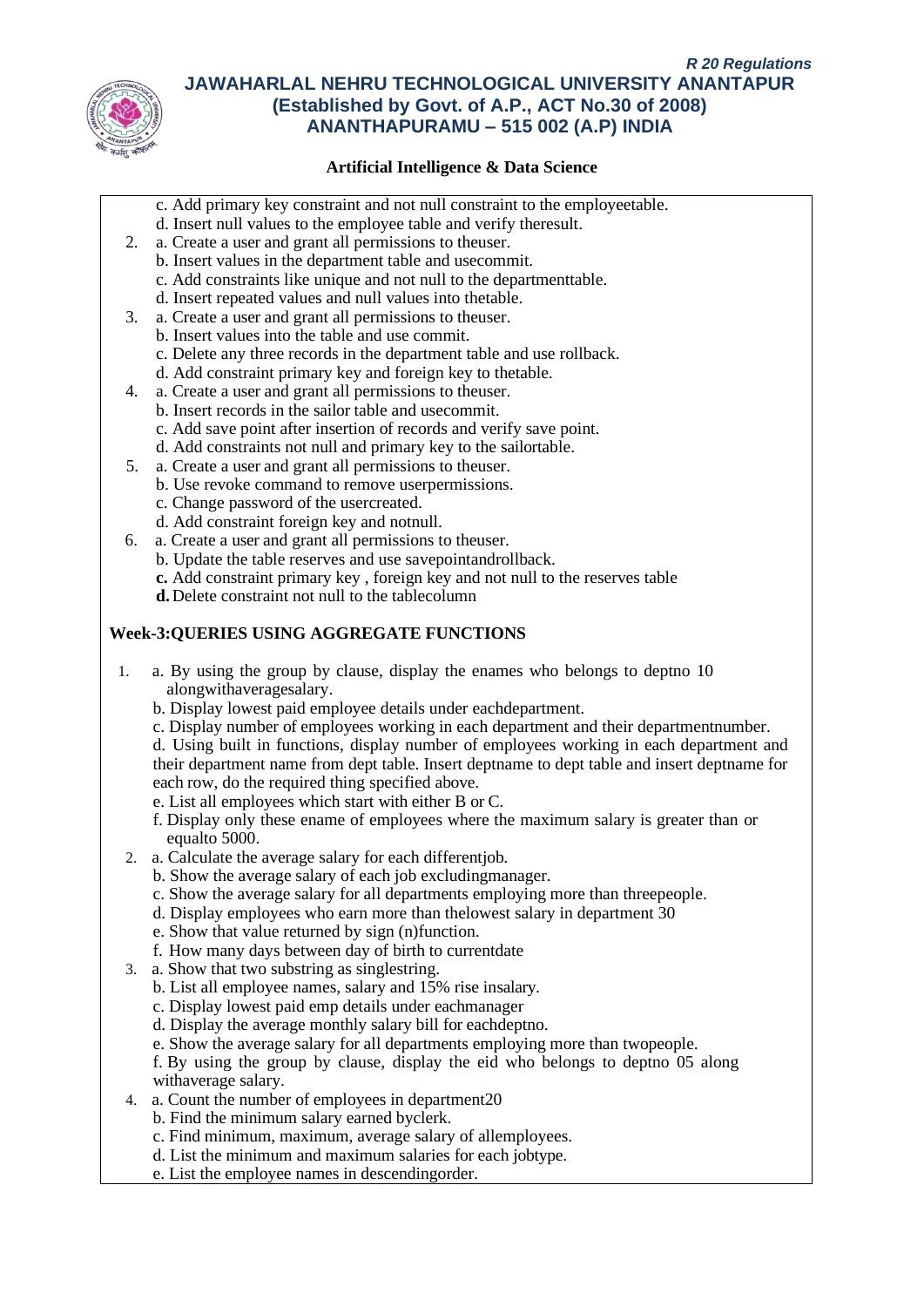

## **Artificial Intelligence & Data Science**

- c. Add primary key constraint and not null constraint to the employeetable.
- d. Insert null values to the employee table and verify theresult.
- 2. a. Create a user and grant all permissions to theuser.
	- b. Insert values in the department table and usecommit.
		- c. Add constraints like unique and not null to the departmenttable.
	- d. Insert repeated values and null values into thetable.
- 3. a. Create a user and grant all permissions to theuser.
	- b. Insert values into the table and use commit.
	- c. Delete any three records in the department table and use rollback.
	- d. Add constraint primary key and foreign key to thetable.
- 4. a. Create a user and grant all permissions to theuser.
	- b. Insert records in the sailor table and usecommit.
		- c. Add save point after insertion of records and verify save point.
		- d. Add constraints not null and primary key to the sailortable.
- 5. a. Create a user and grant all permissions to theuser.
	- b. Use revoke command to remove userpermissions.
		- c. Change password of the usercreated.
		- d. Add constraint foreign key and notnull.
- 6. a. Create a user and grant all permissions to theuser.
	- b. Update the table reserves and use savepointandrollback.
	- **c.** Add constraint primary key , foreign key and not null to the reserves table
	- **d.**Delete constraint not null to the tablecolumn

## **Week-3:QUERIES USING AGGREGATE FUNCTIONS**

- 1. a. By using the group by clause, display the enames who belongs to deptno 10 alongwithaveragesalary.
	- b. Display lowest paid employee details under eachdepartment.
	- c. Display number of employees working in each department and their departmentnumber.
	- d. Using built in functions, display number of employees working in each department and their department name from dept table. Insert deptname to dept table and insert deptname for each row, do the required thing specified above.
	- e. List all employees which start with either B or C.
	- f. Display only these ename of employees where the maximum salary is greater than or equalto 5000.
- 2. a. Calculate the average salary for each differentjob.
	- b. Show the average salary of each job excludingmanager.
	- c. Show the average salary for all departments employing more than threepeople.
	- d. Display employees who earn more than thelowest salary in department 30
	- e. Show that value returned by sign (n)function.
	- f. How many days between day of birth to currentdate
- 3. a. Show that two substring as singlestring.
	- b. List all employee names, salary and 15% rise insalary.
	- c. Display lowest paid emp details under eachmanager
	- d. Display the average monthly salary bill for eachdeptno.
	- e. Show the average salary for all departments employing more than twopeople.
	- f. By using the group by clause, display the eid who belongs to deptno 05 along withaverage salary.
- 4. a. Count the number of employees in department20
	- b. Find the minimum salary earned byclerk.
	- c. Find minimum, maximum, average salary of allemployees.
	- d. List the minimum and maximum salaries for each jobtype.
	- e. List the employee names in descendingorder.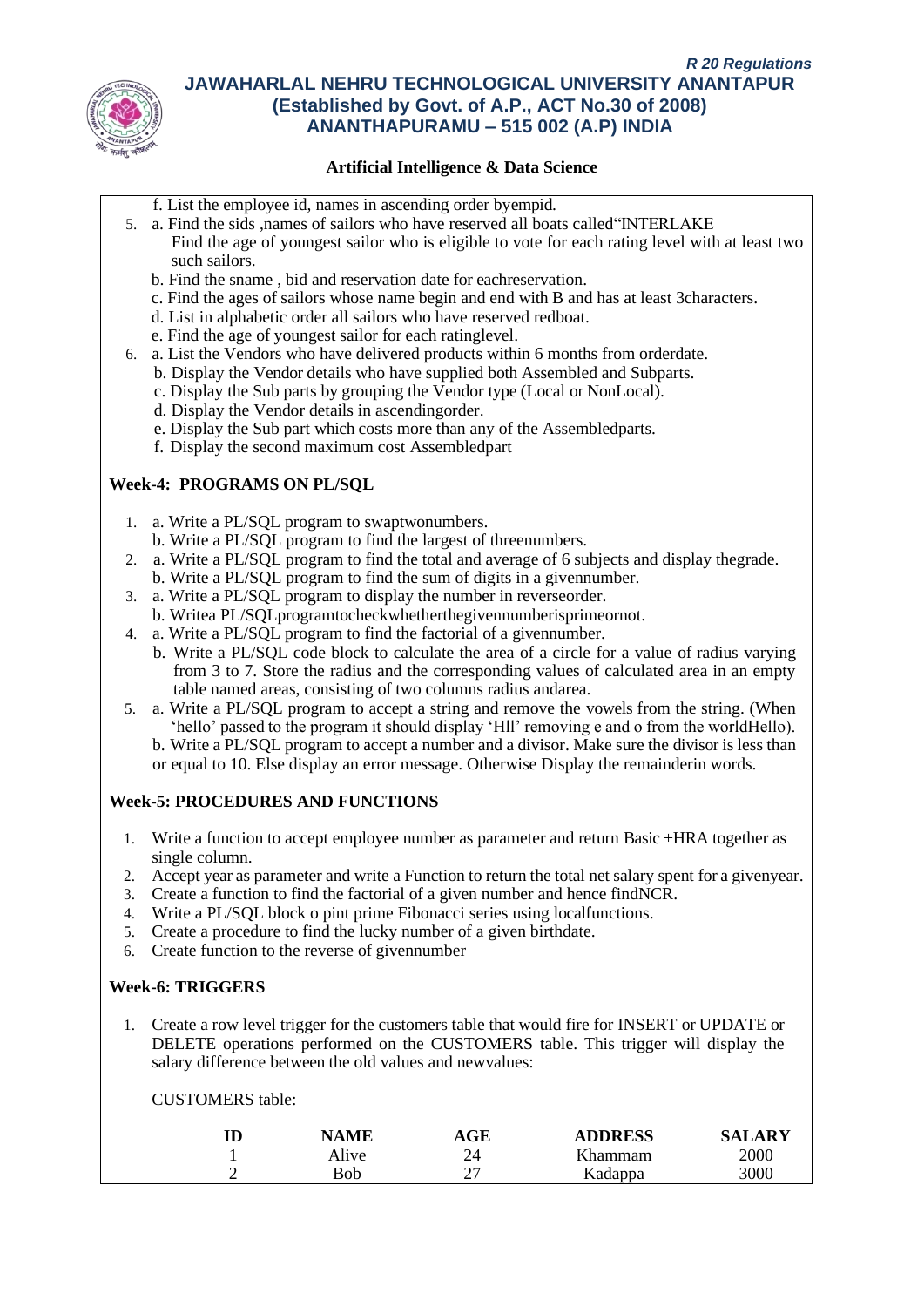

## **Artificial Intelligence & Data Science**

- f. List the employee id, names in ascending order byempid.
- 5. a. Find the sids ,names of sailors who have reserved all boats called"INTERLAKE Find the age of youngest sailor who is eligible to vote for each rating level with at least two such sailors.
	- b. Find the sname , bid and reservation date for eachreservation.
	- c. Find the ages of sailors whose name begin and end with B and has at least 3characters.
	- d. List in alphabetic order all sailors who have reserved redboat.
	- e. Find the age of youngest sailor for each ratinglevel.
- 6. a. List the Vendors who have delivered products within 6 months from orderdate.
	- b. Display the Vendor details who have supplied both Assembled and Subparts.
	- c. Display the Sub parts by grouping the Vendor type (Local or NonLocal).
	- d. Display the Vendor details in ascendingorder.
	- e. Display the Sub part which costs more than any of the Assembledparts.
	- f. Display the second maximum cost Assembledpart

## **Week-4: PROGRAMS ON PL/SQL**

- 1. a. Write a PL/SQL program to swaptwonumbers.
	- b. Write a PL/SQL program to find the largest of threenumbers.
- 2. a. Write a PL/SQL program to find the total and average of 6 subjects and display thegrade.
- b. Write a PL/SQL program to find the sum of digits in a givennumber.
- 3. a. Write a PL/SQL program to display the number in reverseorder.
- b. Writea PL/SQLprogramtocheckwhetherthegivennumberisprimeornot.
- 4. a. Write a PL/SQL program to find the factorial of a givennumber.
	- b. Write a PL/SQL code block to calculate the area of a circle for a value of radius varying from 3 to 7. Store the radius and the corresponding values of calculated area in an empty table named areas, consisting of two columns radius andarea.
- 5. a. Write a PL/SQL program to accept a string and remove the vowels from the string. (When 'hello' passed to the program it should display 'Hll' removing e and o from the worldHello). b. Write a PL/SQL program to accept a number and a divisor. Make sure the divisor is less than or equal to 10. Else display an error message. Otherwise Display the remainderin words.

## **Week-5: PROCEDURES AND FUNCTIONS**

- 1. Write a function to accept employee number as parameter and return Basic +HRA together as single column.
- 2. Accept year as parameter and write a Function to return the total net salary spent for a givenyear.
- 3. Create a function to find the factorial of a given number and hence findNCR.
- 4. Write a PL/SQL block o pint prime Fibonacci series using localfunctions.<br>5. Create a procedure to find the lucky number of a given birthdate.
- 5. Create a procedure to find the lucky number of a given birthdate.
- 6. Create function to the reverse of givennumber

#### **Week-6: TRIGGERS**

1. Create a row level trigger for the customers table that would fire for INSERT or UPDATE or DELETE operations performed on the CUSTOMERS table. This trigger will display the salary difference between the old values and newvalues:

CUSTOMERS table:

|   | <b>NAME</b> | AGE    | <b>ADDRESS</b> | SALARY |
|---|-------------|--------|----------------|--------|
|   | Alive       | 21     | Khammam        | 2000   |
| ∸ | Bob         | ົ<br>∼ | Kadappa        | 3000   |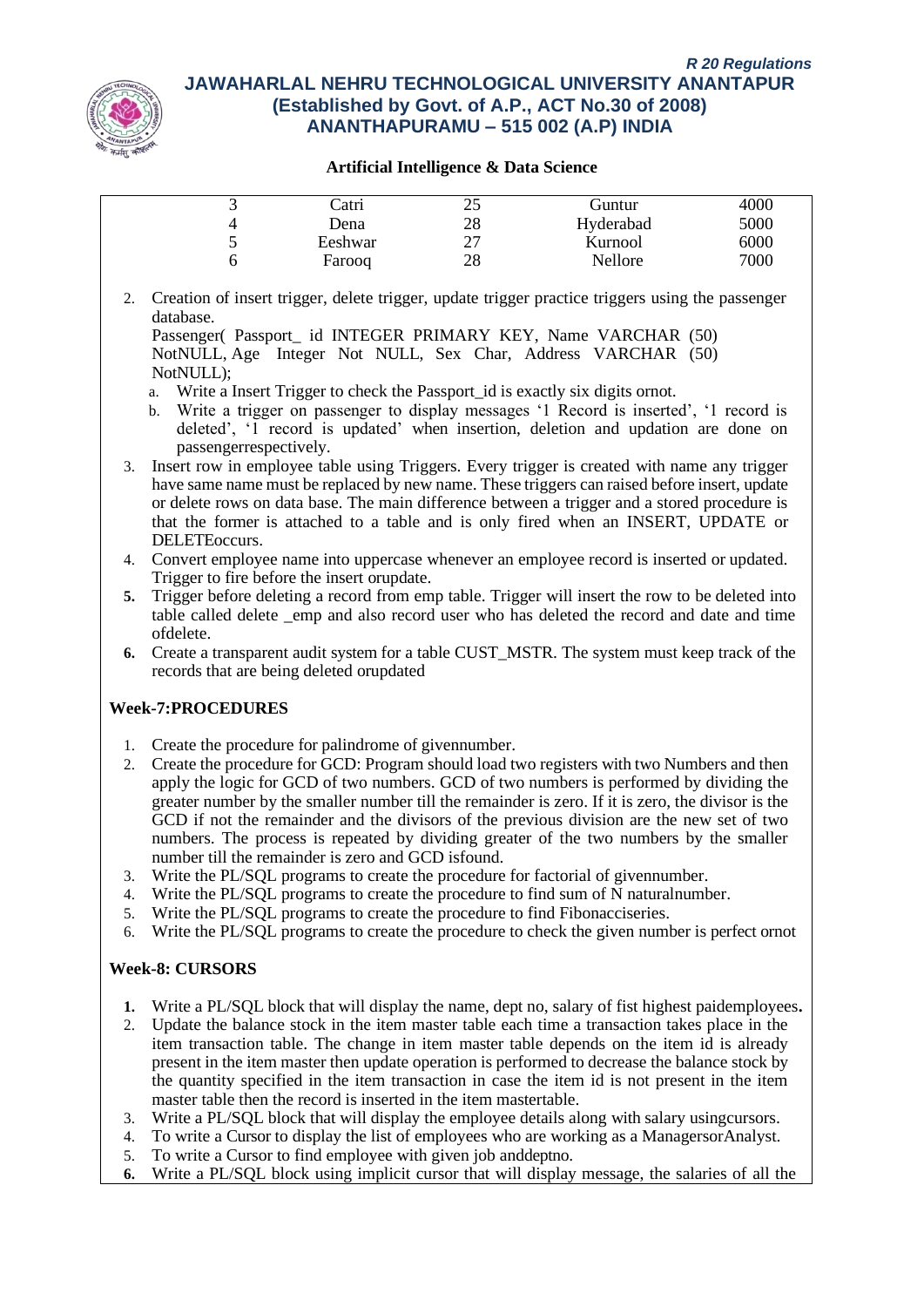

#### **Artificial Intelligence & Data Science**

|   | Catri   | ر ے                            | Guntur    | 4000 |
|---|---------|--------------------------------|-----------|------|
|   | Dena    | 28                             | Hyderabad | 5000 |
| ت | Eeshwar | າາ<br>$\overline{\phantom{a}}$ | Kurnool   | 6000 |
|   | Farooq  | 28                             | Nellore   | 7000 |

2. Creation of insert trigger, delete trigger, update trigger practice triggers using the passenger database.

Passenger( Passport\_ id INTEGER PRIMARY KEY, Name VARCHAR (50) NotNULL, Age Integer Not NULL, Sex Char, Address VARCHAR (50) NotNULL);

- a. Write a Insert Trigger to check the Passport id is exactly six digits ornot.
- b. Write a trigger on passenger to display messages '1 Record is inserted', '1 record is deleted', '1 record is updated' when insertion, deletion and updation are done on passengerrespectively.
- 3. Insert row in employee table using Triggers. Every trigger is created with name any trigger have same name must be replaced by new name. These triggers can raised before insert, update or delete rows on data base. The main difference between a trigger and a stored procedure is that the former is attached to a table and is only fired when an INSERT, UPDATE or DELETEoccurs.
- 4. Convert employee name into uppercase whenever an employee record is inserted or updated. Trigger to fire before the insert orupdate.
- **5.** Trigger before deleting a record from emp table. Trigger will insert the row to be deleted into table called delete \_emp and also record user who has deleted the record and date and time ofdelete.
- **6.** Create a transparent audit system for a table CUST\_MSTR. The system must keep track of the records that are being deleted orupdated

#### **Week-7:PROCEDURES**

- 1. Create the procedure for palindrome of givennumber.
- 2. Create the procedure for GCD: Program should load two registers with two Numbers and then apply the logic for GCD of two numbers. GCD of two numbers is performed by dividing the greater number by the smaller number till the remainder is zero. If it is zero, the divisor is the GCD if not the remainder and the divisors of the previous division are the new set of two numbers. The process is repeated by dividing greater of the two numbers by the smaller number till the remainder is zero and GCD isfound.
- 3. Write the PL/SQL programs to create the procedure for factorial of givennumber.
- 4. Write the PL/SQL programs to create the procedure to find sum of N naturalnumber.
- 5. Write the PL/SQL programs to create the procedure to find Fibonacciseries.
- 6. Write the PL/SQL programs to create the procedure to check the given number is perfect ornot

#### **Week-8: CURSORS**

- **1.** Write a PL/SQL block that will display the name, dept no, salary of fist highest paidemployees**.**
- 2. Update the balance stock in the item master table each time a transaction takes place in the item transaction table. The change in item master table depends on the item id is already present in the item master then update operation is performed to decrease the balance stock by the quantity specified in the item transaction in case the item id is not present in the item master table then the record is inserted in the item mastertable.
- 3. Write a PL/SQL block that will display the employee details along with salary usingcursors.
- 4. To write a Cursor to display the list of employees who are working as a ManagersorAnalyst.
- 5. To write a Cursor to find employee with given job anddeptno.
- **6.** Write a PL/SQL block using implicit cursor that will display message, the salaries of all the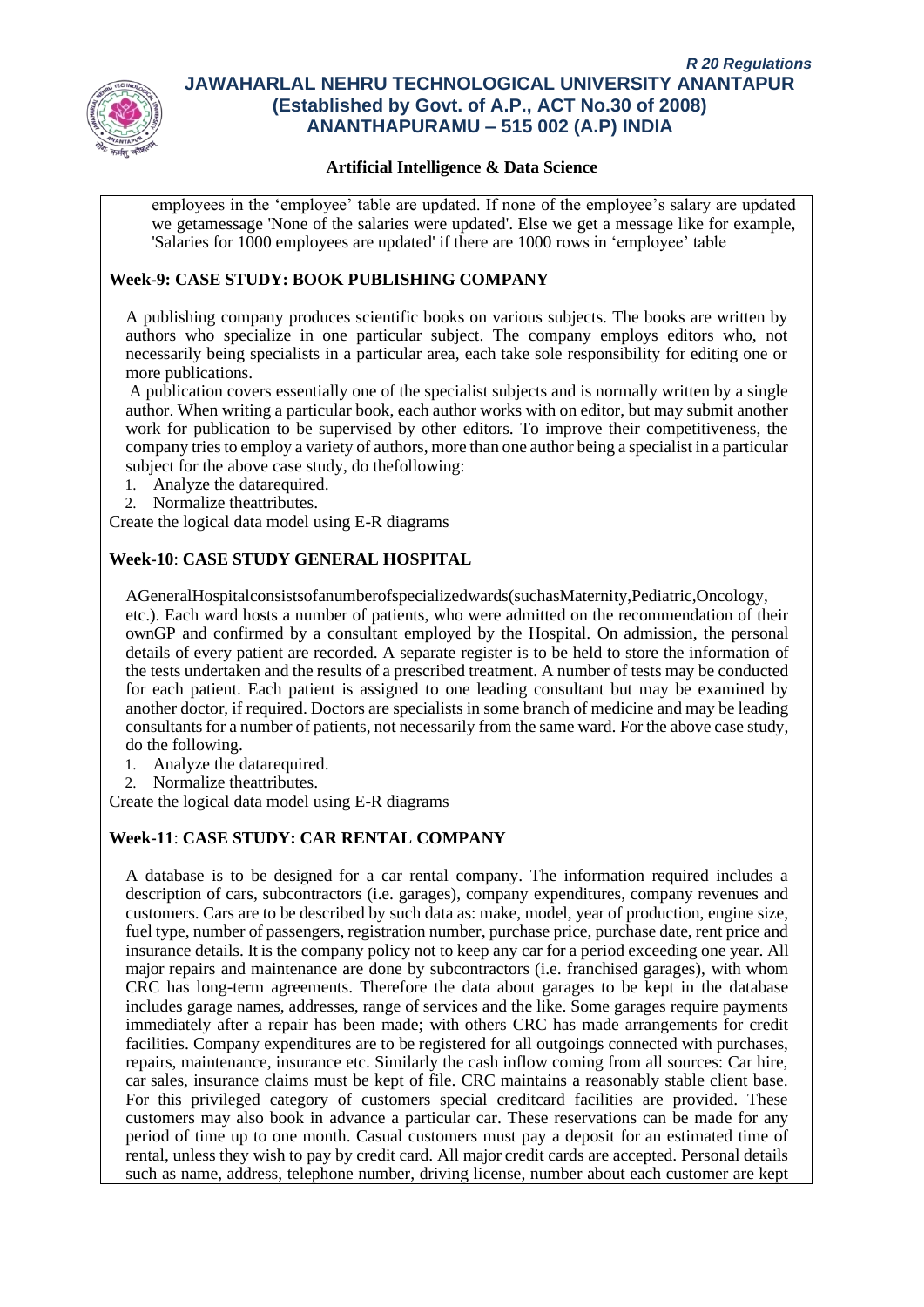

#### **Artificial Intelligence & Data Science**

employees in the 'employee' table are updated. If none of the employee's salary are updated we getamessage 'None of the salaries were updated'. Else we get a message like for example, 'Salaries for 1000 employees are updated' if there are 1000 rows in 'employee' table

#### **Week-9: CASE STUDY: BOOK PUBLISHING COMPANY**

A publishing company produces scientific books on various subjects. The books are written by authors who specialize in one particular subject. The company employs editors who, not necessarily being specialists in a particular area, each take sole responsibility for editing one or more publications.

A publication covers essentially one of the specialist subjects and is normally written by a single author. When writing a particular book, each author works with on editor, but may submit another work for publication to be supervised by other editors. To improve their competitiveness, the company tries to employ a variety of authors, more than one author being a specialist in a particular subject for the above case study, do thefollowing:

- 1. Analyze the datarequired.
- 2. Normalize theattributes.

Create the logical data model using E-R diagrams

#### **Week-10**: **CASE STUDY GENERAL HOSPITAL**

AGeneralHospitalconsistsofanumberofspecializedwards(suchasMaternity,Pediatric,Oncology, etc.). Each ward hosts a number of patients, who were admitted on the recommendation of their ownGP and confirmed by a consultant employed by the Hospital. On admission, the personal details of every patient are recorded. A separate register is to be held to store the information of the tests undertaken and the results of a prescribed treatment. A number of tests may be conducted for each patient. Each patient is assigned to one leading consultant but may be examined by another doctor, if required. Doctors are specialists in some branch of medicine and may be leading consultants for a number of patients, not necessarily from the same ward. For the above case study, do the following.

- 1. Analyze the datarequired.
- 2. Normalize theattributes.

Create the logical data model using E-R diagrams

## **Week-11**: **CASE STUDY: CAR RENTAL COMPANY**

A database is to be designed for a car rental company. The information required includes a description of cars, subcontractors (i.e. garages), company expenditures, company revenues and customers. Cars are to be described by such data as: make, model, year of production, engine size, fuel type, number of passengers, registration number, purchase price, purchase date, rent price and insurance details. It is the company policy not to keep any car for a period exceeding one year. All major repairs and maintenance are done by subcontractors (i.e. franchised garages), with whom CRC has long-term agreements. Therefore the data about garages to be kept in the database includes garage names, addresses, range of services and the like. Some garages require payments immediately after a repair has been made; with others CRC has made arrangements for credit facilities. Company expenditures are to be registered for all outgoings connected with purchases, repairs, maintenance, insurance etc. Similarly the cash inflow coming from all sources: Car hire, car sales, insurance claims must be kept of file. CRC maintains a reasonably stable client base. For this privileged category of customers special creditcard facilities are provided. These customers may also book in advance a particular car. These reservations can be made for any period of time up to one month. Casual customers must pay a deposit for an estimated time of rental, unless they wish to pay by credit card. All major credit cards are accepted. Personal details such as name, address, telephone number, driving license, number about each customer are kept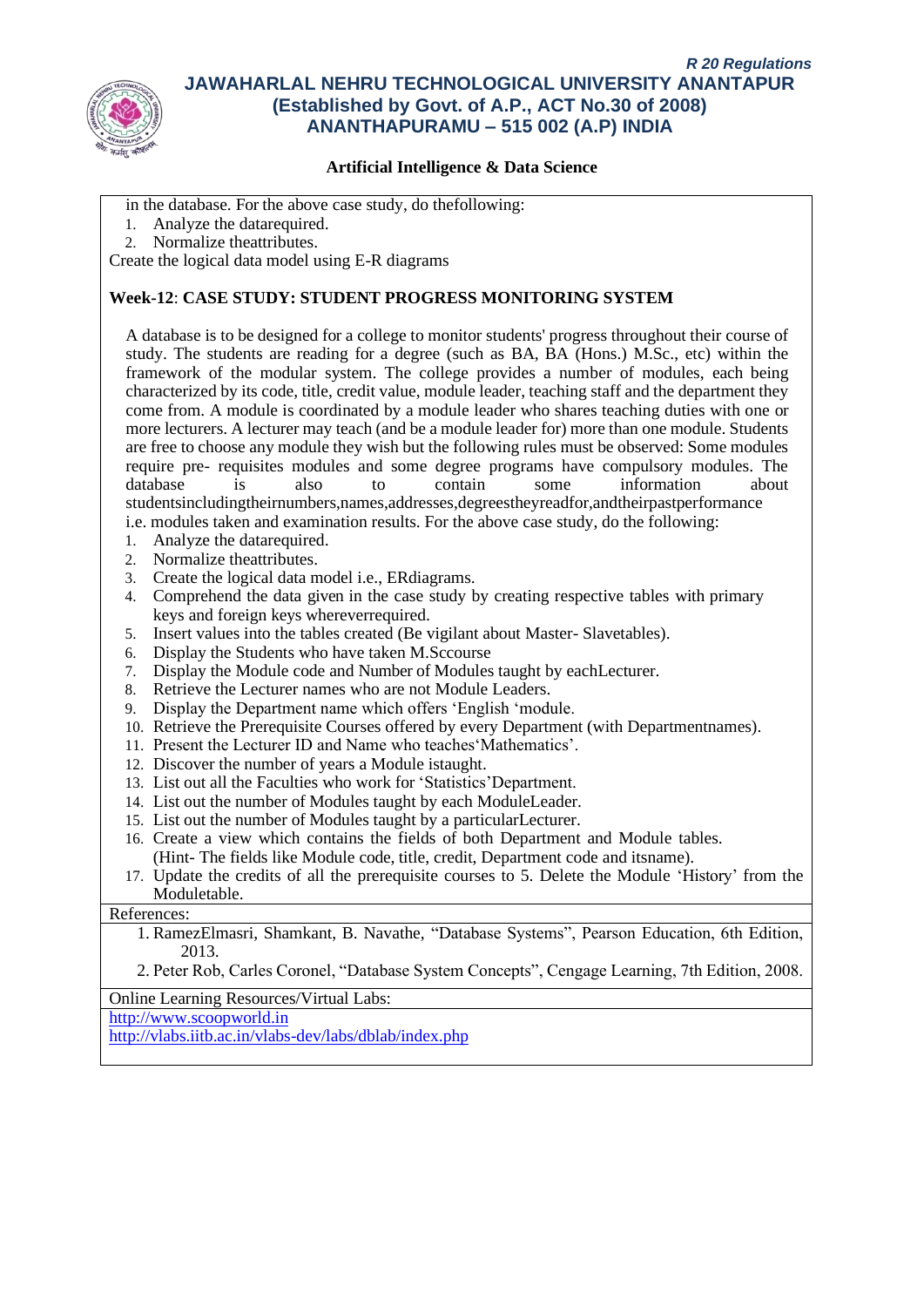

#### **Artificial Intelligence & Data Science**

in the database. For the above case study, do thefollowing:

- 1. Analyze the datarequired.
- 2. Normalize theattributes.

Create the logical data model using E-R diagrams

#### **Week-12**: **CASE STUDY: STUDENT PROGRESS MONITORING SYSTEM**

A database is to be designed for a college to monitor students' progress throughout their course of study. The students are reading for a degree (such as BA, BA (Hons.) M.Sc., etc) within the framework of the modular system. The college provides a number of modules, each being characterized by its code, title, credit value, module leader, teaching staff and the department they come from. A module is coordinated by a module leader who shares teaching duties with one or more lecturers. A lecturer may teach (and be a module leader for) more than one module. Students are free to choose any module they wish but the following rules must be observed: Some modules require pre- requisites modules and some degree programs have compulsory modules. The database is also to contain some information about studentsincludingtheirnumbers,names,addresses,degreestheyreadfor,andtheirpastperformance i.e. modules taken and examination results. For the above case study, do the following:

- 1. Analyze the datarequired.
- 2. Normalize theattributes.
- 3. Create the logical data model i.e., ERdiagrams.
- 4. Comprehend the data given in the case study by creating respective tables with primary keys and foreign keys whereverrequired.
- 5. Insert values into the tables created (Be vigilant about Master- Slavetables).
- 6. Display the Students who have taken M.Sccourse
- 7. Display the Module code and Number of Modules taught by eachLecturer.
- 8. Retrieve the Lecturer names who are not Module Leaders.
- 9. Display the Department name which offers 'English 'module.
- 10. Retrieve the Prerequisite Courses offered by every Department (with Departmentnames).
- 11. Present the Lecturer ID and Name who teaches'Mathematics'.
- 12. Discover the number of years a Module istaught.
- 13. List out all the Faculties who work for 'Statistics'Department.
- 14. List out the number of Modules taught by each ModuleLeader.
- 15. List out the number of Modules taught by a particularLecturer.
- 16. Create a view which contains the fields of both Department and Module tables. (Hint- The fields like Module code, title, credit, Department code and itsname).
- 17. Update the credits of all the prerequisite courses to 5. Delete the Module 'History' from the Moduletable.

#### References:

- 1. RamezElmasri, Shamkant, B. Navathe, "Database Systems", Pearson Education, 6th Edition, 2013.
- 2. Peter Rob, Carles Coronel, "Database System Concepts", Cengage Learning, 7th Edition, 2008.

Online Learning Resources/Virtual Labs:

[http://www.scoopworld.in](http://www.scoopworld.in/)

<http://vlabs.iitb.ac.in/vlabs-dev/labs/dblab/index.php>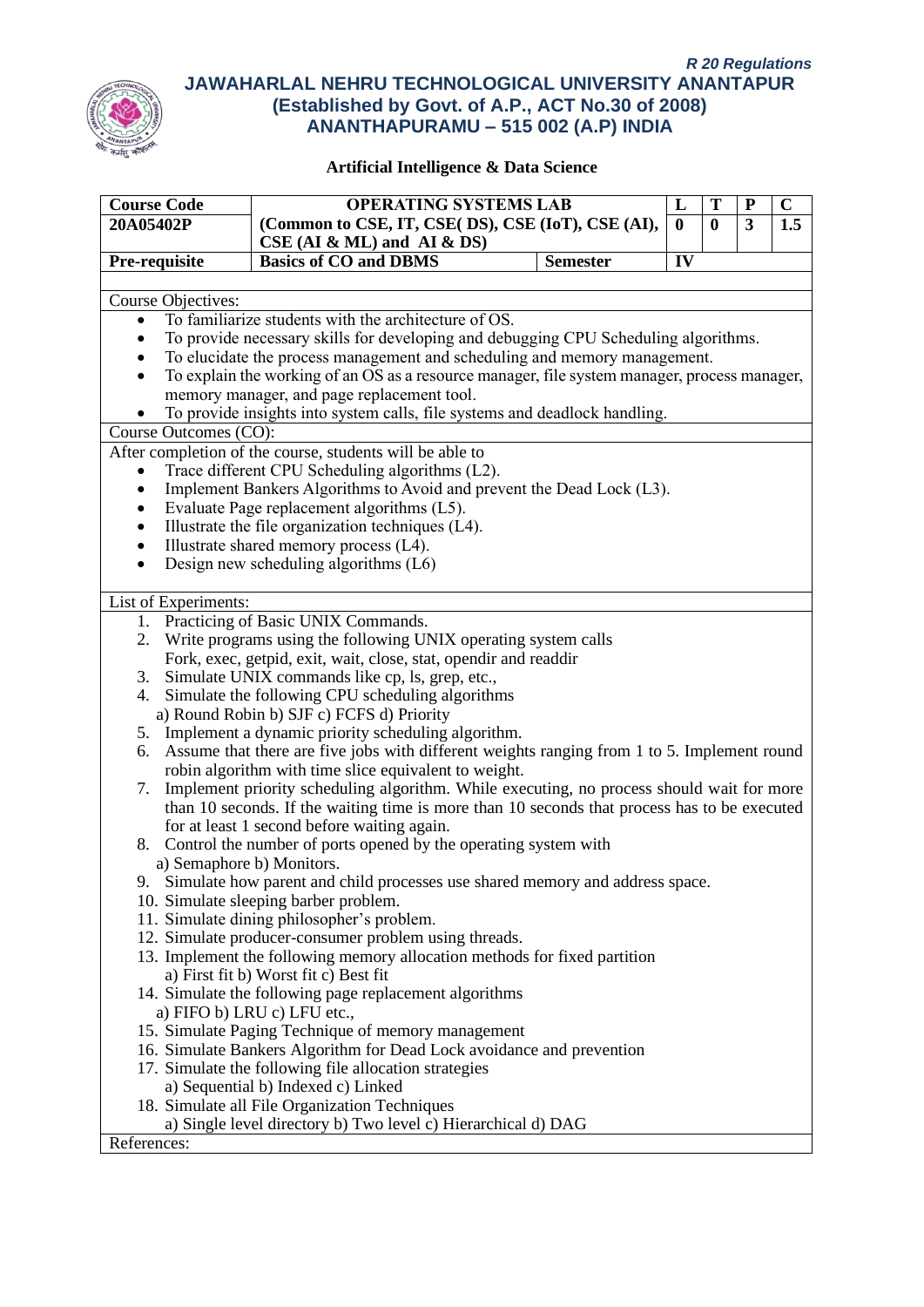

| <b>Course Code</b>    | <b>OPERATING SYSTEMS LAB</b>                                                                 |                 | L        | T        | ${\bf P}$ | $\overline{\mathbf{C}}$ |
|-----------------------|----------------------------------------------------------------------------------------------|-----------------|----------|----------|-----------|-------------------------|
| 20A05402P             | (Common to CSE, IT, CSE( DS), CSE (IoT), CSE (AI),                                           |                 | $\bf{0}$ | $\bf{0}$ | 3         | 1.5                     |
|                       | $CSE$ (AI & ML) and AI & DS)                                                                 |                 |          |          |           |                         |
| Pre-requisite         | <b>Basics of CO and DBMS</b>                                                                 | <b>Semester</b> | IV       |          |           |                         |
|                       |                                                                                              |                 |          |          |           |                         |
| Course Objectives:    |                                                                                              |                 |          |          |           |                         |
| $\bullet$             | To familiarize students with the architecture of OS.                                         |                 |          |          |           |                         |
| ٠                     | To provide necessary skills for developing and debugging CPU Scheduling algorithms.          |                 |          |          |           |                         |
| ٠                     | To elucidate the process management and scheduling and memory management.                    |                 |          |          |           |                         |
| $\bullet$             | To explain the working of an OS as a resource manager, file system manager, process manager, |                 |          |          |           |                         |
|                       | memory manager, and page replacement tool.                                                   |                 |          |          |           |                         |
|                       | To provide insights into system calls, file systems and deadlock handling.                   |                 |          |          |           |                         |
| Course Outcomes (CO): |                                                                                              |                 |          |          |           |                         |
|                       | After completion of the course, students will be able to                                     |                 |          |          |           |                         |
| $\bullet$             | Trace different CPU Scheduling algorithms (L2).                                              |                 |          |          |           |                         |
| $\bullet$             | Implement Bankers Algorithms to Avoid and prevent the Dead Lock (L3).                        |                 |          |          |           |                         |
| ٠                     | Evaluate Page replacement algorithms (L5).                                                   |                 |          |          |           |                         |
| ٠                     | Illustrate the file organization techniques (L4).                                            |                 |          |          |           |                         |
| $\bullet$             | Illustrate shared memory process (L4).                                                       |                 |          |          |           |                         |
| $\bullet$             | Design new scheduling algorithms (L6)                                                        |                 |          |          |           |                         |
|                       |                                                                                              |                 |          |          |           |                         |
| List of Experiments:  |                                                                                              |                 |          |          |           |                         |
|                       | 1. Practicing of Basic UNIX Commands.                                                        |                 |          |          |           |                         |
| 2.                    | Write programs using the following UNIX operating system calls                               |                 |          |          |           |                         |
|                       | Fork, exec, getpid, exit, wait, close, stat, opendir and readdir                             |                 |          |          |           |                         |
| 3.                    | Simulate UNIX commands like cp, ls, grep, etc.,                                              |                 |          |          |           |                         |
| 4.                    | Simulate the following CPU scheduling algorithms                                             |                 |          |          |           |                         |
|                       | a) Round Robin b) SJF c) FCFS d) Priority                                                    |                 |          |          |           |                         |
|                       | 5. Implement a dynamic priority scheduling algorithm.                                        |                 |          |          |           |                         |
| 6.                    | Assume that there are five jobs with different weights ranging from 1 to 5. Implement round  |                 |          |          |           |                         |
|                       | robin algorithm with time slice equivalent to weight.                                        |                 |          |          |           |                         |
| 7.                    | Implement priority scheduling algorithm. While executing, no process should wait for more    |                 |          |          |           |                         |
|                       | than 10 seconds. If the waiting time is more than 10 seconds that process has to be executed |                 |          |          |           |                         |
|                       | for at least 1 second before waiting again.                                                  |                 |          |          |           |                         |
| 8.                    | Control the number of ports opened by the operating system with                              |                 |          |          |           |                         |
|                       | a) Semaphore b) Monitors.                                                                    |                 |          |          |           |                         |
|                       | 9. Simulate how parent and child processes use shared memory and address space.              |                 |          |          |           |                         |
|                       | 10. Simulate sleeping barber problem.                                                        |                 |          |          |           |                         |
|                       | 11. Simulate dining philosopher's problem.                                                   |                 |          |          |           |                         |
|                       | 12. Simulate producer-consumer problem using threads.                                        |                 |          |          |           |                         |
|                       | 13. Implement the following memory allocation methods for fixed partition                    |                 |          |          |           |                         |
|                       | a) First fit b) Worst fit c) Best fit                                                        |                 |          |          |           |                         |
|                       | 14. Simulate the following page replacement algorithms                                       |                 |          |          |           |                         |
|                       | a) FIFO b) LRU c) LFU etc.,                                                                  |                 |          |          |           |                         |
|                       | 15. Simulate Paging Technique of memory management                                           |                 |          |          |           |                         |
|                       | 16. Simulate Bankers Algorithm for Dead Lock avoidance and prevention                        |                 |          |          |           |                         |
|                       | 17. Simulate the following file allocation strategies                                        |                 |          |          |           |                         |
|                       | a) Sequential b) Indexed c) Linked                                                           |                 |          |          |           |                         |
|                       | 18. Simulate all File Organization Techniques                                                |                 |          |          |           |                         |
|                       | a) Single level directory b) Two level c) Hierarchical d) DAG                                |                 |          |          |           |                         |
| References:           |                                                                                              |                 |          |          |           |                         |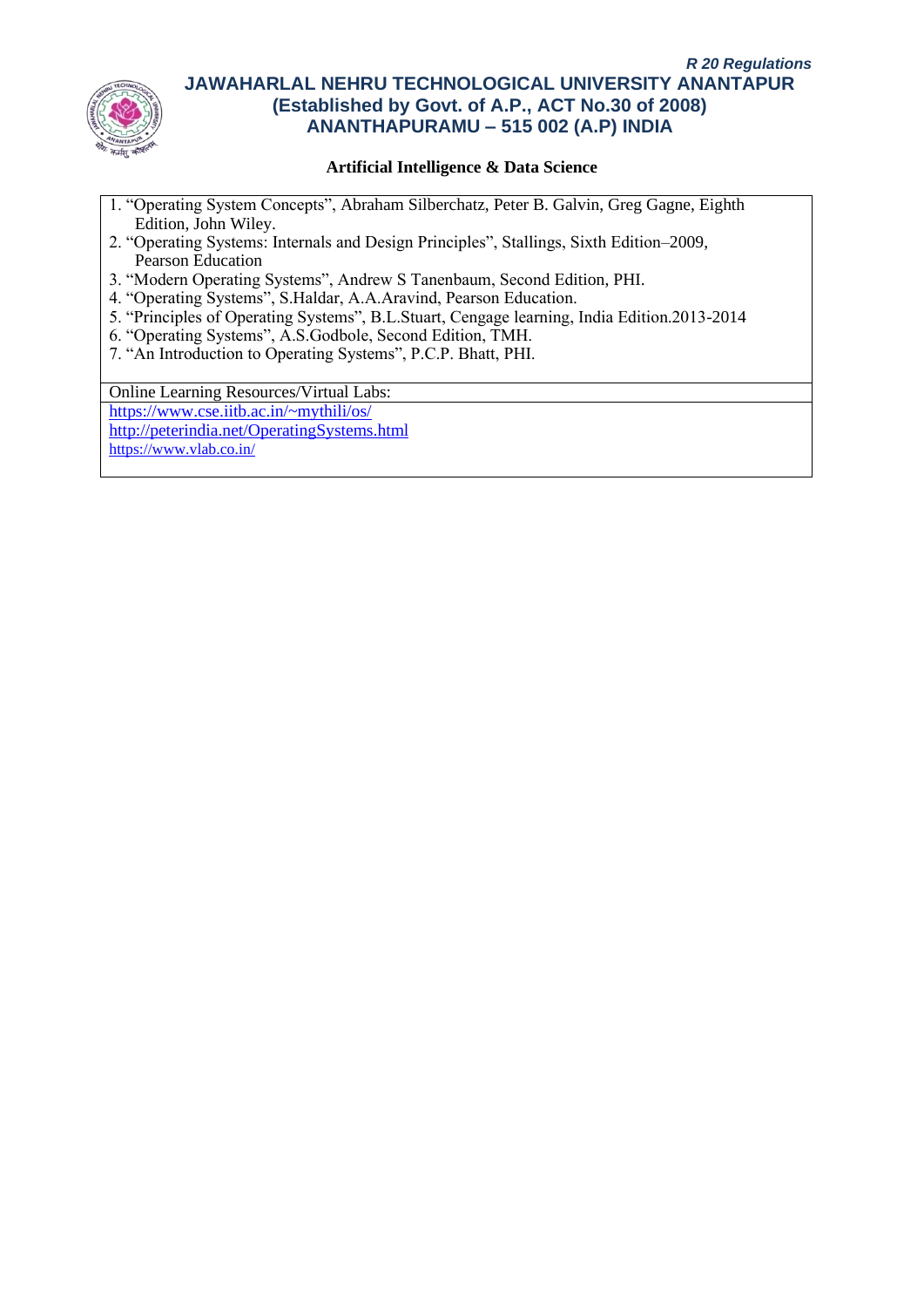

## **Artificial Intelligence & Data Science**

- 1. "Operating System Concepts", Abraham Silberchatz, Peter B. Galvin, Greg Gagne, Eighth Edition, John Wiley.
- 2. "Operating Systems: Internals and Design Principles", Stallings, Sixth Edition–2009, Pearson Education
- 3. "Modern Operating Systems", Andrew S Tanenbaum, Second Edition, PHI.
- 4. "Operating Systems", S.Haldar, A.A.Aravind, Pearson Education.
- 5. "Principles of Operating Systems", B.L.Stuart, Cengage learning, India Edition.2013-2014
- 6. "Operating Systems", A.S.Godbole, Second Edition, TMH.
- 7. "An Introduction to Operating Systems", P.C.P. Bhatt, PHI.

Online Learning Resources/Virtual Labs:

<https://www.cse.iitb.ac.in/~mythili/os/>

<http://peterindia.net/OperatingSystems.html>

<https://www.vlab.co.in/>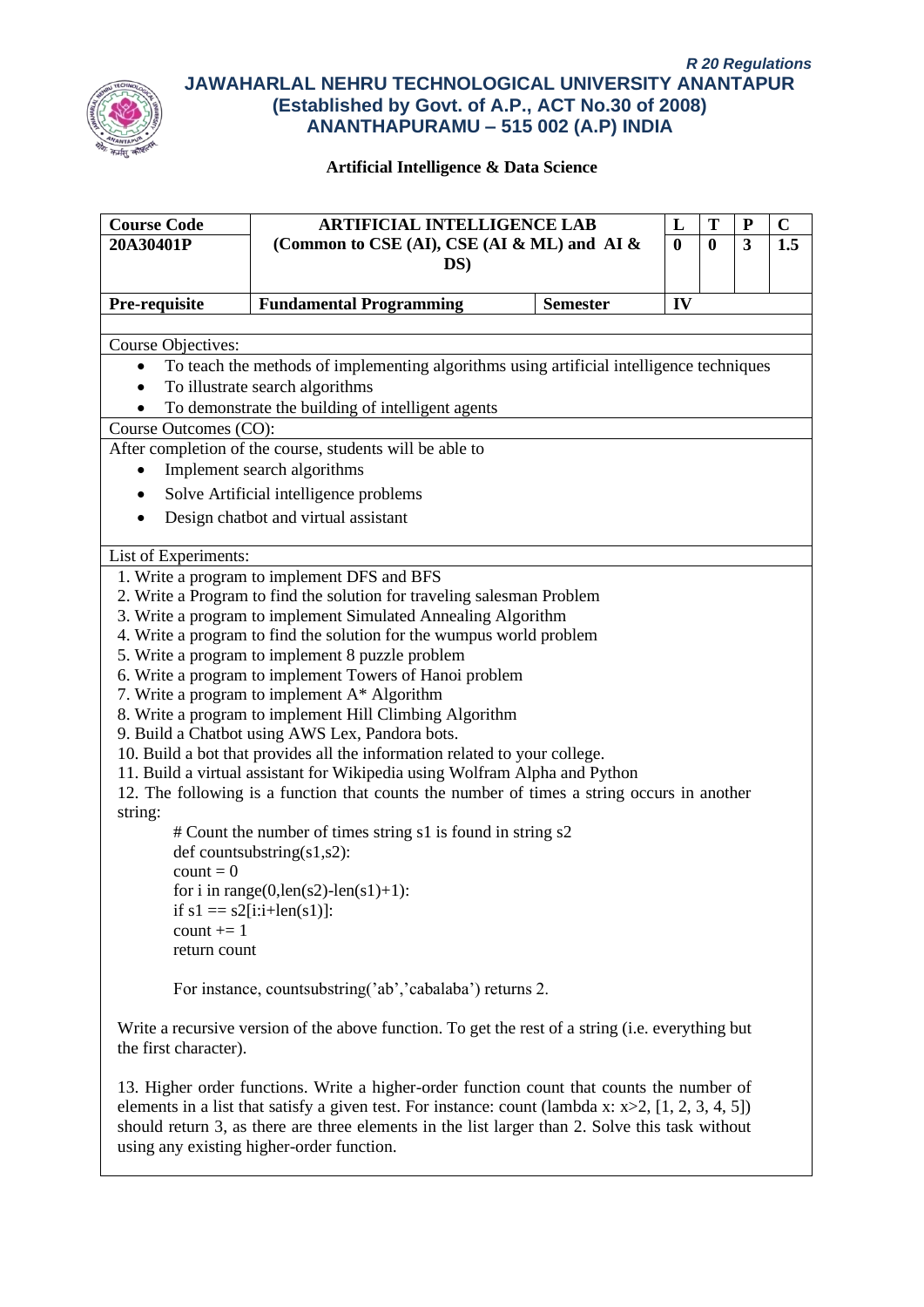

| <b>Course Code</b>    | <b>ARTIFICIAL INTELLIGENCE LAB</b>                                                                                                                                                                                                                                                                                                                 |                 | L        | T                | P | $\mathbf C$ |
|-----------------------|----------------------------------------------------------------------------------------------------------------------------------------------------------------------------------------------------------------------------------------------------------------------------------------------------------------------------------------------------|-----------------|----------|------------------|---|-------------|
| 20A30401P             | (Common to CSE (AI), CSE (AI & ML) and AI &                                                                                                                                                                                                                                                                                                        |                 | $\bf{0}$ | $\boldsymbol{0}$ | 3 | 1.5         |
|                       | $DS$ )                                                                                                                                                                                                                                                                                                                                             |                 |          |                  |   |             |
| Pre-requisite         | <b>Fundamental Programming</b>                                                                                                                                                                                                                                                                                                                     | <b>Semester</b> | IV       |                  |   |             |
| Course Objectives:    |                                                                                                                                                                                                                                                                                                                                                    |                 |          |                  |   |             |
| $\bullet$             | To teach the methods of implementing algorithms using artificial intelligence techniques                                                                                                                                                                                                                                                           |                 |          |                  |   |             |
|                       | To illustrate search algorithms                                                                                                                                                                                                                                                                                                                    |                 |          |                  |   |             |
|                       | To demonstrate the building of intelligent agents                                                                                                                                                                                                                                                                                                  |                 |          |                  |   |             |
| Course Outcomes (CO): |                                                                                                                                                                                                                                                                                                                                                    |                 |          |                  |   |             |
|                       | After completion of the course, students will be able to                                                                                                                                                                                                                                                                                           |                 |          |                  |   |             |
|                       | Implement search algorithms                                                                                                                                                                                                                                                                                                                        |                 |          |                  |   |             |
|                       | Solve Artificial intelligence problems                                                                                                                                                                                                                                                                                                             |                 |          |                  |   |             |
|                       | Design chatbot and virtual assistant                                                                                                                                                                                                                                                                                                               |                 |          |                  |   |             |
| List of Experiments:  |                                                                                                                                                                                                                                                                                                                                                    |                 |          |                  |   |             |
|                       | 1. Write a program to implement DFS and BFS                                                                                                                                                                                                                                                                                                        |                 |          |                  |   |             |
|                       | 2. Write a Program to find the solution for traveling salesman Problem                                                                                                                                                                                                                                                                             |                 |          |                  |   |             |
|                       | 3. Write a program to implement Simulated Annealing Algorithm                                                                                                                                                                                                                                                                                      |                 |          |                  |   |             |
|                       | 4. Write a program to find the solution for the wumpus world problem                                                                                                                                                                                                                                                                               |                 |          |                  |   |             |
|                       | 5. Write a program to implement 8 puzzle problem                                                                                                                                                                                                                                                                                                   |                 |          |                  |   |             |
|                       | 6. Write a program to implement Towers of Hanoi problem                                                                                                                                                                                                                                                                                            |                 |          |                  |   |             |
|                       | 7. Write a program to implement A* Algorithm                                                                                                                                                                                                                                                                                                       |                 |          |                  |   |             |
|                       | 8. Write a program to implement Hill Climbing Algorithm<br>9. Build a Chatbot using AWS Lex, Pandora bots.                                                                                                                                                                                                                                         |                 |          |                  |   |             |
|                       | 10. Build a bot that provides all the information related to your college.                                                                                                                                                                                                                                                                         |                 |          |                  |   |             |
|                       | 11. Build a virtual assistant for Wikipedia using Wolfram Alpha and Python                                                                                                                                                                                                                                                                         |                 |          |                  |   |             |
|                       | 12. The following is a function that counts the number of times a string occurs in another                                                                                                                                                                                                                                                         |                 |          |                  |   |             |
| string:               |                                                                                                                                                                                                                                                                                                                                                    |                 |          |                  |   |             |
|                       | # Count the number of times string s1 is found in string s2                                                                                                                                                                                                                                                                                        |                 |          |                  |   |             |
|                       | def countsubstring $(s1,s2)$ :                                                                                                                                                                                                                                                                                                                     |                 |          |                  |   |             |
| $count = 0$           |                                                                                                                                                                                                                                                                                                                                                    |                 |          |                  |   |             |
|                       | for i in range(0,len(s2)-len(s1)+1):                                                                                                                                                                                                                                                                                                               |                 |          |                  |   |             |
|                       | if $s1 = s2[i:i+len(s1)]$ :                                                                                                                                                                                                                                                                                                                        |                 |          |                  |   |             |
| count $+= 1$          |                                                                                                                                                                                                                                                                                                                                                    |                 |          |                  |   |             |
| return count          |                                                                                                                                                                                                                                                                                                                                                    |                 |          |                  |   |             |
|                       | For instance, countsubstring('ab','cabalaba') returns 2.                                                                                                                                                                                                                                                                                           |                 |          |                  |   |             |
| the first character). | Write a recursive version of the above function. To get the rest of a string (i.e. everything but                                                                                                                                                                                                                                                  |                 |          |                  |   |             |
|                       | 13. Higher order functions. Write a higher-order function count that counts the number of<br>elements in a list that satisfy a given test. For instance: count (lambda x: $x>2$ , [1, 2, 3, 4, 5])<br>should return 3, as there are three elements in the list larger than 2. Solve this task without<br>using any existing higher-order function. |                 |          |                  |   |             |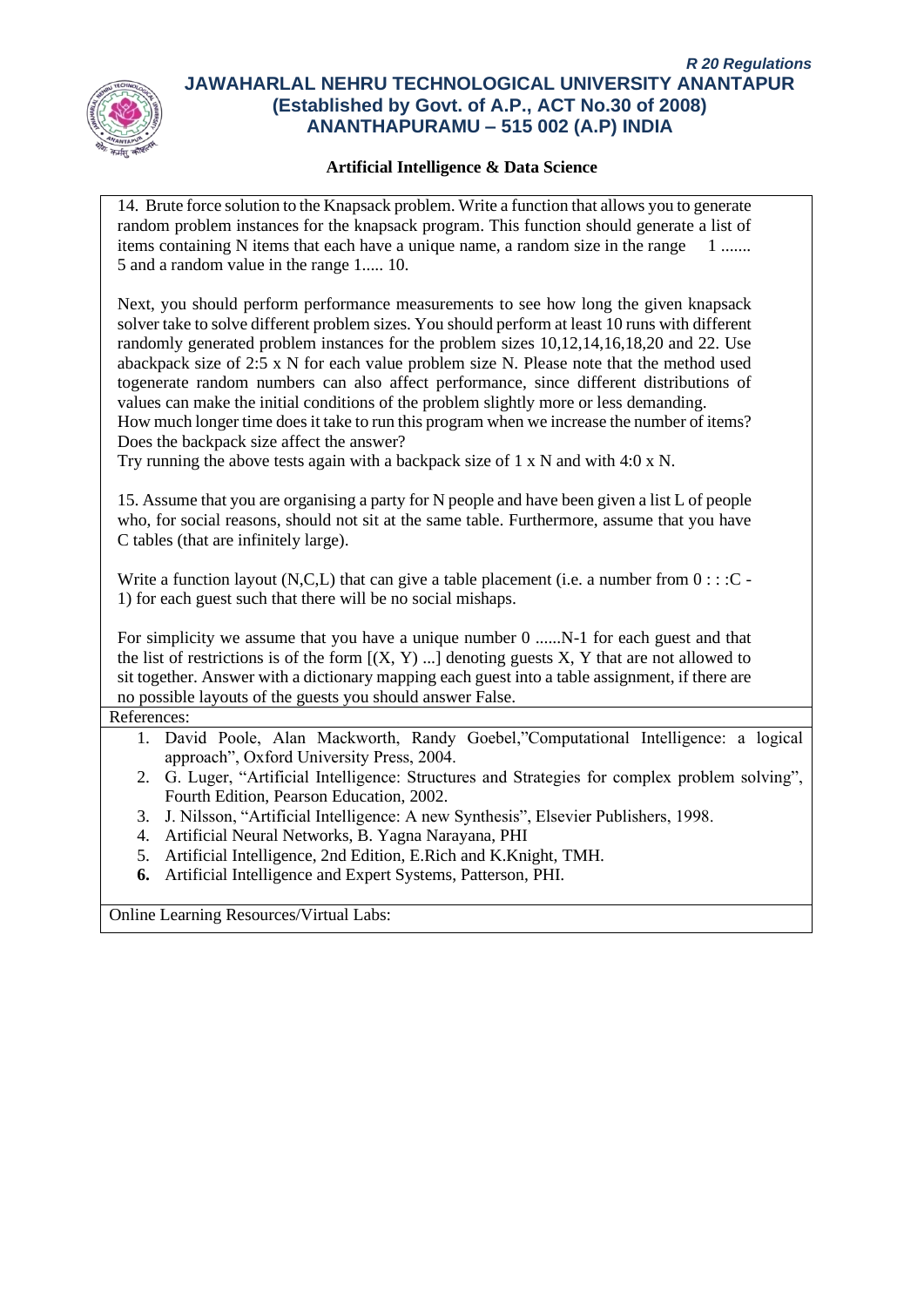

#### **Artificial Intelligence & Data Science**

14. Brute force solution to the Knapsack problem. Write a function that allows you to generate random problem instances for the knapsack program. This function should generate a list of items containing N items that each have a unique name, a random size in the range 1 ....... 5 and a random value in the range 1..... 10. Next, you should perform performance measurements to see how long the given knapsack solver take to solve different problem sizes. You should perform at least 10 runs with different randomly generated problem instances for the problem sizes 10,12,14,16,18,20 and 22. Use abackpack size of 2:5 x N for each value problem size N. Please note that the method used togenerate random numbers can also affect performance, since different distributions of values can make the initial conditions of the problem slightly more or less demanding. How much longer time does it take to run this program when we increase the number of items? Does the backpack size affect the answer? Try running the above tests again with a backpack size of 1 x N and with 4:0 x N. 15. Assume that you are organising a party for N people and have been given a list L of people who, for social reasons, should not sit at the same table. Furthermore, assume that you have C tables (that are infinitely large). Write a function layout  $(N, C, L)$  that can give a table placement (i.e. a number from  $0 : : :C$ 1) for each guest such that there will be no social mishaps. For simplicity we assume that you have a unique number 0 ......N-1 for each guest and that the list of restrictions is of the form  $[(X, Y)$  ...] denoting guests X, Y that are not allowed to sit together. Answer with a dictionary mapping each guest into a table assignment, if there are no possible layouts of the guests you should answer False. References: 1. David Poole, Alan Mackworth, Randy Goebel,"Computational Intelligence: a logical approach", Oxford University Press, 2004. 2. G. Luger, "Artificial Intelligence: Structures and Strategies for complex problem solving", Fourth Edition, Pearson Education, 2002. 3. J. Nilsson, "Artificial Intelligence: A new Synthesis", Elsevier Publishers, 1998. 4. Artificial Neural Networks, B. Yagna Narayana, PHI 5. Artificial Intelligence, 2nd Edition, E.Rich and K.Knight, TMH. **6.** Artificial Intelligence and Expert Systems, Patterson, PHI.

Online Learning Resources/Virtual Labs: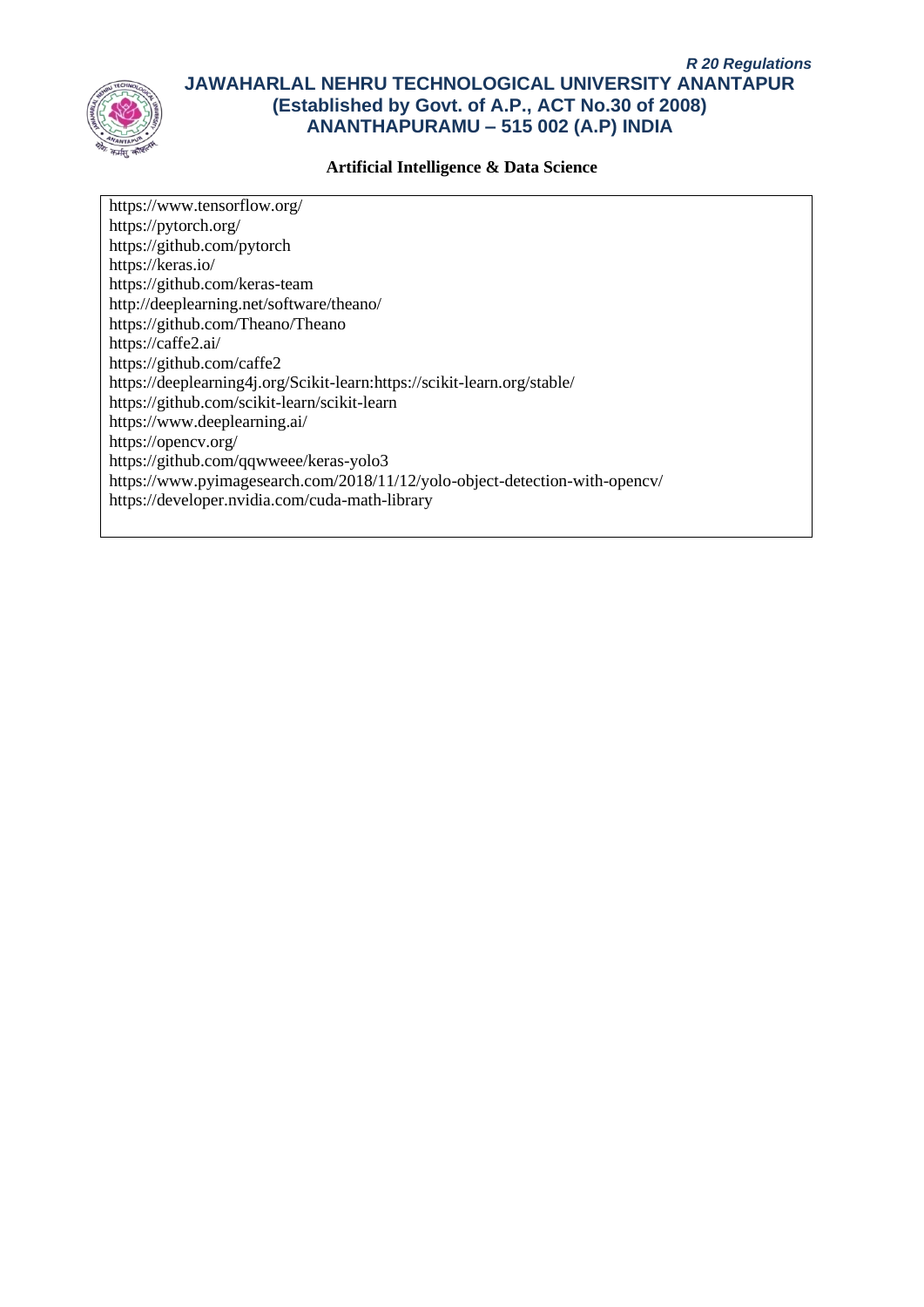

#### **Artificial Intelligence & Data Science**

https://www.tensorflow.org/ https://pytorch.org/ https://github.com/pytorch https://keras.io/ https://github.com/keras-team http://deeplearning.net/software/theano/ https://github.com/Theano/Theano https://caffe2.ai/ https://github.com/caffe2 https://deeplearning4j.org/Scikit-learn:https://scikit-learn.org/stable/ https://github.com/scikit-learn/scikit-learn https://www.deeplearning.ai/ https://opencv.org/ https://github.com/qqwweee/keras-yolo3 https://www.pyimagesearch.com/2018/11/12/yolo-object-detection-with-opencv/ https://developer.nvidia.com/cuda-math-library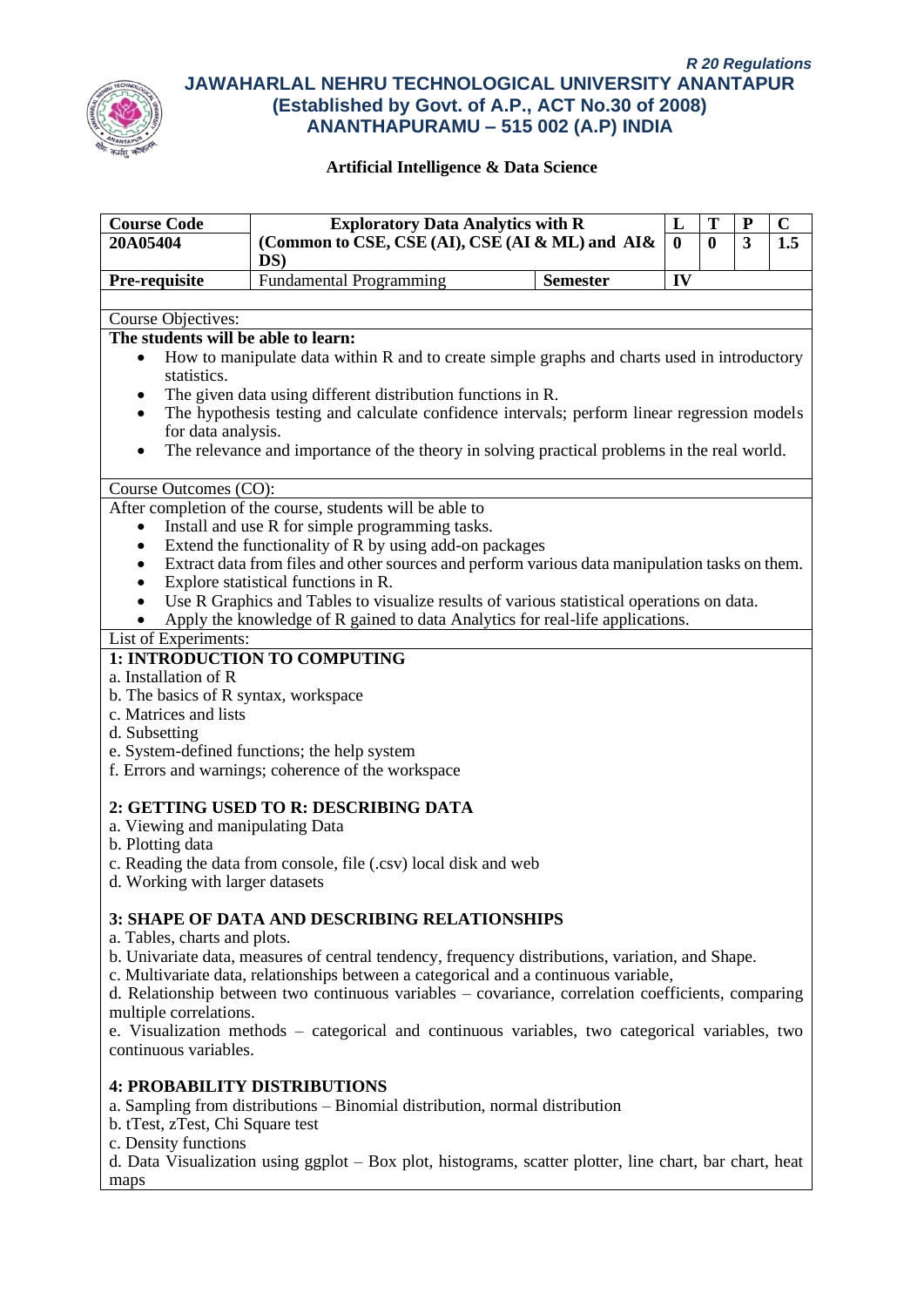

| <b>Course Code</b>                                                                                                                                                                                | <b>Exploratory Data Analytics with R</b><br>T<br>L                                                                                                                                                                                                                                                                                                                                                                                                                                           |                 |    | ${\bf P}$ | $\mathbf C$ |                  |
|---------------------------------------------------------------------------------------------------------------------------------------------------------------------------------------------------|----------------------------------------------------------------------------------------------------------------------------------------------------------------------------------------------------------------------------------------------------------------------------------------------------------------------------------------------------------------------------------------------------------------------------------------------------------------------------------------------|-----------------|----|-----------|-------------|------------------|
| 20A05404                                                                                                                                                                                          | (Common to CSE, CSE (AI), CSE (AI & ML) and AI&<br>$\mathbf{0}$<br>$DS$ )                                                                                                                                                                                                                                                                                                                                                                                                                    |                 |    |           | 3           | $\overline{1.5}$ |
| Pre-requisite                                                                                                                                                                                     | <b>Fundamental Programming</b>                                                                                                                                                                                                                                                                                                                                                                                                                                                               | <b>Semester</b> | IV |           |             |                  |
| Course Objectives:                                                                                                                                                                                |                                                                                                                                                                                                                                                                                                                                                                                                                                                                                              |                 |    |           |             |                  |
| The students will be able to learn:                                                                                                                                                               |                                                                                                                                                                                                                                                                                                                                                                                                                                                                                              |                 |    |           |             |                  |
| ٠<br>statistics.<br>٠<br>for data analysis.                                                                                                                                                       | How to manipulate data within R and to create simple graphs and charts used in introductory<br>The given data using different distribution functions in R.<br>The hypothesis testing and calculate confidence intervals; perform linear regression models<br>The relevance and importance of the theory in solving practical problems in the real world.                                                                                                                                     |                 |    |           |             |                  |
| Course Outcomes (CO):                                                                                                                                                                             |                                                                                                                                                                                                                                                                                                                                                                                                                                                                                              |                 |    |           |             |                  |
| $\bullet$<br>٠<br>List of Experiments:                                                                                                                                                            | After completion of the course, students will be able to<br>Install and use R for simple programming tasks.<br>Extend the functionality of R by using add-on packages<br>Extract data from files and other sources and perform various data manipulation tasks on them.<br>Explore statistical functions in R.<br>Use R Graphics and Tables to visualize results of various statistical operations on data.<br>Apply the knowledge of R gained to data Analytics for real-life applications. |                 |    |           |             |                  |
|                                                                                                                                                                                                   | 1: INTRODUCTION TO COMPUTING                                                                                                                                                                                                                                                                                                                                                                                                                                                                 |                 |    |           |             |                  |
| a. Installation of R<br>b. The basics of R syntax, workspace<br>c. Matrices and lists<br>d. Subsetting<br>a. Viewing and manipulating Data<br>b. Plotting data<br>d. Working with larger datasets | e. System-defined functions; the help system<br>f. Errors and warnings; coherence of the workspace<br>2: GETTING USED TO R: DESCRIBING DATA<br>c. Reading the data from console, file (.csv) local disk and web                                                                                                                                                                                                                                                                              |                 |    |           |             |                  |
| a. Tables, charts and plots.<br>multiple correlations.<br>continuous variables.                                                                                                                   | <b>3: SHAPE OF DATA AND DESCRIBING RELATIONSHIPS</b><br>b. Univariate data, measures of central tendency, frequency distributions, variation, and Shape.<br>c. Multivariate data, relationships between a categorical and a continuous variable,<br>d. Relationship between two continuous variables - covariance, correlation coefficients, comparing<br>e. Visualization methods - categorical and continuous variables, two categorical variables, two                                    |                 |    |           |             |                  |
| <b>4: PROBABILITY DISTRIBUTIONS</b><br>b. tTest, zTest, Chi Square test<br>c. Density functions<br>maps                                                                                           | a. Sampling from distributions - Binomial distribution, normal distribution<br>d. Data Visualization using ggplot – Box plot, histograms, scatter plotter, line chart, bar chart, heat                                                                                                                                                                                                                                                                                                       |                 |    |           |             |                  |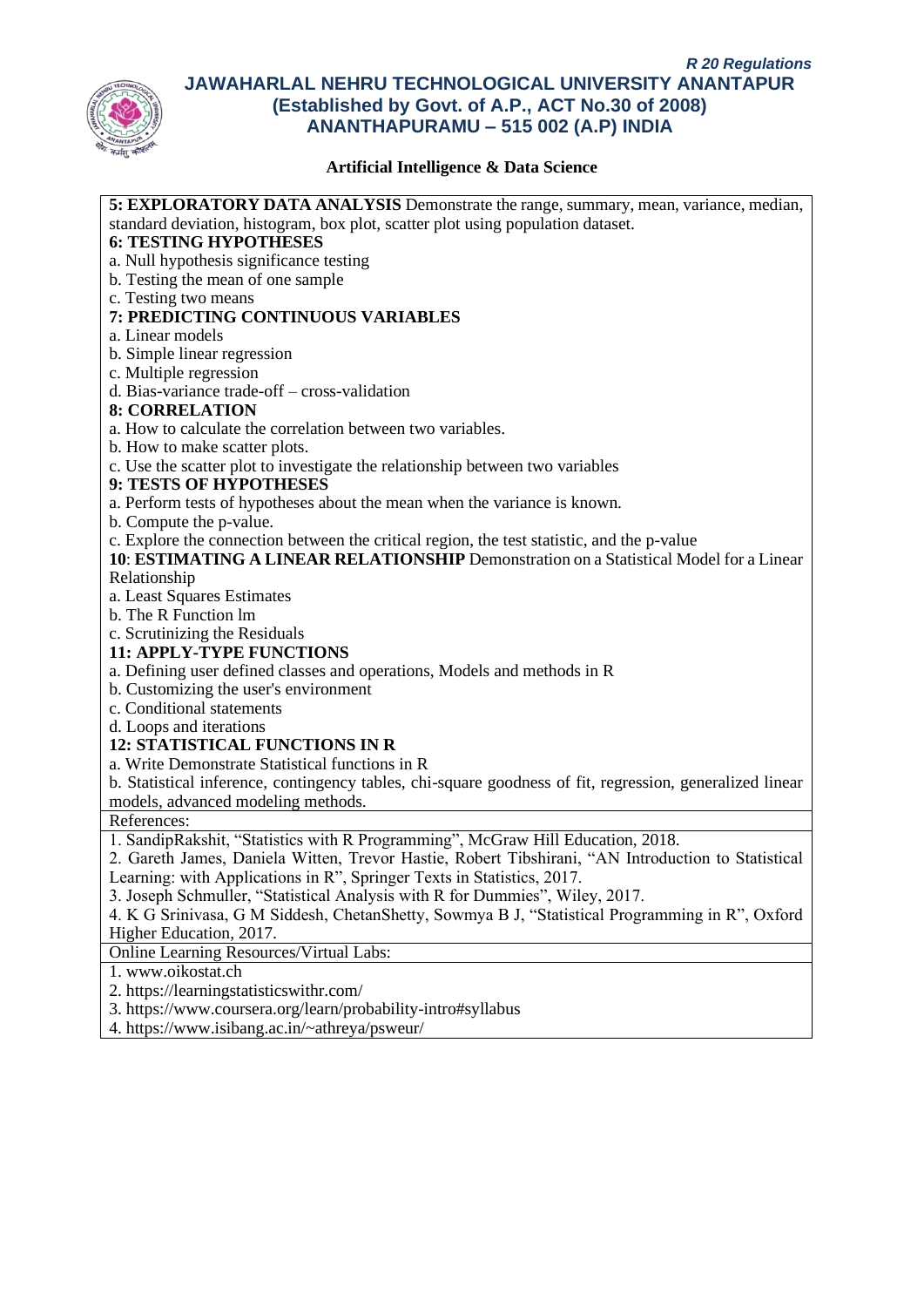

| 5: EXPLORATORY DATA ANALYSIS Demonstrate the range, summary, mean, variance, median,                     |
|----------------------------------------------------------------------------------------------------------|
| standard deviation, histogram, box plot, scatter plot using population dataset.                          |
| <b>6: TESTING HYPOTHESES</b>                                                                             |
| a. Null hypothesis significance testing                                                                  |
| b. Testing the mean of one sample                                                                        |
| c. Testing two means                                                                                     |
| 7: PREDICTING CONTINUOUS VARIABLES                                                                       |
| a. Linear models                                                                                         |
| b. Simple linear regression                                                                              |
| c. Multiple regression                                                                                   |
| d. Bias-variance trade-off – cross-validation                                                            |
| <b>8: CORRELATION</b>                                                                                    |
| a. How to calculate the correlation between two variables.                                               |
| b. How to make scatter plots.                                                                            |
| c. Use the scatter plot to investigate the relationship between two variables                            |
| 9: TESTS OF HYPOTHESES                                                                                   |
| a. Perform tests of hypotheses about the mean when the variance is known.                                |
| b. Compute the p-value.                                                                                  |
| c. Explore the connection between the critical region, the test statistic, and the p-value               |
| 10: ESTIMATING A LINEAR RELATIONSHIP Demonstration on a Statistical Model for a Linear                   |
| Relationship                                                                                             |
| a. Least Squares Estimates                                                                               |
| b. The R Function lm                                                                                     |
| c. Scrutinizing the Residuals<br><b>11: APPLY-TYPE FUNCTIONS</b>                                         |
|                                                                                                          |
| a. Defining user defined classes and operations, Models and methods in R                                 |
| b. Customizing the user's environment<br>c. Conditional statements                                       |
| d. Loops and iterations                                                                                  |
| 12: STATISTICAL FUNCTIONS IN R                                                                           |
| a. Write Demonstrate Statistical functions in R                                                          |
| b. Statistical inference, contingency tables, chi-square goodness of fit, regression, generalized linear |
| models, advanced modeling methods.                                                                       |
| References:                                                                                              |
| 1. SandipRakshit, "Statistics with R Programming", McGraw Hill Education, 2018.                          |
| 2. Gareth James, Daniela Witten, Trevor Hastie, Robert Tibshirani, "AN Introduction to Statistical       |
| Learning: with Applications in R", Springer Texts in Statistics, 2017.                                   |
| 3. Joseph Schmuller, "Statistical Analysis with R for Dummies", Wiley, 2017.                             |
| 4. K G Srinivasa, G M Siddesh, ChetanShetty, Sowmya B J, "Statistical Programming in R", Oxford          |
| Higher Education, 2017.                                                                                  |
| <b>Online Learning Resources/Virtual Labs:</b>                                                           |
| 1. www.oikostat.ch                                                                                       |
| 2. https://learningstatisticswithr.com/                                                                  |
| 3. https://www.coursera.org/learn/probability-intro#syllabus                                             |
| 4. https://www.isibang.ac.in/~athreya/psweur/                                                            |
|                                                                                                          |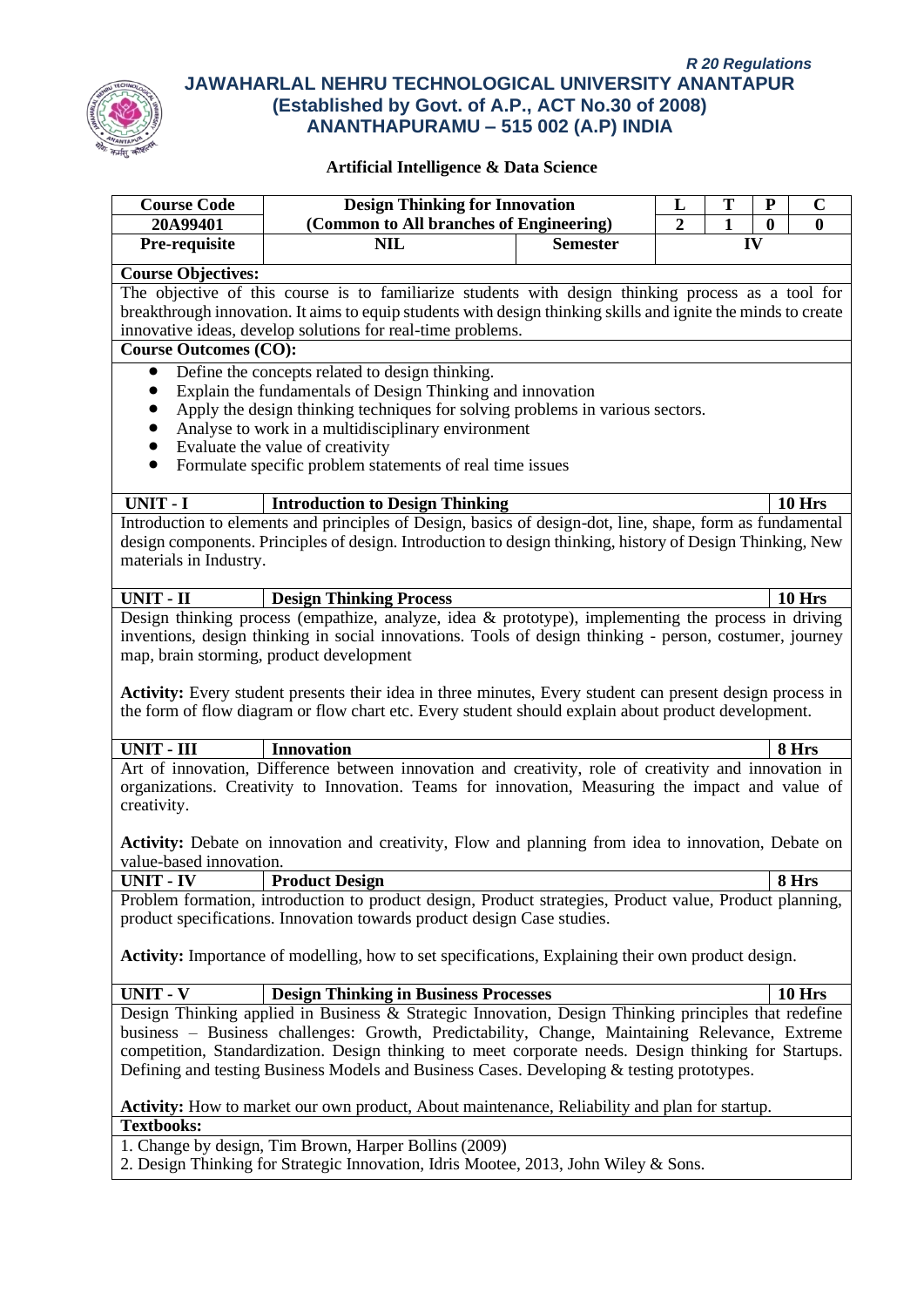

| <b>Course Code</b>                                                                                                                                                                                | <b>Design Thinking for Innovation</b>                                                                                                                                                                             |                 | L              | P            | $\mathbf C$ |               |  |
|---------------------------------------------------------------------------------------------------------------------------------------------------------------------------------------------------|-------------------------------------------------------------------------------------------------------------------------------------------------------------------------------------------------------------------|-----------------|----------------|--------------|-------------|---------------|--|
| 20A99401                                                                                                                                                                                          | (Common to All branches of Engineering)                                                                                                                                                                           |                 | $\overline{2}$ | $\mathbf{1}$ | $\bf{0}$    | $\mathbf{0}$  |  |
| Pre-requisite                                                                                                                                                                                     | <b>NIL</b>                                                                                                                                                                                                        | <b>Semester</b> |                | IV           |             |               |  |
| <b>Course Objectives:</b>                                                                                                                                                                         |                                                                                                                                                                                                                   |                 |                |              |             |               |  |
| The objective of this course is to familiarize students with design thinking process as a tool for                                                                                                |                                                                                                                                                                                                                   |                 |                |              |             |               |  |
|                                                                                                                                                                                                   | breakthrough innovation. It aims to equip students with design thinking skills and ignite the minds to create                                                                                                     |                 |                |              |             |               |  |
|                                                                                                                                                                                                   | innovative ideas, develop solutions for real-time problems.                                                                                                                                                       |                 |                |              |             |               |  |
| <b>Course Outcomes (CO):</b>                                                                                                                                                                      |                                                                                                                                                                                                                   |                 |                |              |             |               |  |
| $\bullet$                                                                                                                                                                                         | Define the concepts related to design thinking.                                                                                                                                                                   |                 |                |              |             |               |  |
| $\bullet$                                                                                                                                                                                         | Explain the fundamentals of Design Thinking and innovation                                                                                                                                                        |                 |                |              |             |               |  |
| $\bullet$                                                                                                                                                                                         | Apply the design thinking techniques for solving problems in various sectors.                                                                                                                                     |                 |                |              |             |               |  |
| $\bullet$                                                                                                                                                                                         | Analyse to work in a multidisciplinary environment                                                                                                                                                                |                 |                |              |             |               |  |
| $\bullet$                                                                                                                                                                                         | Evaluate the value of creativity                                                                                                                                                                                  |                 |                |              |             |               |  |
| $\bullet$                                                                                                                                                                                         | Formulate specific problem statements of real time issues                                                                                                                                                         |                 |                |              |             |               |  |
| <b>UNIT - I</b>                                                                                                                                                                                   | <b>Introduction to Design Thinking</b>                                                                                                                                                                            |                 |                |              |             | <b>10 Hrs</b> |  |
|                                                                                                                                                                                                   | Introduction to elements and principles of Design, basics of design-dot, line, shape, form as fundamental                                                                                                         |                 |                |              |             |               |  |
|                                                                                                                                                                                                   | design components. Principles of design. Introduction to design thinking, history of Design Thinking, New                                                                                                         |                 |                |              |             |               |  |
| materials in Industry.                                                                                                                                                                            |                                                                                                                                                                                                                   |                 |                |              |             |               |  |
|                                                                                                                                                                                                   |                                                                                                                                                                                                                   |                 |                |              |             |               |  |
| <b>UNIT - II</b>                                                                                                                                                                                  | <b>Design Thinking Process</b>                                                                                                                                                                                    |                 |                |              |             | <b>10 Hrs</b> |  |
|                                                                                                                                                                                                   | Design thinking process (empathize, analyze, idea $\&$ prototype), implementing the process in driving<br>inventions, design thinking in social innovations. Tools of design thinking - person, costumer, journey |                 |                |              |             |               |  |
|                                                                                                                                                                                                   | map, brain storming, product development                                                                                                                                                                          |                 |                |              |             |               |  |
|                                                                                                                                                                                                   |                                                                                                                                                                                                                   |                 |                |              |             |               |  |
|                                                                                                                                                                                                   | Activity: Every student presents their idea in three minutes, Every student can present design process in<br>the form of flow diagram or flow chart etc. Every student should explain about product development.  |                 |                |              |             |               |  |
| <b>UNIT - III</b>                                                                                                                                                                                 | <b>Innovation</b>                                                                                                                                                                                                 |                 |                |              |             | 8 Hrs         |  |
|                                                                                                                                                                                                   | Art of innovation, Difference between innovation and creativity, role of creativity and innovation in                                                                                                             |                 |                |              |             |               |  |
|                                                                                                                                                                                                   | organizations. Creativity to Innovation. Teams for innovation, Measuring the impact and value of                                                                                                                  |                 |                |              |             |               |  |
| creativity.                                                                                                                                                                                       |                                                                                                                                                                                                                   |                 |                |              |             |               |  |
|                                                                                                                                                                                                   | <b>Activity:</b> Debate on innovation and creativity, Flow and planning from idea to innovation, Debate on                                                                                                        |                 |                |              |             |               |  |
| value-based innovation.<br>UNIT - IV                                                                                                                                                              | <b>Product Design</b>                                                                                                                                                                                             |                 |                |              |             | 8 Hrs         |  |
|                                                                                                                                                                                                   | Problem formation, introduction to product design, Product strategies, Product value, Product planning,                                                                                                           |                 |                |              |             |               |  |
|                                                                                                                                                                                                   | product specifications. Innovation towards product design Case studies.                                                                                                                                           |                 |                |              |             |               |  |
|                                                                                                                                                                                                   | <b>Activity:</b> Importance of modelling, how to set specifications, Explaining their own product design.                                                                                                         |                 |                |              |             |               |  |
| UNIT - V                                                                                                                                                                                          | <b>Design Thinking in Business Processes</b>                                                                                                                                                                      |                 |                |              |             | <b>10 Hrs</b> |  |
|                                                                                                                                                                                                   | Design Thinking applied in Business & Strategic Innovation, Design Thinking principles that redefine                                                                                                              |                 |                |              |             |               |  |
| business - Business challenges: Growth, Predictability, Change, Maintaining Relevance, Extreme                                                                                                    |                                                                                                                                                                                                                   |                 |                |              |             |               |  |
| competition, Standardization. Design thinking to meet corporate needs. Design thinking for Startups.<br>Defining and testing Business Models and Business Cases. Developing & testing prototypes. |                                                                                                                                                                                                                   |                 |                |              |             |               |  |
|                                                                                                                                                                                                   |                                                                                                                                                                                                                   |                 |                |              |             |               |  |
| <b>Activity:</b> How to market our own product, About maintenance, Reliability and plan for startup.<br><b>Textbooks:</b>                                                                         |                                                                                                                                                                                                                   |                 |                |              |             |               |  |
|                                                                                                                                                                                                   | 1. Change by design, Tim Brown, Harper Bollins (2009)                                                                                                                                                             |                 |                |              |             |               |  |
|                                                                                                                                                                                                   | 2. Design Thinking for Strategic Innovation, Idris Mootee, 2013, John Wiley & Sons.                                                                                                                               |                 |                |              |             |               |  |
|                                                                                                                                                                                                   |                                                                                                                                                                                                                   |                 |                |              |             |               |  |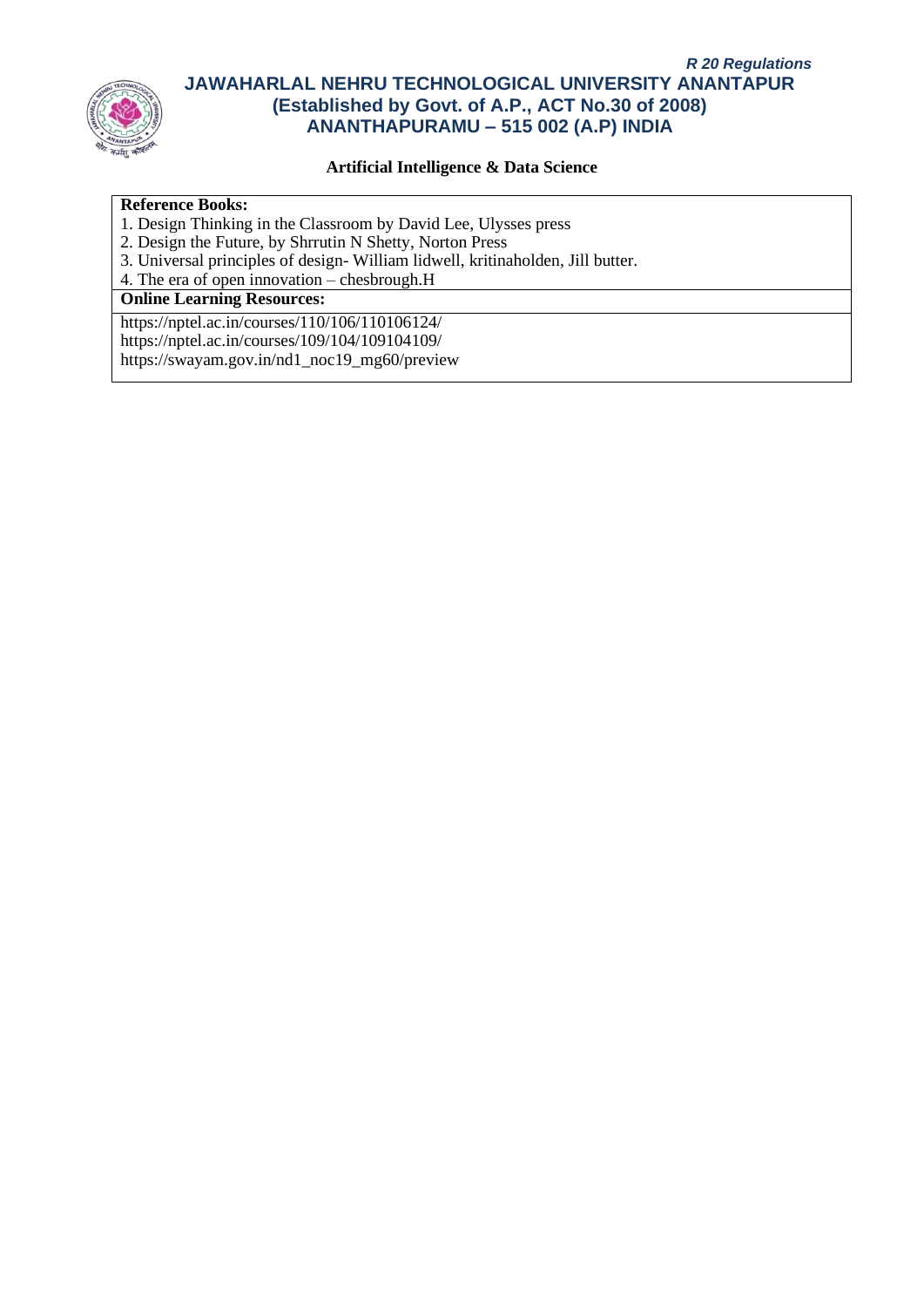

### **Artificial Intelligence & Data Science**

### **Reference Books:**

- 1. Design Thinking in the Classroom by David Lee, Ulysses press
- 2. Design the Future, by Shrrutin N Shetty, Norton Press
- 3. Universal principles of design- William lidwell, kritinaholden, Jill butter.
- 4. The era of open innovation chesbrough.H

# **Online Learning Resources:**

https://nptel.ac.in/courses/110/106/110106124/ https://nptel.ac.in/courses/109/104/109104109/ https://swayam.gov.in/nd1\_noc19\_mg60/preview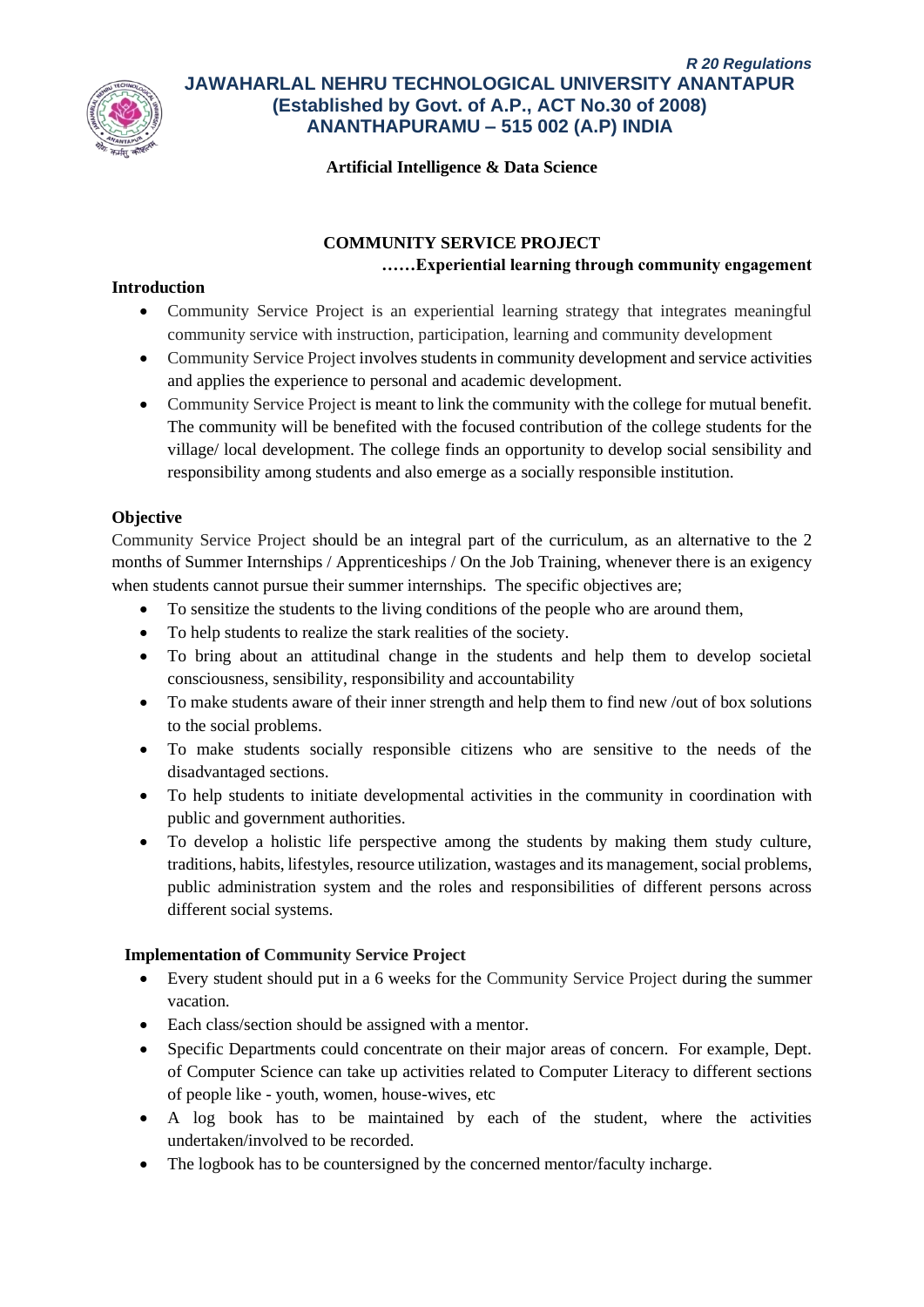

### **Artificial Intelligence & Data Science**

## **COMMUNITY SERVICE PROJECT**

#### **……Experiential learning through community engagement**

#### **Introduction**

- Community Service Project is an experiential learning strategy that integrates meaningful community service with instruction, participation, learning and community development
- Community Service Project involves students in community development and service activities and applies the experience to personal and academic development.
- Community Service Project is meant to link the community with the college for mutual benefit. The community will be benefited with the focused contribution of the college students for the village/ local development. The college finds an opportunity to develop social sensibility and responsibility among students and also emerge as a socially responsible institution.

## **Objective**

Community Service Project should be an integral part of the curriculum, as an alternative to the 2 months of Summer Internships / Apprenticeships / On the Job Training, whenever there is an exigency when students cannot pursue their summer internships. The specific objectives are;

- To sensitize the students to the living conditions of the people who are around them,
- To help students to realize the stark realities of the society.
- To bring about an attitudinal change in the students and help them to develop societal consciousness, sensibility, responsibility and accountability
- To make students aware of their inner strength and help them to find new /out of box solutions to the social problems.
- To make students socially responsible citizens who are sensitive to the needs of the disadvantaged sections.
- To help students to initiate developmental activities in the community in coordination with public and government authorities.
- To develop a holistic life perspective among the students by making them study culture, traditions, habits, lifestyles, resource utilization, wastages and its management, social problems, public administration system and the roles and responsibilities of different persons across different social systems.

## **Implementation of Community Service Project**

- Every student should put in a 6 weeks for the Community Service Project during the summer vacation.
- Each class/section should be assigned with a mentor.
- Specific Departments could concentrate on their major areas of concern. For example, Dept. of Computer Science can take up activities related to Computer Literacy to different sections of people like - youth, women, house-wives, etc
- A log book has to be maintained by each of the student, where the activities undertaken/involved to be recorded.
- The logbook has to be countersigned by the concerned mentor/faculty incharge.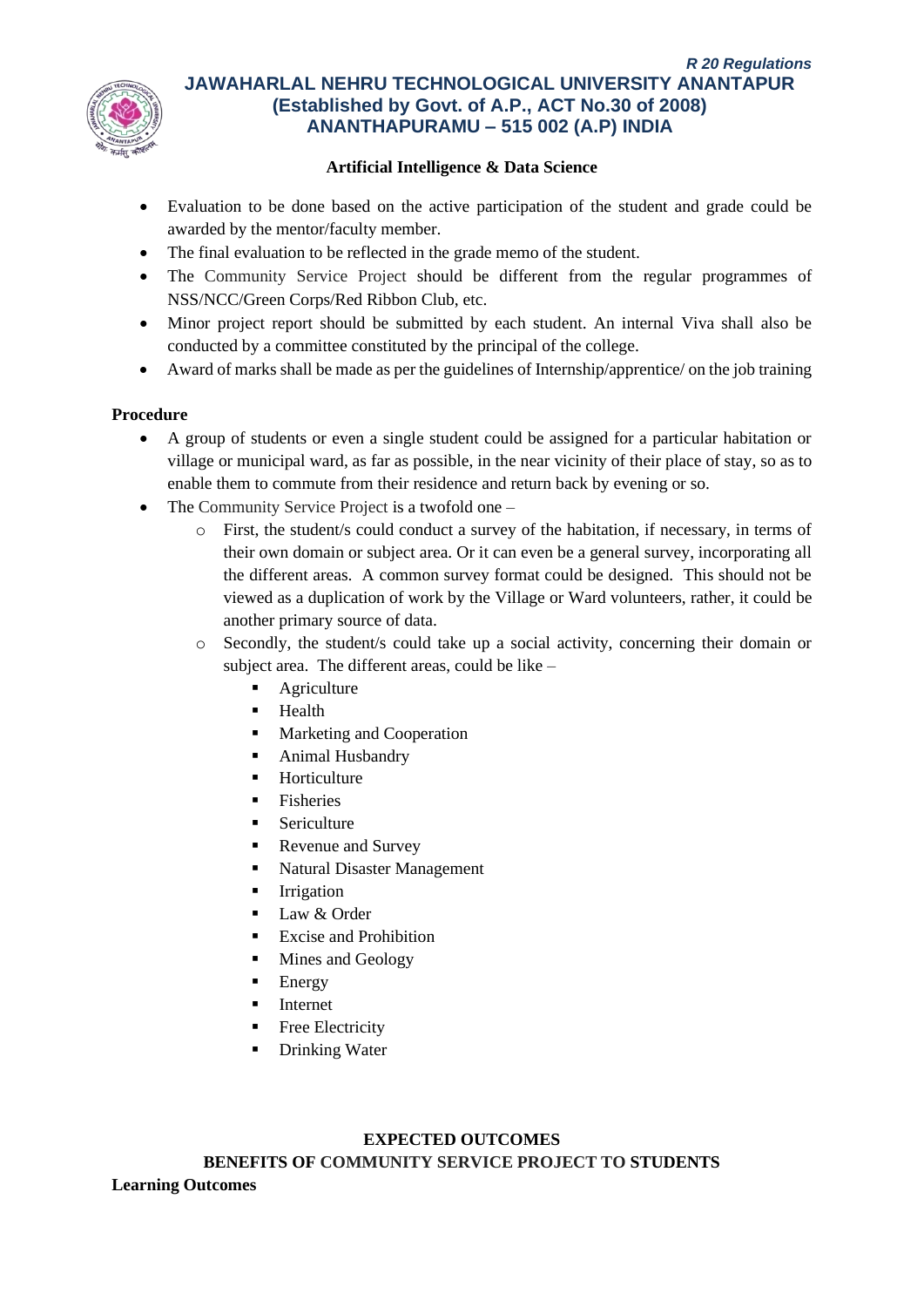

## **Artificial Intelligence & Data Science**

- Evaluation to be done based on the active participation of the student and grade could be awarded by the mentor/faculty member.
- The final evaluation to be reflected in the grade memo of the student.
- The Community Service Project should be different from the regular programmes of NSS/NCC/Green Corps/Red Ribbon Club, etc.
- Minor project report should be submitted by each student. An internal Viva shall also be conducted by a committee constituted by the principal of the college.
- Award of marks shall be made as per the guidelines of Internship/apprentice/ on the job training

#### **Procedure**

- A group of students or even a single student could be assigned for a particular habitation or village or municipal ward, as far as possible, in the near vicinity of their place of stay, so as to enable them to commute from their residence and return back by evening or so.
- The Community Service Project is a twofold one
	- o First, the student/s could conduct a survey of the habitation, if necessary, in terms of their own domain or subject area. Or it can even be a general survey, incorporating all the different areas. A common survey format could be designed. This should not be viewed as a duplication of work by the Village or Ward volunteers, rather, it could be another primary source of data.
	- o Secondly, the student/s could take up a social activity, concerning their domain or subject area. The different areas, could be like –
		- Agriculture
		- Health
		- Marketing and Cooperation
		- Animal Husbandry
		- Horticulture
		- **Fisheries**
		- Sericulture
		- Revenue and Survey
		- Natural Disaster Management
		- **Irrigation**
		- Law & Order
		- **Excise and Prohibition**
		- Mines and Geology
		- **Energy**
		- **Internet**
		- Free Electricity
		- **Drinking Water**

## **EXPECTED OUTCOMES**

**BENEFITS OF COMMUNITY SERVICE PROJECT TO STUDENTS Learning Outcomes**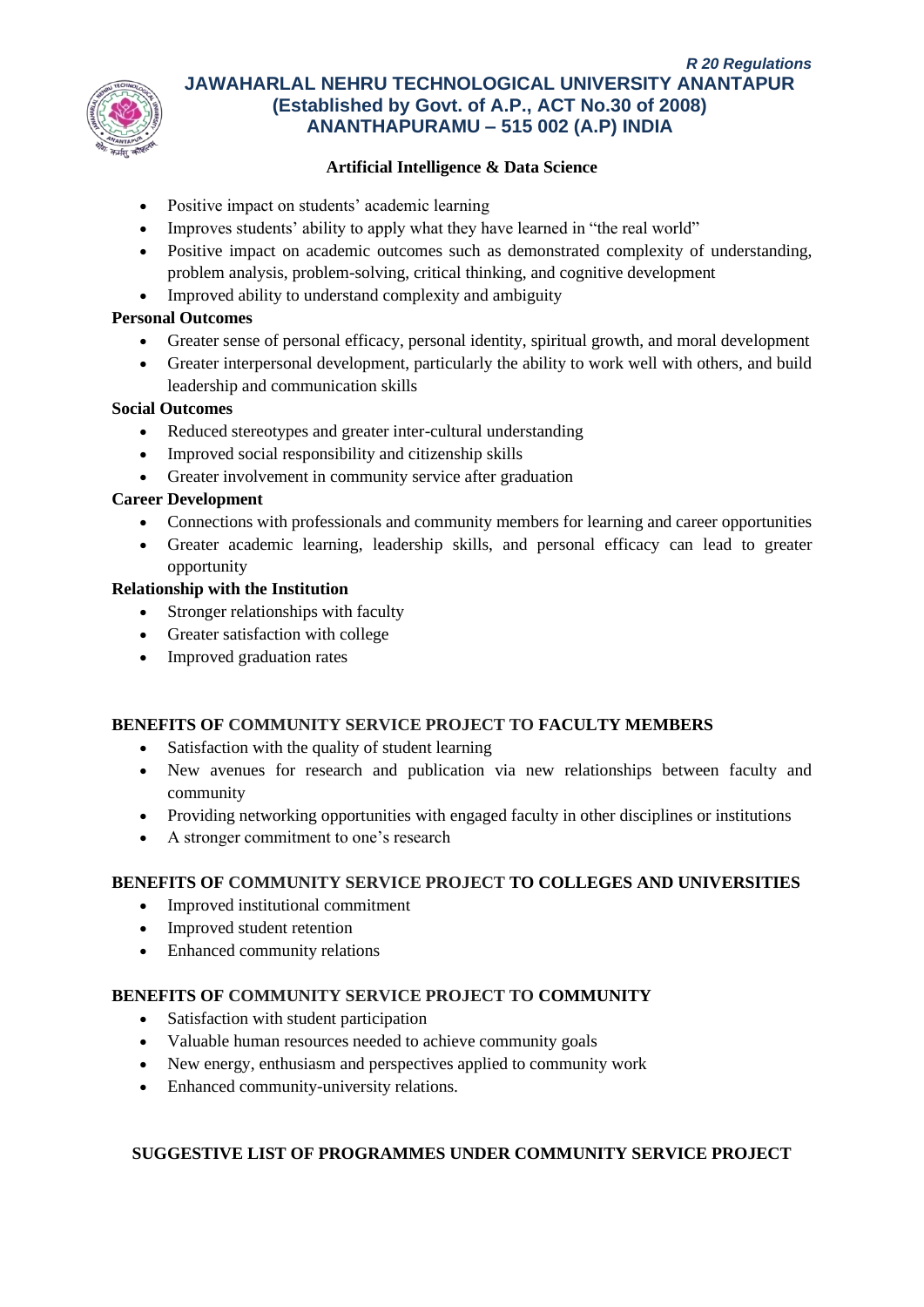

## **Artificial Intelligence & Data Science**

- Positive impact on students' academic learning
- Improves students' ability to apply what they have learned in "the real world"
- Positive impact on academic outcomes such as demonstrated complexity of understanding, problem analysis, problem-solving, critical thinking, and cognitive development
- Improved ability to understand complexity and ambiguity

## **Personal Outcomes**

- Greater sense of personal efficacy, personal identity, spiritual growth, and moral development
- Greater interpersonal development, particularly the ability to work well with others, and build leadership and communication skills

## **Social Outcomes**

- Reduced stereotypes and greater inter-cultural understanding
- Improved social responsibility and citizenship skills
- Greater involvement in community service after graduation

# **Career Development**

- Connections with professionals and community members for learning and career opportunities
- Greater academic learning, leadership skills, and personal efficacy can lead to greater opportunity

## **Relationship with the Institution**

- Stronger relationships with faculty
- Greater satisfaction with college
- Improved graduation rates

## **BENEFITS OF COMMUNITY SERVICE PROJECT TO FACULTY MEMBERS**

- Satisfaction with the quality of student learning
- New avenues for research and publication via new relationships between faculty and community
- Providing networking opportunities with engaged faculty in other disciplines or institutions
- A stronger commitment to one's research

## **BENEFITS OF COMMUNITY SERVICE PROJECT TO COLLEGES AND UNIVERSITIES**

- Improved institutional commitment
- Improved student retention
- Enhanced community relations

# **BENEFITS OF COMMUNITY SERVICE PROJECT TO COMMUNITY**

- Satisfaction with student participation
- Valuable human resources needed to achieve community goals
- New energy, enthusiasm and perspectives applied to community work
- Enhanced community-university relations.

## **SUGGESTIVE LIST OF PROGRAMMES UNDER COMMUNITY SERVICE PROJECT**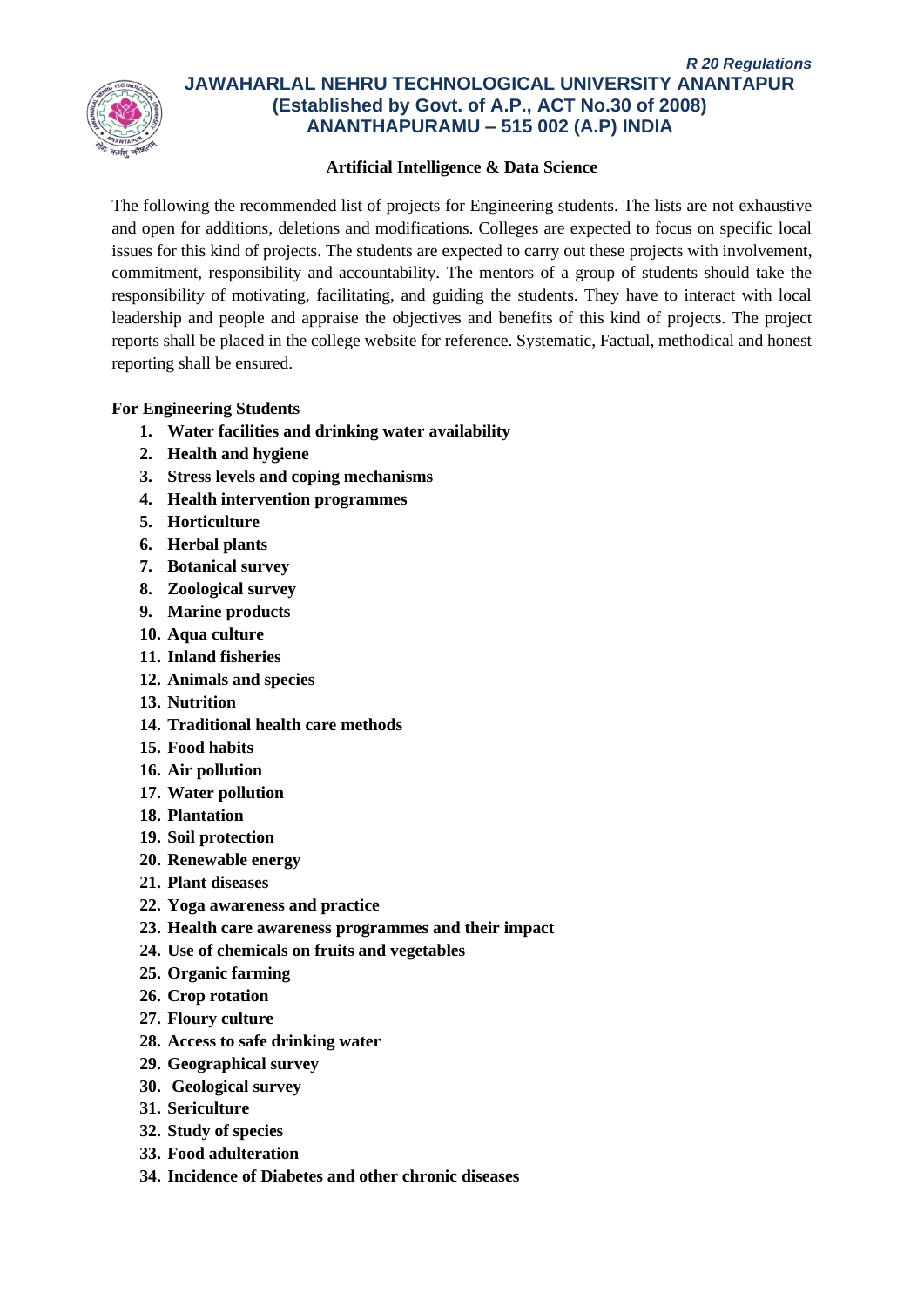

## **Artificial Intelligence & Data Science**

The following the recommended list of projects for Engineering students. The lists are not exhaustive and open for additions, deletions and modifications. Colleges are expected to focus on specific local issues for this kind of projects. The students are expected to carry out these projects with involvement, commitment, responsibility and accountability. The mentors of a group of students should take the responsibility of motivating, facilitating, and guiding the students. They have to interact with local leadership and people and appraise the objectives and benefits of this kind of projects. The project reports shall be placed in the college website for reference. Systematic, Factual, methodical and honest reporting shall be ensured.

# **For Engineering Students**

- **1. Water facilities and drinking water availability**
- **2. Health and hygiene**
- **3. Stress levels and coping mechanisms**
- **4. Health intervention programmes**
- **5. Horticulture**
- **6. Herbal plants**
- **7. Botanical survey**
- **8. Zoological survey**
- **9. Marine products**
- **10. Aqua culture**
- **11. Inland fisheries**
- **12. Animals and species**
- **13. Nutrition**
- **14. Traditional health care methods**
- **15. Food habits**
- **16. Air pollution**
- **17. Water pollution**
- **18. Plantation**
- **19. Soil protection**
- **20. Renewable energy**
- **21. Plant diseases**
- **22. Yoga awareness and practice**
- **23. Health care awareness programmes and their impact**
- **24. Use of chemicals on fruits and vegetables**
- **25. Organic farming**
- **26. Crop rotation**
- **27. Floury culture**
- **28. Access to safe drinking water**
- **29. Geographical survey**
- **30. Geological survey**
- **31. Sericulture**
- **32. Study of species**
- **33. Food adulteration**
- **34. Incidence of Diabetes and other chronic diseases**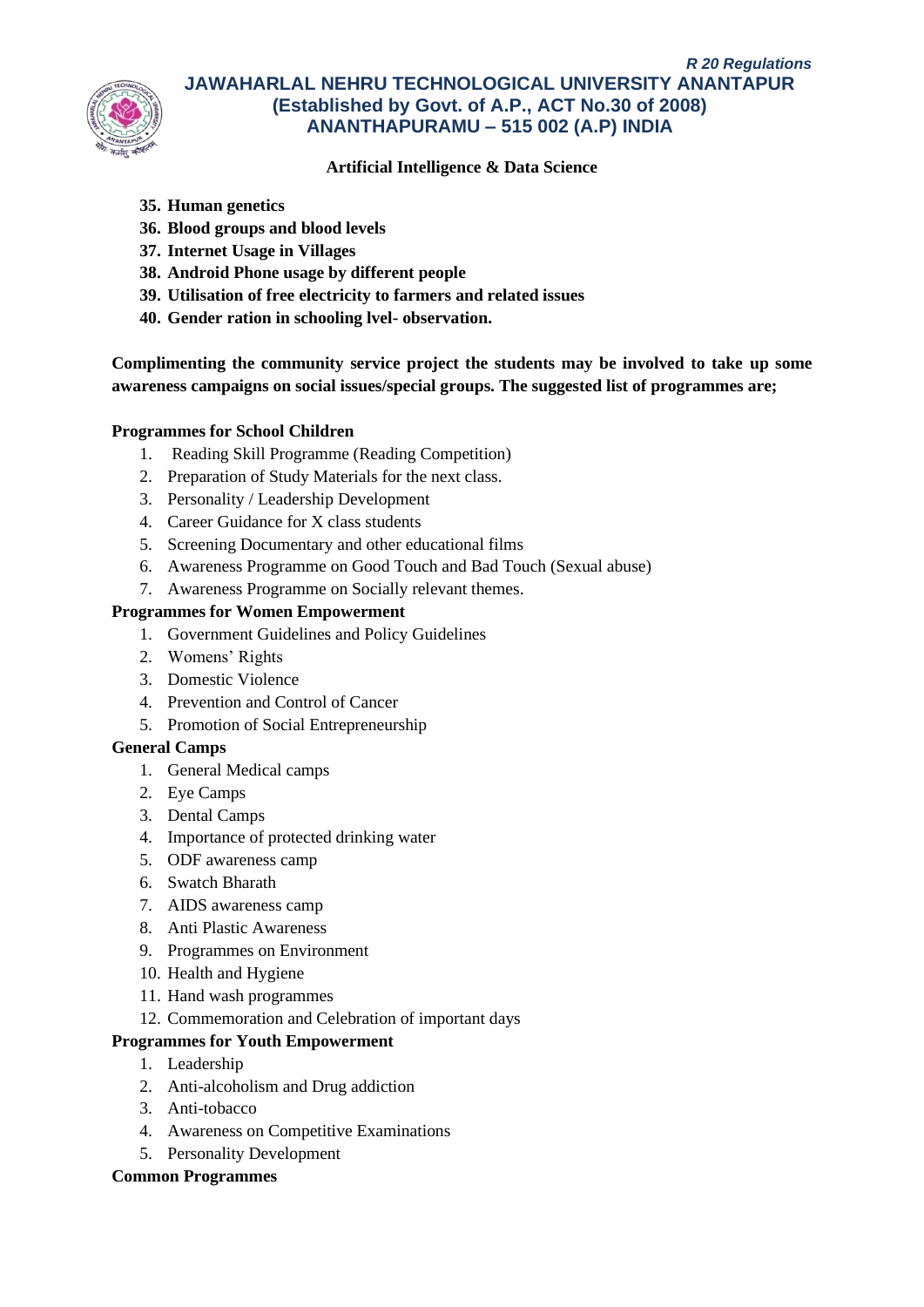

# **Artificial Intelligence & Data Science**

# **35. Human genetics**

- **36. Blood groups and blood levels**
- **37. Internet Usage in Villages**
- **38. Android Phone usage by different people**
- **39. Utilisation of free electricity to farmers and related issues**
- **40. Gender ration in schooling lvel- observation.**

**Complimenting the community service project the students may be involved to take up some awareness campaigns on social issues/special groups. The suggested list of programmes are;**

## **Programmes for School Children**

- 1. Reading Skill Programme (Reading Competition)
- 2. Preparation of Study Materials for the next class.
- 3. Personality / Leadership Development
- 4. Career Guidance for X class students
- 5. Screening Documentary and other educational films
- 6. Awareness Programme on Good Touch and Bad Touch (Sexual abuse)
- 7. Awareness Programme on Socially relevant themes.

#### **Programmes for Women Empowerment**

- 1. Government Guidelines and Policy Guidelines
- 2. Womens' Rights
- 3. Domestic Violence
- 4. Prevention and Control of Cancer
- 5. Promotion of Social Entrepreneurship

## **General Camps**

- 1. General Medical camps
- 2. Eye Camps
- 3. Dental Camps
- 4. Importance of protected drinking water
- 5. ODF awareness camp
- 6. Swatch Bharath
- 7. AIDS awareness camp
- 8. Anti Plastic Awareness
- 9. Programmes on Environment
- 10. Health and Hygiene
- 11. Hand wash programmes
- 12. Commemoration and Celebration of important days

## **Programmes for Youth Empowerment**

- 1. Leadership
- 2. Anti-alcoholism and Drug addiction
- 3. Anti-tobacco
- 4. Awareness on Competitive Examinations
- 5. Personality Development

#### **Common Programmes**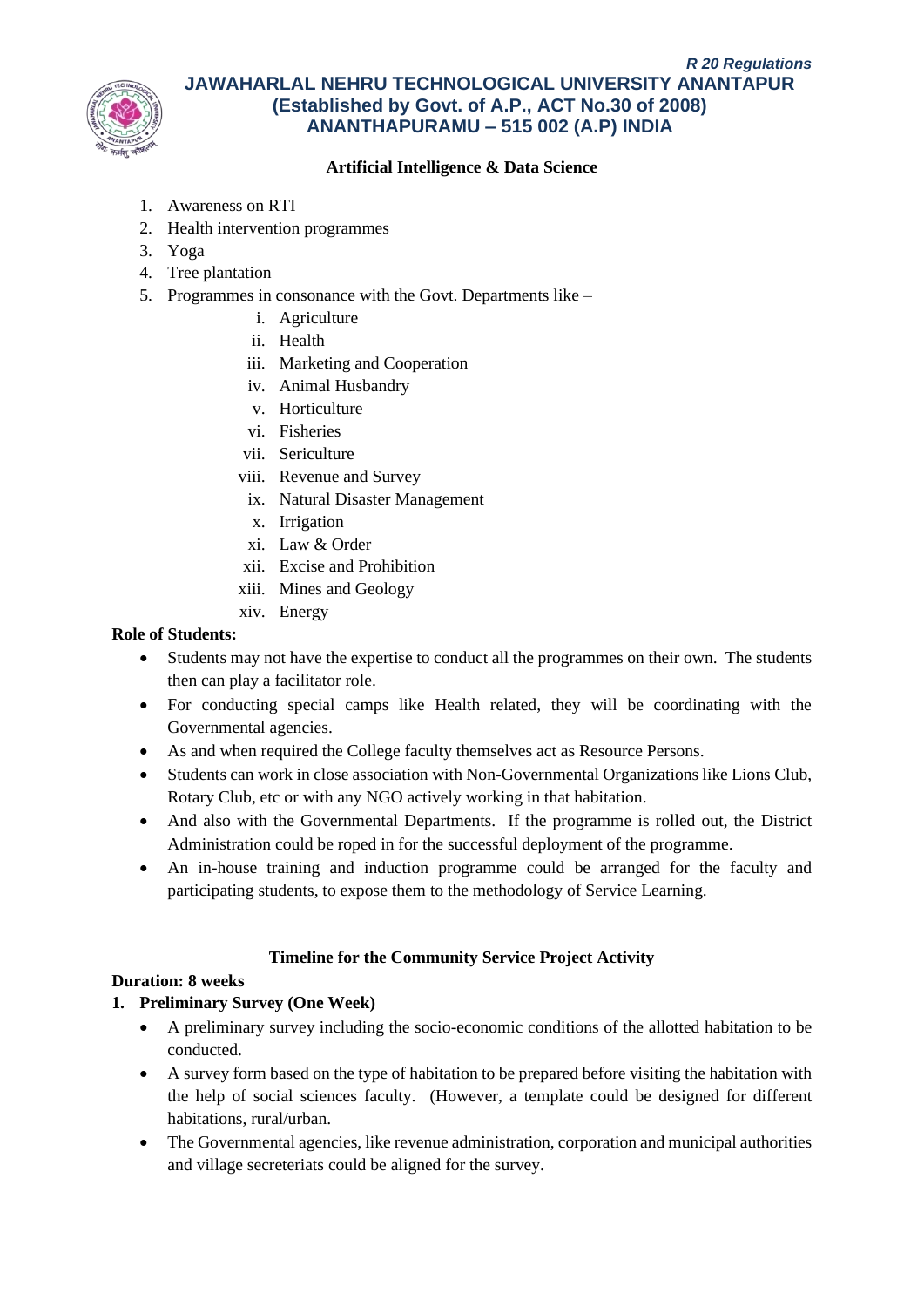

# **Artificial Intelligence & Data Science**

- 1. Awareness on RTI
- 2. Health intervention programmes
- 3. Yoga
- 4. Tree plantation
- 5. Programmes in consonance with the Govt. Departments like
	- i. Agriculture
	- ii. Health
	- iii. Marketing and Cooperation
	- iv. Animal Husbandry
	- v. Horticulture
	- vi. Fisheries
	- vii. Sericulture
	- viii. Revenue and Survey
		- ix. Natural Disaster Management
		- x. Irrigation
		- xi. Law & Order
	- xii. Excise and Prohibition
	- xiii. Mines and Geology
	- xiv. Energy

## **Role of Students:**

- Students may not have the expertise to conduct all the programmes on their own. The students then can play a facilitator role.
- For conducting special camps like Health related, they will be coordinating with the Governmental agencies.
- As and when required the College faculty themselves act as Resource Persons.
- Students can work in close association with Non-Governmental Organizations like Lions Club, Rotary Club, etc or with any NGO actively working in that habitation.
- And also with the Governmental Departments. If the programme is rolled out, the District Administration could be roped in for the successful deployment of the programme.
- An in-house training and induction programme could be arranged for the faculty and participating students, to expose them to the methodology of Service Learning.

## **Timeline for the Community Service Project Activity**

## **Duration: 8 weeks**

# **1. Preliminary Survey (One Week)**

- A preliminary survey including the socio-economic conditions of the allotted habitation to be conducted.
- A survey form based on the type of habitation to be prepared before visiting the habitation with the help of social sciences faculty. (However, a template could be designed for different habitations, rural/urban.
- The Governmental agencies, like revenue administration, corporation and municipal authorities and village secreteriats could be aligned for the survey.